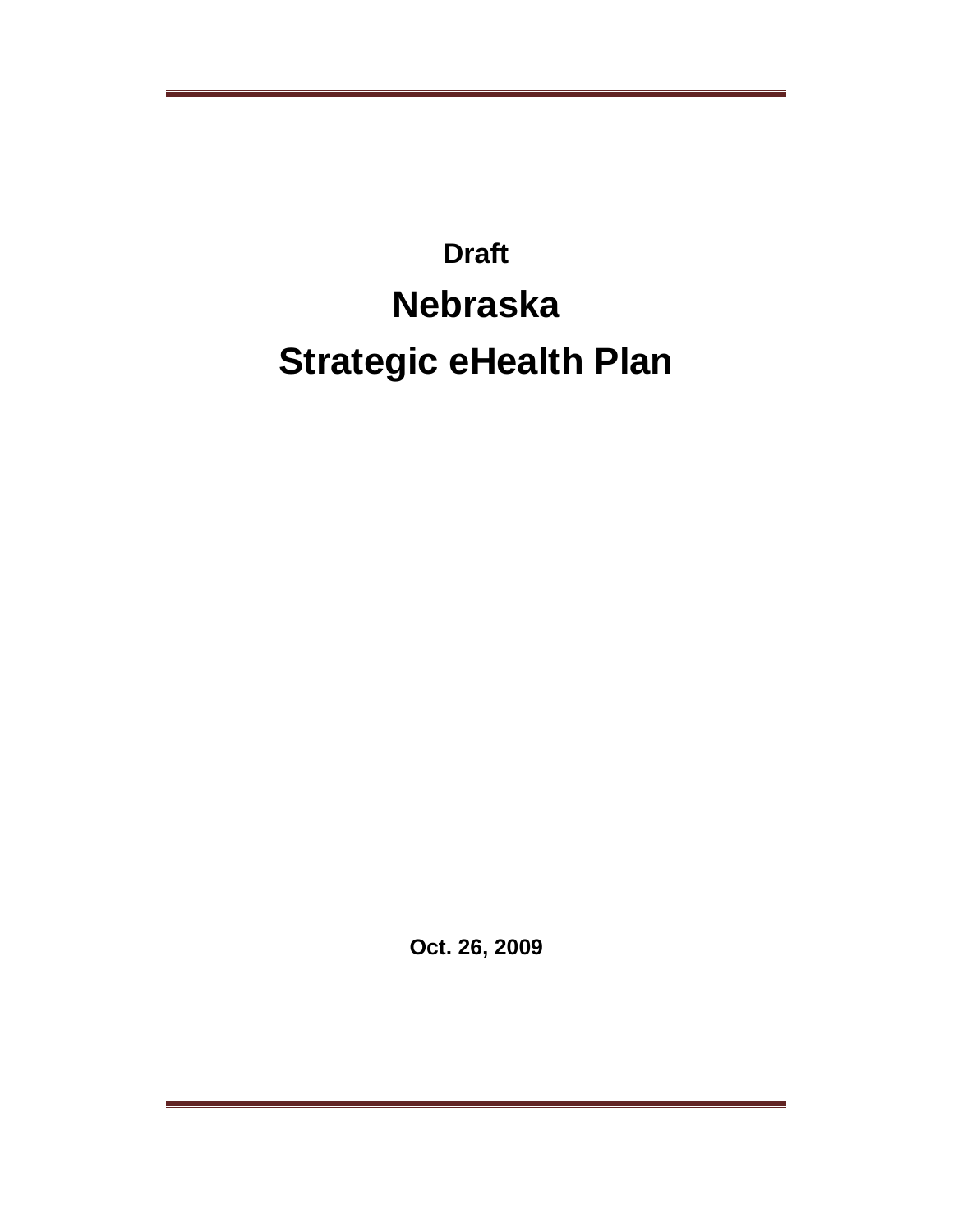# **Draft Nebraska Strategic eHealth Plan**

**Oct. 26, 2009**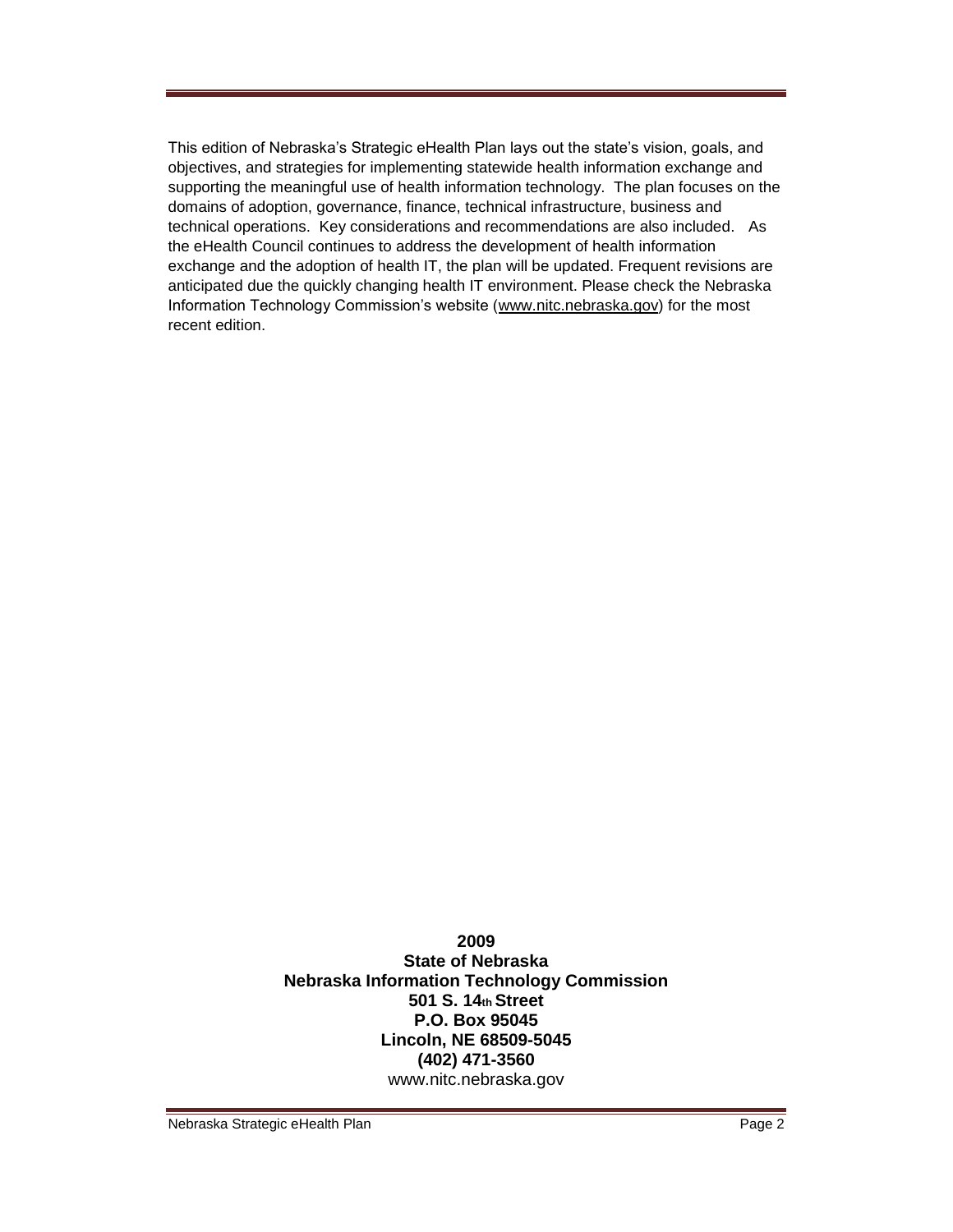This edition of Nebraska's Strategic eHealth Plan lays out the state's vision, goals, and objectives, and strategies for implementing statewide health information exchange and supporting the meaningful use of health information technology. The plan focuses on the domains of adoption, governance, finance, technical infrastructure, business and technical operations. Key considerations and recommendations are also included. As the eHealth Council continues to address the development of health information exchange and the adoption of health IT, the plan will be updated. Frequent revisions are anticipated due the quickly changing health IT environment. Please check the Nebraska Information Technology Commission's website (www.nitc.nebraska.gov) for the most recent edition.

> **2009 State of Nebraska Nebraska Information Technology Commission 501 S. 14th Street P.O. Box 95045 Lincoln, NE 68509-5045 (402) 471-3560**  www.nitc.nebraska.gov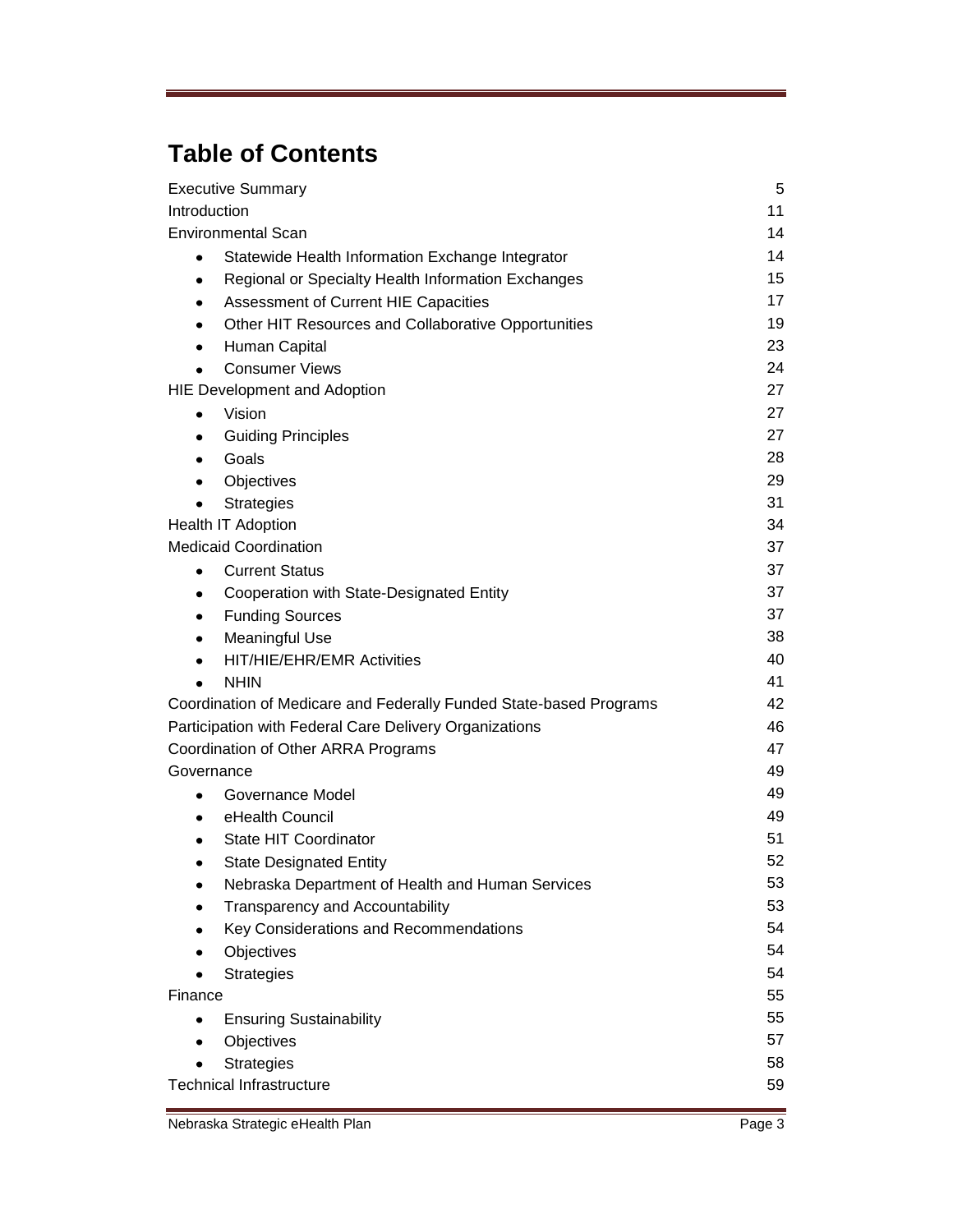# **Table of Contents**

| <b>Executive Summary</b>                                           | 5  |
|--------------------------------------------------------------------|----|
| Introduction                                                       | 11 |
| <b>Environmental Scan</b>                                          | 14 |
| Statewide Health Information Exchange Integrator<br>$\bullet$      | 14 |
| Regional or Specialty Health Information Exchanges<br>٠            | 15 |
| Assessment of Current HIE Capacities<br>٠                          | 17 |
| Other HIT Resources and Collaborative Opportunities<br>$\bullet$   | 19 |
| Human Capital<br>٠                                                 | 23 |
| <b>Consumer Views</b><br>$\bullet$                                 | 24 |
| <b>HIE Development and Adoption</b>                                | 27 |
| Vision<br>٠                                                        | 27 |
| <b>Guiding Principles</b><br>٠                                     | 27 |
| Goals<br>$\bullet$                                                 | 28 |
| Objectives<br>٠                                                    | 29 |
| Strategies                                                         | 31 |
| Health IT Adoption                                                 | 34 |
| <b>Medicaid Coordination</b>                                       | 37 |
| <b>Current Status</b><br>$\bullet$                                 | 37 |
| Cooperation with State-Designated Entity<br>٠                      | 37 |
| <b>Funding Sources</b><br>٠                                        | 37 |
| <b>Meaningful Use</b><br>$\bullet$                                 | 38 |
| HIT/HIE/EHR/EMR Activities<br>$\bullet$                            | 40 |
| <b>NHIN</b>                                                        | 41 |
| Coordination of Medicare and Federally Funded State-based Programs | 42 |
| Participation with Federal Care Delivery Organizations             | 46 |
| Coordination of Other ARRA Programs                                | 47 |
| Governance                                                         | 49 |
| Governance Model<br>٠                                              | 49 |
| eHealth Council<br>٠                                               | 49 |
| State HIT Coordinator                                              | 51 |
| <b>State Designated Entity</b><br>٠                                | 52 |
| Nebraska Department of Health and Human Services                   | 53 |
| Transparency and Accountability                                    | 53 |
| Key Considerations and Recommendations                             | 54 |
| Objectives                                                         | 54 |
| <b>Strategies</b>                                                  | 54 |
| Finance                                                            | 55 |
| <b>Ensuring Sustainability</b>                                     | 55 |
| Objectives<br>$\bullet$                                            | 57 |
| <b>Strategies</b>                                                  | 58 |
| <b>Technical Infrastructure</b>                                    | 59 |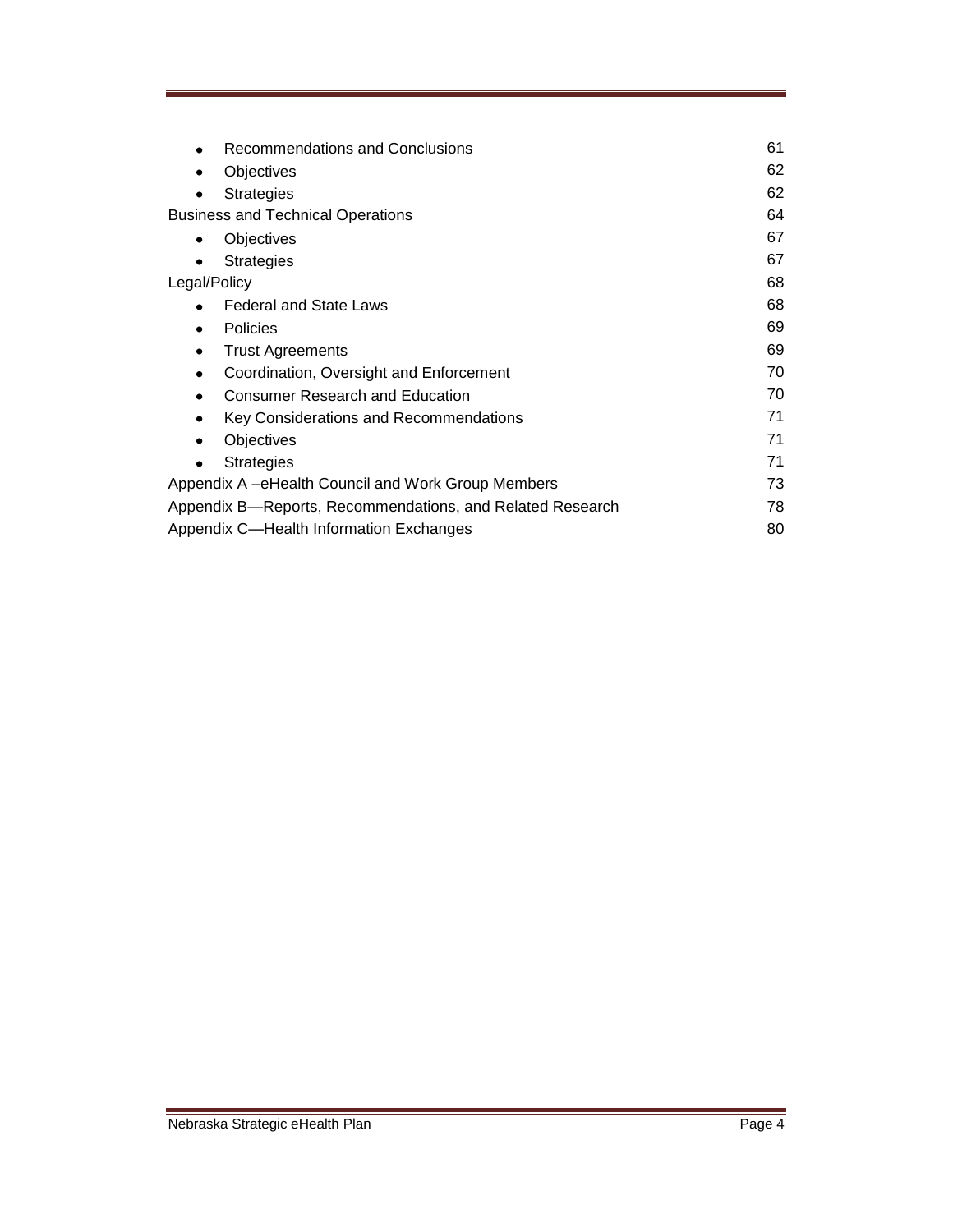| Recommendations and Conclusions                           | 61 |
|-----------------------------------------------------------|----|
| Objectives                                                | 62 |
| <b>Strategies</b>                                         | 62 |
| <b>Business and Technical Operations</b>                  | 64 |
| Objectives<br>٠                                           | 67 |
| <b>Strategies</b>                                         | 67 |
| Legal/Policy                                              | 68 |
| <b>Federal and State Laws</b><br>$\bullet$                | 68 |
| <b>Policies</b><br>٠                                      | 69 |
| <b>Trust Agreements</b><br>$\bullet$                      | 69 |
| Coordination, Oversight and Enforcement<br>$\bullet$      | 70 |
| <b>Consumer Research and Education</b>                    | 70 |
| Key Considerations and Recommendations                    | 71 |
| Objectives                                                | 71 |
| <b>Strategies</b>                                         | 71 |
| Appendix A –eHealth Council and Work Group Members        | 73 |
| Appendix B—Reports, Recommendations, and Related Research | 78 |
| Appendix C—Health Information Exchanges                   | 80 |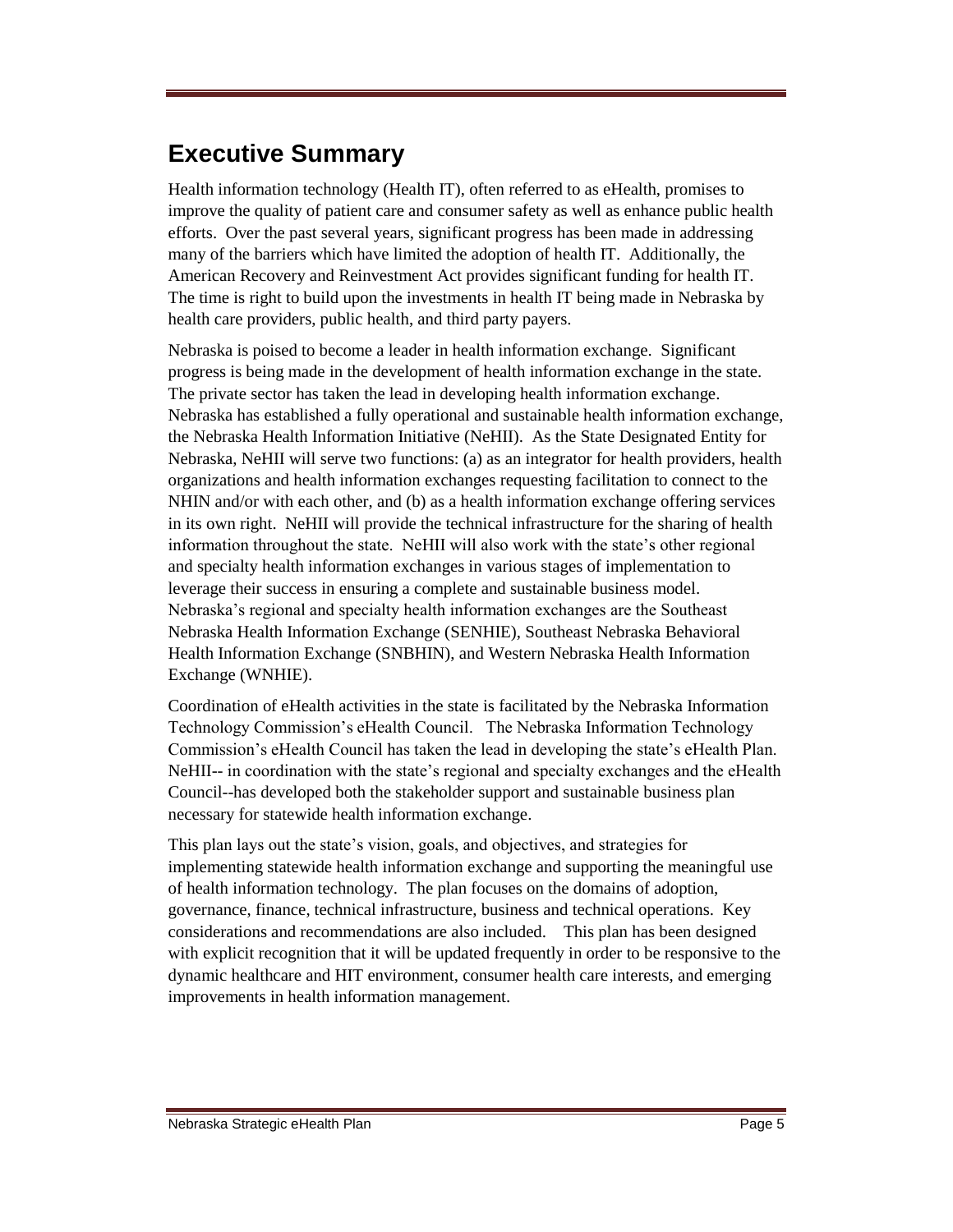# **Executive Summary**

Health information technology (Health IT), often referred to as eHealth, promises to improve the quality of patient care and consumer safety as well as enhance public health efforts. Over the past several years, significant progress has been made in addressing many of the barriers which have limited the adoption of health IT. Additionally, the American Recovery and Reinvestment Act provides significant funding for health IT. The time is right to build upon the investments in health IT being made in Nebraska by health care providers, public health, and third party payers.

Nebraska is poised to become a leader in health information exchange. Significant progress is being made in the development of health information exchange in the state. The private sector has taken the lead in developing health information exchange. Nebraska has established a fully operational and sustainable health information exchange, the Nebraska Health Information Initiative (NeHII). As the State Designated Entity for Nebraska, NeHII will serve two functions: (a) as an integrator for health providers, health organizations and health information exchanges requesting facilitation to connect to the NHIN and/or with each other, and (b) as a health information exchange offering services in its own right. NeHII will provide the technical infrastructure for the sharing of health information throughout the state. NeHII will also work with the state's other regional and specialty health information exchanges in various stages of implementation to leverage their success in ensuring a complete and sustainable business model. Nebraska's regional and specialty health information exchanges are the Southeast Nebraska Health Information Exchange (SENHIE), Southeast Nebraska Behavioral Health Information Exchange (SNBHIN), and Western Nebraska Health Information Exchange (WNHIE).

Coordination of eHealth activities in the state is facilitated by the Nebraska Information Technology Commission's eHealth Council. The Nebraska Information Technology Commission's eHealth Council has taken the lead in developing the state's eHealth Plan. NeHII-- in coordination with the state's regional and specialty exchanges and the eHealth Council--has developed both the stakeholder support and sustainable business plan necessary for statewide health information exchange.

This plan lays out the state's vision, goals, and objectives, and strategies for implementing statewide health information exchange and supporting the meaningful use of health information technology. The plan focuses on the domains of adoption, governance, finance, technical infrastructure, business and technical operations. Key considerations and recommendations are also included. This plan has been designed with explicit recognition that it will be updated frequently in order to be responsive to the dynamic healthcare and HIT environment, consumer health care interests, and emerging improvements in health information management.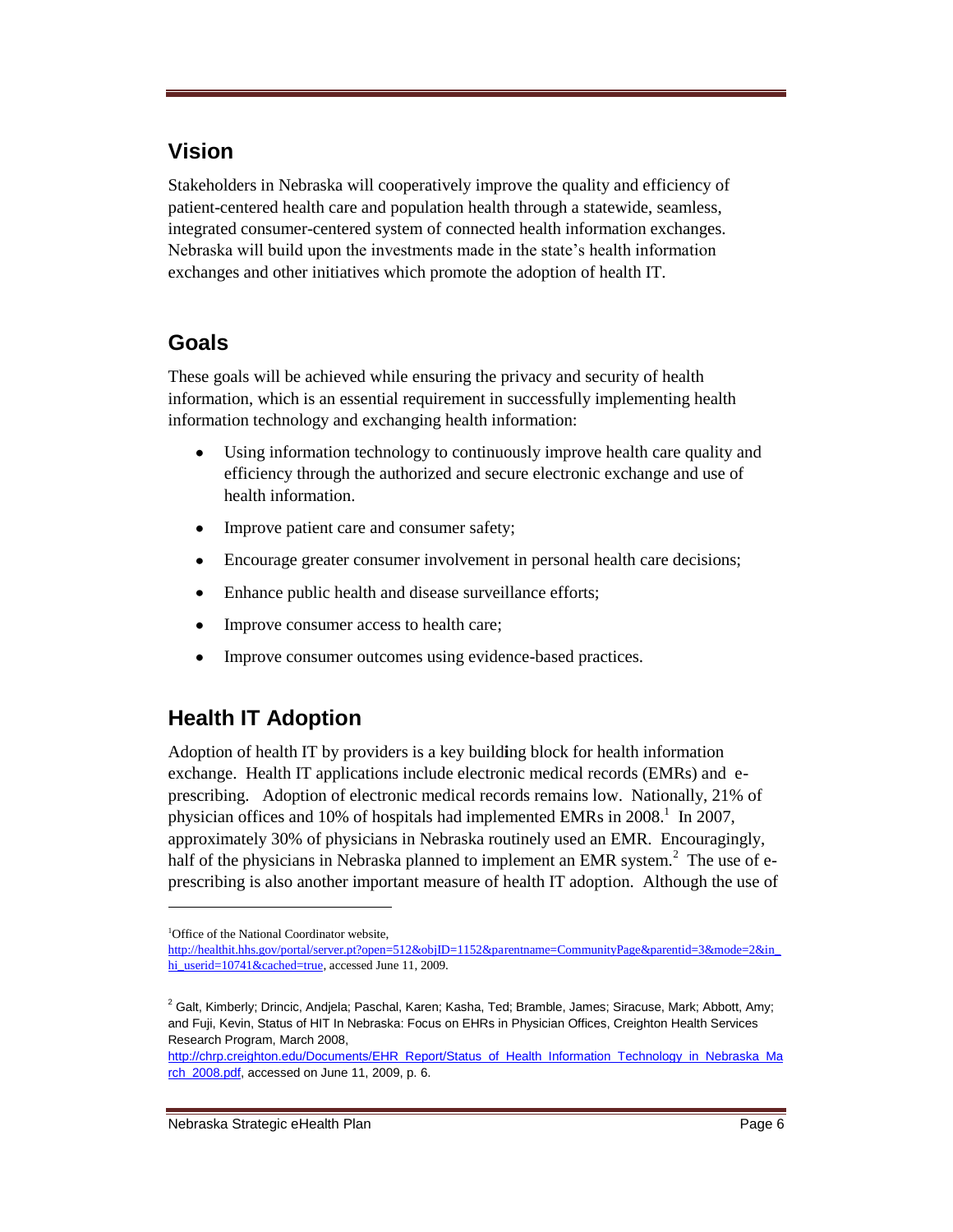## **Vision**

Stakeholders in Nebraska will cooperatively improve the quality and efficiency of patient-centered health care and population health through a statewide, seamless, integrated consumer-centered system of connected health information exchanges. Nebraska will build upon the investments made in the state's health information exchanges and other initiatives which promote the adoption of health IT.

## **Goals**

These goals will be achieved while ensuring the privacy and security of health information, which is an essential requirement in successfully implementing health information technology and exchanging health information:

- Using information technology to continuously improve health care quality and  $\bullet$ efficiency through the authorized and secure electronic exchange and use of health information.
- Improve patient care and consumer safety;  $\bullet$
- Encourage greater consumer involvement in personal health care decisions;  $\bullet$
- $\bullet$ Enhance public health and disease surveillance efforts;
- $\bullet$ Improve consumer access to health care;
- $\bullet$ Improve consumer outcomes using evidence-based practices.

# **Health IT Adoption**

Adoption of health IT by providers is a key build**i**ng block for health information exchange. Health IT applications include electronic medical records (EMRs) and eprescribing. Adoption of electronic medical records remains low. Nationally, 21% of physician offices and 10% of hospitals had implemented EMRs in  $2008$ <sup>1</sup>. In  $2007$ , approximately 30% of physicians in Nebraska routinely used an EMR. Encouragingly, half of the physicians in Nebraska planned to implement an EMR system.<sup>2</sup> The use of eprescribing is also another important measure of health IT adoption. Although the use of

<sup>&</sup>lt;sup>1</sup>Office of the National Coordinator website,

[http://healthit.hhs.gov/portal/server.pt?open=512&objID=1152&parentname=CommunityPage&parentid=3&mode=2&in\\_](http://healthit.hhs.gov/portal/server.pt?open=512&objID=1152&parentname=CommunityPage&parentid=3&mode=2&in_hi_userid=10741&cached=true) [hi\\_userid=10741&cached=true,](http://healthit.hhs.gov/portal/server.pt?open=512&objID=1152&parentname=CommunityPage&parentid=3&mode=2&in_hi_userid=10741&cached=true) accessed June 11, 2009.

<sup>&</sup>lt;sup>2</sup> Galt, Kimberly; Drincic, Andjela; Paschal, Karen; Kasha, Ted; Bramble, James; Siracuse, Mark; Abbott, Amy; and Fuji, Kevin, Status of HIT In Nebraska: Focus on EHRs in Physician Offices, Creighton Health Services Research Program, March 2008,

[http://chrp.creighton.edu/Documents/EHR\\_Report/Status\\_of\\_Health\\_Information\\_Technology\\_in\\_Nebraska\\_Ma](http://chrp.creighton.edu/Documents/EHR_Report/Status_of_Health_Information_Technology_in_Nebraska_March_2008.pdf) [rch\\_2008.pdf,](http://chrp.creighton.edu/Documents/EHR_Report/Status_of_Health_Information_Technology_in_Nebraska_March_2008.pdf) accessed on June 11, 2009, p. 6.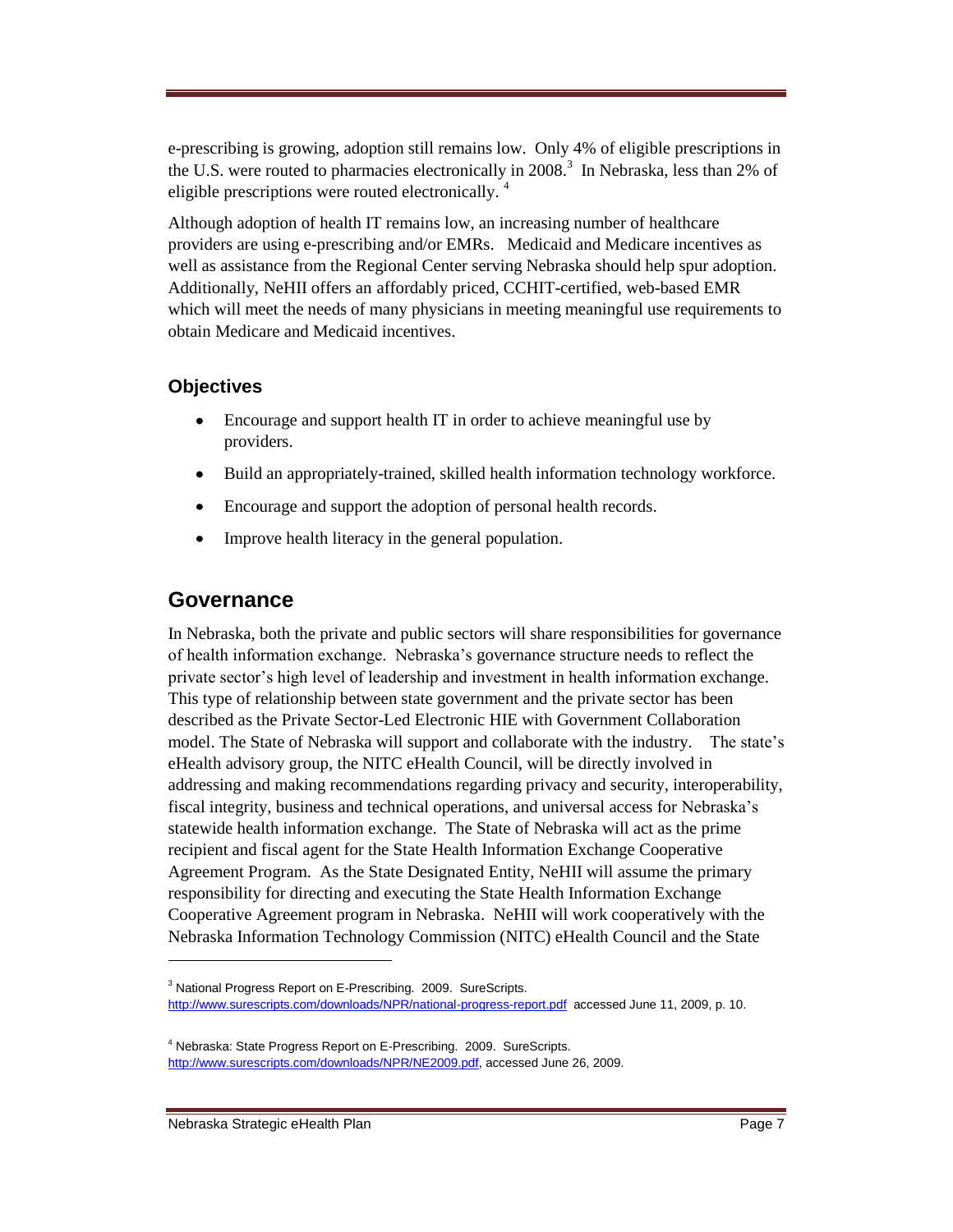e-prescribing is growing, adoption still remains low. Only 4% of eligible prescriptions in the U.S. were routed to pharmacies electronically in  $2008$ .<sup>3</sup> In Nebraska, less than 2% of eligible prescriptions were routed electronically.<sup>4</sup>

Although adoption of health IT remains low, an increasing number of healthcare providers are using e-prescribing and/or EMRs. Medicaid and Medicare incentives as well as assistance from the Regional Center serving Nebraska should help spur adoption. Additionally, NeHII offers an affordably priced, CCHIT-certified, web-based EMR which will meet the needs of many physicians in meeting meaningful use requirements to obtain Medicare and Medicaid incentives.

#### **Objectives**

- $\bullet$ Encourage and support health IT in order to achieve meaningful use by providers.
- Build an appropriately-trained, skilled health information technology workforce.  $\bullet$
- Encourage and support the adoption of personal health records.  $\bullet$
- Improve health literacy in the general population.  $\bullet$

#### **Governance**

In Nebraska, both the private and public sectors will share responsibilities for governance of health information exchange. Nebraska's governance structure needs to reflect the private sector's high level of leadership and investment in health information exchange. This type of relationship between state government and the private sector has been described as the Private Sector-Led Electronic HIE with Government Collaboration model. The State of Nebraska will support and collaborate with the industry. The state's eHealth advisory group, the NITC eHealth Council, will be directly involved in addressing and making recommendations regarding privacy and security, interoperability, fiscal integrity, business and technical operations, and universal access for Nebraska's statewide health information exchange. The State of Nebraska will act as the prime recipient and fiscal agent for the State Health Information Exchange Cooperative Agreement Program. As the State Designated Entity, NeHII will assume the primary responsibility for directing and executing the State Health Information Exchange Cooperative Agreement program in Nebraska. NeHII will work cooperatively with the Nebraska Information Technology Commission (NITC) eHealth Council and the State

<sup>3</sup> National Progress Report on E-Prescribing. 2009. SureScripts. <http://www.surescripts.com/downloads/NPR/national-progress-report.pdf>accessed June 11, 2009, p. 10.

<sup>&</sup>lt;sup>4</sup> Nebraska: State Progress Report on E-Prescribing. 2009. SureScripts. [http://www.surescripts.com/downloads/NPR/NE2009.pdf,](http://www.surescripts.com/downloads/NPR/NE2009.pdf) accessed June 26, 2009.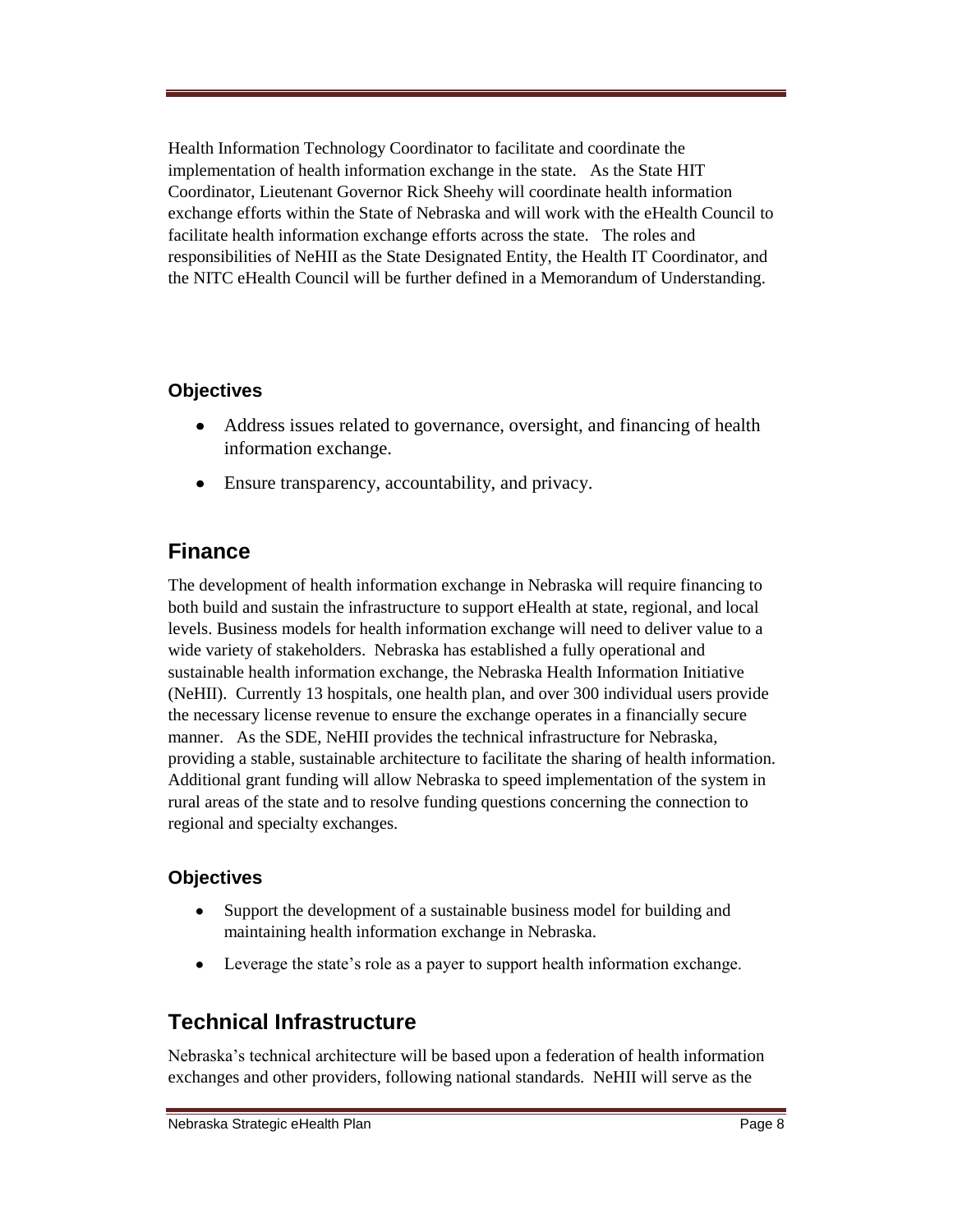Health Information Technology Coordinator to facilitate and coordinate the implementation of health information exchange in the state. As the State HIT Coordinator, Lieutenant Governor Rick Sheehy will coordinate health information exchange efforts within the State of Nebraska and will work with the eHealth Council to facilitate health information exchange efforts across the state. The roles and responsibilities of NeHII as the State Designated Entity, the Health IT Coordinator, and the NITC eHealth Council will be further defined in a Memorandum of Understanding.

#### **Objectives**

- $\bullet$ Address issues related to governance, oversight, and financing of health information exchange.
- Ensure transparency, accountability, and privacy.

## **Finance**

The development of health information exchange in Nebraska will require financing to both build and sustain the infrastructure to support eHealth at state, regional, and local levels. Business models for health information exchange will need to deliver value to a wide variety of stakeholders. Nebraska has established a fully operational and sustainable health information exchange, the Nebraska Health Information Initiative (NeHII). Currently 13 hospitals, one health plan, and over 300 individual users provide the necessary license revenue to ensure the exchange operates in a financially secure manner. As the SDE, NeHII provides the technical infrastructure for Nebraska, providing a stable, sustainable architecture to facilitate the sharing of health information. Additional grant funding will allow Nebraska to speed implementation of the system in rural areas of the state and to resolve funding questions concerning the connection to regional and specialty exchanges.

#### **Objectives**

- $\bullet$ Support the development of a sustainable business model for building and maintaining health information exchange in Nebraska.
- $\bullet$ Leverage the state's role as a payer to support health information exchange.

## **Technical Infrastructure**

Nebraska's technical architecture will be based upon a federation of health information exchanges and other providers, following national standards. NeHII will serve as the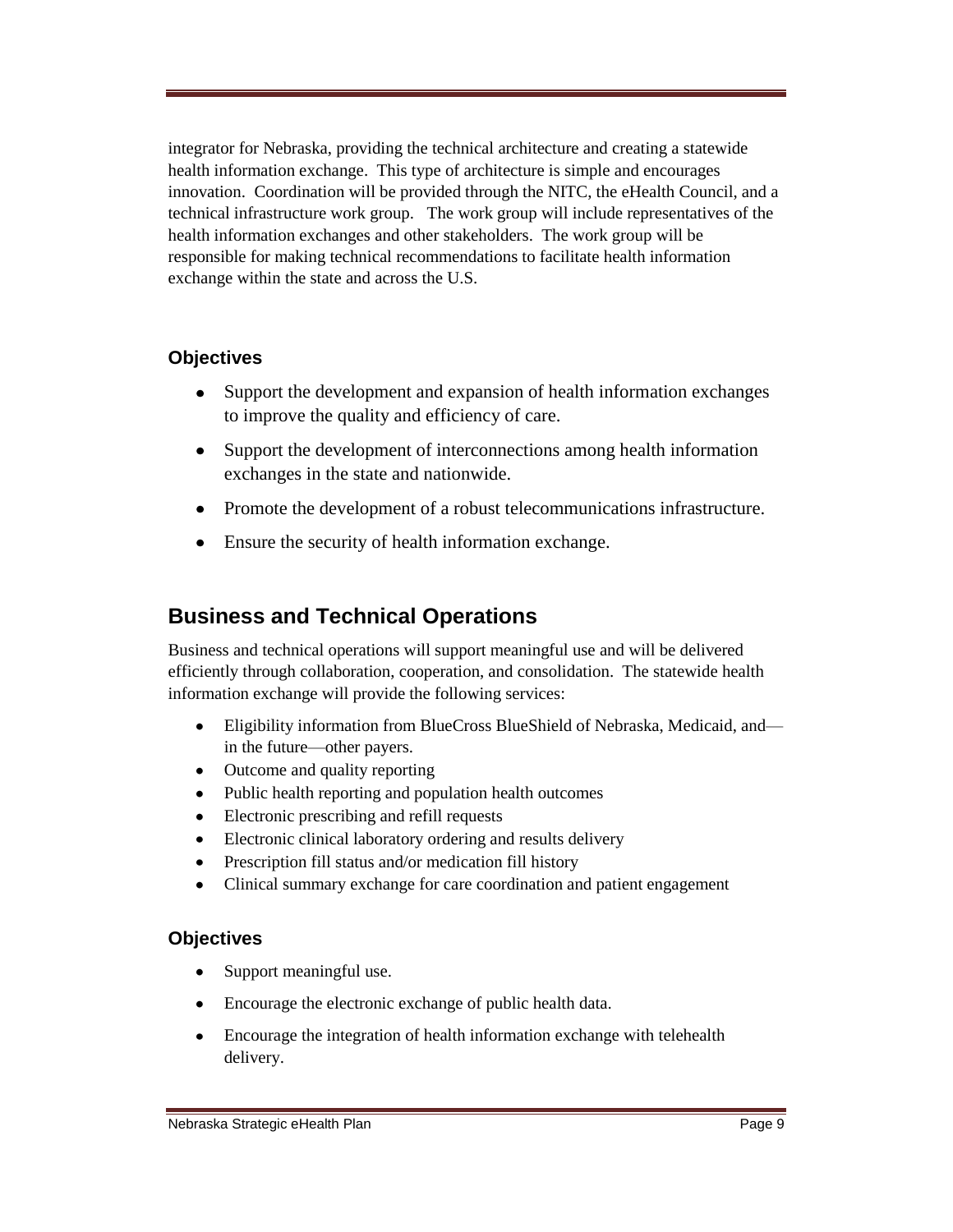integrator for Nebraska, providing the technical architecture and creating a statewide health information exchange. This type of architecture is simple and encourages innovation. Coordination will be provided through the NITC, the eHealth Council, and a technical infrastructure work group. The work group will include representatives of the health information exchanges and other stakeholders. The work group will be responsible for making technical recommendations to facilitate health information exchange within the state and across the U.S.

#### **Objectives**

- Support the development and expansion of health information exchanges  $\bullet$ to improve the quality and efficiency of care.
- Support the development of interconnections among health information exchanges in the state and nationwide.
- Promote the development of a robust telecommunications infrastructure.
- Ensure the security of health information exchange.

## **Business and Technical Operations**

Business and technical operations will support meaningful use and will be delivered efficiently through collaboration, cooperation, and consolidation. The statewide health information exchange will provide the following services:

- Eligibility information from BlueCross BlueShield of Nebraska, Medicaid, and—  $\bullet$ in the future—other payers.
- Outcome and quality reporting
- $\bullet$ Public health reporting and population health outcomes
- Electronic prescribing and refill requests
- Electronic clinical laboratory ordering and results delivery
- Prescription fill status and/or medication fill history
- Clinical summary exchange for care coordination and patient engagement  $\bullet$

#### **Objectives**

- Support meaningful use.  $\bullet$
- Encourage the electronic exchange of public health data.
- Encourage the integration of health information exchange with telehealth  $\bullet$ delivery.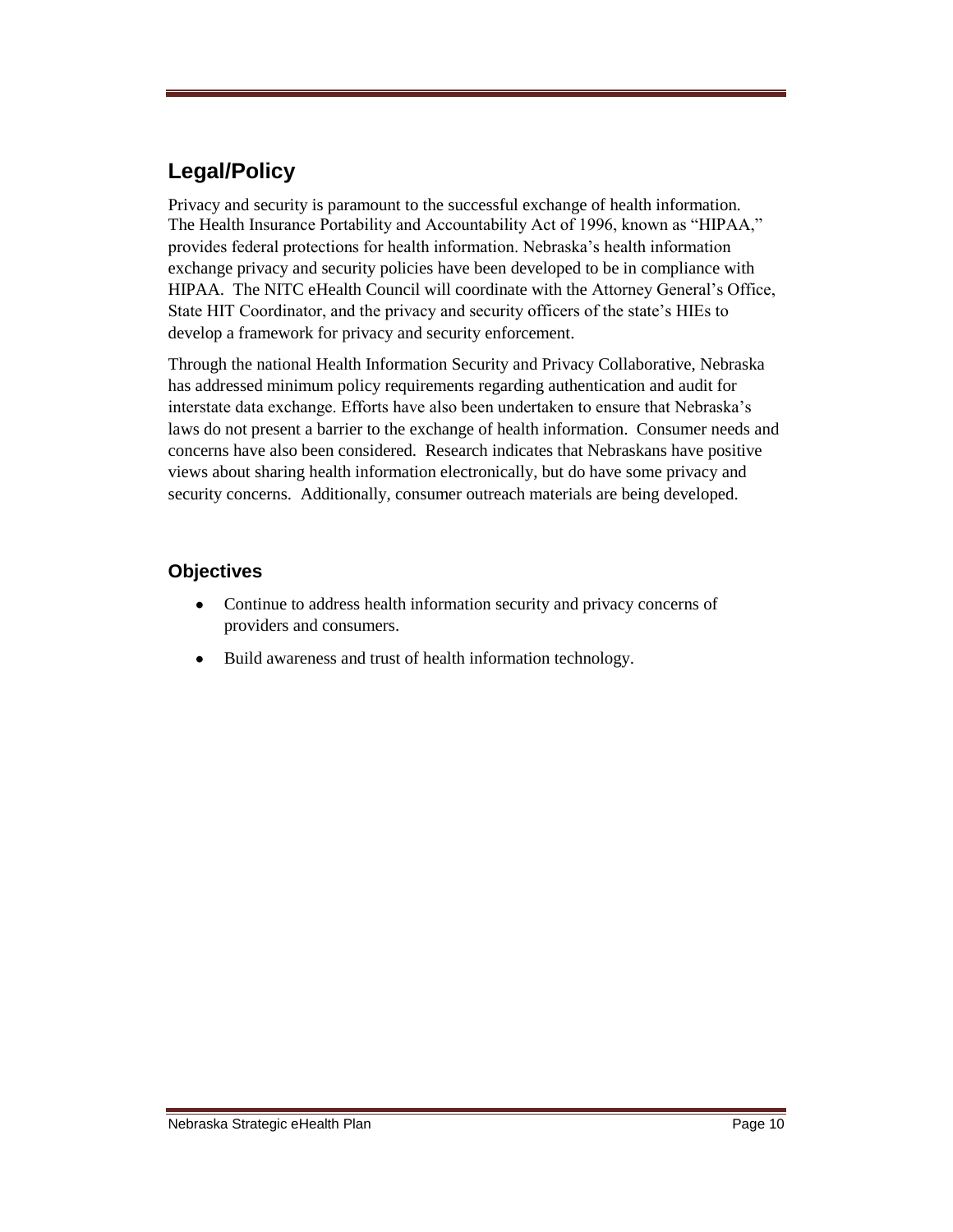## **Legal/Policy**

Privacy and security is paramount to the successful exchange of health information. The Health Insurance Portability and Accountability Act of 1996, known as "HIPAA," provides federal protections for health information. Nebraska's health information exchange privacy and security policies have been developed to be in compliance with HIPAA. The NITC eHealth Council will coordinate with the Attorney General's Office, State HIT Coordinator, and the privacy and security officers of the state's HIEs to develop a framework for privacy and security enforcement.

Through the national Health Information Security and Privacy Collaborative, Nebraska has addressed minimum policy requirements regarding authentication and audit for interstate data exchange. Efforts have also been undertaken to ensure that Nebraska's laws do not present a barrier to the exchange of health information. Consumer needs and concerns have also been considered. Research indicates that Nebraskans have positive views about sharing health information electronically, but do have some privacy and security concerns. Additionally, consumer outreach materials are being developed.

#### **Objectives**

- $\bullet$ Continue to address health information security and privacy concerns of providers and consumers.
- Build awareness and trust of health information technology. $\bullet$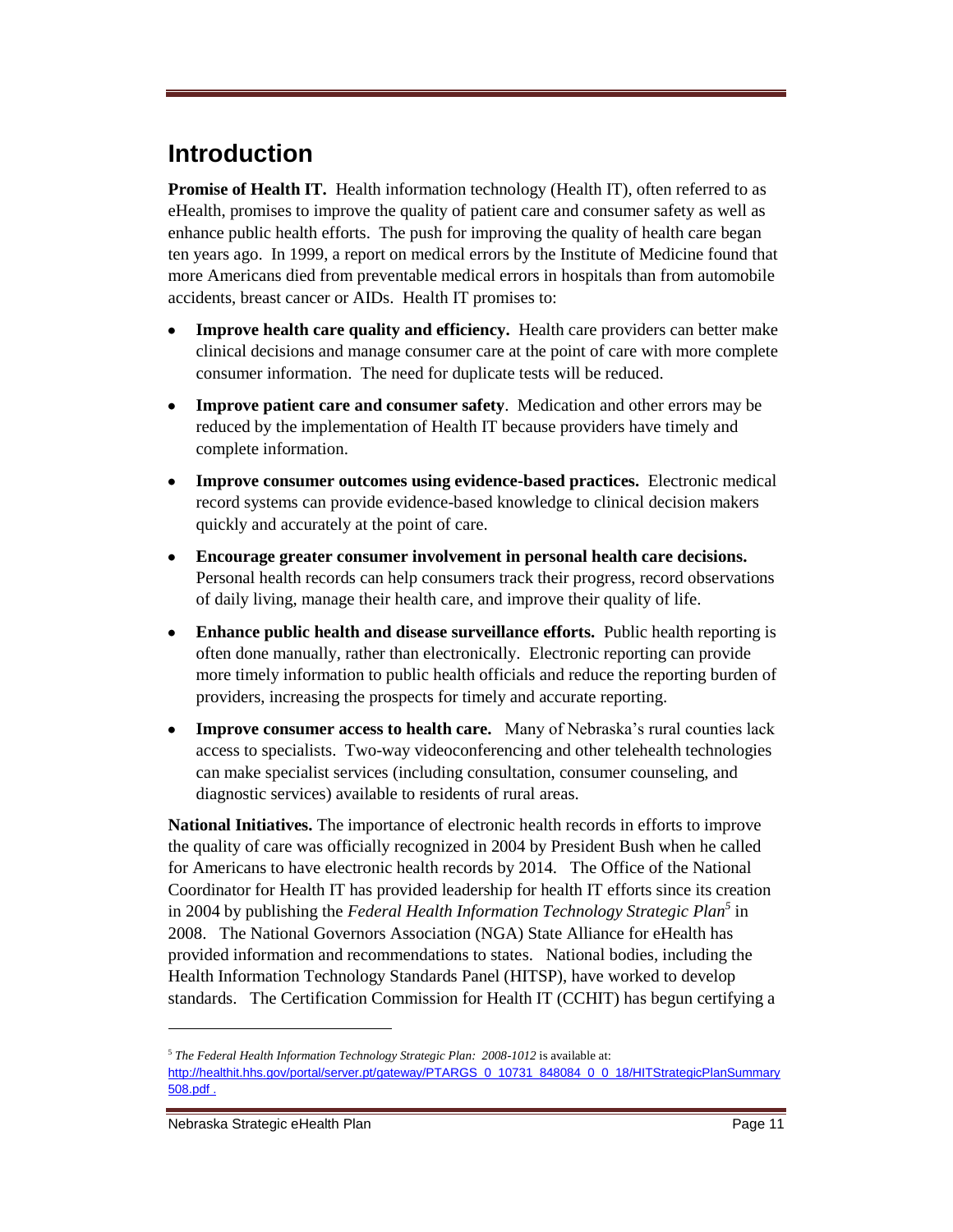# **Introduction**

**Promise of Health IT.** Health information technology (Health IT), often referred to as eHealth, promises to improve the quality of patient care and consumer safety as well as enhance public health efforts. The push for improving the quality of health care began ten years ago. In 1999, a report on medical errors by the Institute of Medicine found that more Americans died from preventable medical errors in hospitals than from automobile accidents, breast cancer or AIDs. Health IT promises to:

- **Improve health care quality and efficiency.** Health care providers can better make clinical decisions and manage consumer care at the point of care with more complete consumer information. The need for duplicate tests will be reduced.
- **Improve patient care and consumer safety**. Medication and other errors may be reduced by the implementation of Health IT because providers have timely and complete information.
- **Improve consumer outcomes using evidence-based practices.** Electronic medical  $\bullet$ record systems can provide evidence-based knowledge to clinical decision makers quickly and accurately at the point of care.
- **Encourage greater consumer involvement in personal health care decisions.**   $\bullet$ Personal health records can help consumers track their progress, record observations of daily living, manage their health care, and improve their quality of life.
- **Enhance public health and disease surveillance efforts.** Public health reporting is often done manually, rather than electronically. Electronic reporting can provide more timely information to public health officials and reduce the reporting burden of providers, increasing the prospects for timely and accurate reporting.
- **Improve consumer access to health care.** Many of Nebraska's rural counties lack  $\bullet$ access to specialists. Two-way videoconferencing and other telehealth technologies can make specialist services (including consultation, consumer counseling, and diagnostic services) available to residents of rural areas.

**National Initiatives.** The importance of electronic health records in efforts to improve the quality of care was officially recognized in 2004 by President Bush when he called for Americans to have electronic health records by 2014. The Office of the National Coordinator for Health IT has provided leadership for health IT efforts since its creation in 2004 by publishing the *Federal Health Information Technology Strategic Plan<sup>5</sup>* in 2008. The National Governors Association (NGA) State Alliance for eHealth has provided information and recommendations to states. National bodies, including the Health Information Technology Standards Panel (HITSP), have worked to develop standards. The Certification Commission for Health IT (CCHIT) has begun certifying a

<sup>&</sup>lt;sup>5</sup> The Federal Health Information Technology Strategic Plan: 2008-1012 is available at:

[http://healthit.hhs.gov/portal/server.pt/gateway/PTARGS\\_0\\_10731\\_848084\\_0\\_0\\_18/HITStrategicPlanSummary](http://healthit.hhs.gov/portal/server.pt/gateway/PTARGS_0_10731_848084_0_0_18/HITStrategicPlanSummary508.pdf%20.) [508.pdf .](http://healthit.hhs.gov/portal/server.pt/gateway/PTARGS_0_10731_848084_0_0_18/HITStrategicPlanSummary508.pdf%20.)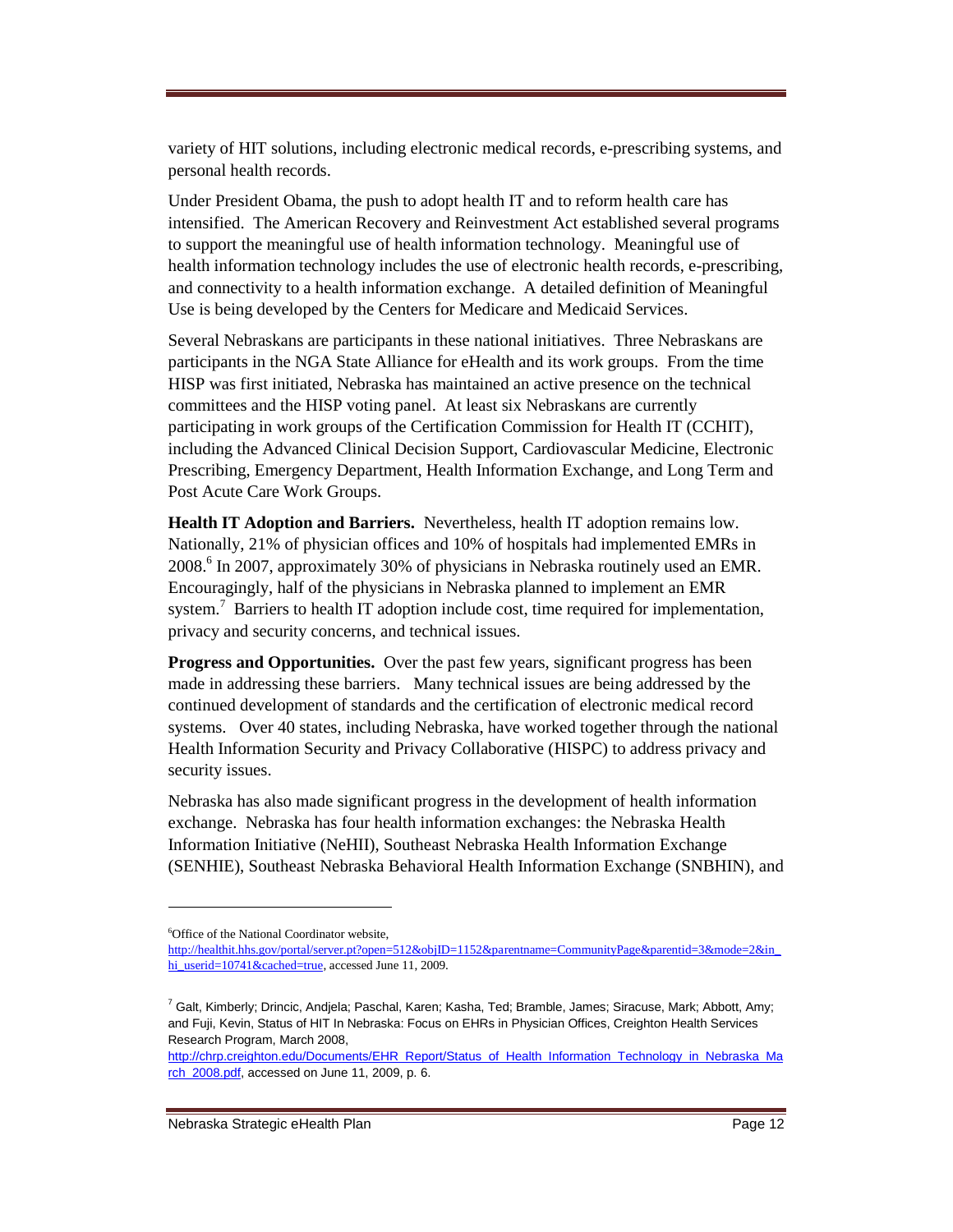variety of HIT solutions, including electronic medical records, e-prescribing systems, and personal health records.

Under President Obama, the push to adopt health IT and to reform health care has intensified. The American Recovery and Reinvestment Act established several programs to support the meaningful use of health information technology. Meaningful use of health information technology includes the use of electronic health records, e-prescribing, and connectivity to a health information exchange. A detailed definition of Meaningful Use is being developed by the Centers for Medicare and Medicaid Services.

Several Nebraskans are participants in these national initiatives. Three Nebraskans are participants in the NGA State Alliance for eHealth and its work groups. From the time HISP was first initiated, Nebraska has maintained an active presence on the technical committees and the HISP voting panel. At least six Nebraskans are currently participating in work groups of the Certification Commission for Health IT (CCHIT), including the Advanced Clinical Decision Support, Cardiovascular Medicine, Electronic Prescribing, Emergency Department, Health Information Exchange, and Long Term and Post Acute Care Work Groups.

**Health IT Adoption and Barriers.** Nevertheless, health IT adoption remains low. Nationally, 21% of physician offices and 10% of hospitals had implemented EMRs in 2008.<sup>6</sup> In 2007, approximately 30% of physicians in Nebraska routinely used an EMR. Encouragingly, half of the physicians in Nebraska planned to implement an EMR system.<sup>7</sup> Barriers to health IT adoption include cost, time required for implementation, privacy and security concerns, and technical issues.

**Progress and Opportunities.** Over the past few years, significant progress has been made in addressing these barriers. Many technical issues are being addressed by the continued development of standards and the certification of electronic medical record systems. Over 40 states, including Nebraska, have worked together through the national Health Information Security and Privacy Collaborative (HISPC) to address privacy and security issues.

Nebraska has also made significant progress in the development of health information exchange. Nebraska has four health information exchanges: the Nebraska Health Information Initiative (NeHII), Southeast Nebraska Health Information Exchange (SENHIE), Southeast Nebraska Behavioral Health Information Exchange (SNBHIN), and

<sup>&</sup>lt;sup>6</sup>Office of the National Coordinator website,

[http://healthit.hhs.gov/portal/server.pt?open=512&objID=1152&parentname=CommunityPage&parentid=3&mode=2&in\\_](http://healthit.hhs.gov/portal/server.pt?open=512&objID=1152&parentname=CommunityPage&parentid=3&mode=2&in_hi_userid=10741&cached=true) [hi\\_userid=10741&cached=true,](http://healthit.hhs.gov/portal/server.pt?open=512&objID=1152&parentname=CommunityPage&parentid=3&mode=2&in_hi_userid=10741&cached=true) accessed June 11, 2009.

<sup>&</sup>lt;sup>7</sup> Galt, Kimberly; Drincic, Andjela; Paschal, Karen; Kasha, Ted; Bramble, James; Siracuse, Mark; Abbott, Amy; and Fuji, Kevin, Status of HIT In Nebraska: Focus on EHRs in Physician Offices, Creighton Health Services Research Program, March 2008,

[http://chrp.creighton.edu/Documents/EHR\\_Report/Status\\_of\\_Health\\_Information\\_Technology\\_in\\_Nebraska\\_Ma](http://chrp.creighton.edu/Documents/EHR_Report/Status_of_Health_Information_Technology_in_Nebraska_March_2008.pdf) [rch\\_2008.pdf,](http://chrp.creighton.edu/Documents/EHR_Report/Status_of_Health_Information_Technology_in_Nebraska_March_2008.pdf) accessed on June 11, 2009, p. 6.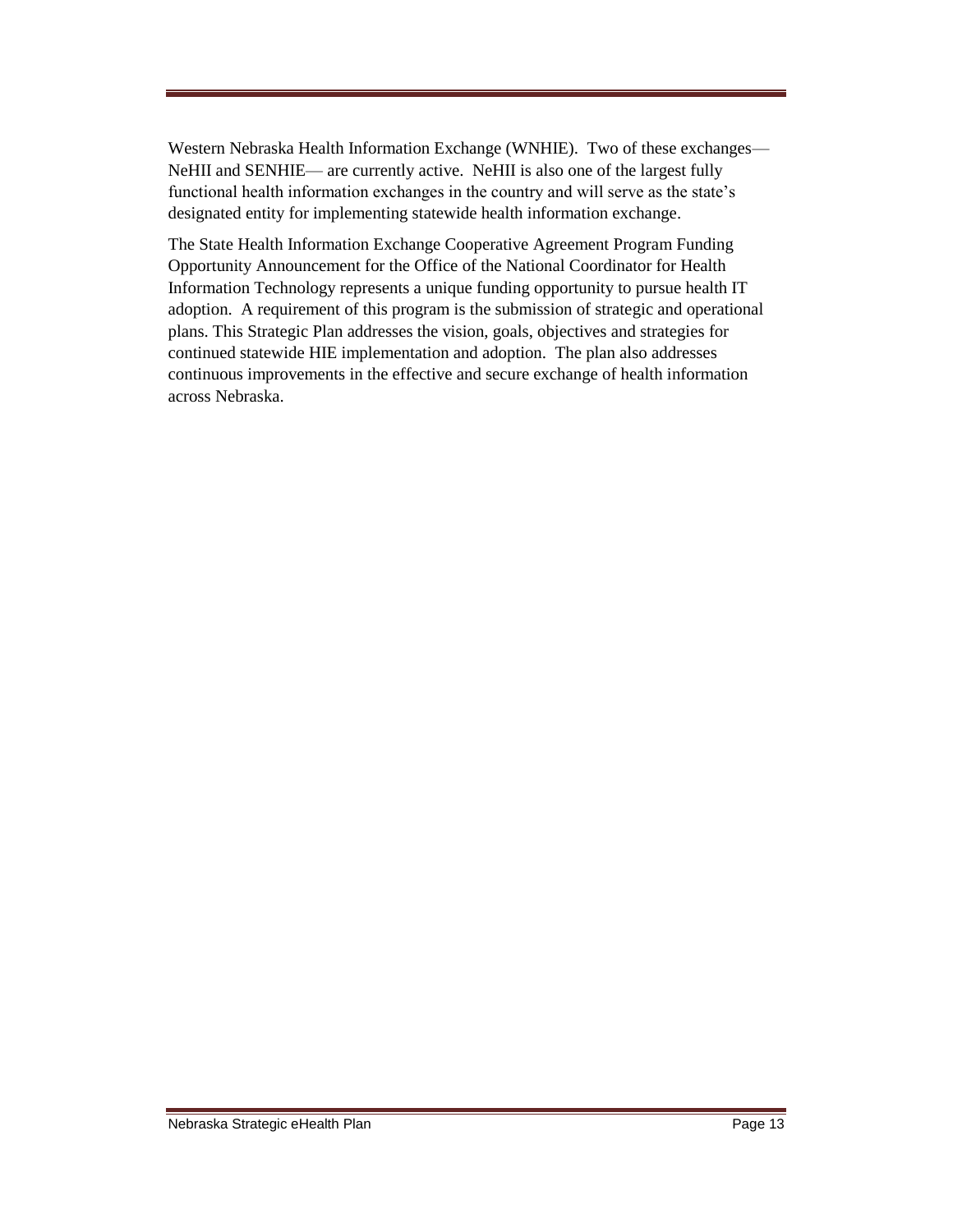Western Nebraska Health Information Exchange (WNHIE). Two of these exchanges— NeHII and SENHIE— are currently active. NeHII is also one of the largest fully functional health information exchanges in the country and will serve as the state's designated entity for implementing statewide health information exchange.

The State Health Information Exchange Cooperative Agreement Program Funding Opportunity Announcement for the Office of the National Coordinator for Health Information Technology represents a unique funding opportunity to pursue health IT adoption. A requirement of this program is the submission of strategic and operational plans. This Strategic Plan addresses the vision, goals, objectives and strategies for continued statewide HIE implementation and adoption. The plan also addresses continuous improvements in the effective and secure exchange of health information across Nebraska.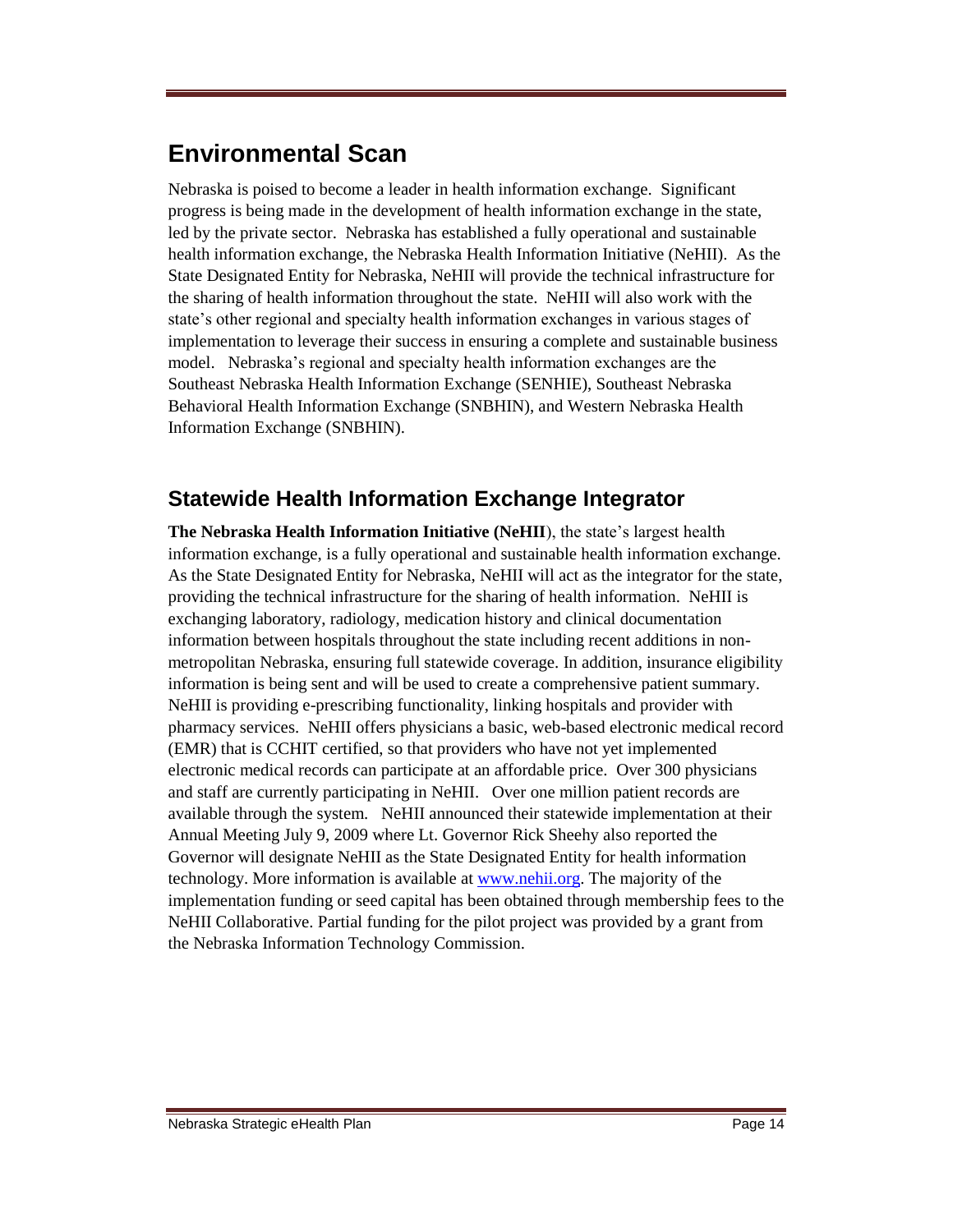# **Environmental Scan**

Nebraska is poised to become a leader in health information exchange. Significant progress is being made in the development of health information exchange in the state, led by the private sector. Nebraska has established a fully operational and sustainable health information exchange, the Nebraska Health Information Initiative (NeHII). As the State Designated Entity for Nebraska, NeHII will provide the technical infrastructure for the sharing of health information throughout the state. NeHII will also work with the state's other regional and specialty health information exchanges in various stages of implementation to leverage their success in ensuring a complete and sustainable business model. Nebraska's regional and specialty health information exchanges are the Southeast Nebraska Health Information Exchange (SENHIE), Southeast Nebraska Behavioral Health Information Exchange (SNBHIN), and Western Nebraska Health Information Exchange (SNBHIN).

## **Statewide Health Information Exchange Integrator**

**The Nebraska Health Information Initiative (NeHII**), the state's largest health information exchange, is a fully operational and sustainable health information exchange. As the State Designated Entity for Nebraska, NeHII will act as the integrator for the state, providing the technical infrastructure for the sharing of health information. NeHII is exchanging laboratory, radiology, medication history and clinical documentation information between hospitals throughout the state including recent additions in nonmetropolitan Nebraska, ensuring full statewide coverage. In addition, insurance eligibility information is being sent and will be used to create a comprehensive patient summary. NeHII is providing e-prescribing functionality, linking hospitals and provider with pharmacy services. NeHII offers physicians a basic, web-based electronic medical record (EMR) that is CCHIT certified, so that providers who have not yet implemented electronic medical records can participate at an affordable price. Over 300 physicians and staff are currently participating in NeHII. Over one million patient records are available through the system. NeHII announced their statewide implementation at their Annual Meeting July 9, 2009 where Lt. Governor Rick Sheehy also reported the Governor will designate NeHII as the State Designated Entity for health information technology. More information is available at [www.nehii.org.](http://www.nehii.org/) The majority of the implementation funding or seed capital has been obtained through membership fees to the NeHII Collaborative. Partial funding for the pilot project was provided by a grant from the Nebraska Information Technology Commission.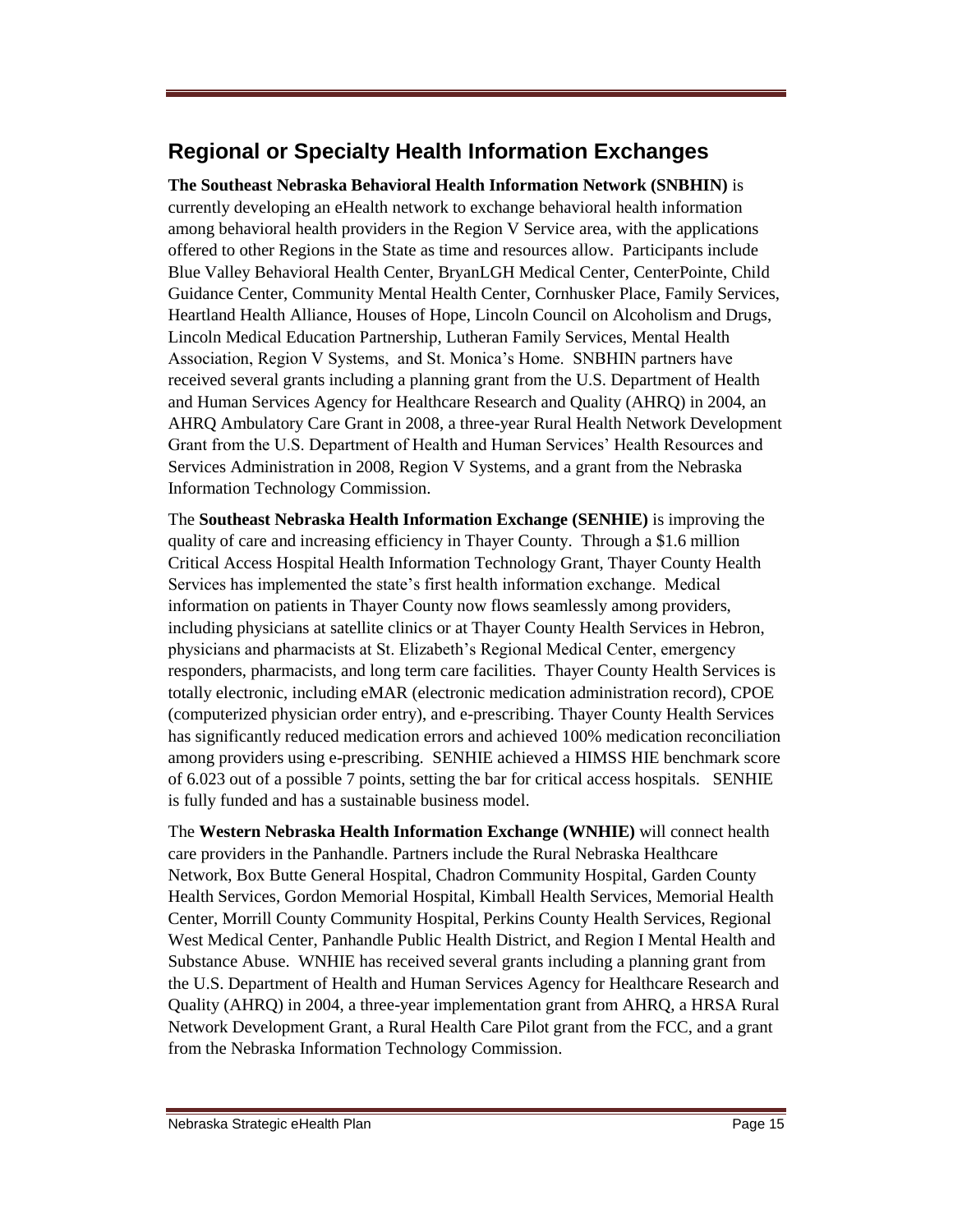## **Regional or Specialty Health Information Exchanges**

**The Southeast Nebraska Behavioral Health Information Network (SNBHIN)** is currently developing an eHealth network to exchange behavioral health information among behavioral health providers in the Region V Service area, with the applications offered to other Regions in the State as time and resources allow. Participants include Blue Valley Behavioral Health Center, BryanLGH Medical Center, CenterPointe, Child Guidance Center, Community Mental Health Center, Cornhusker Place, Family Services, Heartland Health Alliance, Houses of Hope, Lincoln Council on Alcoholism and Drugs, Lincoln Medical Education Partnership, Lutheran Family Services, Mental Health Association, Region V Systems, and St. Monica's Home. SNBHIN partners have received several grants including a planning grant from the U.S. Department of Health and Human Services Agency for Healthcare Research and Quality (AHRQ) in 2004, an AHRQ Ambulatory Care Grant in 2008, a three-year Rural Health Network Development Grant from the U.S. Department of Health and Human Services' Health Resources and Services Administration in 2008, Region V Systems, and a grant from the Nebraska Information Technology Commission.

The **Southeast Nebraska Health Information Exchange (SENHIE)** is improving the quality of care and increasing efficiency in Thayer County. Through a \$1.6 million Critical Access Hospital Health Information Technology Grant, Thayer County Health Services has implemented the state's first health information exchange. Medical information on patients in Thayer County now flows seamlessly among providers, including physicians at satellite clinics or at Thayer County Health Services in Hebron, physicians and pharmacists at St. Elizabeth's Regional Medical Center, emergency responders, pharmacists, and long term care facilities. Thayer County Health Services is totally electronic, including eMAR (electronic medication administration record), CPOE (computerized physician order entry), and e-prescribing. Thayer County Health Services has significantly reduced medication errors and achieved 100% medication reconciliation among providers using e-prescribing. SENHIE achieved a HIMSS HIE benchmark score of 6.023 out of a possible 7 points, setting the bar for critical access hospitals. SENHIE is fully funded and has a sustainable business model.

The **Western Nebraska Health Information Exchange (WNHIE)** will connect health care providers in the Panhandle. Partners include the Rural Nebraska Healthcare Network, Box Butte General Hospital, Chadron Community Hospital, Garden County Health Services, Gordon Memorial Hospital, Kimball Health Services, Memorial Health Center, Morrill County Community Hospital, Perkins County Health Services, Regional West Medical Center, Panhandle Public Health District, and Region I Mental Health and Substance Abuse. WNHIE has received several grants including a planning grant from the U.S. Department of Health and Human Services Agency for Healthcare Research and Quality (AHRQ) in 2004, a three-year implementation grant from AHRQ, a HRSA Rural Network Development Grant, a Rural Health Care Pilot grant from the FCC, and a grant from the Nebraska Information Technology Commission.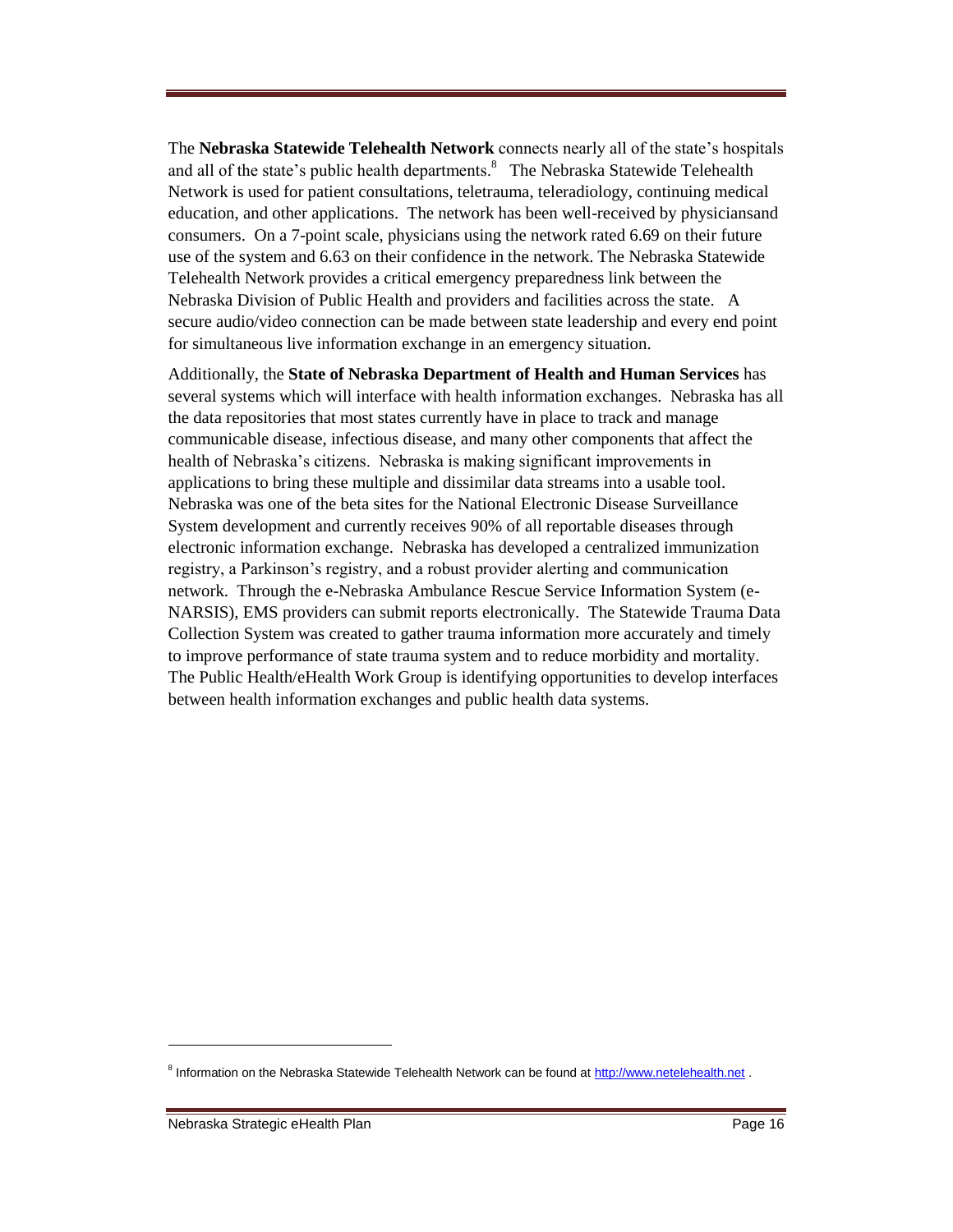The **Nebraska Statewide Telehealth Network** connects nearly all of the state's hospitals and all of the state's public health departments.<sup>8</sup> The Nebraska Statewide Telehealth Network is used for patient consultations, teletrauma, teleradiology, continuing medical education, and other applications. The network has been well-received by physiciansand consumers. On a 7-point scale, physicians using the network rated 6.69 on their future use of the system and 6.63 on their confidence in the network. The Nebraska Statewide Telehealth Network provides a critical emergency preparedness link between the Nebraska Division of Public Health and providers and facilities across the state. A secure audio/video connection can be made between state leadership and every end point for simultaneous live information exchange in an emergency situation.

Additionally, the **State of Nebraska Department of Health and Human Services** has several systems which will interface with health information exchanges. Nebraska has all the data repositories that most states currently have in place to track and manage communicable disease, infectious disease, and many other components that affect the health of Nebraska's citizens. Nebraska is making significant improvements in applications to bring these multiple and dissimilar data streams into a usable tool. Nebraska was one of the beta sites for the National Electronic Disease Surveillance System development and currently receives 90% of all reportable diseases through electronic information exchange. Nebraska has developed a centralized immunization registry, a Parkinson's registry, and a robust provider alerting and communication network. Through the e-Nebraska Ambulance Rescue Service Information System (e-NARSIS), EMS providers can submit reports electronically. The Statewide Trauma Data Collection System was created to gather trauma information more accurately and timely to improve performance of state trauma system and to reduce morbidity and mortality. The Public Health/eHealth Work Group is identifying opportunities to develop interfaces between health information exchanges and public health data systems.

<sup>&</sup>lt;sup>8</sup> Information on the Nebraska Statewide Telehealth Network can be found at [http://www.netelehealth.net](http://www.netelehealth.net/) .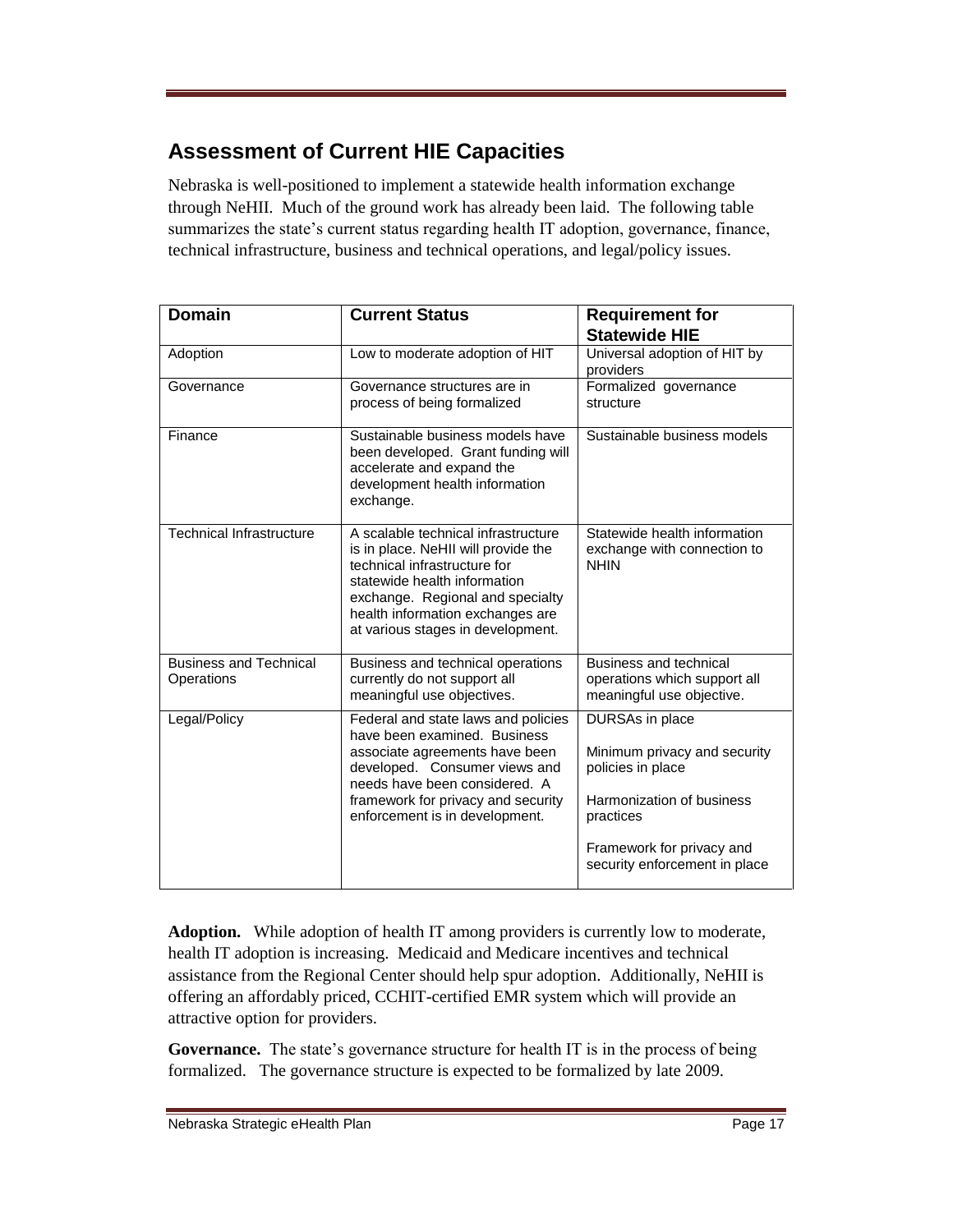## **Assessment of Current HIE Capacities**

Nebraska is well-positioned to implement a statewide health information exchange through NeHII. Much of the ground work has already been laid. The following table summarizes the state's current status regarding health IT adoption, governance, finance, technical infrastructure, business and technical operations, and legal/policy issues.

| <b>Domain</b>                               | <b>Current Status</b>                                                                                                                                                                                                                                   | <b>Requirement for</b><br><b>Statewide HIE</b>                                                                                                                               |
|---------------------------------------------|---------------------------------------------------------------------------------------------------------------------------------------------------------------------------------------------------------------------------------------------------------|------------------------------------------------------------------------------------------------------------------------------------------------------------------------------|
| Adoption                                    | Low to moderate adoption of HIT                                                                                                                                                                                                                         | Universal adoption of HIT by<br>providers                                                                                                                                    |
| Governance                                  | Governance structures are in<br>process of being formalized                                                                                                                                                                                             | Formalized governance<br>structure                                                                                                                                           |
| Finance                                     | Sustainable business models have<br>been developed. Grant funding will<br>accelerate and expand the<br>development health information<br>exchange.                                                                                                      | Sustainable business models                                                                                                                                                  |
| <b>Technical Infrastructure</b>             | A scalable technical infrastructure<br>is in place. NeHII will provide the<br>technical infrastructure for<br>statewide health information<br>exchange. Regional and specialty<br>health information exchanges are<br>at various stages in development. | Statewide health information<br>exchange with connection to<br><b>NHIN</b>                                                                                                   |
| <b>Business and Technical</b><br>Operations | Business and technical operations<br>currently do not support all<br>meaningful use objectives.                                                                                                                                                         | Business and technical<br>operations which support all<br>meaningful use objective.                                                                                          |
| Legal/Policy                                | Federal and state laws and policies<br>have been examined. Business<br>associate agreements have been<br>developed. Consumer views and<br>needs have been considered. A<br>framework for privacy and security<br>enforcement is in development.         | DURSAs in place<br>Minimum privacy and security<br>policies in place<br>Harmonization of business<br>practices<br>Framework for privacy and<br>security enforcement in place |

**Adoption.** While adoption of health IT among providers is currently low to moderate, health IT adoption is increasing. Medicaid and Medicare incentives and technical assistance from the Regional Center should help spur adoption. Additionally, NeHII is offering an affordably priced, CCHIT-certified EMR system which will provide an attractive option for providers.

Governance. The state's governance structure for health IT is in the process of being formalized. The governance structure is expected to be formalized by late 2009.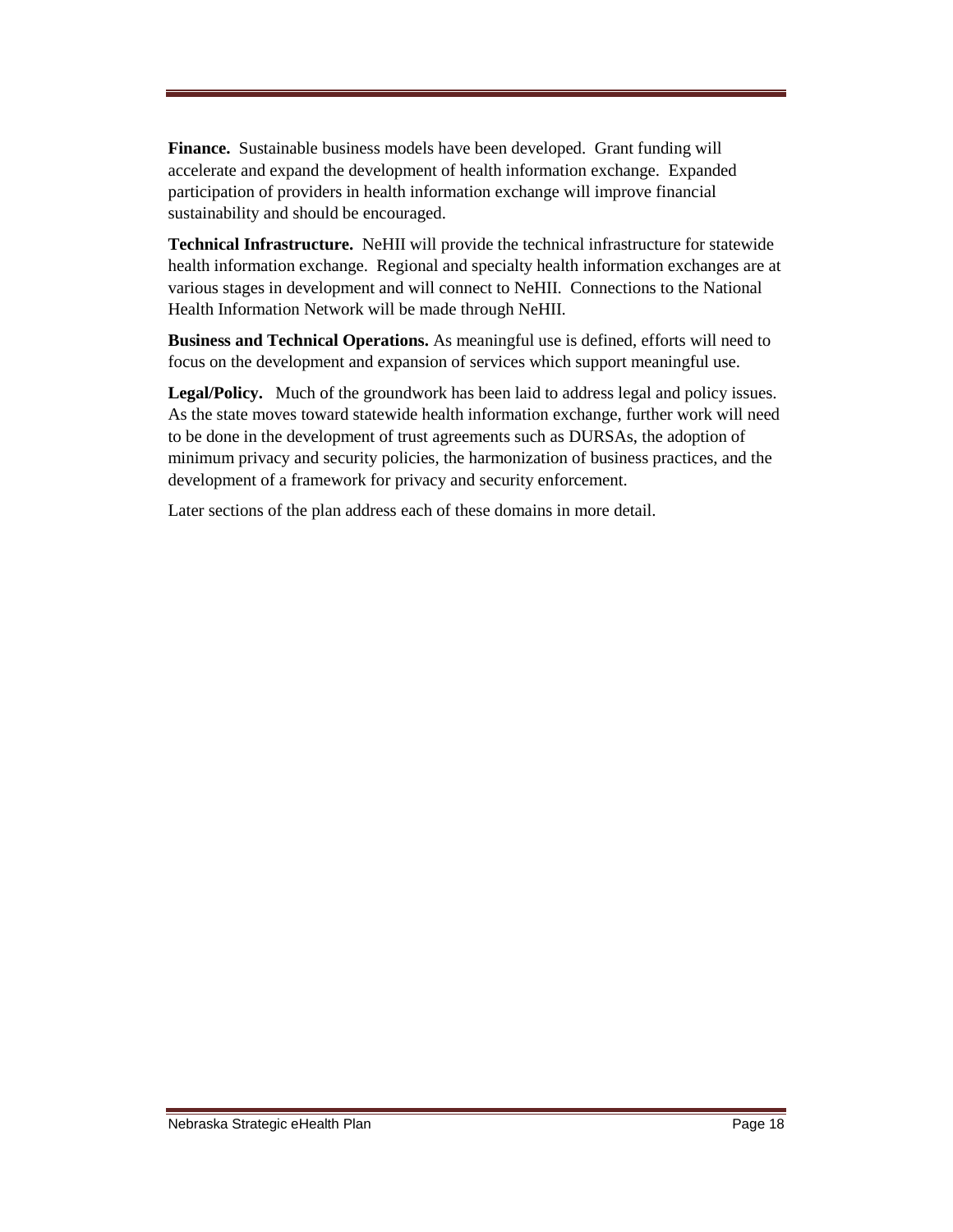**Finance.** Sustainable business models have been developed. Grant funding will accelerate and expand the development of health information exchange. Expanded participation of providers in health information exchange will improve financial sustainability and should be encouraged.

**Technical Infrastructure.** NeHII will provide the technical infrastructure for statewide health information exchange. Regional and specialty health information exchanges are at various stages in development and will connect to NeHII. Connections to the National Health Information Network will be made through NeHII.

**Business and Technical Operations.** As meaningful use is defined, efforts will need to focus on the development and expansion of services which support meaningful use.

**Legal/Policy.** Much of the groundwork has been laid to address legal and policy issues. As the state moves toward statewide health information exchange, further work will need to be done in the development of trust agreements such as DURSAs, the adoption of minimum privacy and security policies, the harmonization of business practices, and the development of a framework for privacy and security enforcement.

Later sections of the plan address each of these domains in more detail.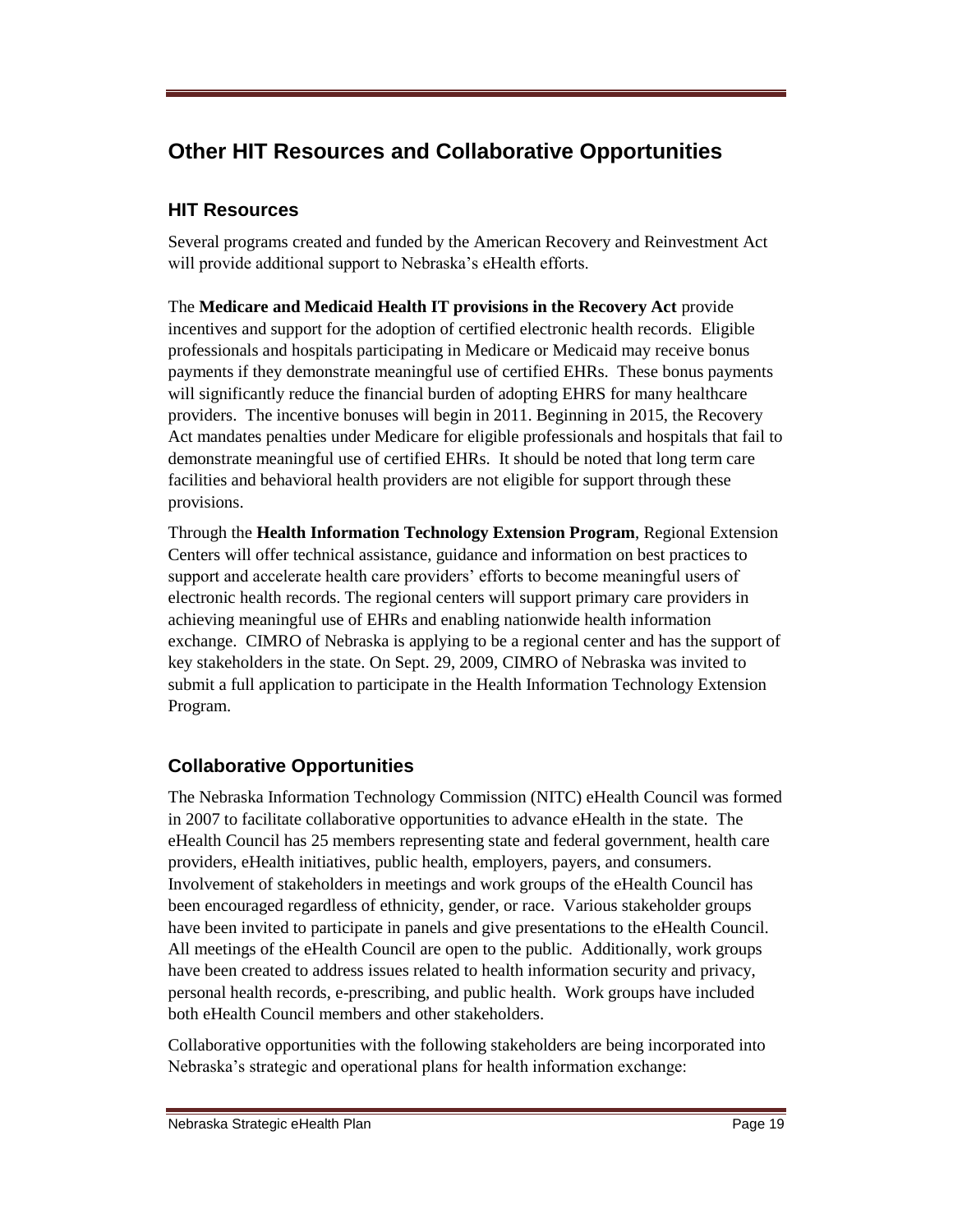## **Other HIT Resources and Collaborative Opportunities**

## **HIT Resources**

Several programs created and funded by the American Recovery and Reinvestment Act will provide additional support to Nebraska's eHealth efforts.

The **Medicare and Medicaid Health IT provisions in the Recovery Act** provide incentives and support for the adoption of certified electronic health records. Eligible professionals and hospitals participating in Medicare or Medicaid may receive bonus payments if they demonstrate meaningful use of certified EHRs. These bonus payments will significantly reduce the financial burden of adopting EHRS for many healthcare providers. The incentive bonuses will begin in 2011. Beginning in 2015, the Recovery Act mandates penalties under Medicare for eligible professionals and hospitals that fail to demonstrate meaningful use of certified EHRs. It should be noted that long term care facilities and behavioral health providers are not eligible for support through these provisions.

Through the **Health Information Technology Extension Program**, Regional Extension Centers will offer technical assistance, guidance and information on best practices to support and accelerate health care providers' efforts to become meaningful users of electronic health records. The regional centers will support primary care providers in achieving meaningful use of EHRs and enabling nationwide health information exchange. CIMRO of Nebraska is applying to be a regional center and has the support of key stakeholders in the state. On Sept. 29, 2009, CIMRO of Nebraska was invited to submit a full application to participate in the Health Information Technology Extension Program.

## **Collaborative Opportunities**

The Nebraska Information Technology Commission (NITC) eHealth Council was formed in 2007 to facilitate collaborative opportunities to advance eHealth in the state. The eHealth Council has 25 members representing state and federal government, health care providers, eHealth initiatives, public health, employers, payers, and consumers. Involvement of stakeholders in meetings and work groups of the eHealth Council has been encouraged regardless of ethnicity, gender, or race. Various stakeholder groups have been invited to participate in panels and give presentations to the eHealth Council. All meetings of the eHealth Council are open to the public. Additionally, work groups have been created to address issues related to health information security and privacy, personal health records, e-prescribing, and public health. Work groups have included both eHealth Council members and other stakeholders.

Collaborative opportunities with the following stakeholders are being incorporated into Nebraska's strategic and operational plans for health information exchange: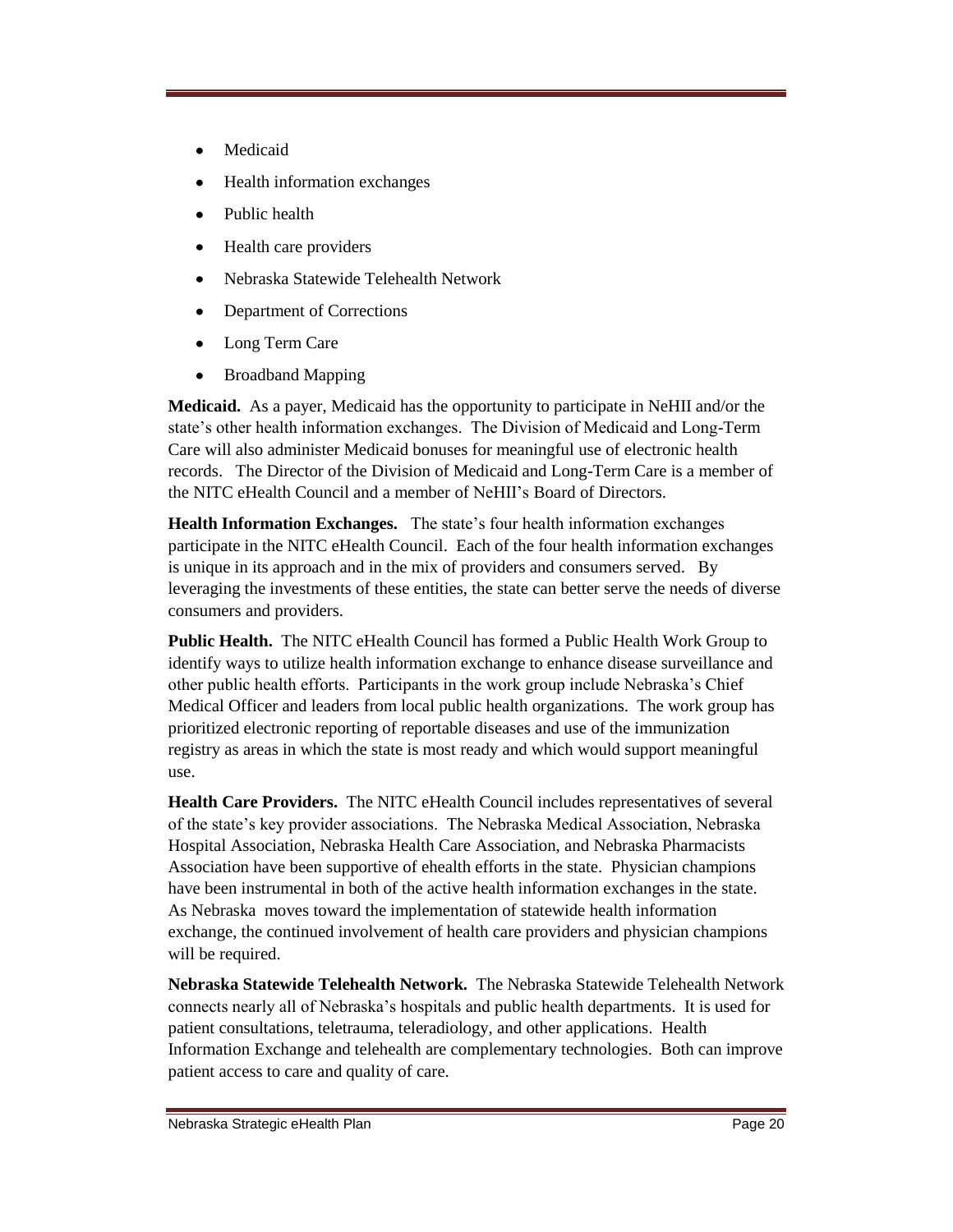- Medicaid
- Health information exchanges
- Public health
- Health care providers
- Nebraska Statewide Telehealth Network  $\bullet$
- Department of Corrections
- Long Term Care
- Broadband Mapping  $\bullet$

**Medicaid.** As a payer, Medicaid has the opportunity to participate in NeHII and/or the state's other health information exchanges. The Division of Medicaid and Long-Term Care will also administer Medicaid bonuses for meaningful use of electronic health records. The Director of the Division of Medicaid and Long-Term Care is a member of the NITC eHealth Council and a member of NeHII's Board of Directors.

**Health Information Exchanges.** The state's four health information exchanges participate in the NITC eHealth Council. Each of the four health information exchanges is unique in its approach and in the mix of providers and consumers served. By leveraging the investments of these entities, the state can better serve the needs of diverse consumers and providers.

**Public Health.** The NITC eHealth Council has formed a Public Health Work Group to identify ways to utilize health information exchange to enhance disease surveillance and other public health efforts. Participants in the work group include Nebraska's Chief Medical Officer and leaders from local public health organizations. The work group has prioritized electronic reporting of reportable diseases and use of the immunization registry as areas in which the state is most ready and which would support meaningful use.

**Health Care Providers.** The NITC eHealth Council includes representatives of several of the state's key provider associations. The Nebraska Medical Association, Nebraska Hospital Association, Nebraska Health Care Association, and Nebraska Pharmacists Association have been supportive of ehealth efforts in the state. Physician champions have been instrumental in both of the active health information exchanges in the state. As Nebraska moves toward the implementation of statewide health information exchange, the continued involvement of health care providers and physician champions will be required.

**Nebraska Statewide Telehealth Network.** The Nebraska Statewide Telehealth Network connects nearly all of Nebraska's hospitals and public health departments. It is used for patient consultations, teletrauma, teleradiology, and other applications. Health Information Exchange and telehealth are complementary technologies. Both can improve patient access to care and quality of care.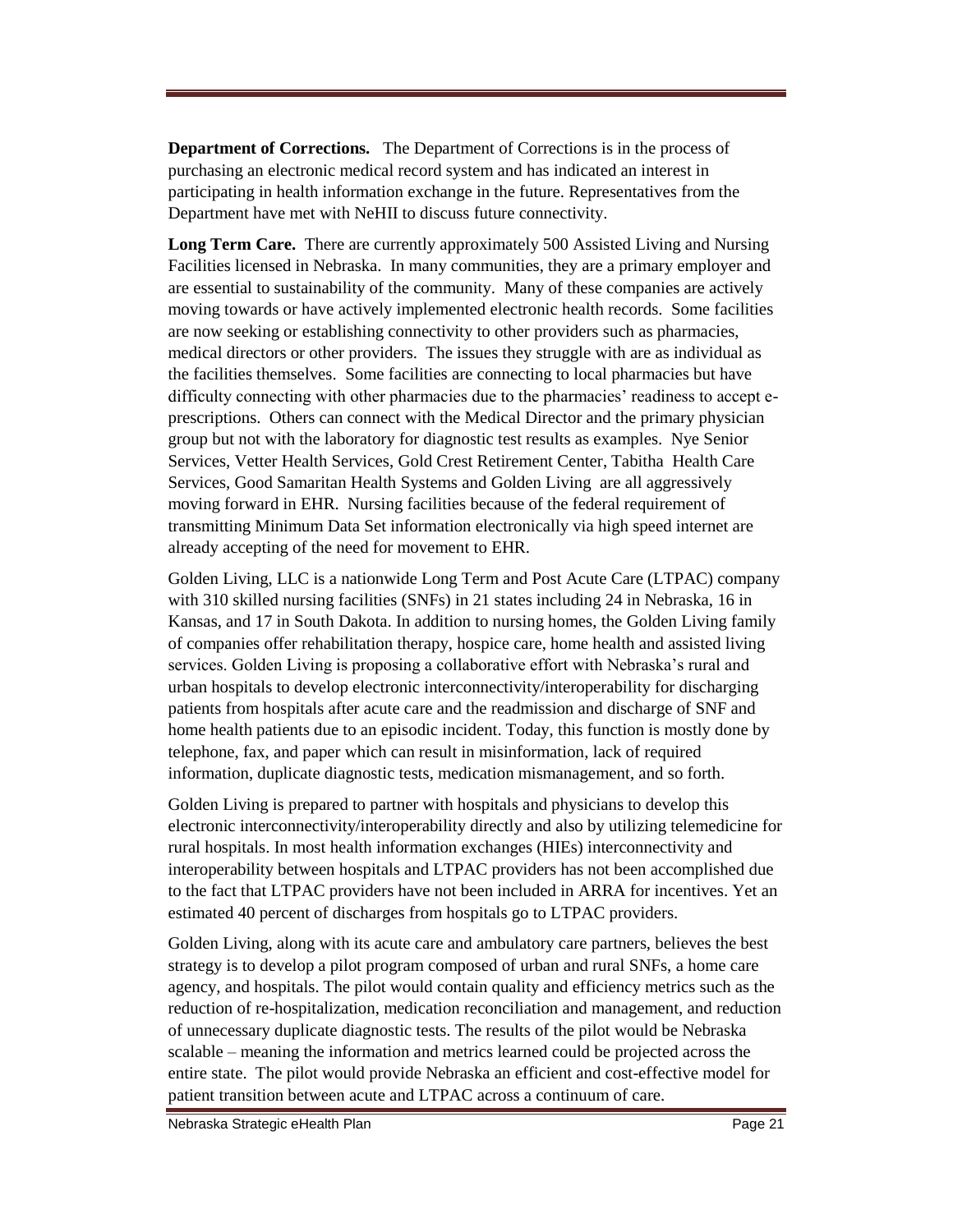**Department of Corrections.** The Department of Corrections is in the process of purchasing an electronic medical record system and has indicated an interest in participating in health information exchange in the future. Representatives from the Department have met with NeHII to discuss future connectivity.

**Long Term Care.** There are currently approximately 500 Assisted Living and Nursing Facilities licensed in Nebraska. In many communities, they are a primary employer and are essential to sustainability of the community. Many of these companies are actively moving towards or have actively implemented electronic health records. Some facilities are now seeking or establishing connectivity to other providers such as pharmacies, medical directors or other providers. The issues they struggle with are as individual as the facilities themselves. Some facilities are connecting to local pharmacies but have difficulty connecting with other pharmacies due to the pharmacies' readiness to accept eprescriptions. Others can connect with the Medical Director and the primary physician group but not with the laboratory for diagnostic test results as examples. Nye Senior Services, Vetter Health Services, Gold Crest Retirement Center, Tabitha Health Care Services, Good Samaritan Health Systems and Golden Living are all aggressively moving forward in EHR. Nursing facilities because of the federal requirement of transmitting Minimum Data Set information electronically via high speed internet are already accepting of the need for movement to EHR.

Golden Living, LLC is a nationwide Long Term and Post Acute Care (LTPAC) company with 310 skilled nursing facilities (SNFs) in 21 states including 24 in Nebraska, 16 in Kansas, and 17 in South Dakota. In addition to nursing homes, the Golden Living family of companies offer rehabilitation therapy, hospice care, home health and assisted living services. Golden Living is proposing a collaborative effort with Nebraska's rural and urban hospitals to develop electronic interconnectivity/interoperability for discharging patients from hospitals after acute care and the readmission and discharge of SNF and home health patients due to an episodic incident. Today, this function is mostly done by telephone, fax, and paper which can result in misinformation, lack of required information, duplicate diagnostic tests, medication mismanagement, and so forth.

Golden Living is prepared to partner with hospitals and physicians to develop this electronic interconnectivity/interoperability directly and also by utilizing telemedicine for rural hospitals. In most health information exchanges (HIEs) interconnectivity and interoperability between hospitals and LTPAC providers has not been accomplished due to the fact that LTPAC providers have not been included in ARRA for incentives. Yet an estimated 40 percent of discharges from hospitals go to LTPAC providers.

Golden Living, along with its acute care and ambulatory care partners, believes the best strategy is to develop a pilot program composed of urban and rural SNFs, a home care agency, and hospitals. The pilot would contain quality and efficiency metrics such as the reduction of re-hospitalization, medication reconciliation and management, and reduction of unnecessary duplicate diagnostic tests. The results of the pilot would be Nebraska scalable – meaning the information and metrics learned could be projected across the entire state. The pilot would provide Nebraska an efficient and cost-effective model for patient transition between acute and LTPAC across a continuum of care.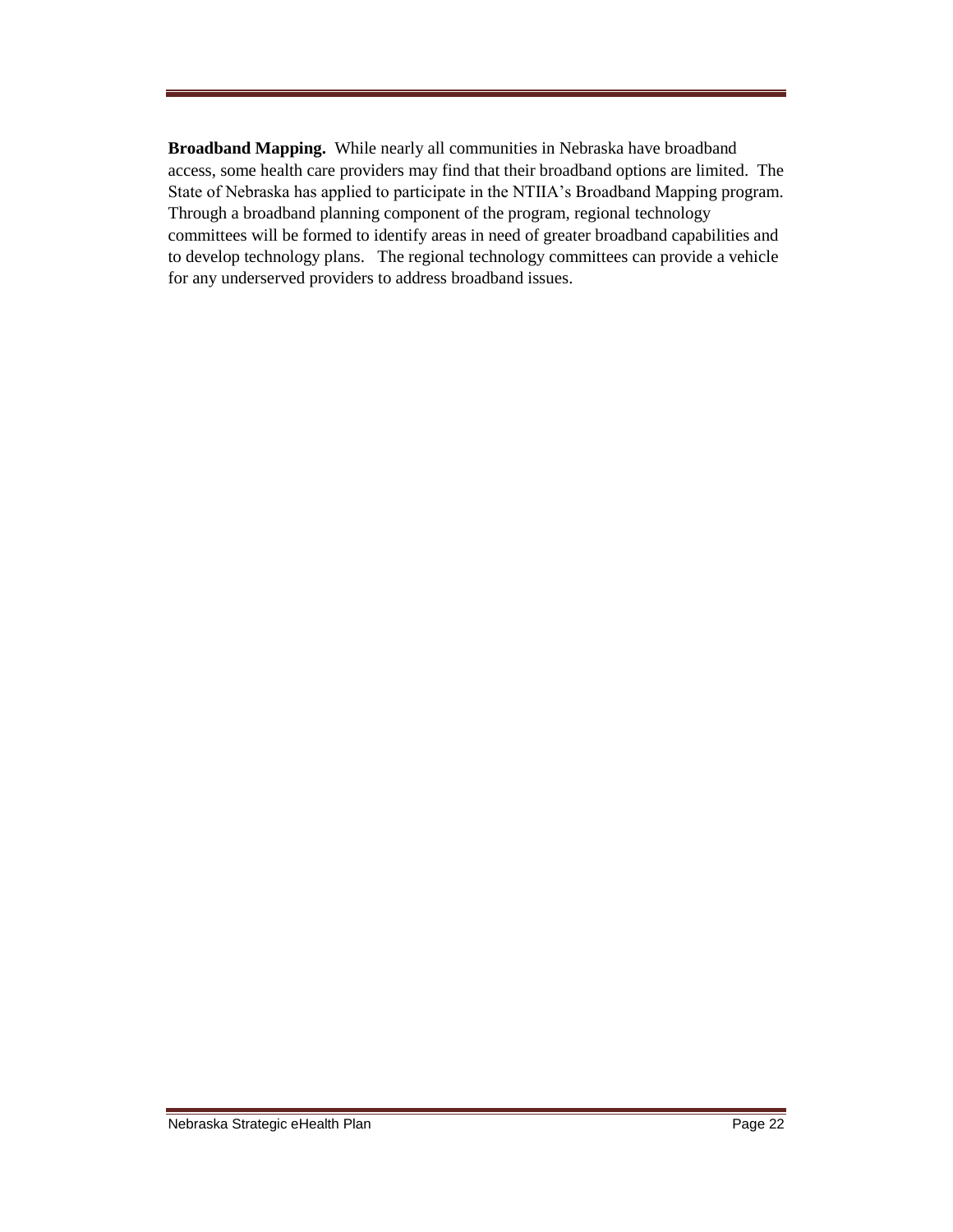**Broadband Mapping.** While nearly all communities in Nebraska have broadband access, some health care providers may find that their broadband options are limited. The State of Nebraska has applied to participate in the NTIIA's Broadband Mapping program. Through a broadband planning component of the program, regional technology committees will be formed to identify areas in need of greater broadband capabilities and to develop technology plans. The regional technology committees can provide a vehicle for any underserved providers to address broadband issues.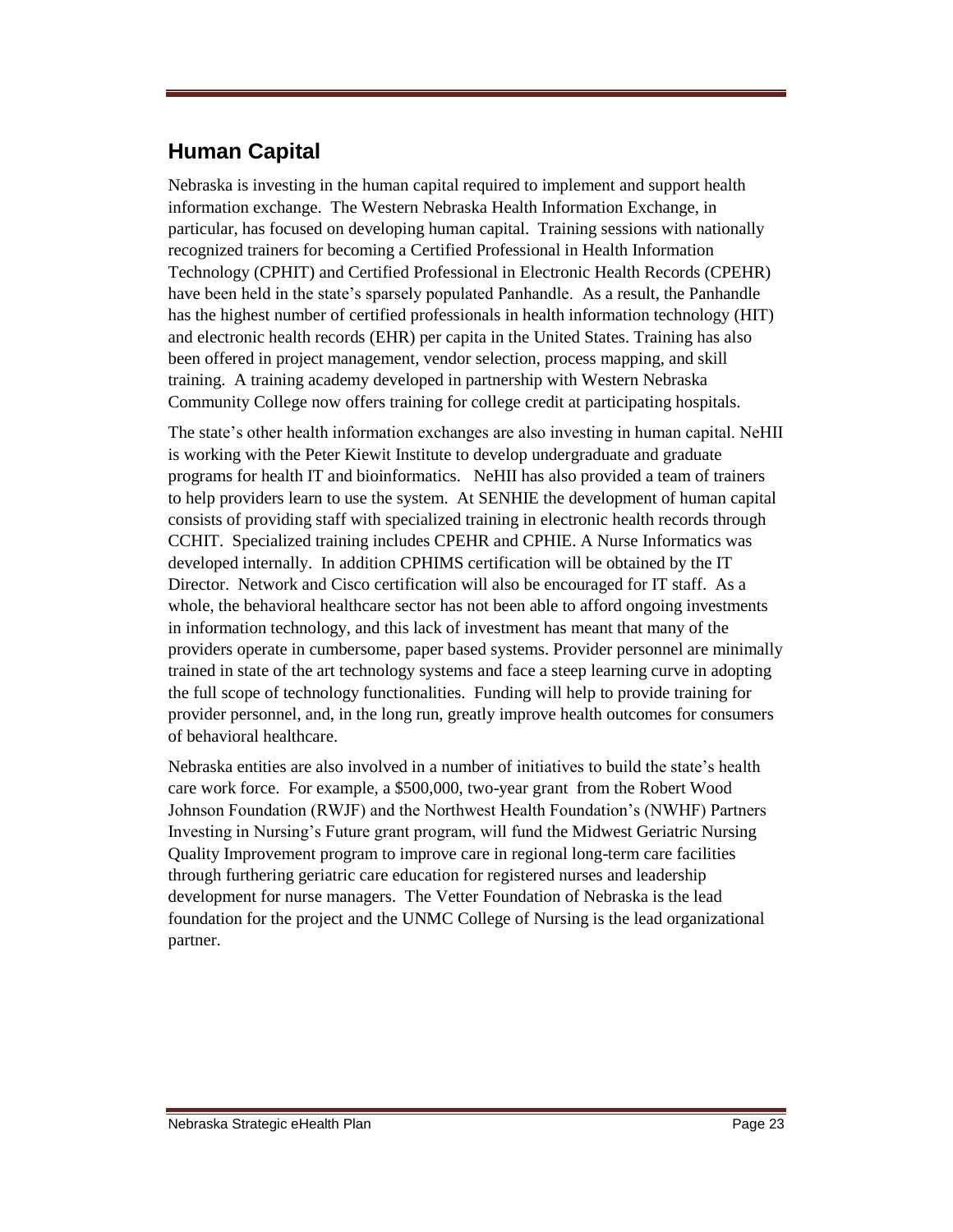## **Human Capital**

Nebraska is investing in the human capital required to implement and support health information exchange. The Western Nebraska Health Information Exchange, in particular, has focused on developing human capital. Training sessions with nationally recognized trainers for becoming a Certified Professional in Health Information Technology (CPHIT) and Certified Professional in Electronic Health Records (CPEHR) have been held in the state's sparsely populated Panhandle. As a result, the Panhandle has the highest number of certified professionals in health information technology (HIT) and electronic health records (EHR) per capita in the United States. Training has also been offered in project management, vendor selection, process mapping, and skill training. A training academy developed in partnership with Western Nebraska Community College now offers training for college credit at participating hospitals.

The state's other health information exchanges are also investing in human capital. NeHII is working with the Peter Kiewit Institute to develop undergraduate and graduate programs for health IT and bioinformatics. NeHII has also provided a team of trainers to help providers learn to use the system. At SENHIE the development of human capital consists of providing staff with specialized training in electronic health records through CCHIT. Specialized training includes CPEHR and CPHIE. A Nurse Informatics was developed internally. In addition CPHIMS certification will be obtained by the IT Director. Network and Cisco certification will also be encouraged for IT staff. As a whole, the behavioral healthcare sector has not been able to afford ongoing investments in information technology, and this lack of investment has meant that many of the providers operate in cumbersome, paper based systems. Provider personnel are minimally trained in state of the art technology systems and face a steep learning curve in adopting the full scope of technology functionalities. Funding will help to provide training for provider personnel, and, in the long run, greatly improve health outcomes for consumers of behavioral healthcare.

Nebraska entities are also involved in a number of initiatives to build the state's health care work force. For example, a \$500,000, two-year grant from the Robert Wood Johnson Foundation (RWJF) and the Northwest Health Foundation's (NWHF) Partners Investing in Nursing's Future grant program, will fund the Midwest Geriatric Nursing Quality Improvement program to improve care in regional long-term care facilities through furthering geriatric care education for registered nurses and leadership development for nurse managers. The Vetter Foundation of Nebraska is the lead foundation for the project and the UNMC College of Nursing is the lead organizational partner.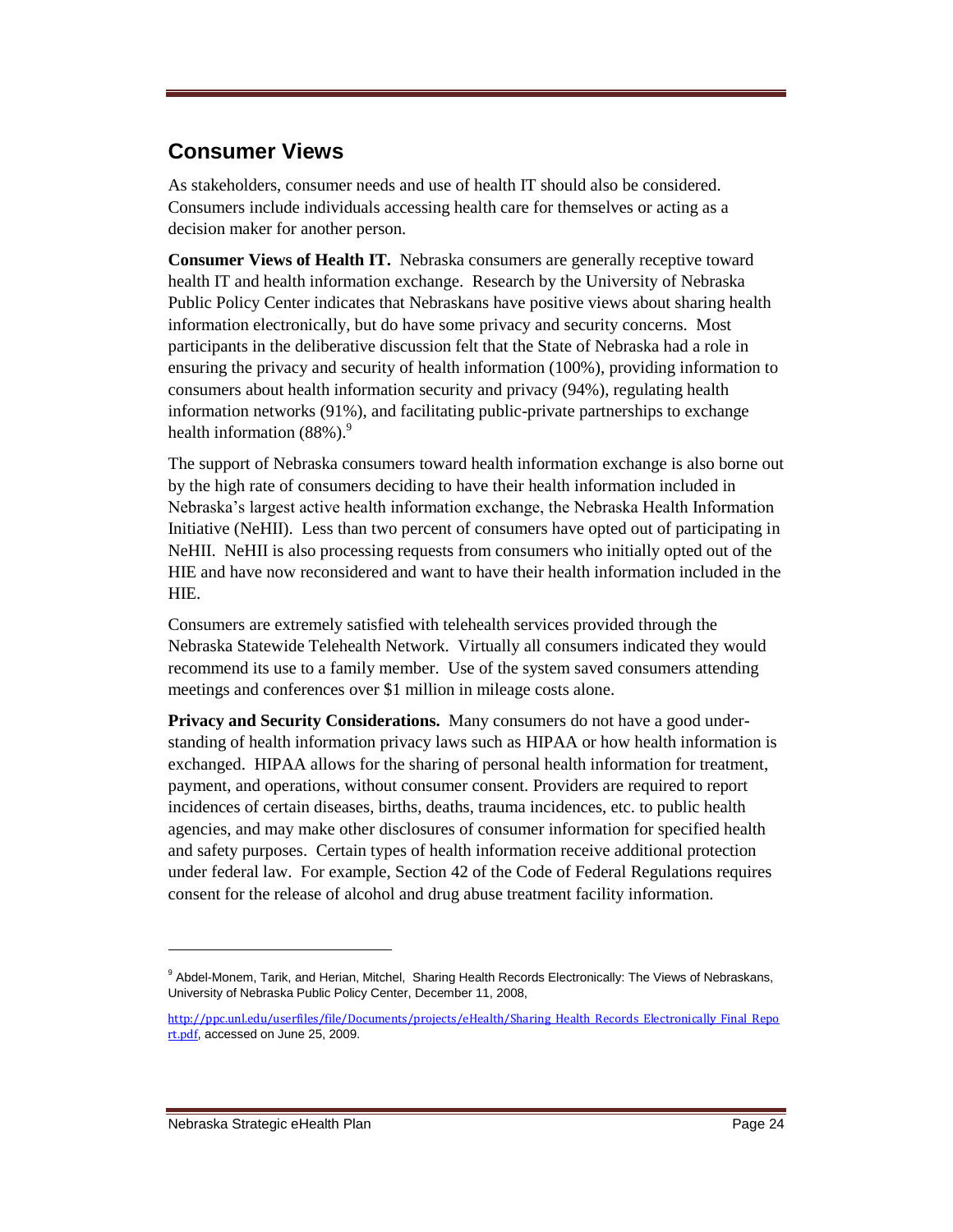## **Consumer Views**

As stakeholders, consumer needs and use of health IT should also be considered. Consumers include individuals accessing health care for themselves or acting as a decision maker for another person.

**Consumer Views of Health IT.** Nebraska consumers are generally receptive toward health IT and health information exchange. Research by the University of Nebraska Public Policy Center indicates that Nebraskans have positive views about sharing health information electronically, but do have some privacy and security concerns. Most participants in the deliberative discussion felt that the State of Nebraska had a role in ensuring the privacy and security of health information (100%), providing information to consumers about health information security and privacy (94%), regulating health information networks (91%), and facilitating public-private partnerships to exchange health information  $(88\%)$ .<sup>9</sup>

The support of Nebraska consumers toward health information exchange is also borne out by the high rate of consumers deciding to have their health information included in Nebraska's largest active health information exchange, the Nebraska Health Information Initiative (NeHII). Less than two percent of consumers have opted out of participating in NeHII. NeHII is also processing requests from consumers who initially opted out of the HIE and have now reconsidered and want to have their health information included in the HIE.

Consumers are extremely satisfied with telehealth services provided through the Nebraska Statewide Telehealth Network. Virtually all consumers indicated they would recommend its use to a family member. Use of the system saved consumers attending meetings and conferences over \$1 million in mileage costs alone.

**Privacy and Security Considerations.** Many consumers do not have a good understanding of health information privacy laws such as HIPAA or how health information is exchanged. HIPAA allows for the sharing of personal health information for treatment, payment, and operations, without consumer consent. Providers are required to report incidences of certain diseases, births, deaths, trauma incidences, etc. to public health agencies, and may make other disclosures of consumer information for specified health and safety purposes. Certain types of health information receive additional protection under federal law. For example, Section 42 of the Code of Federal Regulations requires consent for the release of alcohol and drug abuse treatment facility information.

<sup>&</sup>lt;sup>9</sup> Abdel-Monem, Tarik, and Herian, Mitchel, Sharing Health Records Electronically: The Views of Nebraskans, University of Nebraska Public Policy Center, December 11, 2008,

[http://ppc.unl.edu/userfiles/file/Documents/projects/eHealth/Sharing\\_Health\\_Records\\_Electronically\\_Final\\_Repo](http://ppc.unl.edu/userfiles/file/Documents/projects/eHealth/Sharing_Health_Records_Electronically_Final_Report.pdf) [rt.pdf](http://ppc.unl.edu/userfiles/file/Documents/projects/eHealth/Sharing_Health_Records_Electronically_Final_Report.pdf), accessed on June 25, 2009.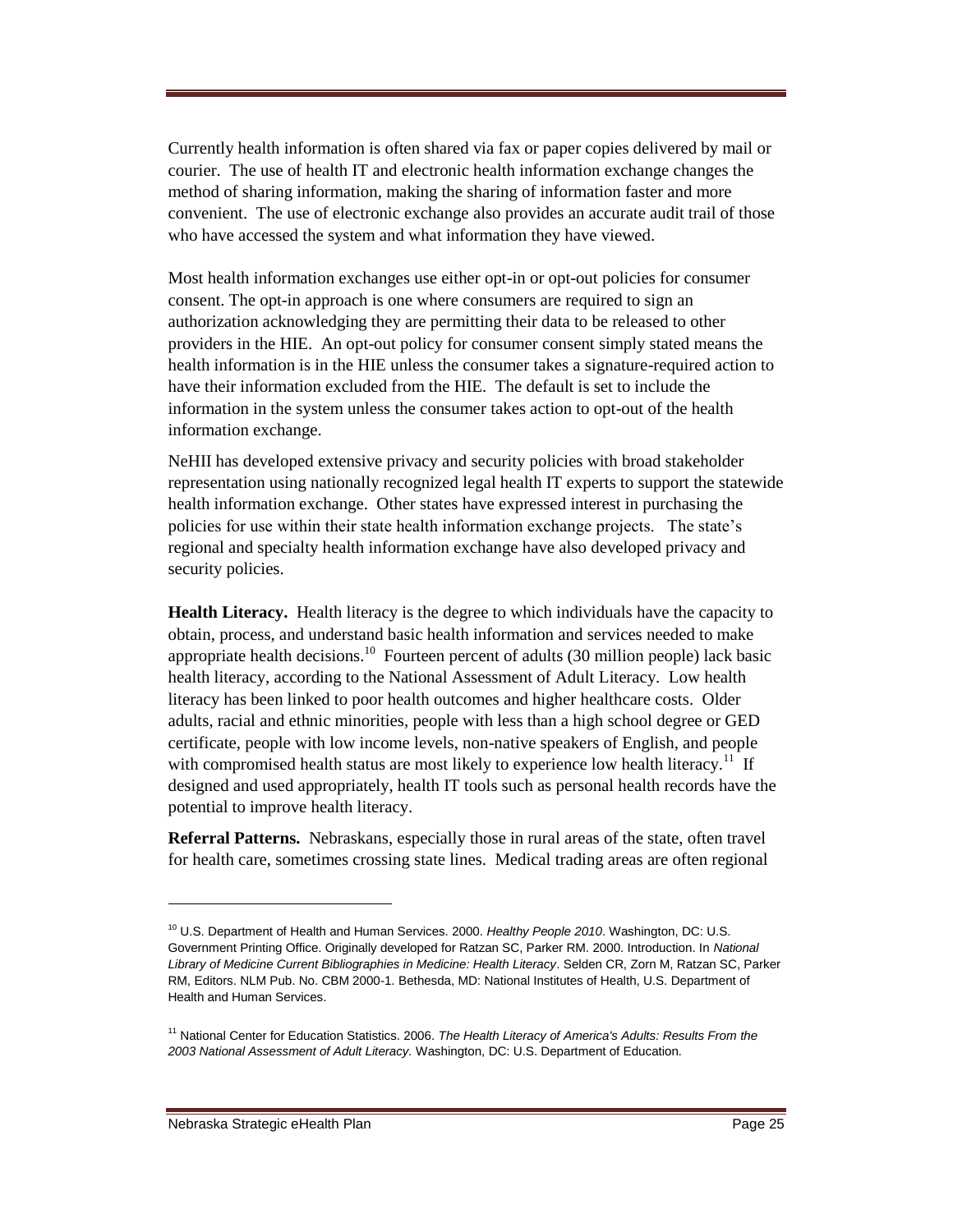Currently health information is often shared via fax or paper copies delivered by mail or courier. The use of health IT and electronic health information exchange changes the method of sharing information, making the sharing of information faster and more convenient. The use of electronic exchange also provides an accurate audit trail of those who have accessed the system and what information they have viewed.

Most health information exchanges use either opt-in or opt-out policies for consumer consent. The opt-in approach is one where consumers are required to sign an authorization acknowledging they are permitting their data to be released to other providers in the HIE. An opt-out policy for consumer consent simply stated means the health information is in the HIE unless the consumer takes a signature-required action to have their information excluded from the HIE. The default is set to include the information in the system unless the consumer takes action to opt-out of the health information exchange.

NeHII has developed extensive privacy and security policies with broad stakeholder representation using nationally recognized legal health IT experts to support the statewide health information exchange. Other states have expressed interest in purchasing the policies for use within their state health information exchange projects. The state's regional and specialty health information exchange have also developed privacy and security policies.

**Health Literacy.** Health literacy is the degree to which individuals have the capacity to obtain, process, and understand basic health information and services needed to make appropriate health decisions.<sup>10</sup> Fourteen percent of adults (30 million people) lack basic health literacy, according to the National Assessment of Adult Literacy. Low health literacy has been linked to poor health outcomes and higher healthcare costs. Older adults, racial and ethnic minorities, people with less than a high school degree or GED certificate, people with low income levels, non-native speakers of English, and people with compromised health status are most likely to experience low health literacy.<sup>11</sup> If designed and used appropriately, health IT tools such as personal health records have the potential to improve health literacy.

**Referral Patterns.** Nebraskans, especially those in rural areas of the state, often travel for health care, sometimes crossing state lines. Medical trading areas are often regional

<sup>10</sup> U.S. Department of Health and Human Services. 2000. *Healthy People 2010*. Washington, DC: U.S. Government Printing Office. Originally developed for Ratzan SC, Parker RM. 2000. Introduction. In *National Library of Medicine Current Bibliographies in Medicine: Health Literacy*. Selden CR, Zorn M, Ratzan SC, Parker RM, Editors. NLM Pub. No. CBM 2000-1. Bethesda, MD: National Institutes of Health, U.S. Department of Health and Human Services.

<sup>11</sup> National Center for Education Statistics. 2006. *The Health Literacy of America's Adults: Results From the 2003 National Assessment of Adult Literacy.* Washington, DC: U.S. Department of Education*.*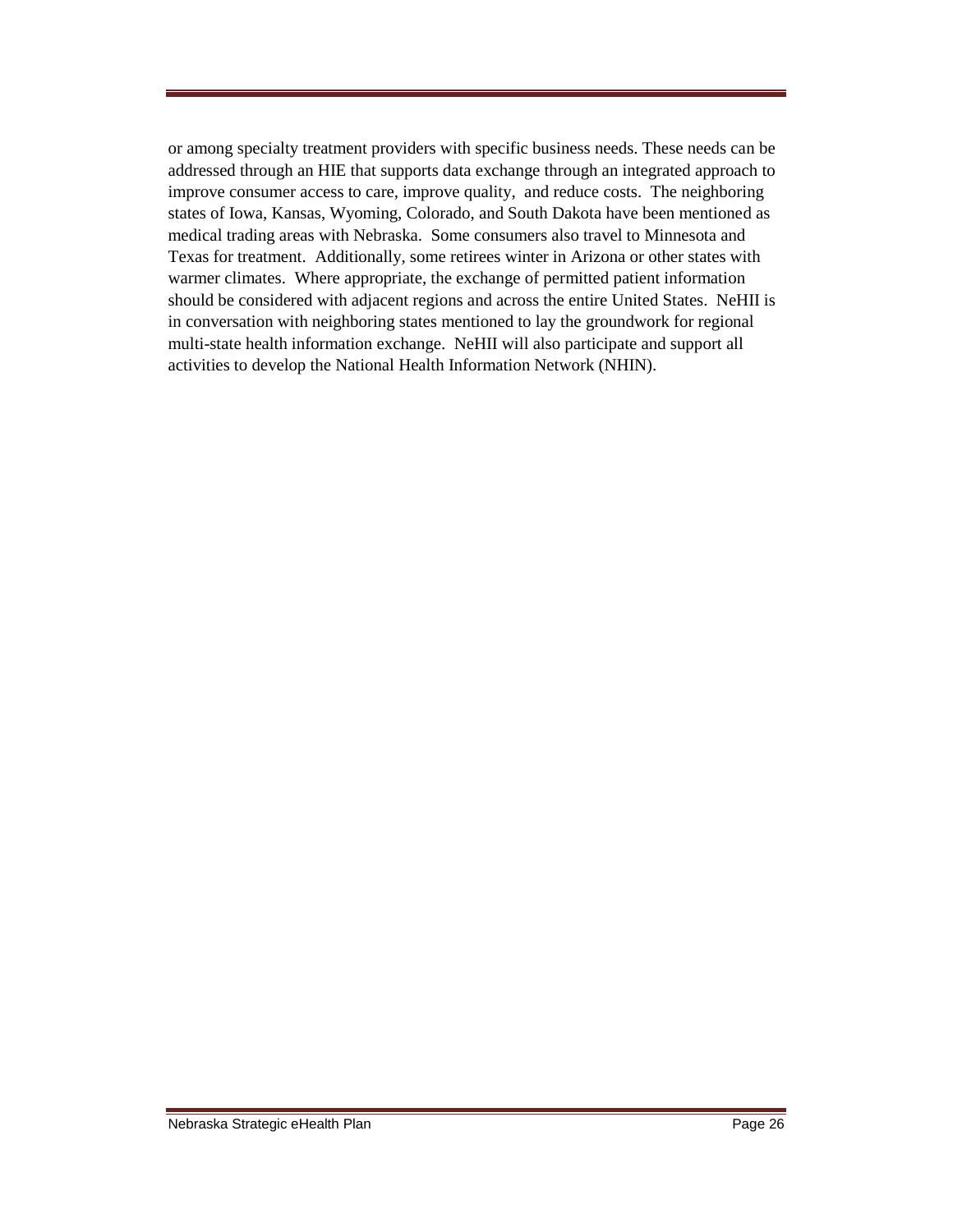or among specialty treatment providers with specific business needs. These needs can be addressed through an HIE that supports data exchange through an integrated approach to improve consumer access to care, improve quality, and reduce costs. The neighboring states of Iowa, Kansas, Wyoming, Colorado, and South Dakota have been mentioned as medical trading areas with Nebraska. Some consumers also travel to Minnesota and Texas for treatment. Additionally, some retirees winter in Arizona or other states with warmer climates. Where appropriate, the exchange of permitted patient information should be considered with adjacent regions and across the entire United States. NeHII is in conversation with neighboring states mentioned to lay the groundwork for regional multi-state health information exchange. NeHII will also participate and support all activities to develop the National Health Information Network (NHIN).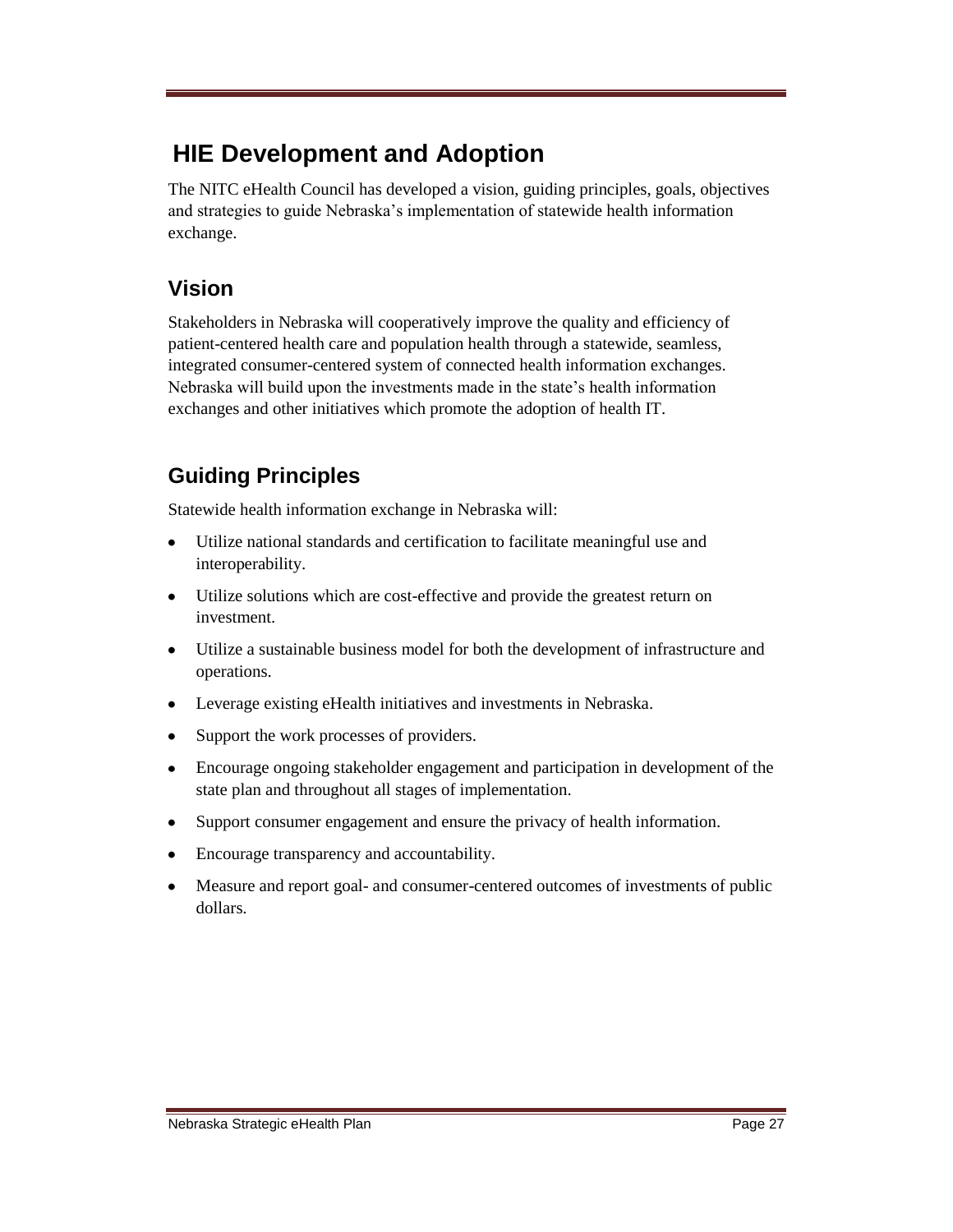# **HIE Development and Adoption**

The NITC eHealth Council has developed a vision, guiding principles, goals, objectives and strategies to guide Nebraska's implementation of statewide health information exchange.

# **Vision**

Stakeholders in Nebraska will cooperatively improve the quality and efficiency of patient-centered health care and population health through a statewide, seamless, integrated consumer-centered system of connected health information exchanges. Nebraska will build upon the investments made in the state's health information exchanges and other initiatives which promote the adoption of health IT.

# **Guiding Principles**

Statewide health information exchange in Nebraska will:

- Utilize national standards and certification to facilitate meaningful use and  $\bullet$ interoperability.
- Utilize solutions which are cost-effective and provide the greatest return on investment.
- Utilize a sustainable business model for both the development of infrastructure and operations.
- Leverage existing eHealth initiatives and investments in Nebraska.
- Support the work processes of providers.
- Encourage ongoing stakeholder engagement and participation in development of the state plan and throughout all stages of implementation.
- Support consumer engagement and ensure the privacy of health information.  $\bullet$
- Encourage transparency and accountability.
- Measure and report goal- and consumer-centered outcomes of investments of public  $\bullet$ dollars.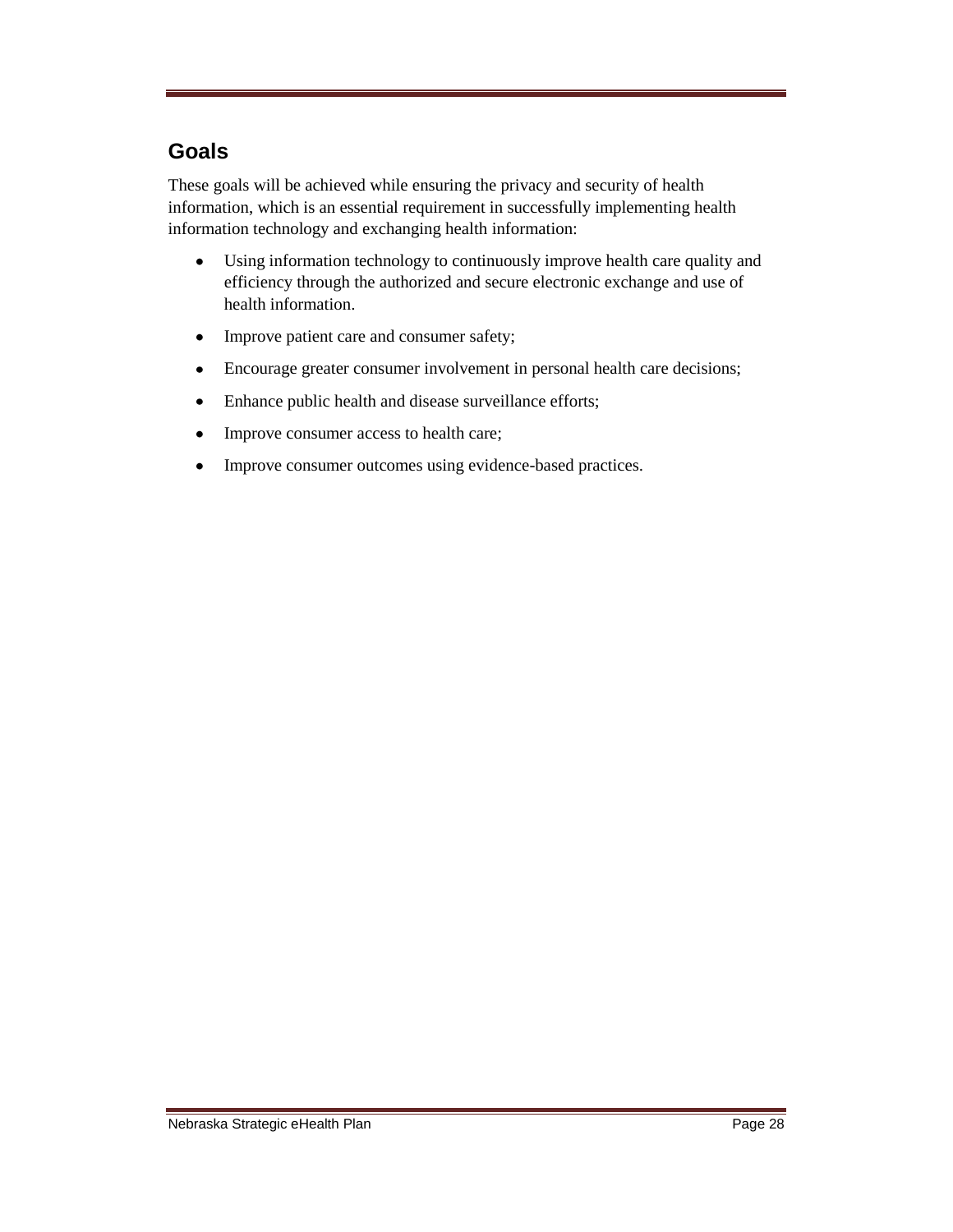## **Goals**

These goals will be achieved while ensuring the privacy and security of health information, which is an essential requirement in successfully implementing health information technology and exchanging health information:

- $\bullet$ Using information technology to continuously improve health care quality and efficiency through the authorized and secure electronic exchange and use of health information.
- Improve patient care and consumer safety;  $\bullet$
- Encourage greater consumer involvement in personal health care decisions;  $\bullet$
- $\bullet$ Enhance public health and disease surveillance efforts;
- Improve consumer access to health care;  $\bullet$
- Improve consumer outcomes using evidence-based practices.  $\bullet$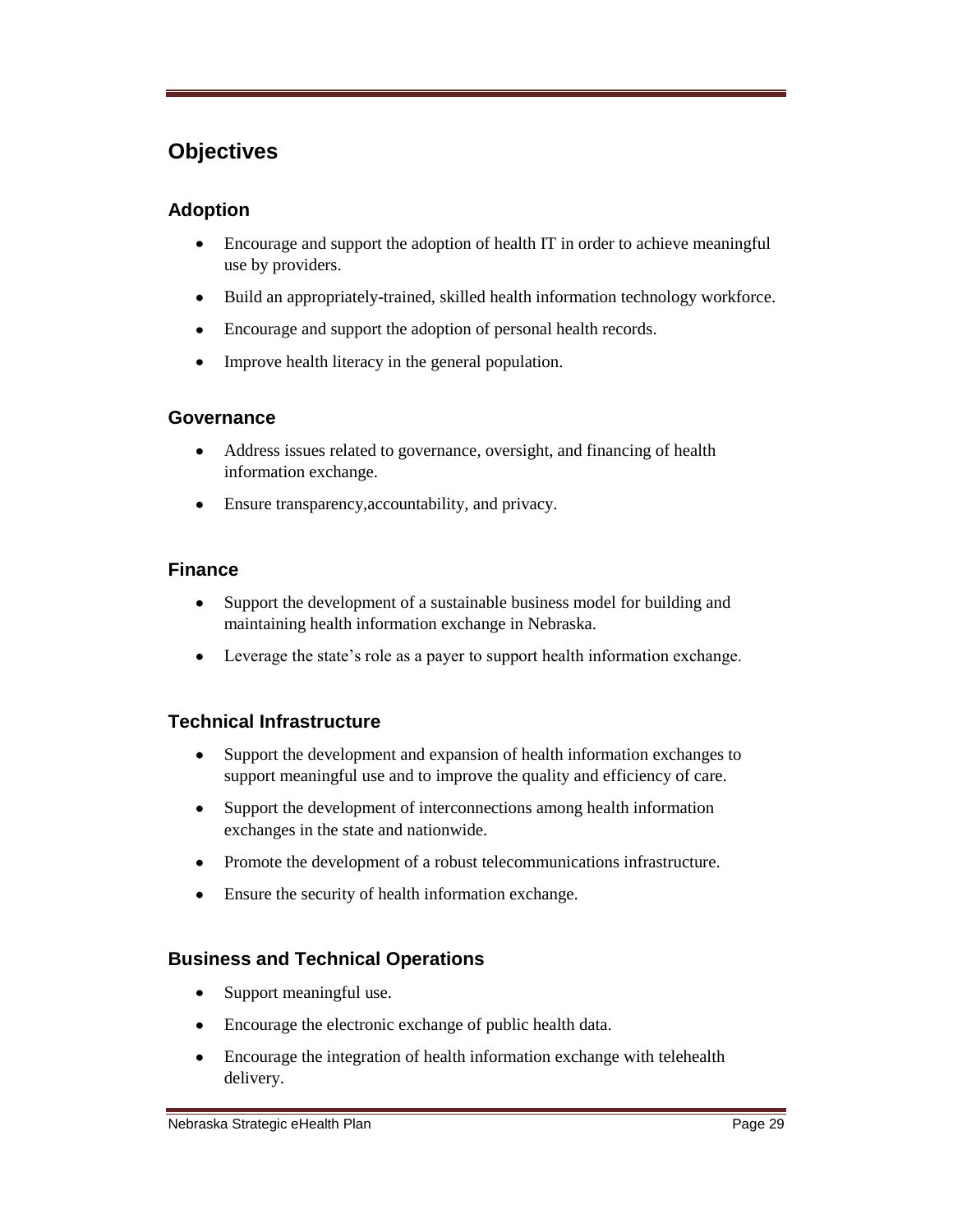## **Objectives**

## **Adoption**

- $\bullet$ Encourage and support the adoption of health IT in order to achieve meaningful use by providers.
- $\bullet$ Build an appropriately-trained, skilled health information technology workforce.
- Encourage and support the adoption of personal health records.
- $\bullet$ Improve health literacy in the general population.

#### **Governance**

- Address issues related to governance, oversight, and financing of health information exchange.
- Ensure transparency,accountability, and privacy.

#### **Finance**

- Support the development of a sustainable business model for building and  $\bullet$ maintaining health information exchange in Nebraska.
- Leverage the state's role as a payer to support health information exchange.

## **Technical Infrastructure**

- Support the development and expansion of health information exchanges to  $\bullet$ support meaningful use and to improve the quality and efficiency of care.
- $\bullet$ Support the development of interconnections among health information exchanges in the state and nationwide.
- Promote the development of a robust telecommunications infrastructure.
- Ensure the security of health information exchange.

#### **Business and Technical Operations**

- $\bullet$ Support meaningful use.
- $\bullet$ Encourage the electronic exchange of public health data.
- Encourage the integration of health information exchange with telehealth  $\bullet$ delivery.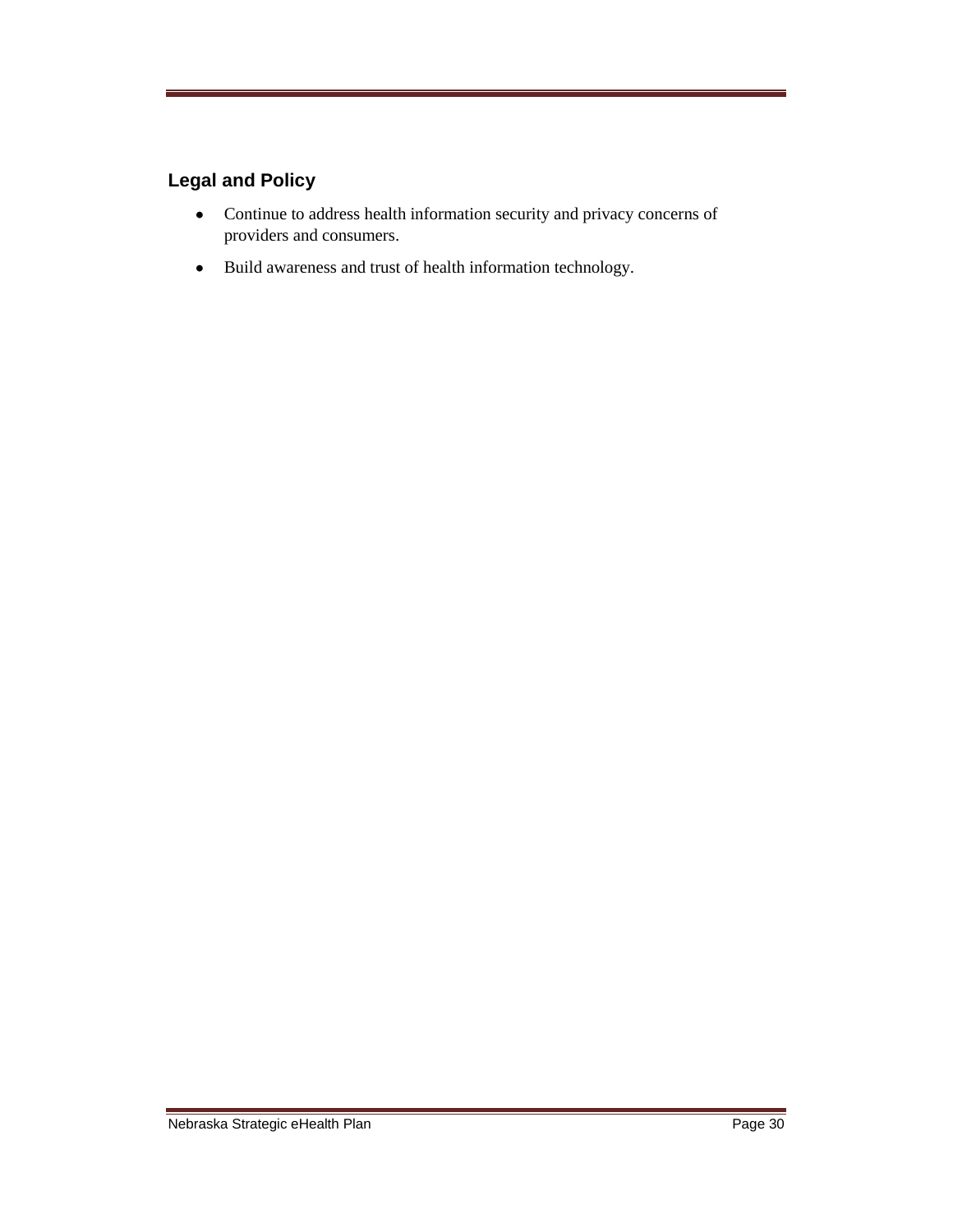## **Legal and Policy**

- Continue to address health information security and privacy concerns of providers and consumers.
- Build awareness and trust of health information technology.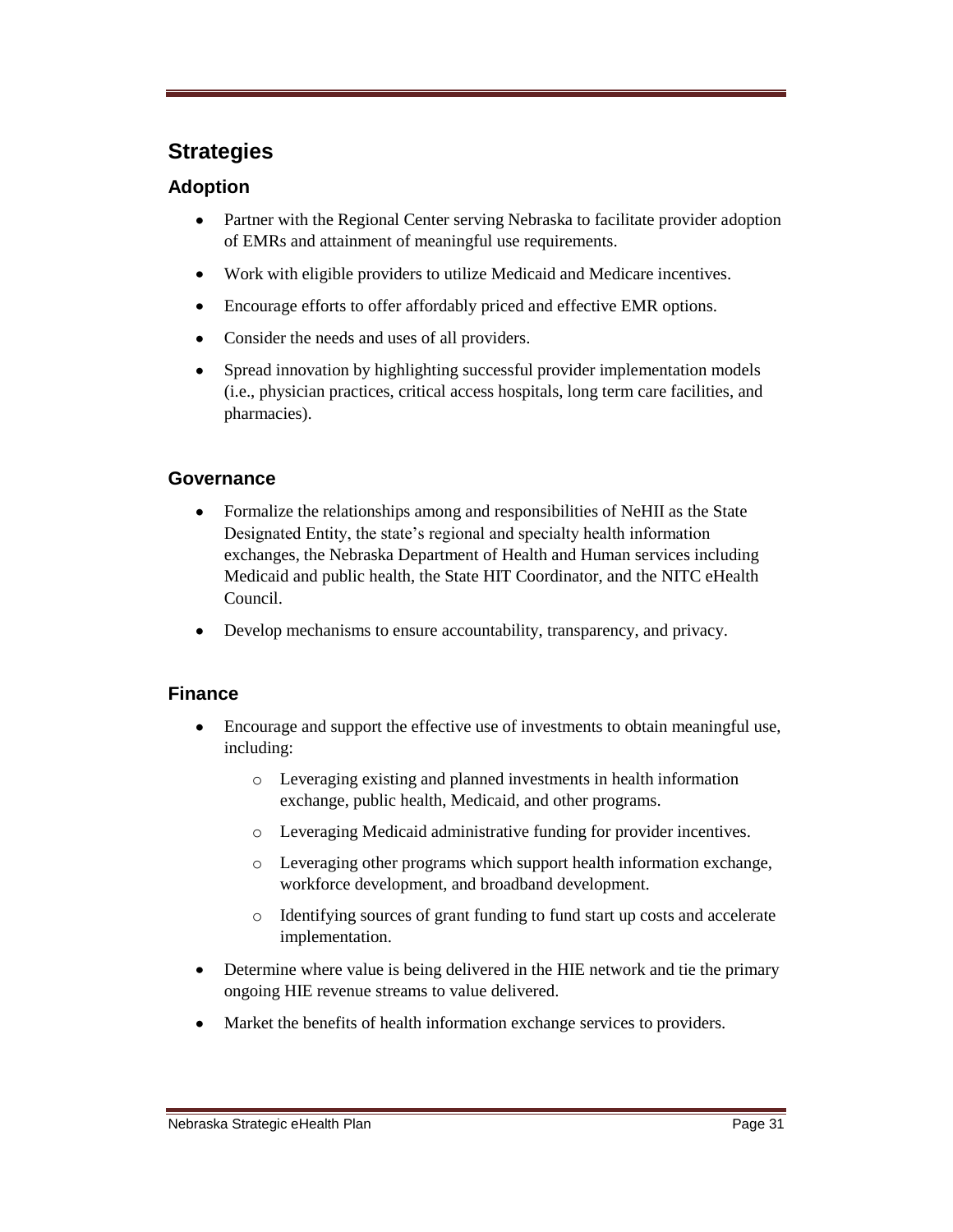## **Strategies**

#### **Adoption**

- $\bullet$ Partner with the Regional Center serving Nebraska to facilitate provider adoption of EMRs and attainment of meaningful use requirements.
- $\bullet$ Work with eligible providers to utilize Medicaid and Medicare incentives.
- $\bullet$ Encourage efforts to offer affordably priced and effective EMR options.
- $\bullet$ Consider the needs and uses of all providers.
- Spread innovation by highlighting successful provider implementation models  $\bullet$ (i.e., physician practices, critical access hospitals, long term care facilities, and pharmacies).

#### **Governance**

- $\bullet$ Formalize the relationships among and responsibilities of NeHII as the State Designated Entity, the state's regional and specialty health information exchanges, the Nebraska Department of Health and Human services including Medicaid and public health, the State HIT Coordinator, and the NITC eHealth Council.
- Develop mechanisms to ensure accountability, transparency, and privacy.

#### **Finance**

- $\bullet$ Encourage and support the effective use of investments to obtain meaningful use, including:
	- o Leveraging existing and planned investments in health information exchange, public health, Medicaid, and other programs.
	- o Leveraging Medicaid administrative funding for provider incentives.
	- o Leveraging other programs which support health information exchange, workforce development, and broadband development.
	- o Identifying sources of grant funding to fund start up costs and accelerate implementation.
- Determine where value is being delivered in the HIE network and tie the primary  $\bullet$ ongoing HIE revenue streams to value delivered.
- Market the benefits of health information exchange services to providers.  $\bullet$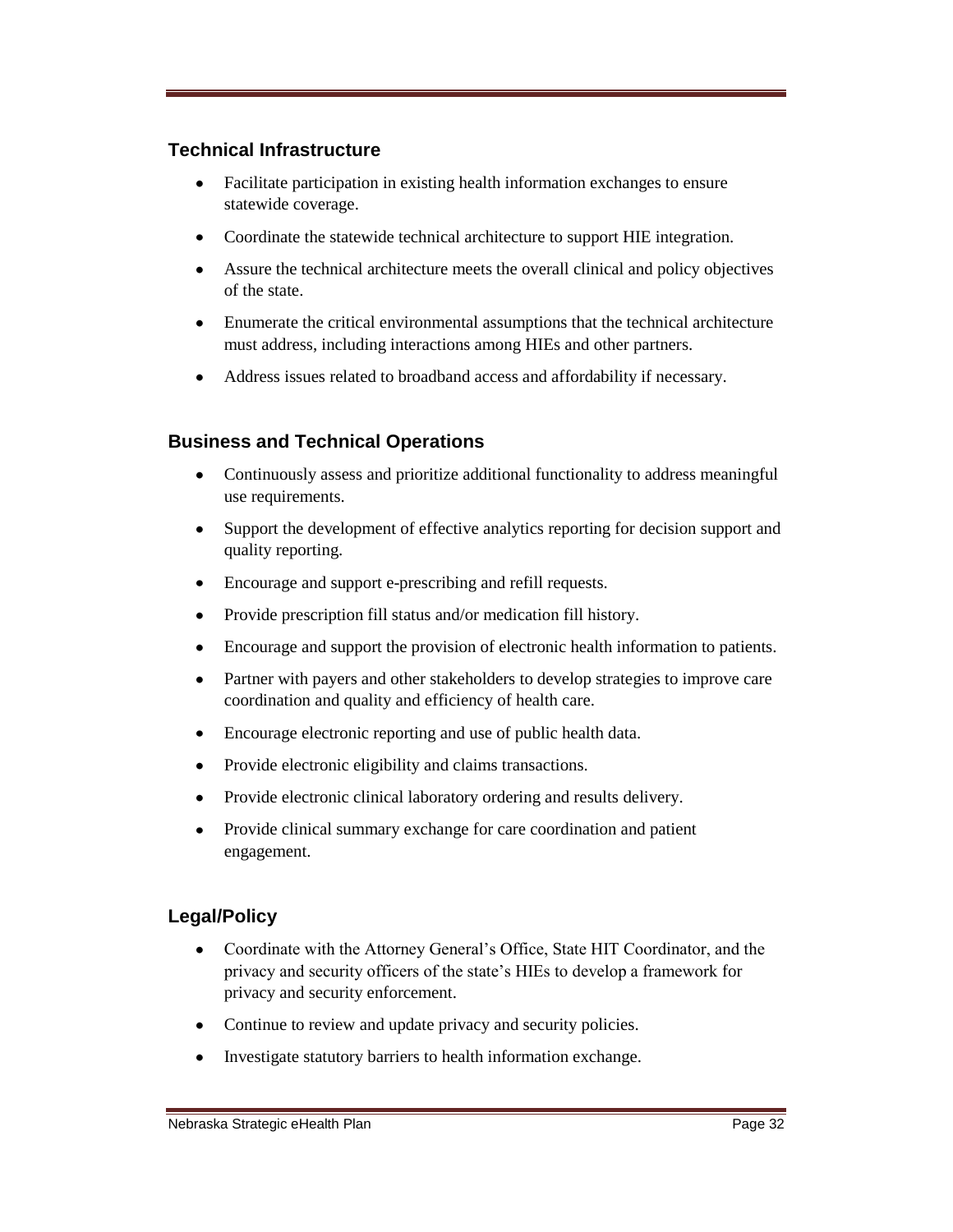#### **Technical Infrastructure**

- $\bullet$ Facilitate participation in existing health information exchanges to ensure statewide coverage.
- Coordinate the statewide technical architecture to support HIE integration.
- Assure the technical architecture meets the overall clinical and policy objectives of the state.
- Enumerate the critical environmental assumptions that the technical architecture must address, including interactions among HIEs and other partners.
- Address issues related to broadband access and affordability if necessary.

#### **Business and Technical Operations**

- Continuously assess and prioritize additional functionality to address meaningful  $\bullet$ use requirements.
- $\bullet$ Support the development of effective analytics reporting for decision support and quality reporting.
- Encourage and support e-prescribing and refill requests.  $\bullet$
- Provide prescription fill status and/or medication fill history.  $\bullet$
- Encourage and support the provision of electronic health information to patients.  $\bullet$
- Partner with payers and other stakeholders to develop strategies to improve care  $\bullet$ coordination and quality and efficiency of health care.
- $\bullet$ Encourage electronic reporting and use of public health data.
- Provide electronic eligibility and claims transactions.  $\bullet$
- $\bullet$ Provide electronic clinical laboratory ordering and results delivery.
- Provide clinical summary exchange for care coordination and patient  $\bullet$ engagement.

#### **Legal/Policy**

- $\bullet$ Coordinate with the Attorney General's Office, State HIT Coordinator, and the privacy and security officers of the state's HIEs to develop a framework for privacy and security enforcement.
- Continue to review and update privacy and security policies.
- Investigate statutory barriers to health information exchange.  $\bullet$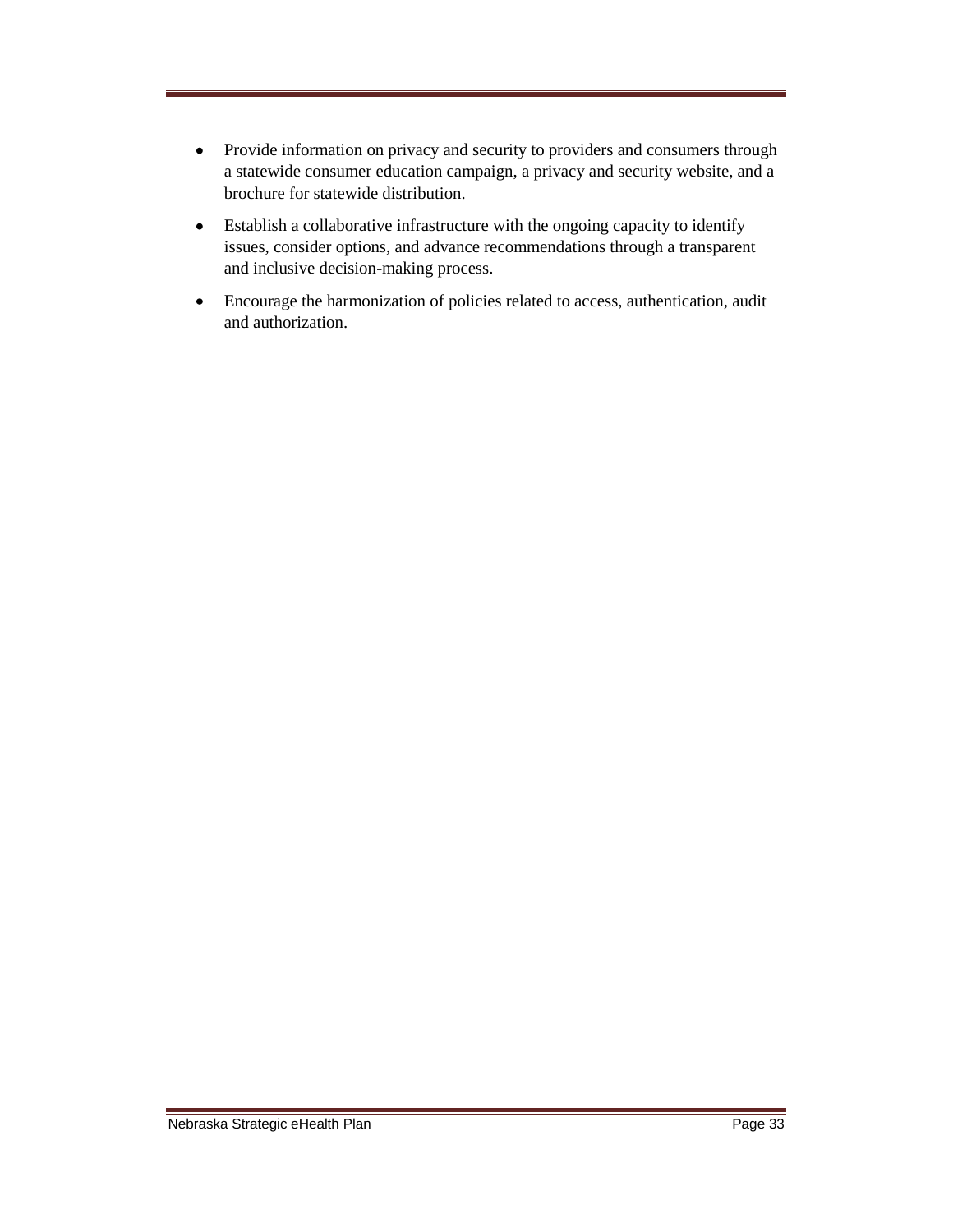- Provide information on privacy and security to providers and consumers through  $\bullet$ a statewide consumer education campaign, a privacy and security website, and a brochure for statewide distribution.
- Establish a collaborative infrastructure with the ongoing capacity to identify  $\bullet$ issues, consider options, and advance recommendations through a transparent and inclusive decision-making process.
- Encourage the harmonization of policies related to access, authentication, audit  $\bullet$ and authorization.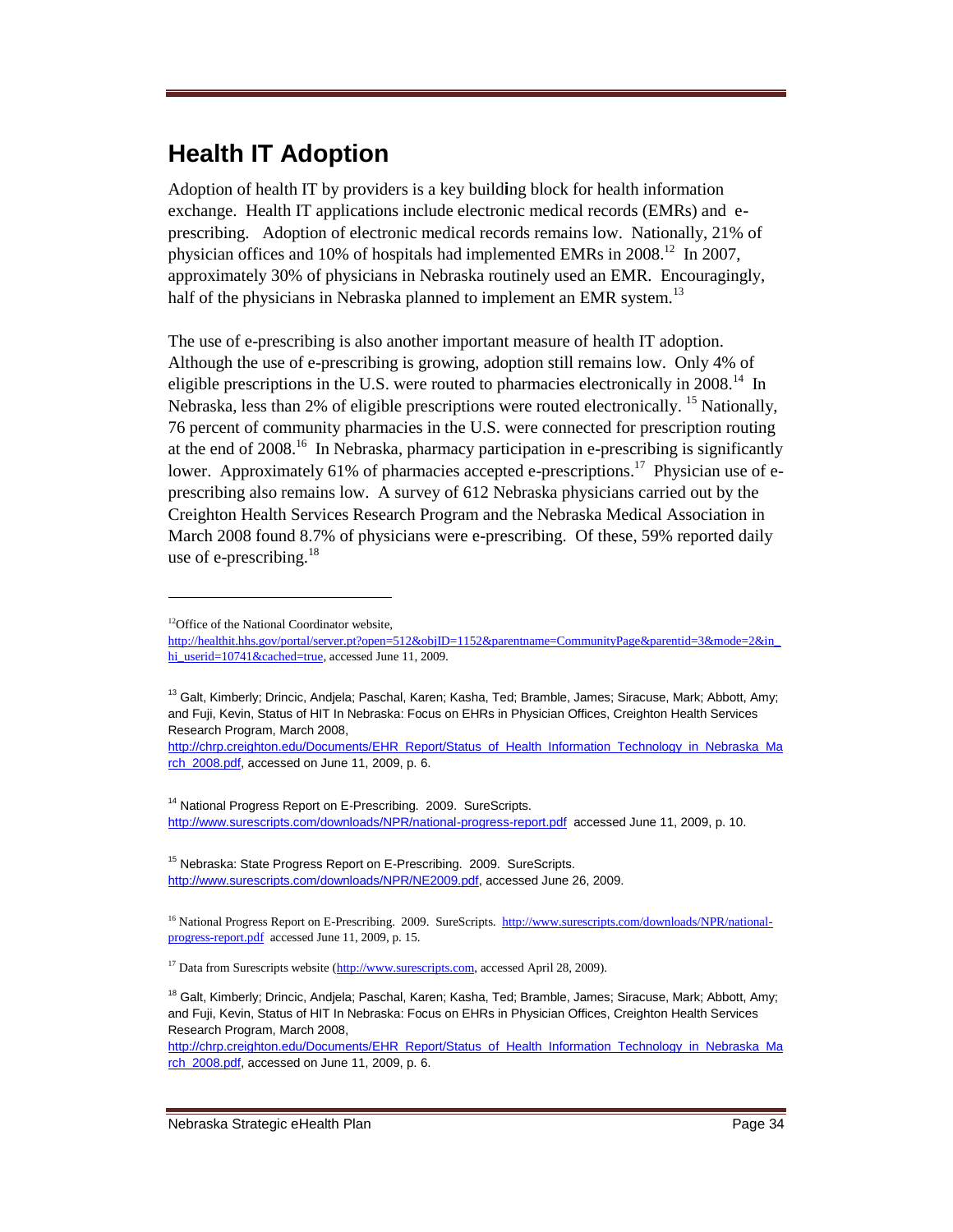# **Health IT Adoption**

Adoption of health IT by providers is a key build**i**ng block for health information exchange. Health IT applications include electronic medical records (EMRs) and eprescribing. Adoption of electronic medical records remains low. Nationally, 21% of physician offices and 10% of hospitals had implemented EMRs in 2008.<sup>12</sup> In 2007, approximately 30% of physicians in Nebraska routinely used an EMR. Encouragingly, half of the physicians in Nebraska planned to implement an EMR system.<sup>13</sup>

The use of e-prescribing is also another important measure of health IT adoption. Although the use of e-prescribing is growing, adoption still remains low. Only 4% of eligible prescriptions in the U.S. were routed to pharmacies electronically in  $2008$ .<sup>14</sup> In Nebraska, less than 2% of eligible prescriptions were routed electronically. <sup>15</sup> Nationally, 76 percent of community pharmacies in the U.S. were connected for prescription routing at the end of 2008.<sup>16</sup> In Nebraska, pharmacy participation in e-prescribing is significantly lower. Approximately 61% of pharmacies accepted e-prescriptions.<sup>17</sup> Physician use of eprescribing also remains low. A survey of 612 Nebraska physicians carried out by the Creighton Health Services Research Program and the Nebraska Medical Association in March 2008 found 8.7% of physicians were e-prescribing. Of these, 59% reported daily use of e-prescribing. $18$ 

 $\overline{a}$ 

<sup>13</sup> Galt, Kimberly; Drincic, Andjela; Paschal, Karen; Kasha, Ted; Bramble, James; Siracuse, Mark; Abbott, Amy; and Fuji, Kevin, Status of HIT In Nebraska: Focus on EHRs in Physician Offices, Creighton Health Services Research Program, March 2008,

[http://chrp.creighton.edu/Documents/EHR\\_Report/Status\\_of\\_Health\\_Information\\_Technology\\_in\\_Nebraska\\_Ma](http://chrp.creighton.edu/Documents/EHR_Report/Status_of_Health_Information_Technology_in_Nebraska_March_2008.pdf) [rch\\_2008.pdf,](http://chrp.creighton.edu/Documents/EHR_Report/Status_of_Health_Information_Technology_in_Nebraska_March_2008.pdf) accessed on June 11, 2009, p. 6.

<sup>14</sup> National Progress Report on E-Prescribing. 2009. SureScripts. <http://www.surescripts.com/downloads/NPR/national-progress-report.pdf>accessed June 11, 2009, p. 10.

<sup>15</sup> Nebraska: State Progress Report on E-Prescribing. 2009. SureScripts. [http://www.surescripts.com/downloads/NPR/NE2009.pdf,](http://www.surescripts.com/downloads/NPR/NE2009.pdf) accessed June 26, 2009.

<sup>16</sup> National Progress Report on E-Prescribing. 2009. SureScripts. [http://www.surescripts.com/downloads/NPR/national](http://www.surescripts.com/downloads/NPR/national-progress-report.pdf)[progress-report.pdf](http://www.surescripts.com/downloads/NPR/national-progress-report.pdf) accessed June 11, 2009, p. 15.

<sup>17</sup> Data from Surescripts website [\(http://www.surescripts.com,](http://www.surescripts.com/) accessed April 28, 2009).

[http://chrp.creighton.edu/Documents/EHR\\_Report/Status\\_of\\_Health\\_Information\\_Technology\\_in\\_Nebraska\\_Ma](http://chrp.creighton.edu/Documents/EHR_Report/Status_of_Health_Information_Technology_in_Nebraska_March_2008.pdf) [rch\\_2008.pdf,](http://chrp.creighton.edu/Documents/EHR_Report/Status_of_Health_Information_Technology_in_Nebraska_March_2008.pdf) accessed on June 11, 2009, p. 6.

<sup>&</sup>lt;sup>12</sup>Office of the National Coordinator website,

[http://healthit.hhs.gov/portal/server.pt?open=512&objID=1152&parentname=CommunityPage&parentid=3&mode=2&in\\_](http://healthit.hhs.gov/portal/server.pt?open=512&objID=1152&parentname=CommunityPage&parentid=3&mode=2&in_hi_userid=10741&cached=true) [hi\\_userid=10741&cached=true,](http://healthit.hhs.gov/portal/server.pt?open=512&objID=1152&parentname=CommunityPage&parentid=3&mode=2&in_hi_userid=10741&cached=true) accessed June 11, 2009.

<sup>&</sup>lt;sup>18</sup> Galt, Kimberly; Drincic, Andjela; Paschal, Karen; Kasha, Ted; Bramble, James; Siracuse, Mark; Abbott, Amy; and Fuji, Kevin, Status of HIT In Nebraska: Focus on EHRs in Physician Offices, Creighton Health Services Research Program, March 2008,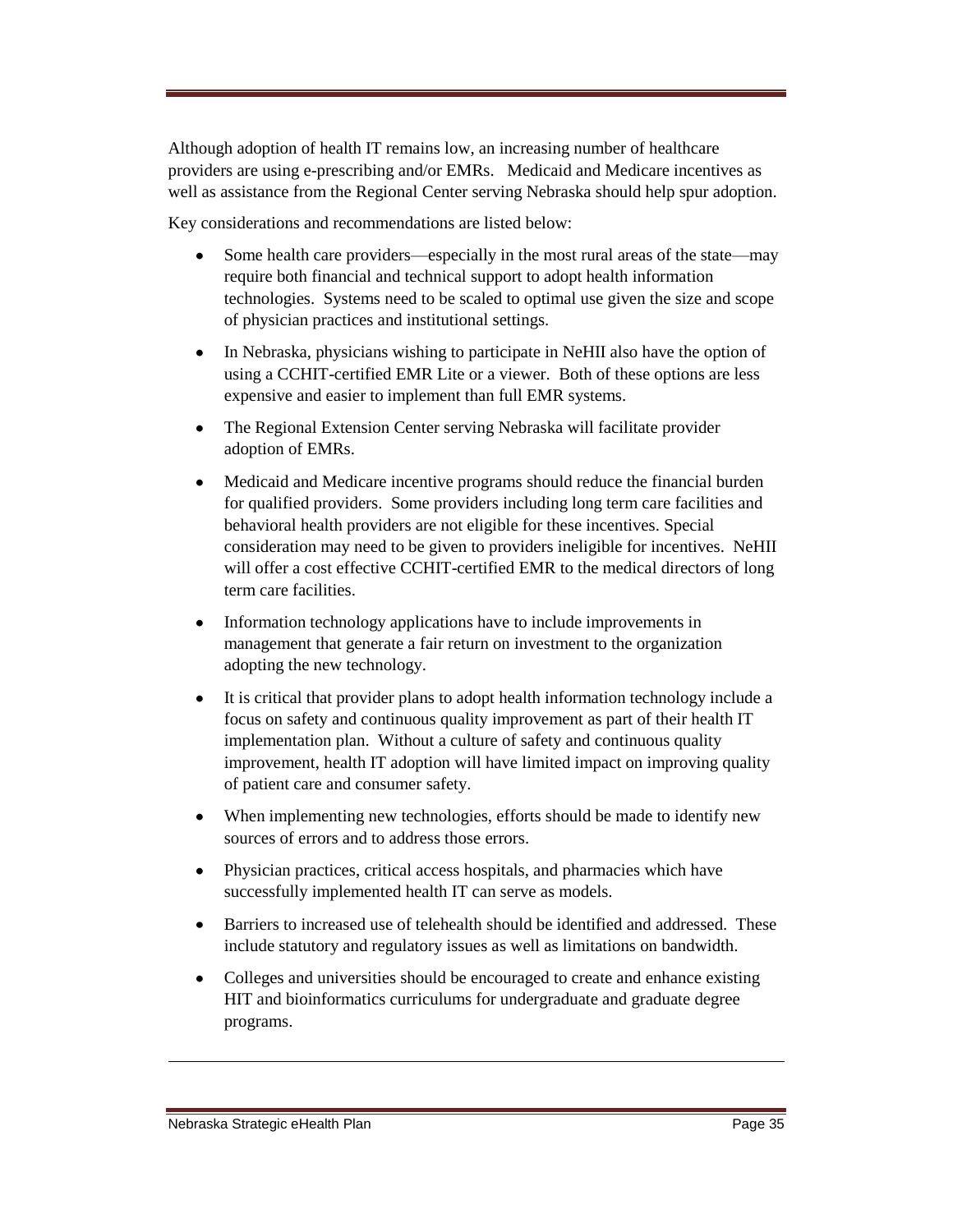Although adoption of health IT remains low, an increasing number of healthcare providers are using e-prescribing and/or EMRs. Medicaid and Medicare incentives as well as assistance from the Regional Center serving Nebraska should help spur adoption.

Key considerations and recommendations are listed below:

- Some health care providers—especially in the most rural areas of the state—may  $\bullet$ require both financial and technical support to adopt health information technologies. Systems need to be scaled to optimal use given the size and scope of physician practices and institutional settings.
- $\bullet$ In Nebraska, physicians wishing to participate in NeHII also have the option of using a CCHIT-certified EMR Lite or a viewer. Both of these options are less expensive and easier to implement than full EMR systems.
- The Regional Extension Center serving Nebraska will facilitate provider  $\bullet$ adoption of EMRs.
- Medicaid and Medicare incentive programs should reduce the financial burden  $\bullet$ for qualified providers. Some providers including long term care facilities and behavioral health providers are not eligible for these incentives. Special consideration may need to be given to providers ineligible for incentives. NeHII will offer a cost effective CCHIT-certified EMR to the medical directors of long term care facilities.
- $\bullet$ Information technology applications have to include improvements in management that generate a fair return on investment to the organization adopting the new technology.
- $\bullet$ It is critical that provider plans to adopt health information technology include a focus on safety and continuous quality improvement as part of their health IT implementation plan. Without a culture of safety and continuous quality improvement, health IT adoption will have limited impact on improving quality of patient care and consumer safety.
- When implementing new technologies, efforts should be made to identify new sources of errors and to address those errors.
- Physician practices, critical access hospitals, and pharmacies which have  $\bullet$ successfully implemented health IT can serve as models.
- Barriers to increased use of telehealth should be identified and addressed. These  $\bullet$ include statutory and regulatory issues as well as limitations on bandwidth.
- $\bullet$ Colleges and universities should be encouraged to create and enhance existing HIT and bioinformatics curriculums for undergraduate and graduate degree programs.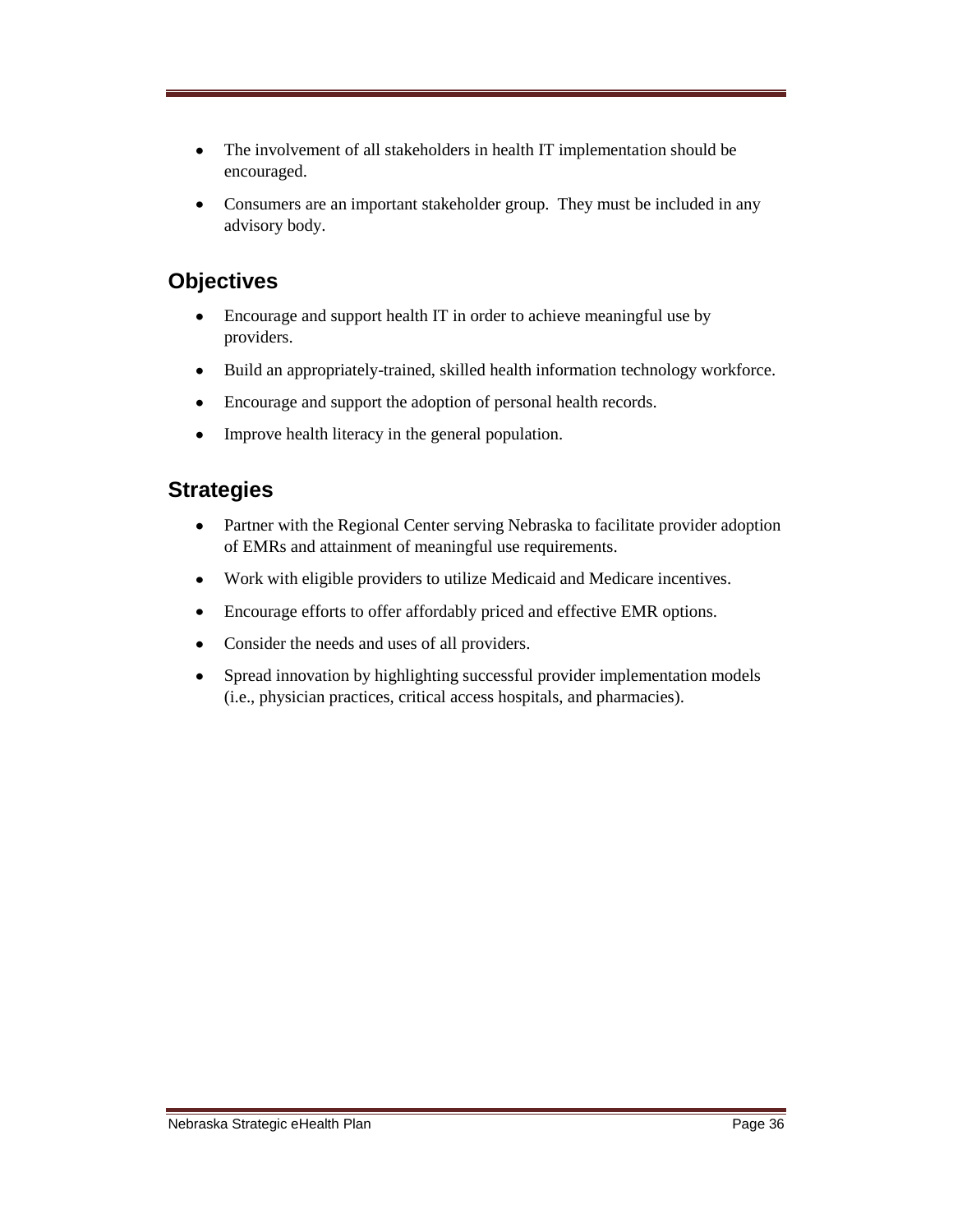- The involvement of all stakeholders in health IT implementation should be  $\bullet$ encouraged.
- $\bullet$ Consumers are an important stakeholder group. They must be included in any advisory body.

## **Objectives**

- Encourage and support health IT in order to achieve meaningful use by  $\bullet$ providers.
- $\bullet$ Build an appropriately-trained, skilled health information technology workforce.
- $\bullet$ Encourage and support the adoption of personal health records.
- $\bullet$ Improve health literacy in the general population.

## **Strategies**

- Partner with the Regional Center serving Nebraska to facilitate provider adoption  $\bullet$ of EMRs and attainment of meaningful use requirements.
- Work with eligible providers to utilize Medicaid and Medicare incentives.  $\bullet$
- Encourage efforts to offer affordably priced and effective EMR options.  $\bullet$
- Consider the needs and uses of all providers.  $\bullet$
- Spread innovation by highlighting successful provider implementation models  $\bullet$ (i.e., physician practices, critical access hospitals, and pharmacies).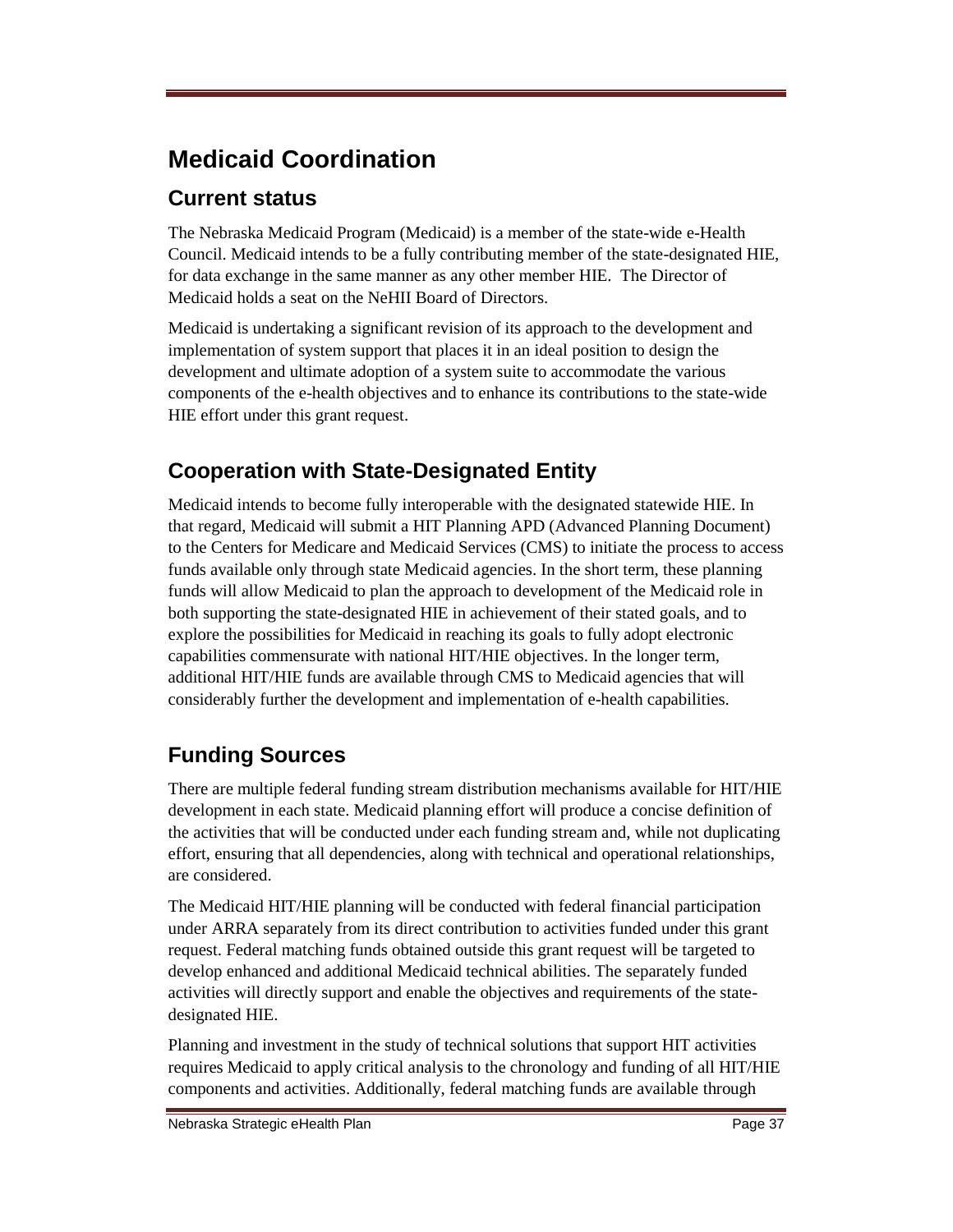# **Medicaid Coordination**

## **Current status**

The Nebraska Medicaid Program (Medicaid) is a member of the state-wide e-Health Council. Medicaid intends to be a fully contributing member of the state-designated HIE, for data exchange in the same manner as any other member HIE. The Director of Medicaid holds a seat on the NeHII Board of Directors.

Medicaid is undertaking a significant revision of its approach to the development and implementation of system support that places it in an ideal position to design the development and ultimate adoption of a system suite to accommodate the various components of the e-health objectives and to enhance its contributions to the state-wide HIE effort under this grant request.

## **Cooperation with State-Designated Entity**

Medicaid intends to become fully interoperable with the designated statewide HIE. In that regard, Medicaid will submit a HIT Planning APD (Advanced Planning Document) to the Centers for Medicare and Medicaid Services (CMS) to initiate the process to access funds available only through state Medicaid agencies. In the short term, these planning funds will allow Medicaid to plan the approach to development of the Medicaid role in both supporting the state-designated HIE in achievement of their stated goals, and to explore the possibilities for Medicaid in reaching its goals to fully adopt electronic capabilities commensurate with national HIT/HIE objectives. In the longer term, additional HIT/HIE funds are available through CMS to Medicaid agencies that will considerably further the development and implementation of e-health capabilities.

## **Funding Sources**

There are multiple federal funding stream distribution mechanisms available for HIT/HIE development in each state. Medicaid planning effort will produce a concise definition of the activities that will be conducted under each funding stream and, while not duplicating effort, ensuring that all dependencies, along with technical and operational relationships, are considered.

The Medicaid HIT/HIE planning will be conducted with federal financial participation under ARRA separately from its direct contribution to activities funded under this grant request. Federal matching funds obtained outside this grant request will be targeted to develop enhanced and additional Medicaid technical abilities. The separately funded activities will directly support and enable the objectives and requirements of the statedesignated HIE.

Planning and investment in the study of technical solutions that support HIT activities requires Medicaid to apply critical analysis to the chronology and funding of all HIT/HIE components and activities. Additionally, federal matching funds are available through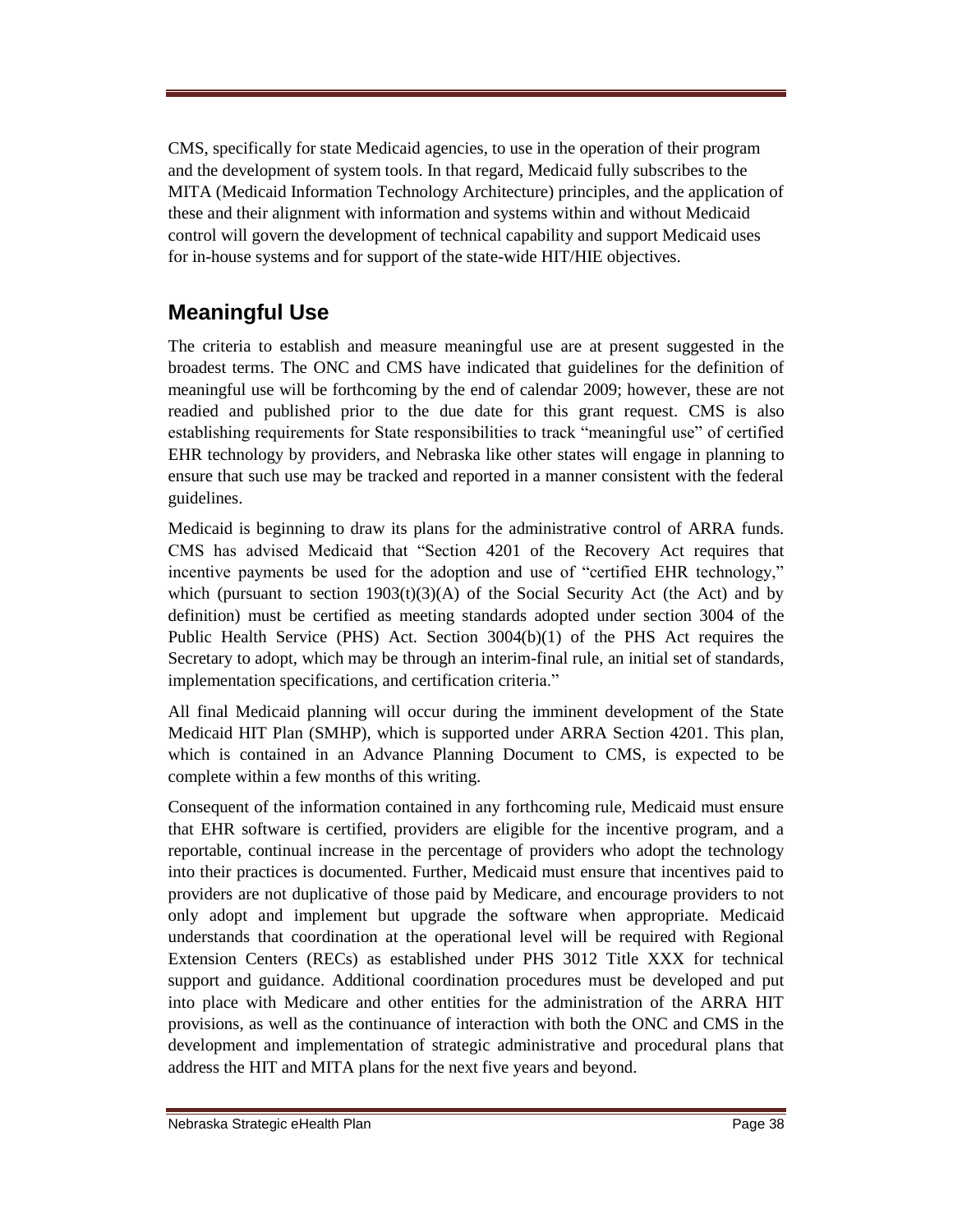CMS, specifically for state Medicaid agencies, to use in the operation of their program and the development of system tools. In that regard, Medicaid fully subscribes to the MITA (Medicaid Information Technology Architecture) principles, and the application of these and their alignment with information and systems within and without Medicaid control will govern the development of technical capability and support Medicaid uses for in-house systems and for support of the state-wide HIT/HIE objectives.

## **Meaningful Use**

The criteria to establish and measure meaningful use are at present suggested in the broadest terms. The ONC and CMS have indicated that guidelines for the definition of meaningful use will be forthcoming by the end of calendar 2009; however, these are not readied and published prior to the due date for this grant request. CMS is also establishing requirements for State responsibilities to track "meaningful use" of certified EHR technology by providers, and Nebraska like other states will engage in planning to ensure that such use may be tracked and reported in a manner consistent with the federal guidelines.

Medicaid is beginning to draw its plans for the administrative control of ARRA funds. CMS has advised Medicaid that "Section 4201 of the Recovery Act requires that incentive payments be used for the adoption and use of "certified EHR technology," which (pursuant to section  $1903(t)(3)(A)$  of the Social Security Act (the Act) and by definition) must be certified as meeting standards adopted under section 3004 of the Public Health Service (PHS) Act. Section 3004(b)(1) of the PHS Act requires the Secretary to adopt, which may be through an interim-final rule, an initial set of standards, implementation specifications, and certification criteria."

All final Medicaid planning will occur during the imminent development of the State Medicaid HIT Plan (SMHP), which is supported under ARRA Section 4201. This plan, which is contained in an Advance Planning Document to CMS, is expected to be complete within a few months of this writing.

Consequent of the information contained in any forthcoming rule, Medicaid must ensure that EHR software is certified, providers are eligible for the incentive program, and a reportable, continual increase in the percentage of providers who adopt the technology into their practices is documented. Further, Medicaid must ensure that incentives paid to providers are not duplicative of those paid by Medicare, and encourage providers to not only adopt and implement but upgrade the software when appropriate. Medicaid understands that coordination at the operational level will be required with Regional Extension Centers (RECs) as established under PHS 3012 Title XXX for technical support and guidance. Additional coordination procedures must be developed and put into place with Medicare and other entities for the administration of the ARRA HIT provisions, as well as the continuance of interaction with both the ONC and CMS in the development and implementation of strategic administrative and procedural plans that address the HIT and MITA plans for the next five years and beyond.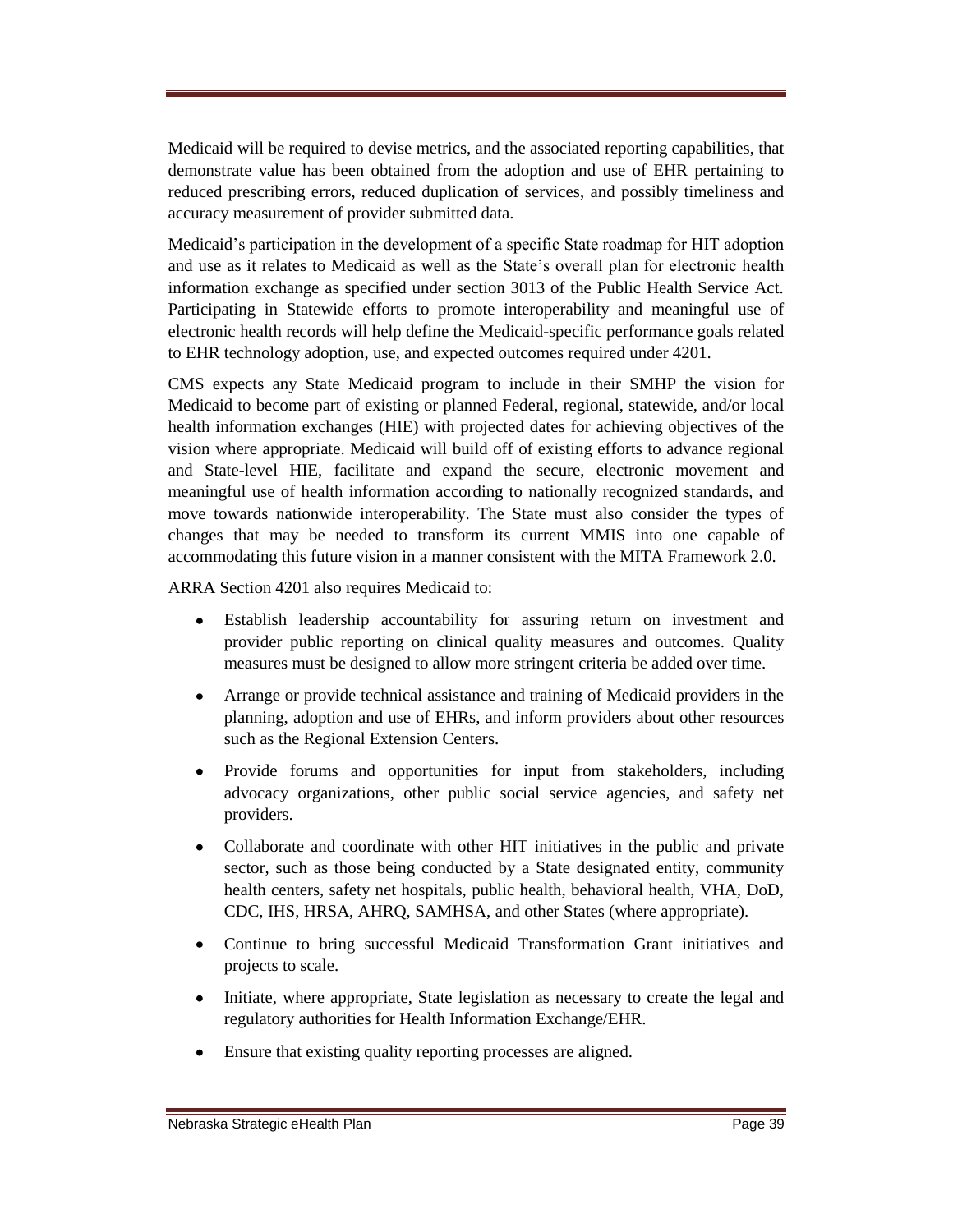Medicaid will be required to devise metrics, and the associated reporting capabilities, that demonstrate value has been obtained from the adoption and use of EHR pertaining to reduced prescribing errors, reduced duplication of services, and possibly timeliness and accuracy measurement of provider submitted data.

Medicaid's participation in the development of a specific State roadmap for HIT adoption and use as it relates to Medicaid as well as the State's overall plan for electronic health information exchange as specified under section 3013 of the Public Health Service Act. Participating in Statewide efforts to promote interoperability and meaningful use of electronic health records will help define the Medicaid-specific performance goals related to EHR technology adoption, use, and expected outcomes required under 4201.

CMS expects any State Medicaid program to include in their SMHP the vision for Medicaid to become part of existing or planned Federal, regional, statewide, and/or local health information exchanges (HIE) with projected dates for achieving objectives of the vision where appropriate. Medicaid will build off of existing efforts to advance regional and State-level HIE, facilitate and expand the secure, electronic movement and meaningful use of health information according to nationally recognized standards, and move towards nationwide interoperability. The State must also consider the types of changes that may be needed to transform its current MMIS into one capable of accommodating this future vision in a manner consistent with the MITA Framework 2.0.

ARRA Section 4201 also requires Medicaid to:

- Establish leadership accountability for assuring return on investment and  $\bullet$ provider public reporting on clinical quality measures and outcomes. Quality measures must be designed to allow more stringent criteria be added over time.
- Arrange or provide technical assistance and training of Medicaid providers in the planning, adoption and use of EHRs, and inform providers about other resources such as the Regional Extension Centers.
- Provide forums and opportunities for input from stakeholders, including  $\bullet$ advocacy organizations, other public social service agencies, and safety net providers.
- $\bullet$ Collaborate and coordinate with other HIT initiatives in the public and private sector, such as those being conducted by a State designated entity, community health centers, safety net hospitals, public health, behavioral health, VHA, DoD, CDC, IHS, HRSA, AHRQ, SAMHSA, and other States (where appropriate).
- Continue to bring successful Medicaid Transformation Grant initiatives and  $\bullet$ projects to scale.
- $\bullet$ Initiate, where appropriate, State legislation as necessary to create the legal and regulatory authorities for Health Information Exchange/EHR.
- Ensure that existing quality reporting processes are aligned. $\bullet$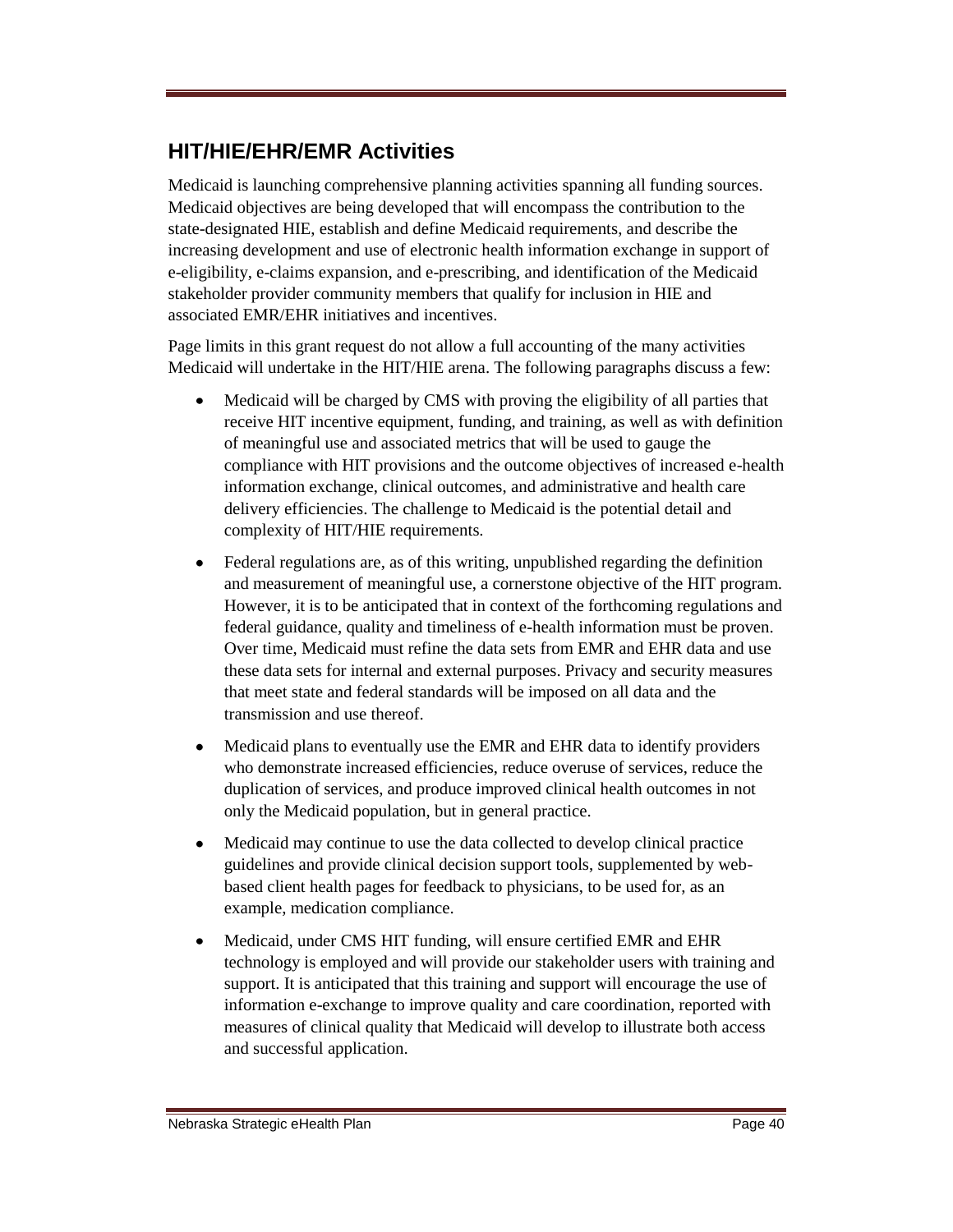### **HIT/HIE/EHR/EMR Activities**

Medicaid is launching comprehensive planning activities spanning all funding sources. Medicaid objectives are being developed that will encompass the contribution to the state-designated HIE, establish and define Medicaid requirements, and describe the increasing development and use of electronic health information exchange in support of e-eligibility, e-claims expansion, and e-prescribing, and identification of the Medicaid stakeholder provider community members that qualify for inclusion in HIE and associated EMR/EHR initiatives and incentives.

Page limits in this grant request do not allow a full accounting of the many activities Medicaid will undertake in the HIT/HIE arena. The following paragraphs discuss a few:

- $\bullet$ Medicaid will be charged by CMS with proving the eligibility of all parties that receive HIT incentive equipment, funding, and training, as well as with definition of meaningful use and associated metrics that will be used to gauge the compliance with HIT provisions and the outcome objectives of increased e-health information exchange, clinical outcomes, and administrative and health care delivery efficiencies. The challenge to Medicaid is the potential detail and complexity of HIT/HIE requirements.
- Federal regulations are, as of this writing, unpublished regarding the definition  $\bullet$ and measurement of meaningful use, a cornerstone objective of the HIT program. However, it is to be anticipated that in context of the forthcoming regulations and federal guidance, quality and timeliness of e-health information must be proven. Over time, Medicaid must refine the data sets from EMR and EHR data and use these data sets for internal and external purposes. Privacy and security measures that meet state and federal standards will be imposed on all data and the transmission and use thereof.
- Medicaid plans to eventually use the EMR and EHR data to identify providers  $\bullet$ who demonstrate increased efficiencies, reduce overuse of services, reduce the duplication of services, and produce improved clinical health outcomes in not only the Medicaid population, but in general practice.
- $\bullet$ Medicaid may continue to use the data collected to develop clinical practice guidelines and provide clinical decision support tools, supplemented by webbased client health pages for feedback to physicians, to be used for, as an example, medication compliance.
- Medicaid, under CMS HIT funding, will ensure certified EMR and EHR  $\bullet$ technology is employed and will provide our stakeholder users with training and support. It is anticipated that this training and support will encourage the use of information e-exchange to improve quality and care coordination, reported with measures of clinical quality that Medicaid will develop to illustrate both access and successful application.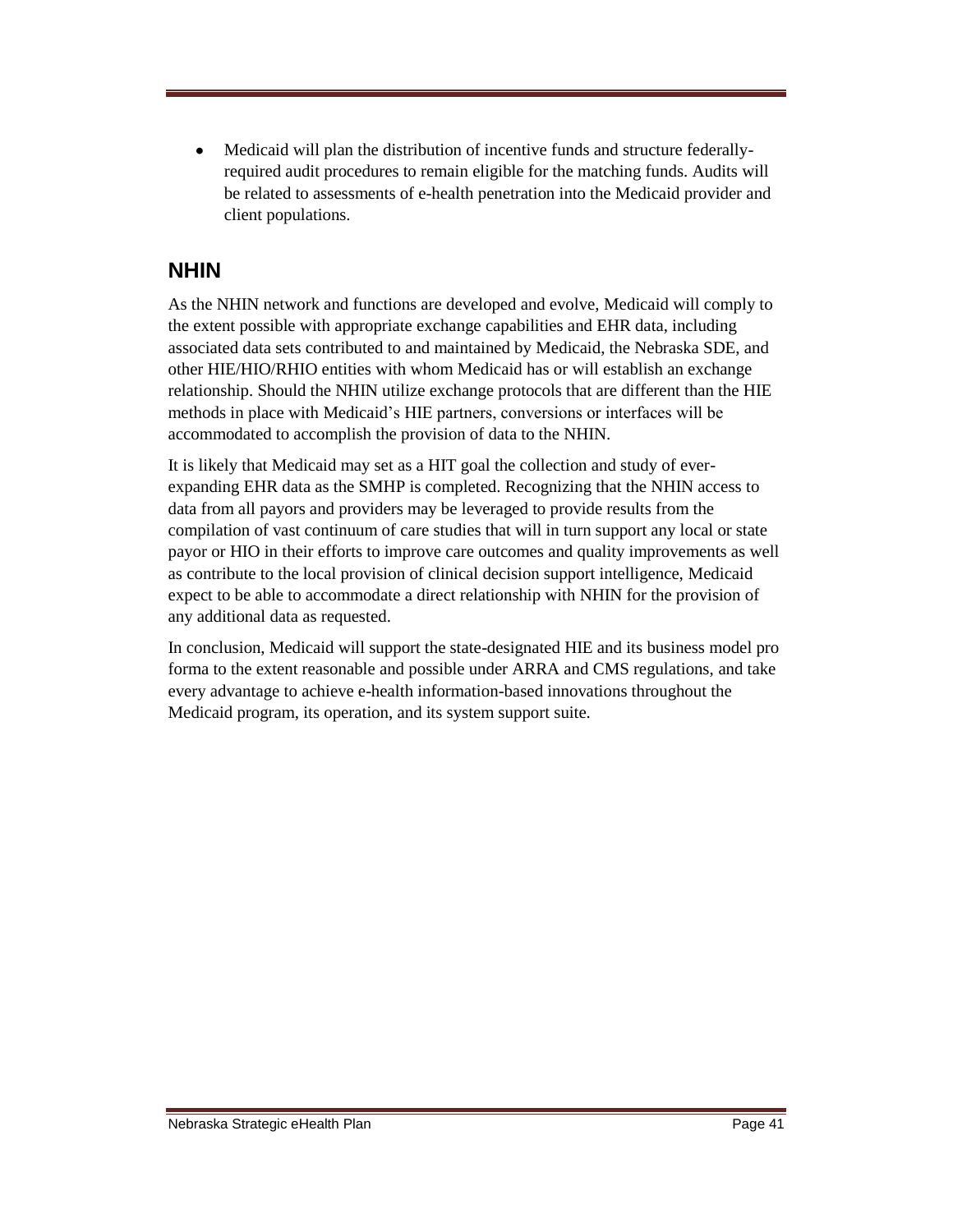Medicaid will plan the distribution of incentive funds and structure federally- $\bullet$ required audit procedures to remain eligible for the matching funds. Audits will be related to assessments of e-health penetration into the Medicaid provider and client populations.

#### **NHIN**

As the NHIN network and functions are developed and evolve, Medicaid will comply to the extent possible with appropriate exchange capabilities and EHR data, including associated data sets contributed to and maintained by Medicaid, the Nebraska SDE, and other HIE/HIO/RHIO entities with whom Medicaid has or will establish an exchange relationship. Should the NHIN utilize exchange protocols that are different than the HIE methods in place with Medicaid's HIE partners, conversions or interfaces will be accommodated to accomplish the provision of data to the NHIN.

It is likely that Medicaid may set as a HIT goal the collection and study of everexpanding EHR data as the SMHP is completed. Recognizing that the NHIN access to data from all payors and providers may be leveraged to provide results from the compilation of vast continuum of care studies that will in turn support any local or state payor or HIO in their efforts to improve care outcomes and quality improvements as well as contribute to the local provision of clinical decision support intelligence, Medicaid expect to be able to accommodate a direct relationship with NHIN for the provision of any additional data as requested.

In conclusion, Medicaid will support the state-designated HIE and its business model pro forma to the extent reasonable and possible under ARRA and CMS regulations, and take every advantage to achieve e-health information-based innovations throughout the Medicaid program, its operation, and its system support suite.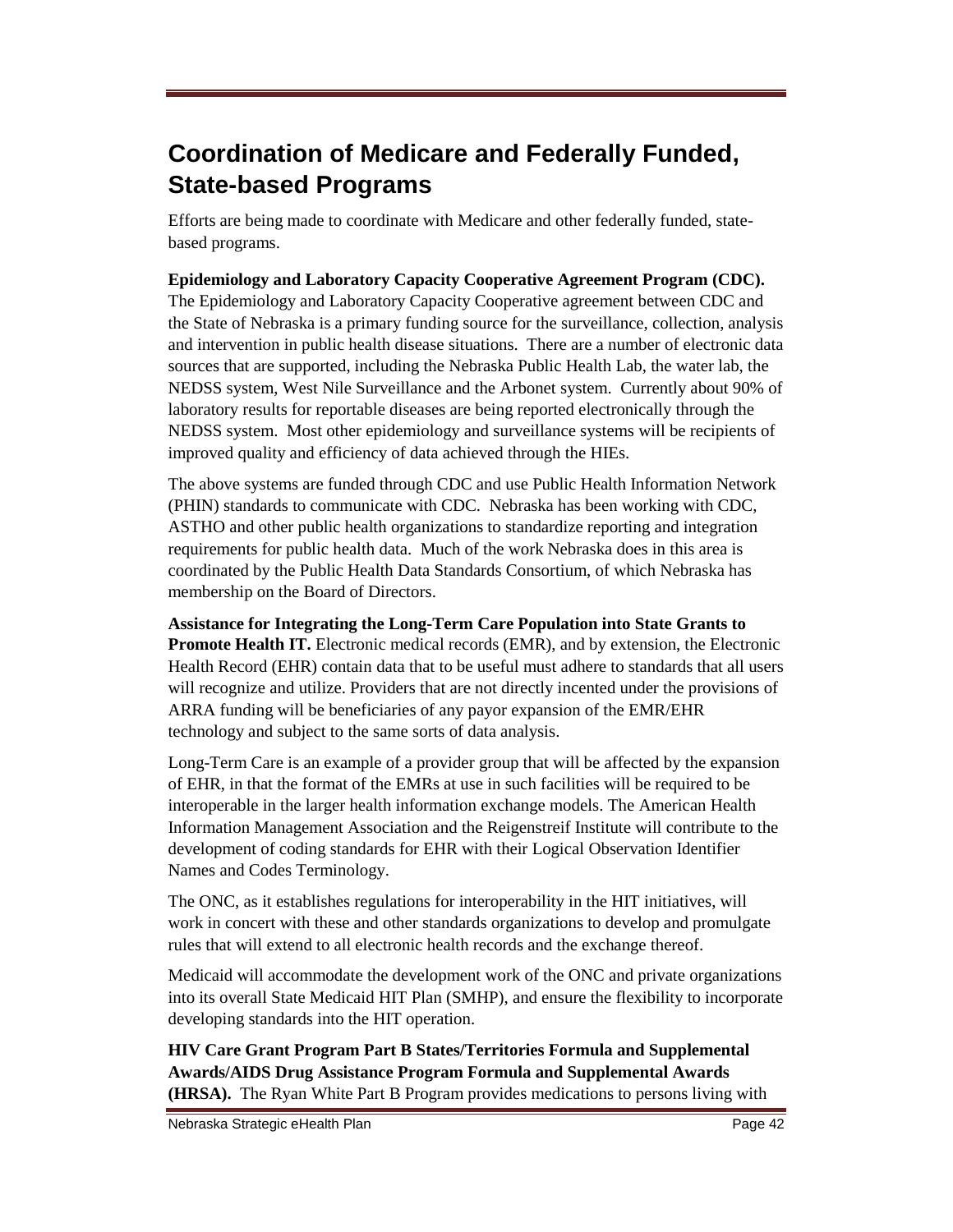# **Coordination of Medicare and Federally Funded, State-based Programs**

Efforts are being made to coordinate with Medicare and other federally funded, statebased programs.

**Epidemiology and Laboratory Capacity Cooperative Agreement Program (CDC).**  The Epidemiology and Laboratory Capacity Cooperative agreement between CDC and the State of Nebraska is a primary funding source for the surveillance, collection, analysis and intervention in public health disease situations. There are a number of electronic data sources that are supported, including the Nebraska Public Health Lab, the water lab, the NEDSS system, West Nile Surveillance and the Arbonet system. Currently about 90% of laboratory results for reportable diseases are being reported electronically through the NEDSS system. Most other epidemiology and surveillance systems will be recipients of improved quality and efficiency of data achieved through the HIEs.

The above systems are funded through CDC and use Public Health Information Network (PHIN) standards to communicate with CDC. Nebraska has been working with CDC, ASTHO and other public health organizations to standardize reporting and integration requirements for public health data. Much of the work Nebraska does in this area is coordinated by the Public Health Data Standards Consortium, of which Nebraska has membership on the Board of Directors.

**Assistance for Integrating the Long-Term Care Population into State Grants to Promote Health IT.** Electronic medical records (EMR), and by extension, the Electronic Health Record (EHR) contain data that to be useful must adhere to standards that all users will recognize and utilize. Providers that are not directly incented under the provisions of ARRA funding will be beneficiaries of any payor expansion of the EMR/EHR technology and subject to the same sorts of data analysis.

Long-Term Care is an example of a provider group that will be affected by the expansion of EHR, in that the format of the EMRs at use in such facilities will be required to be interoperable in the larger health information exchange models. The American Health Information Management Association and the Reigenstreif Institute will contribute to the development of coding standards for EHR with their Logical Observation Identifier Names and Codes Terminology.

The ONC, as it establishes regulations for interoperability in the HIT initiatives, will work in concert with these and other standards organizations to develop and promulgate rules that will extend to all electronic health records and the exchange thereof.

Medicaid will accommodate the development work of the ONC and private organizations into its overall State Medicaid HIT Plan (SMHP), and ensure the flexibility to incorporate developing standards into the HIT operation.

**HIV Care Grant Program Part B States/Territories Formula and Supplemental Awards/AIDS Drug Assistance Program Formula and Supplemental Awards (HRSA).** The Ryan White Part B Program provides medications to persons living with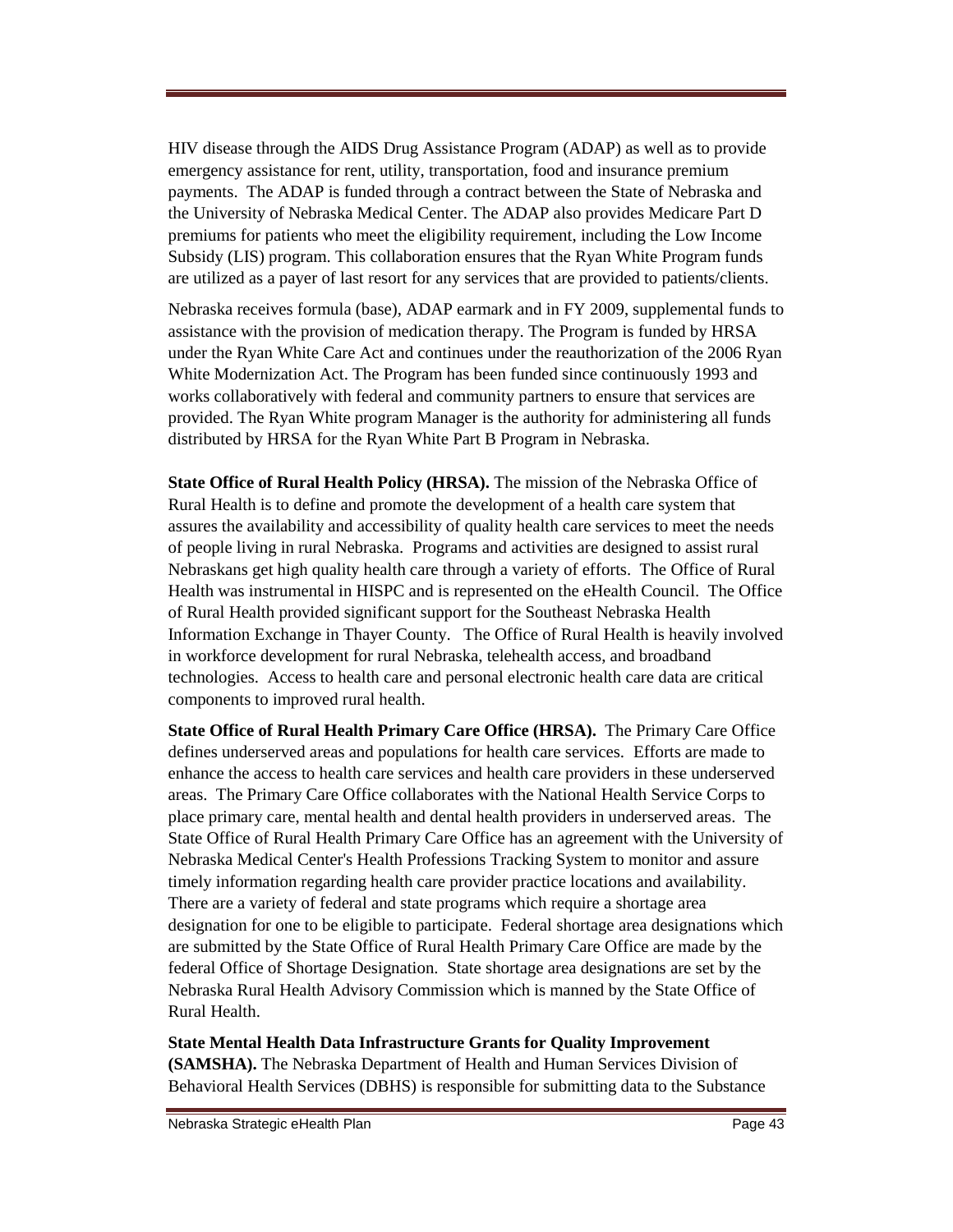HIV disease through the AIDS Drug Assistance Program (ADAP) as well as to provide emergency assistance for rent, utility, transportation, food and insurance premium payments. The ADAP is funded through a contract between the State of Nebraska and the University of Nebraska Medical Center. The ADAP also provides Medicare Part D premiums for patients who meet the eligibility requirement, including the Low Income Subsidy (LIS) program. This collaboration ensures that the Ryan White Program funds are utilized as a payer of last resort for any services that are provided to patients/clients.

Nebraska receives formula (base), ADAP earmark and in FY 2009, supplemental funds to assistance with the provision of medication therapy. The Program is funded by HRSA under the Ryan White Care Act and continues under the reauthorization of the 2006 Ryan White Modernization Act. The Program has been funded since continuously 1993 and works collaboratively with federal and community partners to ensure that services are provided. The Ryan White program Manager is the authority for administering all funds distributed by HRSA for the Ryan White Part B Program in Nebraska.

**State Office of Rural Health Policy (HRSA).** The mission of the Nebraska Office of Rural Health is to define and promote the development of a health care system that assures the availability and accessibility of quality health care services to meet the needs of people living in rural Nebraska. Programs and activities are designed to assist rural Nebraskans get high quality health care through a variety of efforts. The Office of Rural Health was instrumental in HISPC and is represented on the eHealth Council. The Office of Rural Health provided significant support for the Southeast Nebraska Health Information Exchange in Thayer County. The Office of Rural Health is heavily involved in workforce development for rural Nebraska, telehealth access, and broadband technologies. Access to health care and personal electronic health care data are critical components to improved rural health.

**State Office of Rural Health Primary Care Office (HRSA).** The Primary Care Office defines underserved areas and populations for health care services. Efforts are made to enhance the access to health care services and health care providers in these underserved areas. The Primary Care Office collaborates with the National Health Service Corps to place primary care, mental health and dental health providers in underserved areas. The State Office of Rural Health Primary Care Office has an agreement with the University of Nebraska Medical Center's Health Professions Tracking System to monitor and assure timely information regarding health care provider practice locations and availability. There are a variety of federal and state programs which require a shortage area designation for one to be eligible to participate. Federal shortage area designations which are submitted by the State Office of Rural Health Primary Care Office are made by the federal Office of Shortage Designation. State shortage area designations are set by the Nebraska Rural Health Advisory Commission which is manned by the State Office of Rural Health.

**State Mental Health Data Infrastructure Grants for Quality Improvement (SAMSHA).** The Nebraska Department of Health and Human Services Division of Behavioral Health Services (DBHS) is responsible for submitting data to the Substance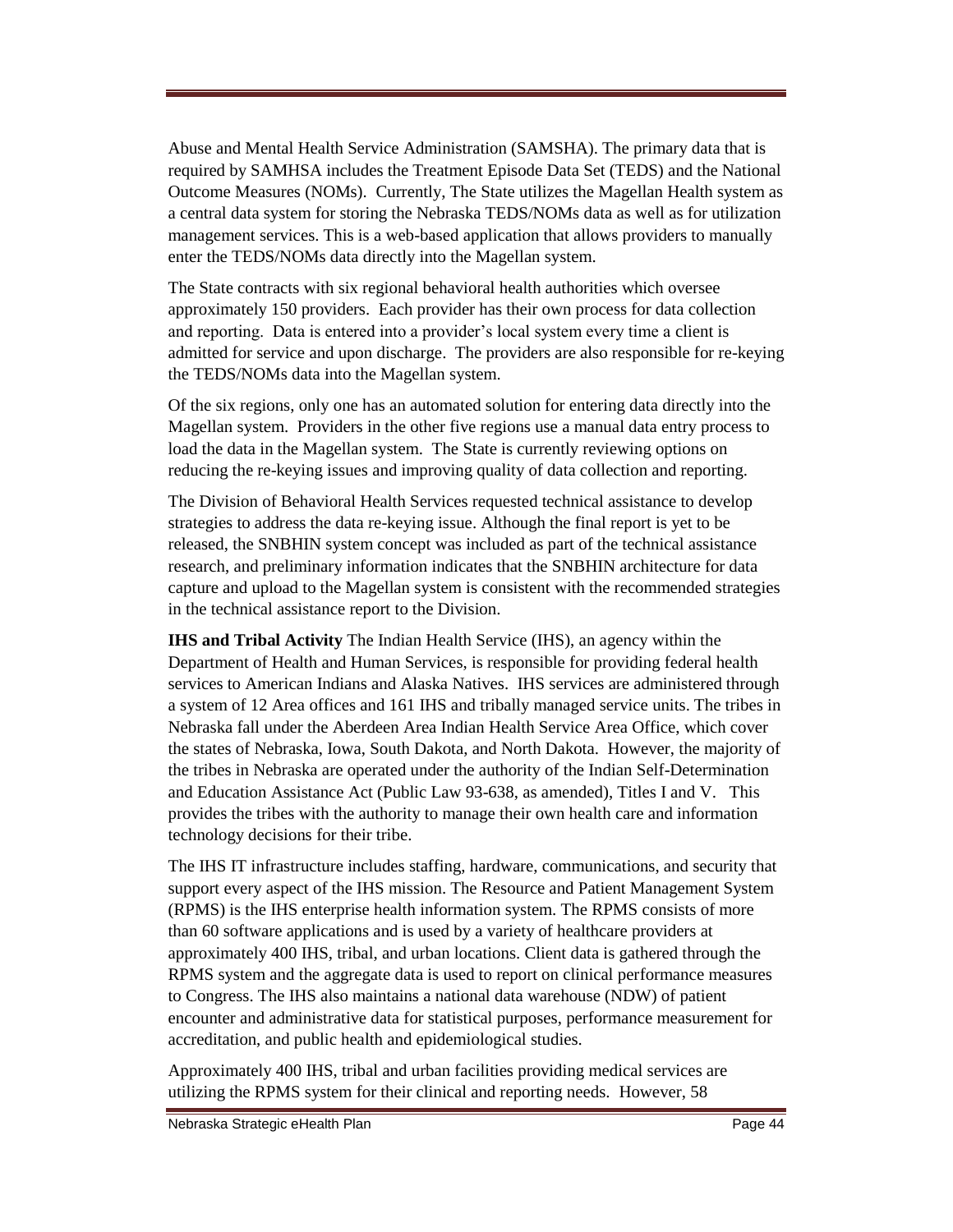Abuse and Mental Health Service Administration (SAMSHA). The primary data that is required by SAMHSA includes the Treatment Episode Data Set (TEDS) and the National Outcome Measures (NOMs). Currently, The State utilizes the Magellan Health system as a central data system for storing the Nebraska TEDS/NOMs data as well as for utilization management services. This is a web-based application that allows providers to manually enter the TEDS/NOMs data directly into the Magellan system.

The State contracts with six regional behavioral health authorities which oversee approximately 150 providers. Each provider has their own process for data collection and reporting. Data is entered into a provider's local system every time a client is admitted for service and upon discharge. The providers are also responsible for re-keying the TEDS/NOMs data into the Magellan system.

Of the six regions, only one has an automated solution for entering data directly into the Magellan system. Providers in the other five regions use a manual data entry process to load the data in the Magellan system. The State is currently reviewing options on reducing the re-keying issues and improving quality of data collection and reporting.

The Division of Behavioral Health Services requested technical assistance to develop strategies to address the data re-keying issue. Although the final report is yet to be released, the SNBHIN system concept was included as part of the technical assistance research, and preliminary information indicates that the SNBHIN architecture for data capture and upload to the Magellan system is consistent with the recommended strategies in the technical assistance report to the Division.

**IHS and Tribal Activity** The Indian Health Service (IHS), an agency within the Department of Health and Human Services, is responsible for providing federal health services to American Indians and Alaska Natives. IHS services are administered through a system of 12 Area offices and 161 IHS and tribally managed service units. The tribes in Nebraska fall under the Aberdeen Area Indian Health Service Area Office, which cover the states of Nebraska, Iowa, South Dakota, and North Dakota. However, the majority of the tribes in Nebraska are operated under the authority of the Indian Self-Determination and Education Assistance Act (Public Law 93-638, as amended), Titles I and V. This provides the tribes with the authority to manage their own health care and information technology decisions for their tribe.

The IHS IT infrastructure includes staffing, hardware, communications, and security that support every aspect of the IHS mission. The Resource and Patient Management System (RPMS) is the IHS enterprise health information system. The RPMS consists of more than 60 software applications and is used by a variety of healthcare providers at approximately 400 IHS, tribal, and urban locations. Client data is gathered through the RPMS system and the aggregate data is used to report on clinical performance measures to Congress. The IHS also maintains a national data warehouse (NDW) of patient encounter and administrative data for statistical purposes, performance measurement for accreditation, and public health and epidemiological studies.

Approximately 400 IHS, tribal and urban facilities providing medical services are utilizing the RPMS system for their clinical and reporting needs. However, 58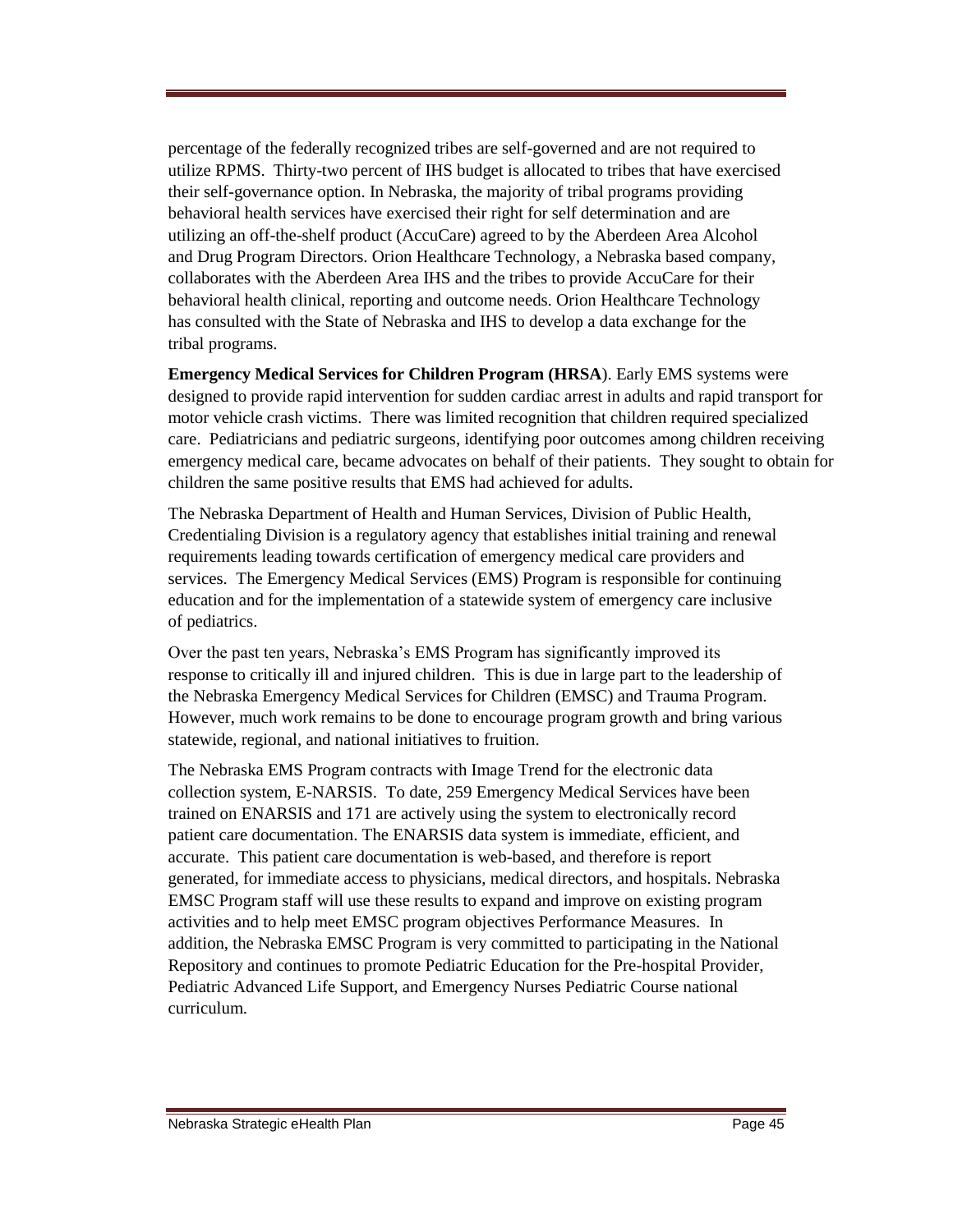percentage of the federally recognized tribes are self-governed and are not required to utilize RPMS. Thirty-two percent of IHS budget is allocated to tribes that have exercised their self-governance option. In Nebraska, the majority of tribal programs providing behavioral health services have exercised their right for self determination and are utilizing an off-the-shelf product (AccuCare) agreed to by the Aberdeen Area Alcohol and Drug Program Directors. Orion Healthcare Technology, a Nebraska based company, collaborates with the Aberdeen Area IHS and the tribes to provide AccuCare for their behavioral health clinical, reporting and outcome needs. Orion Healthcare Technology has consulted with the State of Nebraska and IHS to develop a data exchange for the tribal programs.

**Emergency Medical Services for Children Program (HRSA**). Early EMS systems were designed to provide rapid intervention for sudden cardiac arrest in adults and rapid transport for motor vehicle crash victims. There was limited recognition that children required specialized care. Pediatricians and pediatric surgeons, identifying poor outcomes among children receiving emergency medical care, became advocates on behalf of their patients. They sought to obtain for children the same positive results that EMS had achieved for adults.

The Nebraska Department of Health and Human Services, Division of Public Health, Credentialing Division is a regulatory agency that establishes initial training and renewal requirements leading towards certification of emergency medical care providers and services. The Emergency Medical Services (EMS) Program is responsible for continuing education and for the implementation of a statewide system of emergency care inclusive of pediatrics.

Over the past ten years, Nebraska's EMS Program has significantly improved its response to critically ill and injured children. This is due in large part to the leadership of the Nebraska Emergency Medical Services for Children (EMSC) and Trauma Program. However, much work remains to be done to encourage program growth and bring various statewide, regional, and national initiatives to fruition.

The Nebraska EMS Program contracts with Image Trend for the electronic data collection system, E-NARSIS. To date, 259 Emergency Medical Services have been trained on ENARSIS and 171 are actively using the system to electronically record patient care documentation. The ENARSIS data system is immediate, efficient, and accurate. This patient care documentation is web-based, and therefore is report generated, for immediate access to physicians, medical directors, and hospitals. Nebraska EMSC Program staff will use these results to expand and improve on existing program activities and to help meet EMSC program objectives Performance Measures. In addition, the Nebraska EMSC Program is very committed to participating in the National Repository and continues to promote Pediatric Education for the Pre-hospital Provider, Pediatric Advanced Life Support, and Emergency Nurses Pediatric Course national curriculum.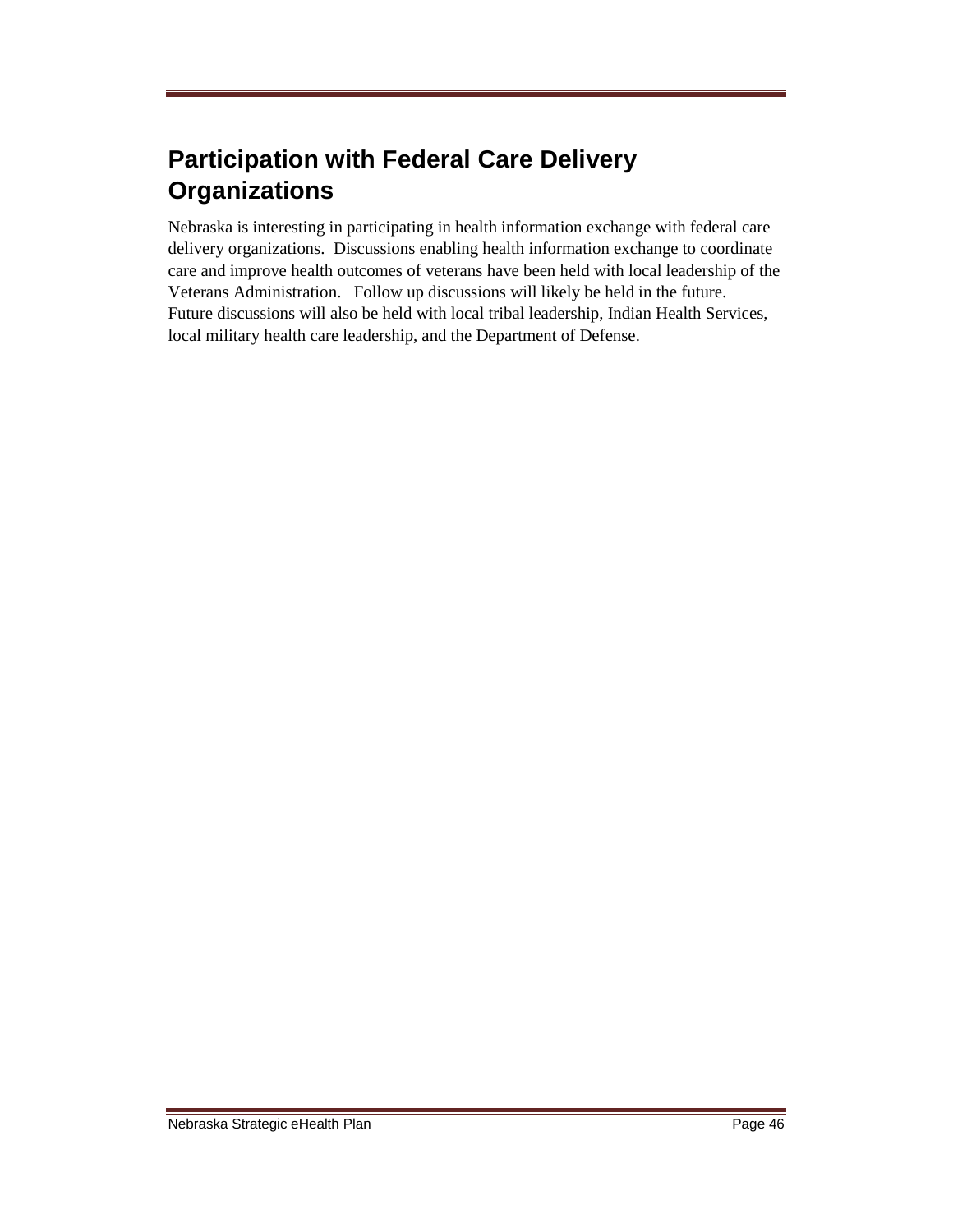# **Participation with Federal Care Delivery Organizations**

Nebraska is interesting in participating in health information exchange with federal care delivery organizations. Discussions enabling health information exchange to coordinate care and improve health outcomes of veterans have been held with local leadership of the Veterans Administration. Follow up discussions will likely be held in the future. Future discussions will also be held with local tribal leadership, Indian Health Services, local military health care leadership, and the Department of Defense.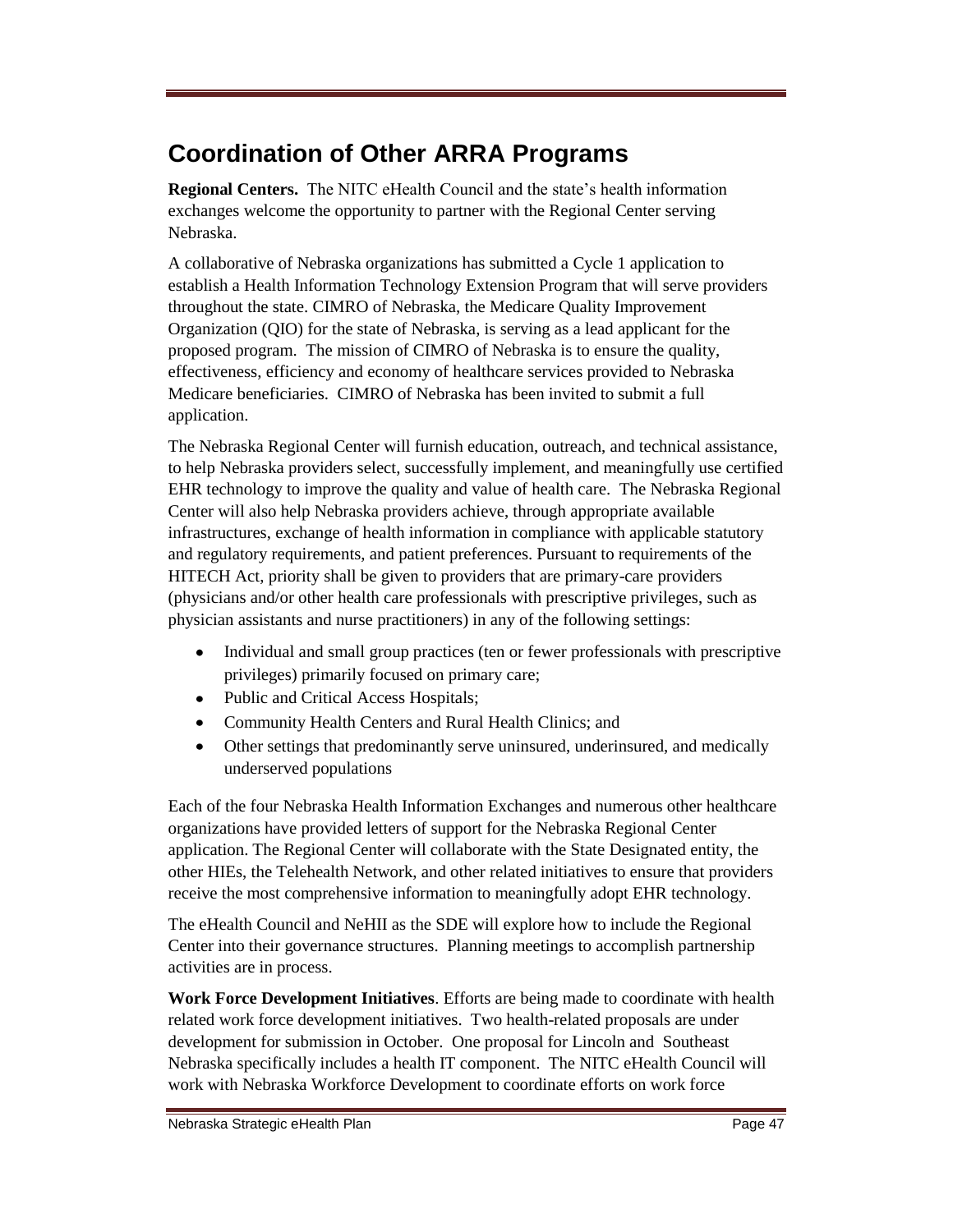# **Coordination of Other ARRA Programs**

**Regional Centers.** The NITC eHealth Council and the state's health information exchanges welcome the opportunity to partner with the Regional Center serving Nebraska.

A collaborative of Nebraska organizations has submitted a Cycle 1 application to establish a Health Information Technology Extension Program that will serve providers throughout the state. CIMRO of Nebraska, the Medicare Quality Improvement Organization (QIO) for the state of Nebraska, is serving as a lead applicant for the proposed program. The mission of CIMRO of Nebraska is to ensure the quality, effectiveness, efficiency and economy of healthcare services provided to Nebraska Medicare beneficiaries. CIMRO of Nebraska has been invited to submit a full application.

The Nebraska Regional Center will furnish education, outreach, and technical assistance, to help Nebraska providers select, successfully implement, and meaningfully use certified EHR technology to improve the quality and value of health care. The Nebraska Regional Center will also help Nebraska providers achieve, through appropriate available infrastructures, exchange of health information in compliance with applicable statutory and regulatory requirements, and patient preferences. Pursuant to requirements of the HITECH Act, priority shall be given to providers that are primary-care providers (physicians and/or other health care professionals with prescriptive privileges, such as physician assistants and nurse practitioners) in any of the following settings:

- $\bullet$ Individual and small group practices (ten or fewer professionals with prescriptive privileges) primarily focused on primary care;
- Public and Critical Access Hospitals;
- Community Health Centers and Rural Health Clinics; and
- $\bullet$ Other settings that predominantly serve uninsured, underinsured, and medically underserved populations

Each of the four Nebraska Health Information Exchanges and numerous other healthcare organizations have provided letters of support for the Nebraska Regional Center application. The Regional Center will collaborate with the State Designated entity, the other HIEs, the Telehealth Network, and other related initiatives to ensure that providers receive the most comprehensive information to meaningfully adopt EHR technology.

The eHealth Council and NeHII as the SDE will explore how to include the Regional Center into their governance structures. Planning meetings to accomplish partnership activities are in process.

**Work Force Development Initiatives**. Efforts are being made to coordinate with health related work force development initiatives. Two health-related proposals are under development for submission in October. One proposal for Lincoln and Southeast Nebraska specifically includes a health IT component. The NITC eHealth Council will work with Nebraska Workforce Development to coordinate efforts on work force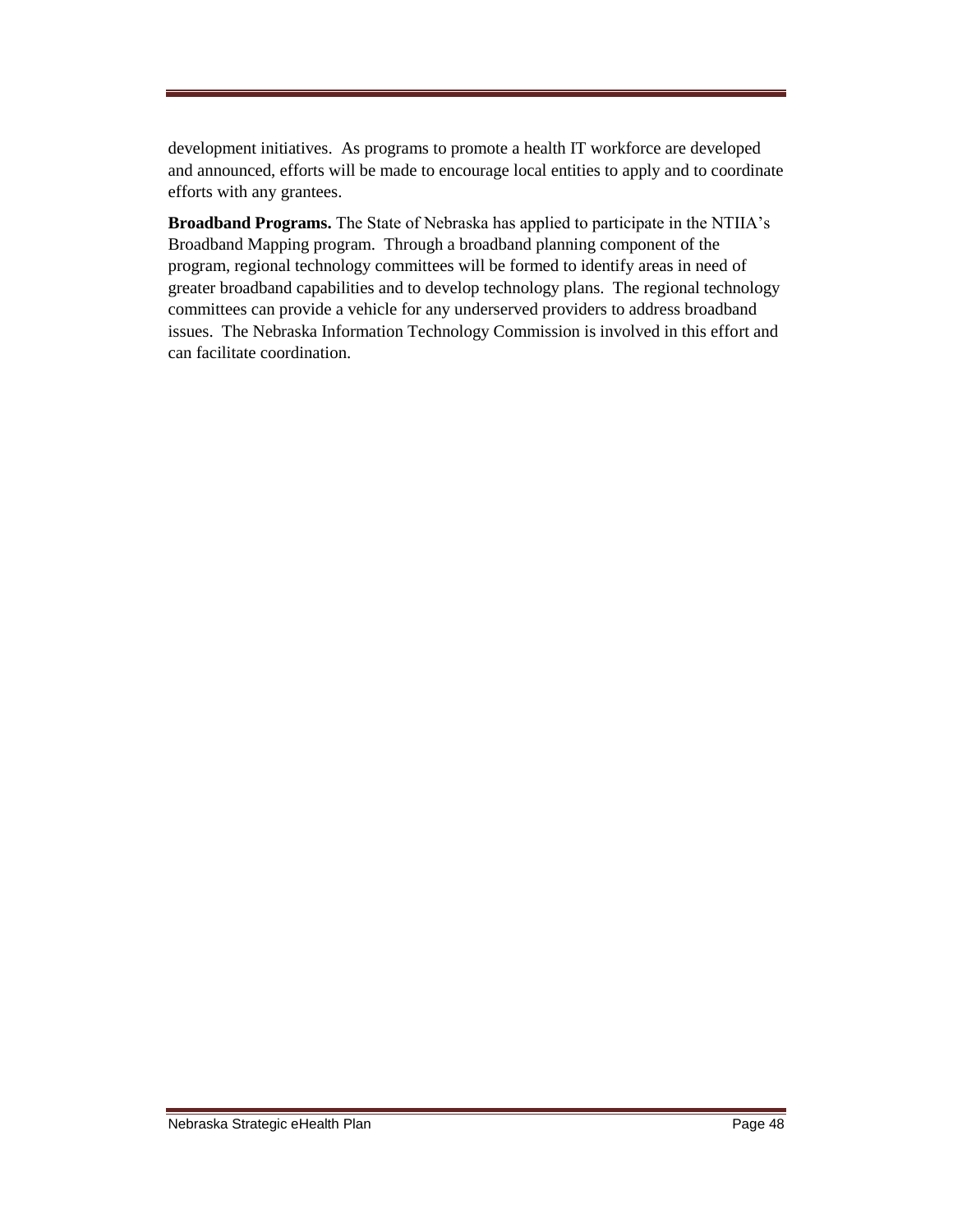development initiatives. As programs to promote a health IT workforce are developed and announced, efforts will be made to encourage local entities to apply and to coordinate efforts with any grantees.

**Broadband Programs.** The State of Nebraska has applied to participate in the NTIIA's Broadband Mapping program. Through a broadband planning component of the program, regional technology committees will be formed to identify areas in need of greater broadband capabilities and to develop technology plans. The regional technology committees can provide a vehicle for any underserved providers to address broadband issues. The Nebraska Information Technology Commission is involved in this effort and can facilitate coordination.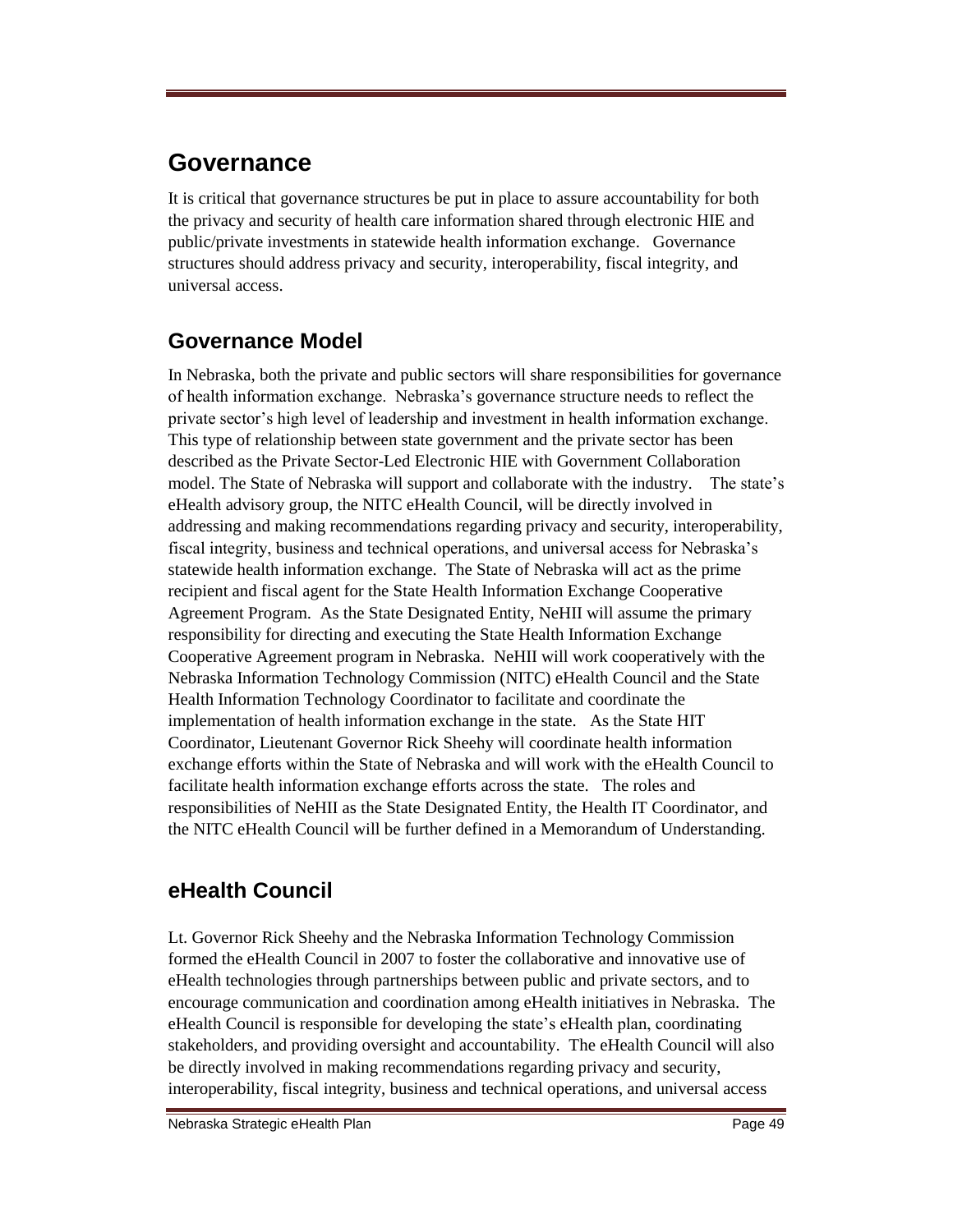## **Governance**

It is critical that governance structures be put in place to assure accountability for both the privacy and security of health care information shared through electronic HIE and public/private investments in statewide health information exchange. Governance structures should address privacy and security, interoperability, fiscal integrity, and universal access.

## **Governance Model**

In Nebraska, both the private and public sectors will share responsibilities for governance of health information exchange. Nebraska's governance structure needs to reflect the private sector's high level of leadership and investment in health information exchange. This type of relationship between state government and the private sector has been described as the Private Sector-Led Electronic HIE with Government Collaboration model. The State of Nebraska will support and collaborate with the industry. The state's eHealth advisory group, the NITC eHealth Council, will be directly involved in addressing and making recommendations regarding privacy and security, interoperability, fiscal integrity, business and technical operations, and universal access for Nebraska's statewide health information exchange. The State of Nebraska will act as the prime recipient and fiscal agent for the State Health Information Exchange Cooperative Agreement Program. As the State Designated Entity, NeHII will assume the primary responsibility for directing and executing the State Health Information Exchange Cooperative Agreement program in Nebraska. NeHII will work cooperatively with the Nebraska Information Technology Commission (NITC) eHealth Council and the State Health Information Technology Coordinator to facilitate and coordinate the implementation of health information exchange in the state. As the State HIT Coordinator, Lieutenant Governor Rick Sheehy will coordinate health information exchange efforts within the State of Nebraska and will work with the eHealth Council to facilitate health information exchange efforts across the state. The roles and responsibilities of NeHII as the State Designated Entity, the Health IT Coordinator, and the NITC eHealth Council will be further defined in a Memorandum of Understanding.

### **eHealth Council**

Lt. Governor Rick Sheehy and the Nebraska Information Technology Commission formed the eHealth Council in 2007 to foster the collaborative and innovative use of eHealth technologies through partnerships between public and private sectors, and to encourage communication and coordination among eHealth initiatives in Nebraska. The eHealth Council is responsible for developing the state's eHealth plan, coordinating stakeholders, and providing oversight and accountability. The eHealth Council will also be directly involved in making recommendations regarding privacy and security, interoperability, fiscal integrity, business and technical operations, and universal access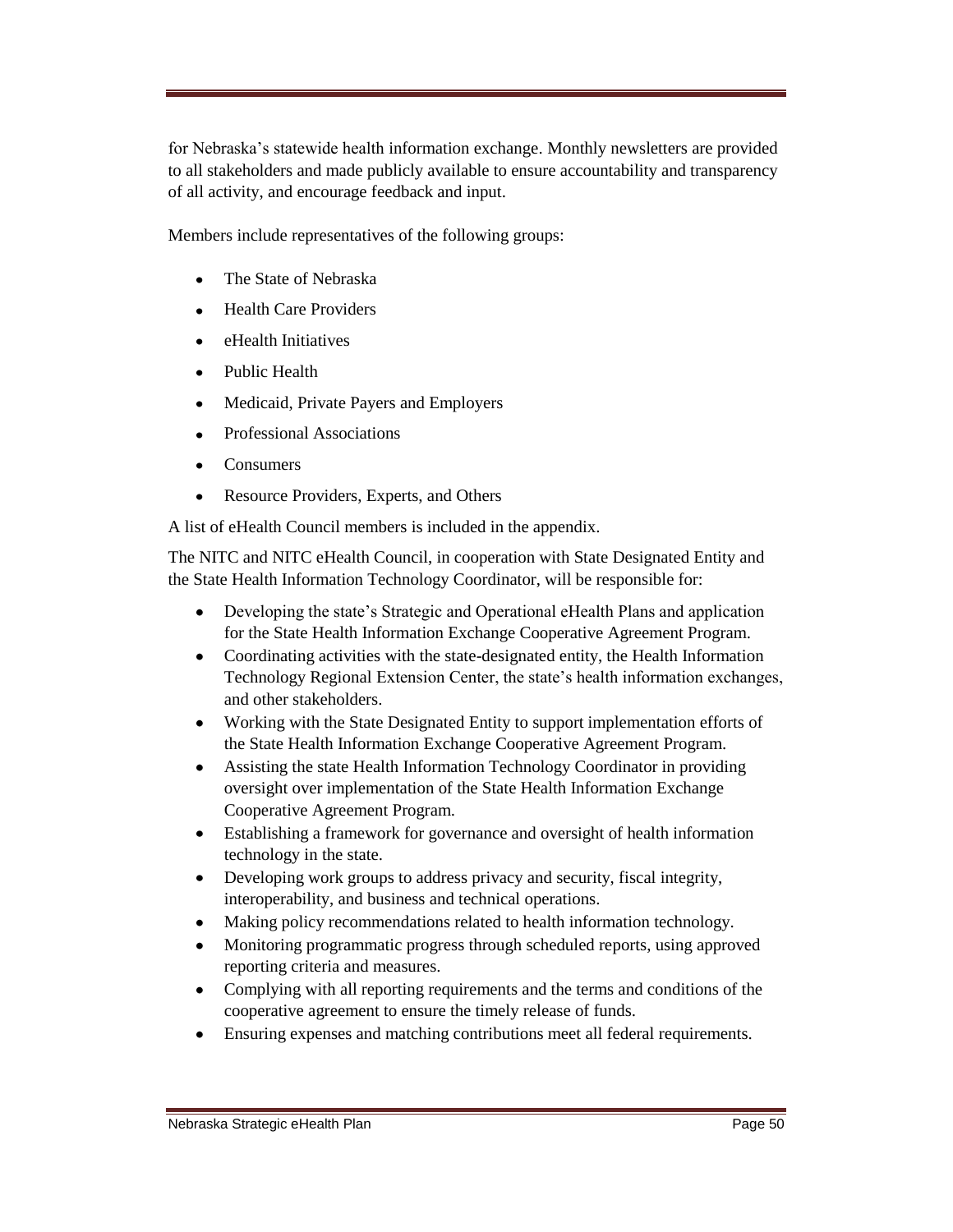for Nebraska's statewide health information exchange. Monthly newsletters are provided to all stakeholders and made publicly available to ensure accountability and transparency of all activity, and encourage feedback and input.

Members include representatives of the following groups:

- The State of Nebraska
- Health Care Providers
- $\bullet$ eHealth Initiatives
- $\bullet$ Public Health
- $\bullet$ Medicaid, Private Payers and Employers
- $\bullet$ Professional Associations
- Consumers  $\bullet$
- $\bullet$ Resource Providers, Experts, and Others

A list of eHealth Council members is included in the appendix.

The NITC and NITC eHealth Council, in cooperation with State Designated Entity and the State Health Information Technology Coordinator, will be responsible for:

- Developing the state's Strategic and Operational eHealth Plans and application for the State Health Information Exchange Cooperative Agreement Program.
- Coordinating activities with the state-designated entity, the Health Information  $\bullet$ Technology Regional Extension Center, the state's health information exchanges, and other stakeholders.
- Working with the State Designated Entity to support implementation efforts of the State Health Information Exchange Cooperative Agreement Program.
- Assisting the state Health Information Technology Coordinator in providing  $\bullet$ oversight over implementation of the State Health Information Exchange Cooperative Agreement Program.
- Establishing a framework for governance and oversight of health information  $\bullet$ technology in the state.
- Developing work groups to address privacy and security, fiscal integrity, interoperability, and business and technical operations.
- $\bullet$ Making policy recommendations related to health information technology.
- $\bullet$ Monitoring programmatic progress through scheduled reports, using approved reporting criteria and measures.
- $\bullet$ Complying with all reporting requirements and the terms and conditions of the cooperative agreement to ensure the timely release of funds.
- Ensuring expenses and matching contributions meet all federal requirements.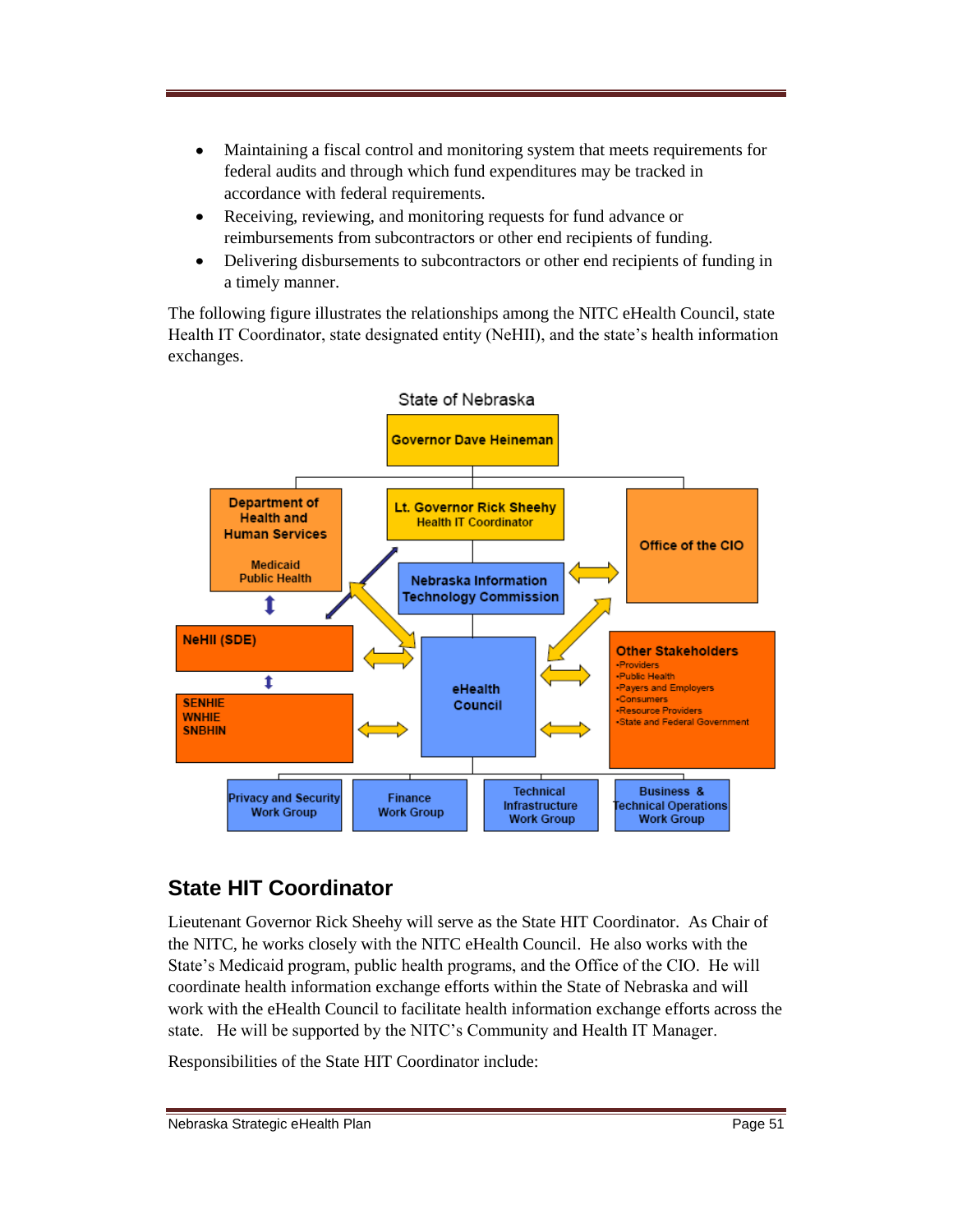- $\bullet$ Maintaining a fiscal control and monitoring system that meets requirements for federal audits and through which fund expenditures may be tracked in accordance with federal requirements.
- Receiving, reviewing, and monitoring requests for fund advance or  $\bullet$ reimbursements from subcontractors or other end recipients of funding.
- Delivering disbursements to subcontractors or other end recipients of funding in  $\bullet$ a timely manner.

The following figure illustrates the relationships among the NITC eHealth Council, state Health IT Coordinator, state designated entity (NeHII), and the state's health information exchanges.



### **State HIT Coordinator**

Lieutenant Governor Rick Sheehy will serve as the State HIT Coordinator. As Chair of the NITC, he works closely with the NITC eHealth Council. He also works with the State's Medicaid program, public health programs, and the Office of the CIO. He will coordinate health information exchange efforts within the State of Nebraska and will work with the eHealth Council to facilitate health information exchange efforts across the state. He will be supported by the NITC's Community and Health IT Manager.

Responsibilities of the State HIT Coordinator include: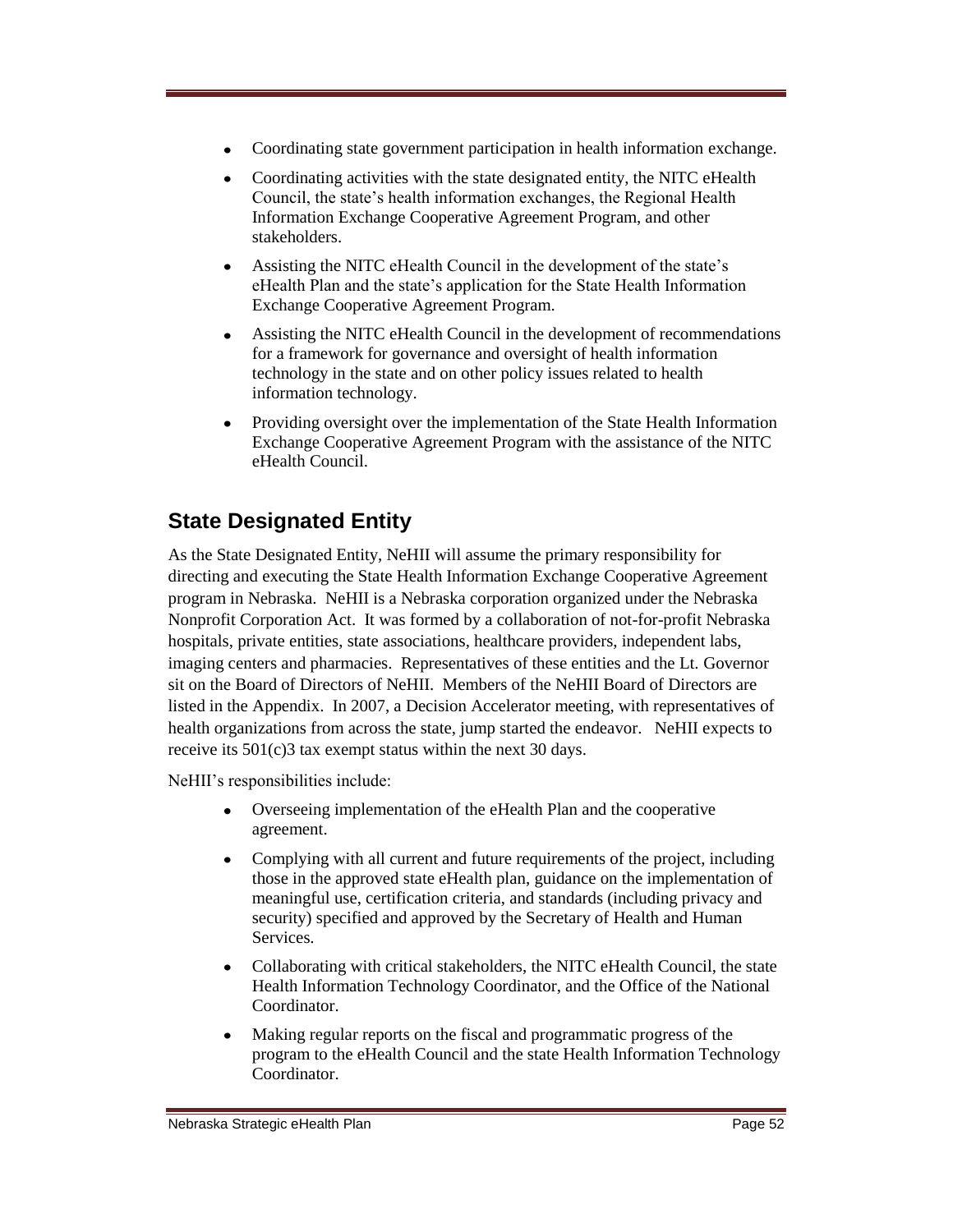- Coordinating state government participation in health information exchange.
- Coordinating activities with the state designated entity, the NITC eHealth Council, the state's health information exchanges, the Regional Health Information Exchange Cooperative Agreement Program, and other stakeholders.
- Assisting the NITC eHealth Council in the development of the state's eHealth Plan and the state's application for the State Health Information Exchange Cooperative Agreement Program.
- Assisting the NITC eHealth Council in the development of recommendations  $\bullet$ for a framework for governance and oversight of health information technology in the state and on other policy issues related to health information technology.
- Providing oversight over the implementation of the State Health Information  $\bullet$ Exchange Cooperative Agreement Program with the assistance of the NITC eHealth Council.

## **State Designated Entity**

As the State Designated Entity, NeHII will assume the primary responsibility for directing and executing the State Health Information Exchange Cooperative Agreement program in Nebraska. NeHII is a Nebraska corporation organized under the Nebraska Nonprofit Corporation Act. It was formed by a collaboration of not-for-profit Nebraska hospitals, private entities, state associations, healthcare providers, independent labs, imaging centers and pharmacies. Representatives of these entities and the Lt. Governor sit on the Board of Directors of NeHII. Members of the NeHII Board of Directors are listed in the Appendix. In 2007, a Decision Accelerator meeting, with representatives of health organizations from across the state, jump started the endeavor. NeHII expects to receive its 501(c)3 tax exempt status within the next 30 days.

NeHII's responsibilities include:

- Overseeing implementation of the eHealth Plan and the cooperative agreement.
- Complying with all current and future requirements of the project, including  $\bullet$ those in the approved state eHealth plan, guidance on the implementation of meaningful use, certification criteria, and standards (including privacy and security) specified and approved by the Secretary of Health and Human **Services**
- Collaborating with critical stakeholders, the NITC eHealth Council, the state  $\bullet$ Health Information Technology Coordinator, and the Office of the National Coordinator.
- Making regular reports on the fiscal and programmatic progress of the program to the eHealth Council and the state Health Information Technology **Coordinator**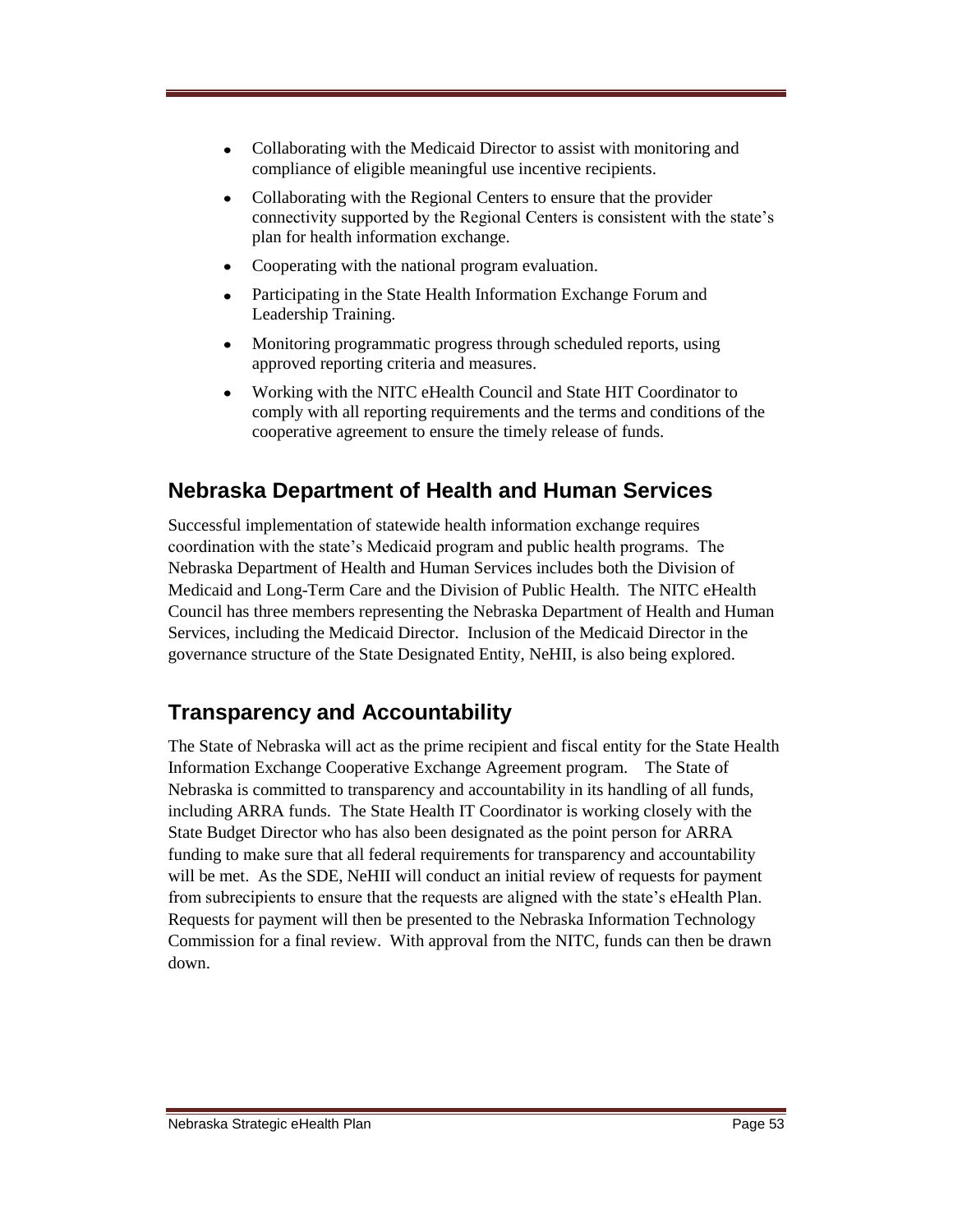- Collaborating with the Medicaid Director to assist with monitoring and compliance of eligible meaningful use incentive recipients.
- Collaborating with the Regional Centers to ensure that the provider connectivity supported by the Regional Centers is consistent with the state's plan for health information exchange.
- Cooperating with the national program evaluation.
- Participating in the State Health Information Exchange Forum and  $\bullet$ Leadership Training.
- Monitoring programmatic progress through scheduled reports, using approved reporting criteria and measures.
- Working with the NITC eHealth Council and State HIT Coordinator to  $\bullet$ comply with all reporting requirements and the terms and conditions of the cooperative agreement to ensure the timely release of funds.

### **Nebraska Department of Health and Human Services**

Successful implementation of statewide health information exchange requires coordination with the state's Medicaid program and public health programs. The Nebraska Department of Health and Human Services includes both the Division of Medicaid and Long-Term Care and the Division of Public Health. The NITC eHealth Council has three members representing the Nebraska Department of Health and Human Services, including the Medicaid Director. Inclusion of the Medicaid Director in the governance structure of the State Designated Entity, NeHII, is also being explored.

## **Transparency and Accountability**

The State of Nebraska will act as the prime recipient and fiscal entity for the State Health Information Exchange Cooperative Exchange Agreement program. The State of Nebraska is committed to transparency and accountability in its handling of all funds, including ARRA funds. The State Health IT Coordinator is working closely with the State Budget Director who has also been designated as the point person for ARRA funding to make sure that all federal requirements for transparency and accountability will be met. As the SDE, NeHII will conduct an initial review of requests for payment from subrecipients to ensure that the requests are aligned with the state's eHealth Plan. Requests for payment will then be presented to the Nebraska Information Technology Commission for a final review. With approval from the NITC, funds can then be drawn down.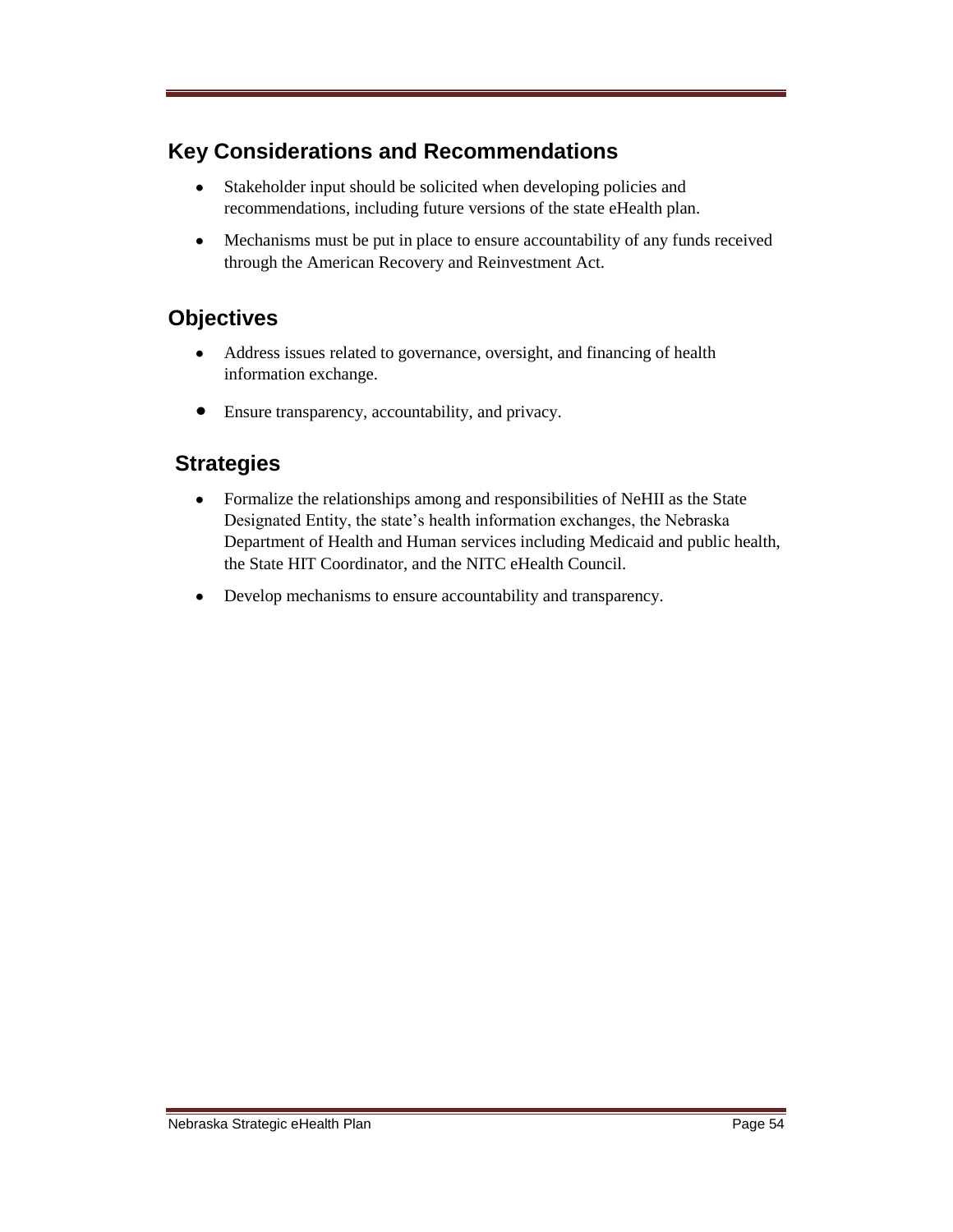## **Key Considerations and Recommendations**

- $\bullet$ Stakeholder input should be solicited when developing policies and recommendations, including future versions of the state eHealth plan.
- $\bullet$ Mechanisms must be put in place to ensure accountability of any funds received through the American Recovery and Reinvestment Act.

### **Objectives**

- Address issues related to governance, oversight, and financing of health  $\bullet$ information exchange.
- $\bullet$ Ensure transparency, accountability, and privacy.

### **Strategies**

- $\bullet$ Formalize the relationships among and responsibilities of NeHII as the State Designated Entity, the state's health information exchanges, the Nebraska Department of Health and Human services including Medicaid and public health, the State HIT Coordinator, and the NITC eHealth Council.
- Develop mechanisms to ensure accountability and transparency. $\bullet$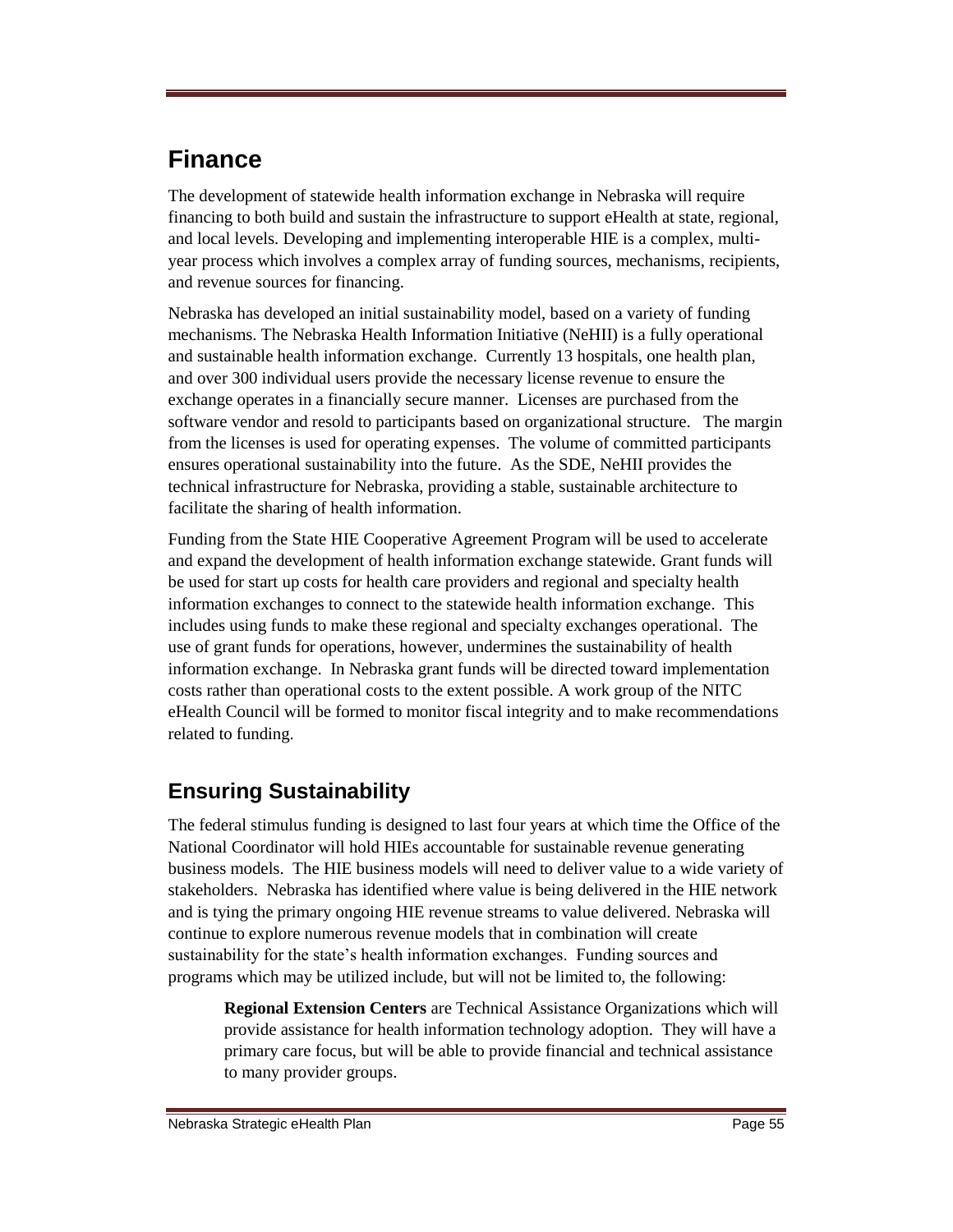# **Finance**

The development of statewide health information exchange in Nebraska will require financing to both build and sustain the infrastructure to support eHealth at state, regional, and local levels. Developing and implementing interoperable HIE is a complex, multiyear process which involves a complex array of funding sources, mechanisms, recipients, and revenue sources for financing.

Nebraska has developed an initial sustainability model, based on a variety of funding mechanisms. The Nebraska Health Information Initiative (NeHII) is a fully operational and sustainable health information exchange. Currently 13 hospitals, one health plan, and over 300 individual users provide the necessary license revenue to ensure the exchange operates in a financially secure manner. Licenses are purchased from the software vendor and resold to participants based on organizational structure. The margin from the licenses is used for operating expenses. The volume of committed participants ensures operational sustainability into the future. As the SDE, NeHII provides the technical infrastructure for Nebraska, providing a stable, sustainable architecture to facilitate the sharing of health information.

Funding from the State HIE Cooperative Agreement Program will be used to accelerate and expand the development of health information exchange statewide. Grant funds will be used for start up costs for health care providers and regional and specialty health information exchanges to connect to the statewide health information exchange. This includes using funds to make these regional and specialty exchanges operational. The use of grant funds for operations, however, undermines the sustainability of health information exchange. In Nebraska grant funds will be directed toward implementation costs rather than operational costs to the extent possible. A work group of the NITC eHealth Council will be formed to monitor fiscal integrity and to make recommendations related to funding.

## **Ensuring Sustainability**

The federal stimulus funding is designed to last four years at which time the Office of the National Coordinator will hold HIEs accountable for sustainable revenue generating business models. The HIE business models will need to deliver value to a wide variety of stakeholders. Nebraska has identified where value is being delivered in the HIE network and is tying the primary ongoing HIE revenue streams to value delivered. Nebraska will continue to explore numerous revenue models that in combination will create sustainability for the state's health information exchanges. Funding sources and programs which may be utilized include, but will not be limited to, the following:

**Regional Extension Centers** are Technical Assistance Organizations which will provide assistance for health information technology adoption. They will have a primary care focus, but will be able to provide financial and technical assistance to many provider groups.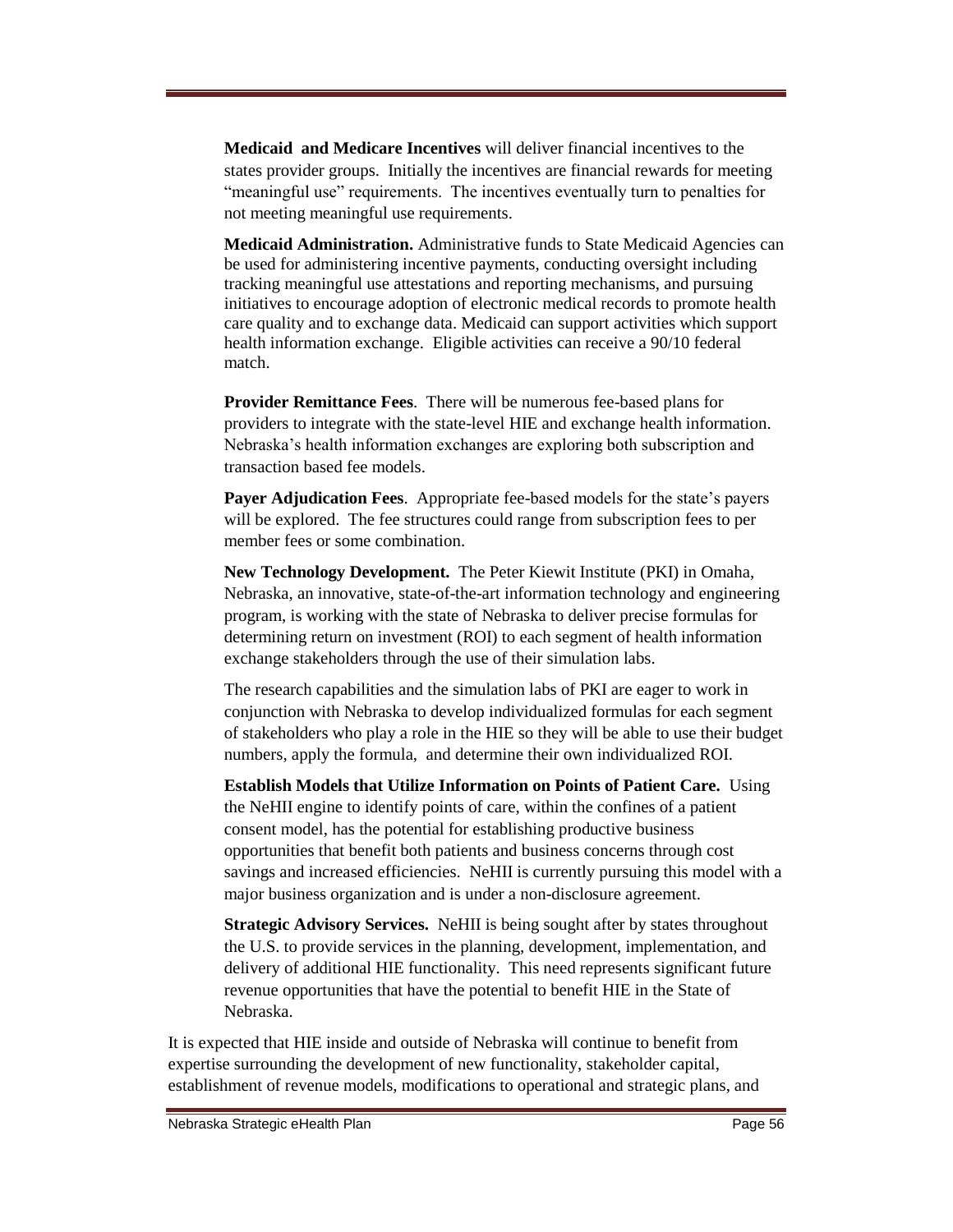**Medicaid and Medicare Incentives** will deliver financial incentives to the states provider groups. Initially the incentives are financial rewards for meeting "meaningful use" requirements. The incentives eventually turn to penalties for not meeting meaningful use requirements.

**Medicaid Administration.** Administrative funds to State Medicaid Agencies can be used for administering incentive payments, conducting oversight including tracking meaningful use attestations and reporting mechanisms, and pursuing initiatives to encourage adoption of electronic medical records to promote health care quality and to exchange data. Medicaid can support activities which support health information exchange. Eligible activities can receive a 90/10 federal match.

**Provider Remittance Fees**. There will be numerous fee-based plans for providers to integrate with the state-level HIE and exchange health information. Nebraska's health information exchanges are exploring both subscription and transaction based fee models.

**Payer Adjudication Fees**. Appropriate fee-based models for the state's payers will be explored. The fee structures could range from subscription fees to per member fees or some combination.

**New Technology Development.** The Peter Kiewit Institute (PKI) in Omaha, Nebraska, an innovative, state-of-the-art information technology and engineering program, is working with the state of Nebraska to deliver precise formulas for determining return on investment (ROI) to each segment of health information exchange stakeholders through the use of their simulation labs.

The research capabilities and the simulation labs of PKI are eager to work in conjunction with Nebraska to develop individualized formulas for each segment of stakeholders who play a role in the HIE so they will be able to use their budget numbers, apply the formula, and determine their own individualized ROI.

**Establish Models that Utilize Information on Points of Patient Care.** Using the NeHII engine to identify points of care, within the confines of a patient consent model, has the potential for establishing productive business opportunities that benefit both patients and business concerns through cost savings and increased efficiencies. NeHII is currently pursuing this model with a major business organization and is under a non-disclosure agreement.

**Strategic Advisory Services.** NeHII is being sought after by states throughout the U.S. to provide services in the planning, development, implementation, and delivery of additional HIE functionality. This need represents significant future revenue opportunities that have the potential to benefit HIE in the State of Nebraska.

It is expected that HIE inside and outside of Nebraska will continue to benefit from expertise surrounding the development of new functionality, stakeholder capital, establishment of revenue models, modifications to operational and strategic plans, and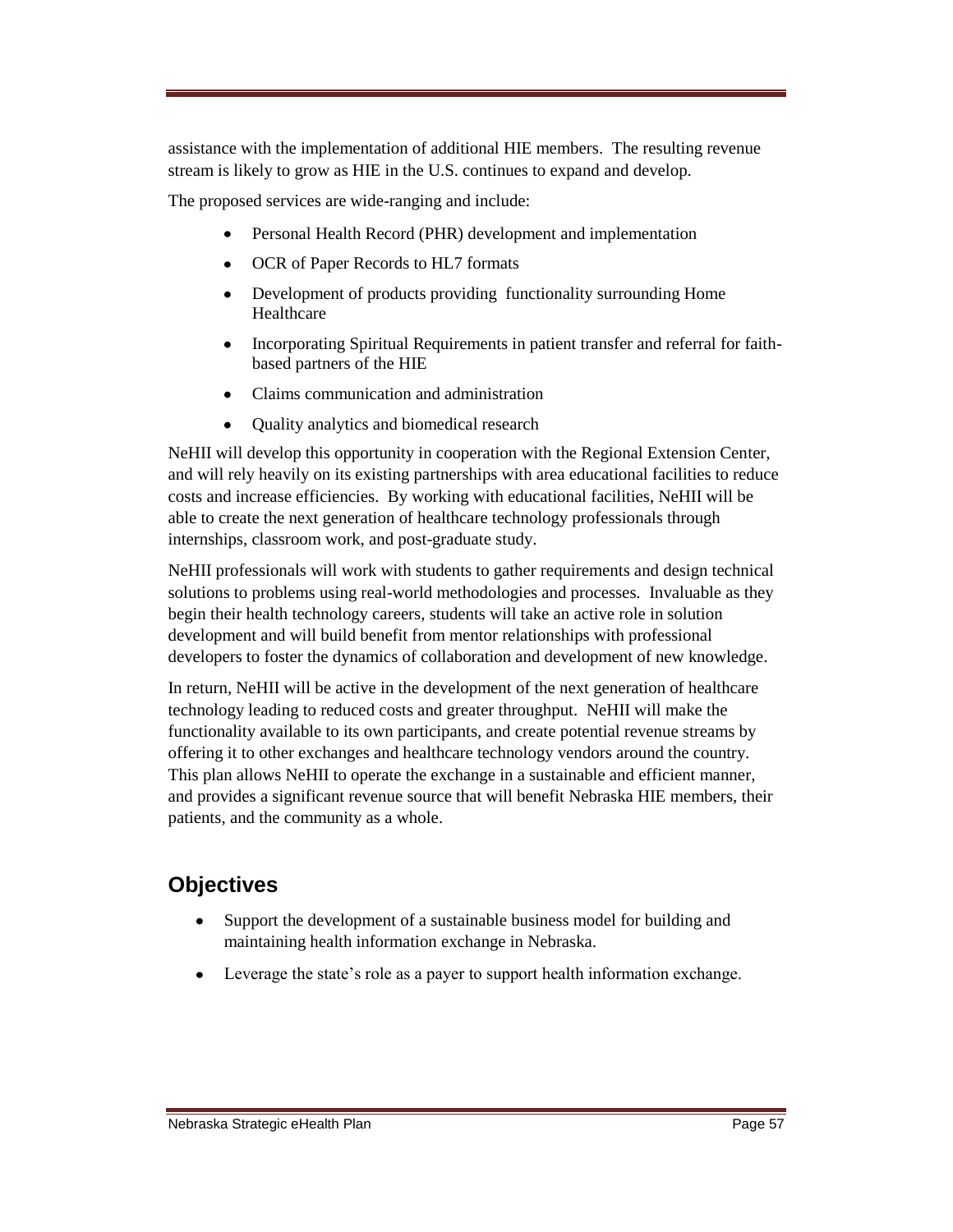assistance with the implementation of additional HIE members. The resulting revenue stream is likely to grow as HIE in the U.S. continues to expand and develop.

The proposed services are wide-ranging and include:

- Personal Health Record (PHR) development and implementation
- OCR of Paper Records to HL7 formats
- Development of products providing functionality surrounding Home Healthcare
- $\bullet$ Incorporating Spiritual Requirements in patient transfer and referral for faithbased partners of the HIE
- Claims communication and administration
- Quality analytics and biomedical research  $\bullet$

NeHII will develop this opportunity in cooperation with the Regional Extension Center, and will rely heavily on its existing partnerships with area educational facilities to reduce costs and increase efficiencies. By working with educational facilities, NeHII will be able to create the next generation of healthcare technology professionals through internships, classroom work, and post-graduate study.

NeHII professionals will work with students to gather requirements and design technical solutions to problems using real-world methodologies and processes. Invaluable as they begin their health technology careers, students will take an active role in solution development and will build benefit from mentor relationships with professional developers to foster the dynamics of collaboration and development of new knowledge.

In return, NeHII will be active in the development of the next generation of healthcare technology leading to reduced costs and greater throughput. NeHII will make the functionality available to its own participants, and create potential revenue streams by offering it to other exchanges and healthcare technology vendors around the country. This plan allows NeHII to operate the exchange in a sustainable and efficient manner, and provides a significant revenue source that will benefit Nebraska HIE members, their patients, and the community as a whole.

### **Objectives**

- Support the development of a sustainable business model for building and  $\bullet$ maintaining health information exchange in Nebraska.
- Leverage the state's role as a payer to support health information exchange.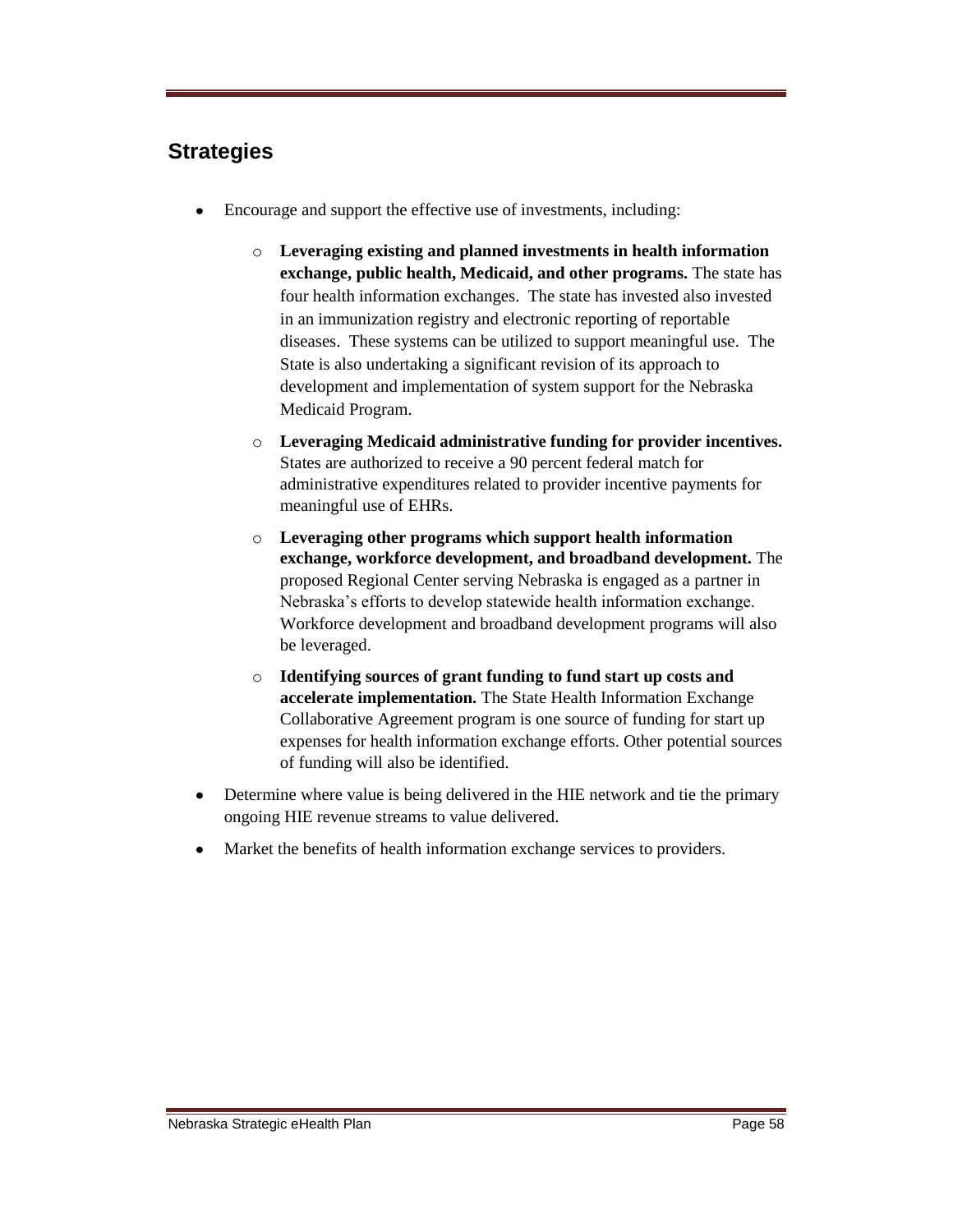#### **Strategies**

- Encourage and support the effective use of investments, including:  $\bullet$ 
	- o **Leveraging existing and planned investments in health information exchange, public health, Medicaid, and other programs.** The state has four health information exchanges. The state has invested also invested in an immunization registry and electronic reporting of reportable diseases. These systems can be utilized to support meaningful use. The State is also undertaking a significant revision of its approach to development and implementation of system support for the Nebraska Medicaid Program.
	- o **Leveraging Medicaid administrative funding for provider incentives.** States are authorized to receive a 90 percent federal match for administrative expenditures related to provider incentive payments for meaningful use of EHRs.
	- o **Leveraging other programs which support health information exchange, workforce development, and broadband development.** The proposed Regional Center serving Nebraska is engaged as a partner in Nebraska's efforts to develop statewide health information exchange. Workforce development and broadband development programs will also be leveraged.
	- o **Identifying sources of grant funding to fund start up costs and accelerate implementation.** The State Health Information Exchange Collaborative Agreement program is one source of funding for start up expenses for health information exchange efforts. Other potential sources of funding will also be identified.
- Determine where value is being delivered in the HIE network and tie the primary  $\bullet$ ongoing HIE revenue streams to value delivered.
- Market the benefits of health information exchange services to providers.  $\bullet$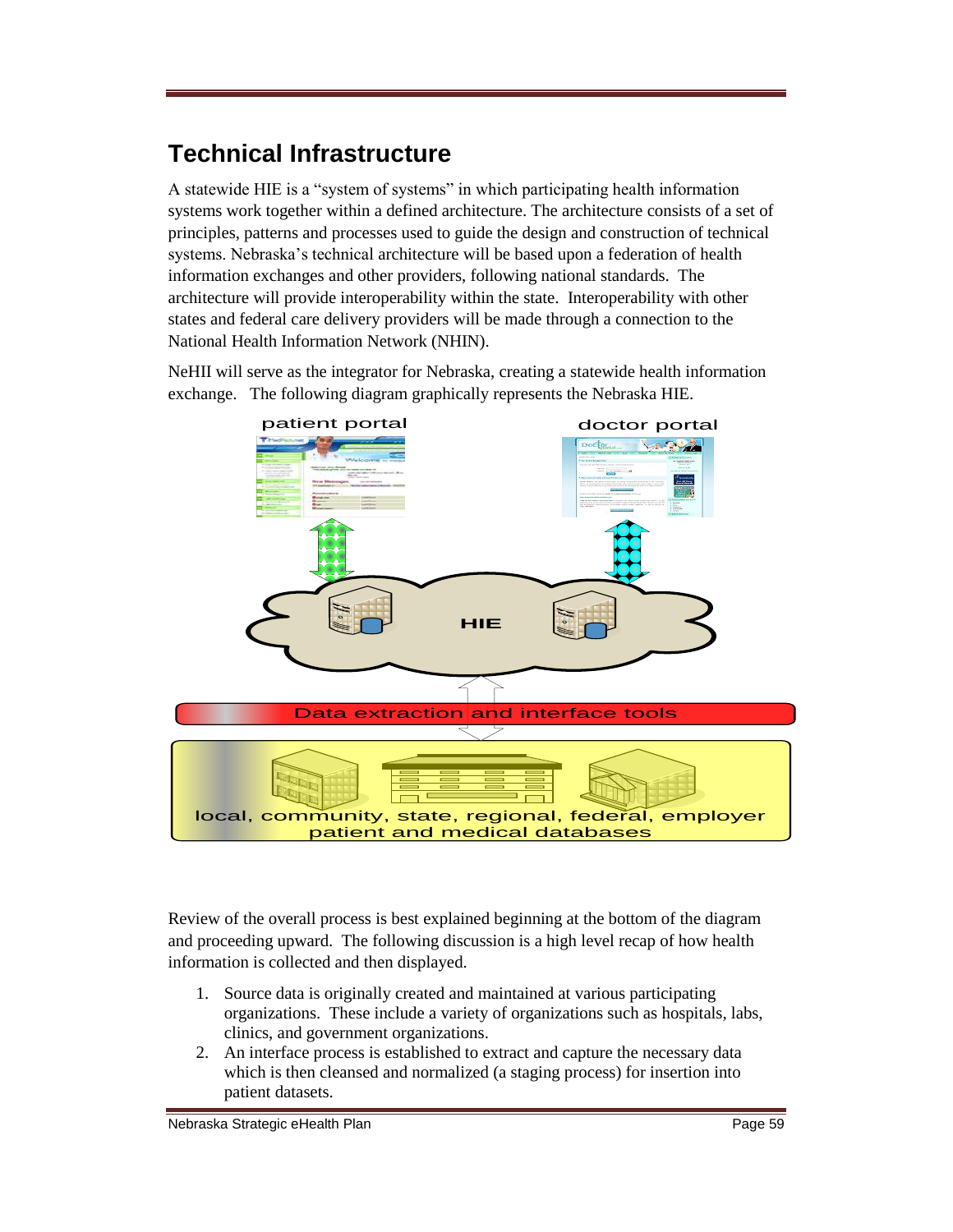# **Technical Infrastructure**

A statewide HIE is a "system of systems" in which participating health information systems work together within a defined architecture. The architecture consists of a set of principles, patterns and processes used to guide the design and construction of technical systems. Nebraska's technical architecture will be based upon a federation of health information exchanges and other providers, following national standards. The architecture will provide interoperability within the state. Interoperability with other states and federal care delivery providers will be made through a connection to the National Health Information Network (NHIN).

NeHII will serve as the integrator for Nebraska, creating a statewide health information exchange. The following diagram graphically represents the Nebraska HIE.



Review of the overall process is best explained beginning at the bottom of the diagram and proceeding upward. The following discussion is a high level recap of how health information is collected and then displayed.

- 1. Source data is originally created and maintained at various participating organizations. These include a variety of organizations such as hospitals, labs, clinics, and government organizations.
- 2. An interface process is established to extract and capture the necessary data which is then cleansed and normalized (a staging process) for insertion into patient datasets.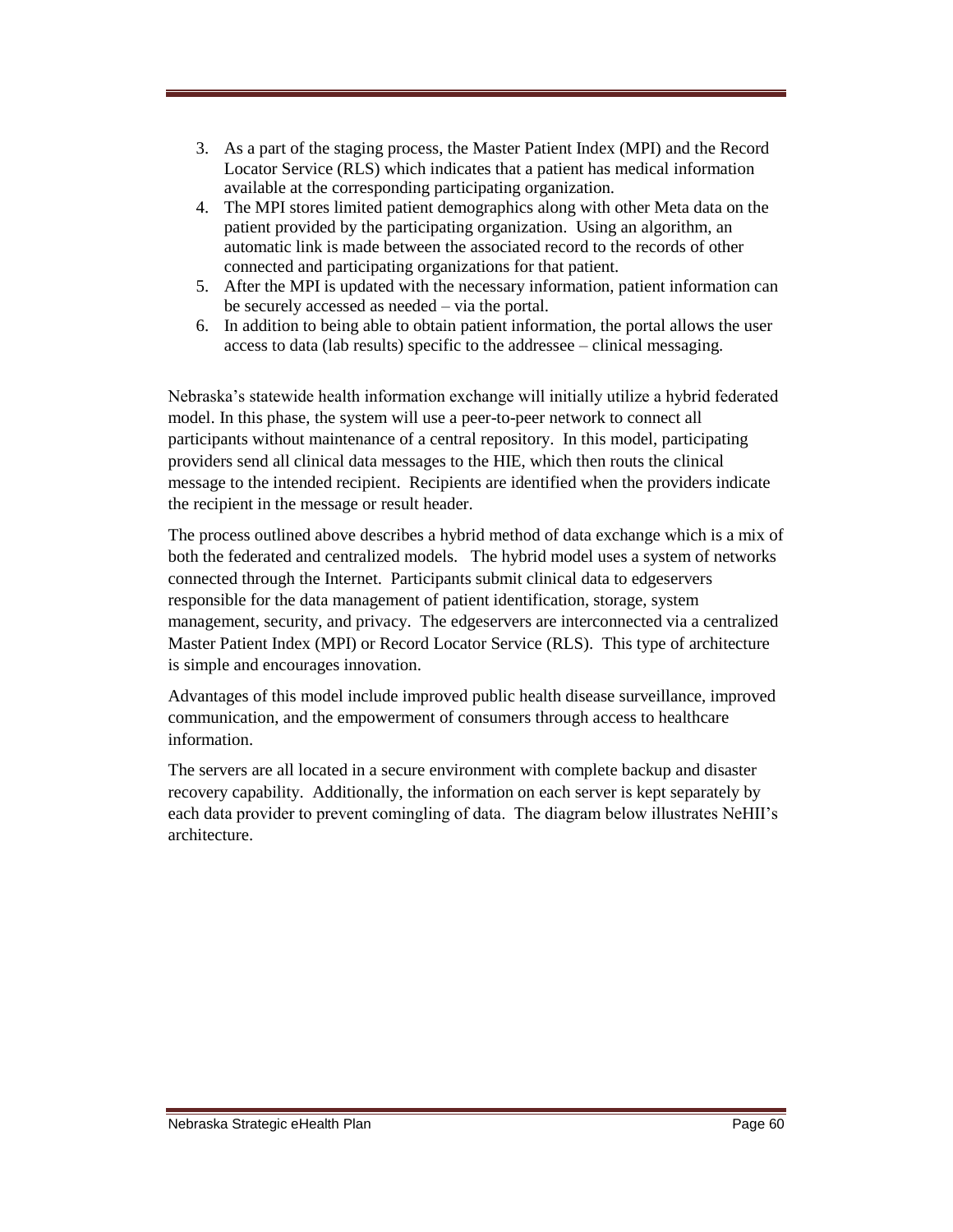- 3. As a part of the staging process, the Master Patient Index (MPI) and the Record Locator Service (RLS) which indicates that a patient has medical information available at the corresponding participating organization.
- 4. The MPI stores limited patient demographics along with other Meta data on the patient provided by the participating organization. Using an algorithm, an automatic link is made between the associated record to the records of other connected and participating organizations for that patient.
- 5. After the MPI is updated with the necessary information, patient information can be securely accessed as needed – via the portal.
- 6. In addition to being able to obtain patient information, the portal allows the user access to data (lab results) specific to the addressee – clinical messaging.

Nebraska's statewide health information exchange will initially utilize a hybrid federated model. In this phase, the system will use a peer-to-peer network to connect all participants without maintenance of a central repository. In this model, participating providers send all clinical data messages to the HIE, which then routs the clinical message to the intended recipient. Recipients are identified when the providers indicate the recipient in the message or result header.

The process outlined above describes a hybrid method of data exchange which is a mix of both the federated and centralized models. The hybrid model uses a system of networks connected through the Internet. Participants submit clinical data to edgeservers responsible for the data management of patient identification, storage, system management, security, and privacy. The edgeservers are interconnected via a centralized Master Patient Index (MPI) or Record Locator Service (RLS). This type of architecture is simple and encourages innovation.

Advantages of this model include improved public health disease surveillance, improved communication, and the empowerment of consumers through access to healthcare information.

The servers are all located in a secure environment with complete backup and disaster recovery capability. Additionally, the information on each server is kept separately by each data provider to prevent comingling of data. The diagram below illustrates NeHII's architecture.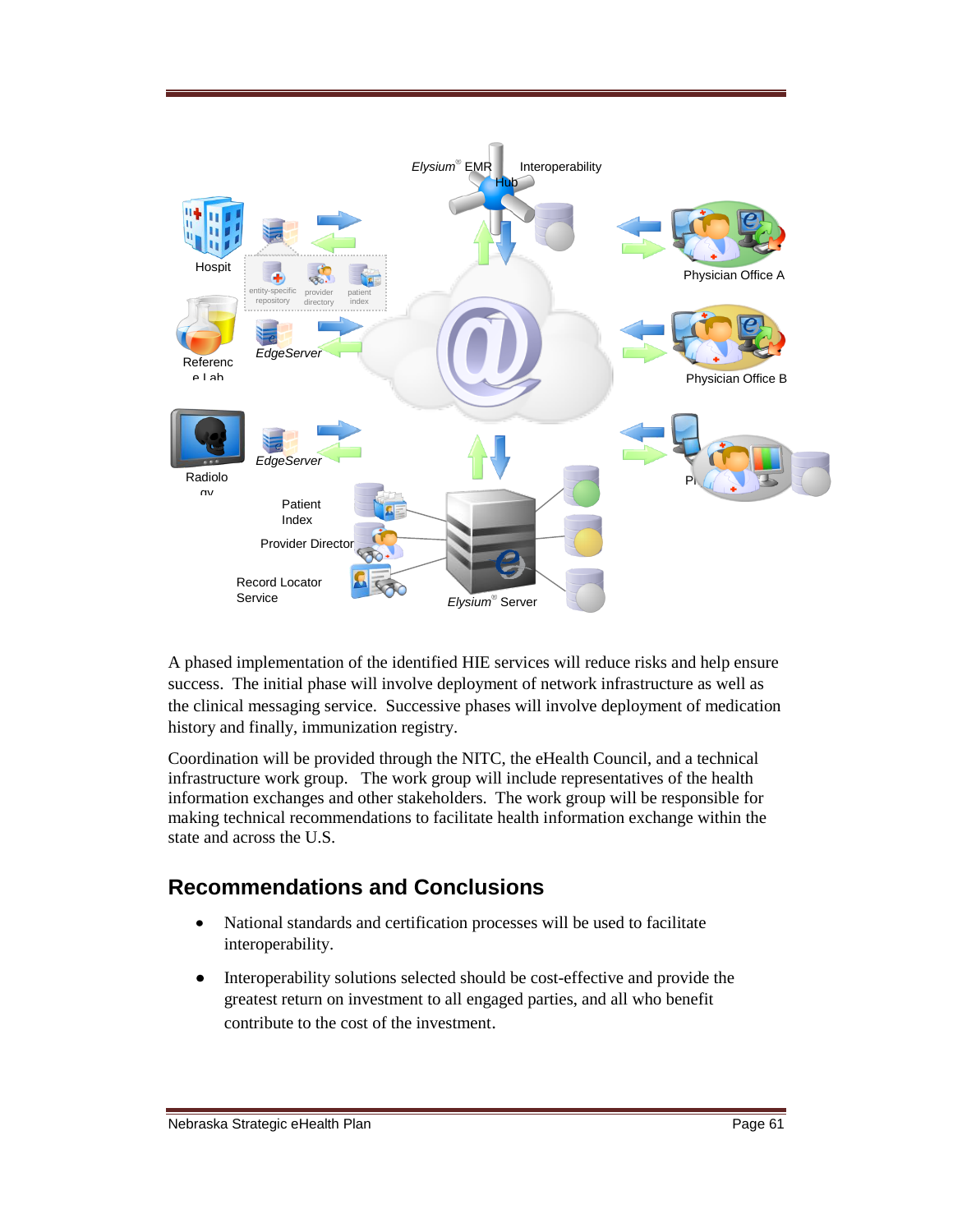

A phased implementation of the identified HIE services will reduce risks and help ensure success. The initial phase will involve deployment of network infrastructure as well as the clinical messaging service. Successive phases will involve deployment of medication history and finally, immunization registry.

Coordination will be provided through the NITC, the eHealth Council, and a technical infrastructure work group. The work group will include representatives of the health information exchanges and other stakeholders. The work group will be responsible for making technical recommendations to facilitate health information exchange within the state and across the U.S.

#### **Recommendations and Conclusions**

- $\bullet$ National standards and certification processes will be used to facilitate interoperability.
- $\bullet$ Interoperability solutions selected should be cost-effective and provide the greatest return on investment to all engaged parties, and all who benefit contribute to the cost of the investment.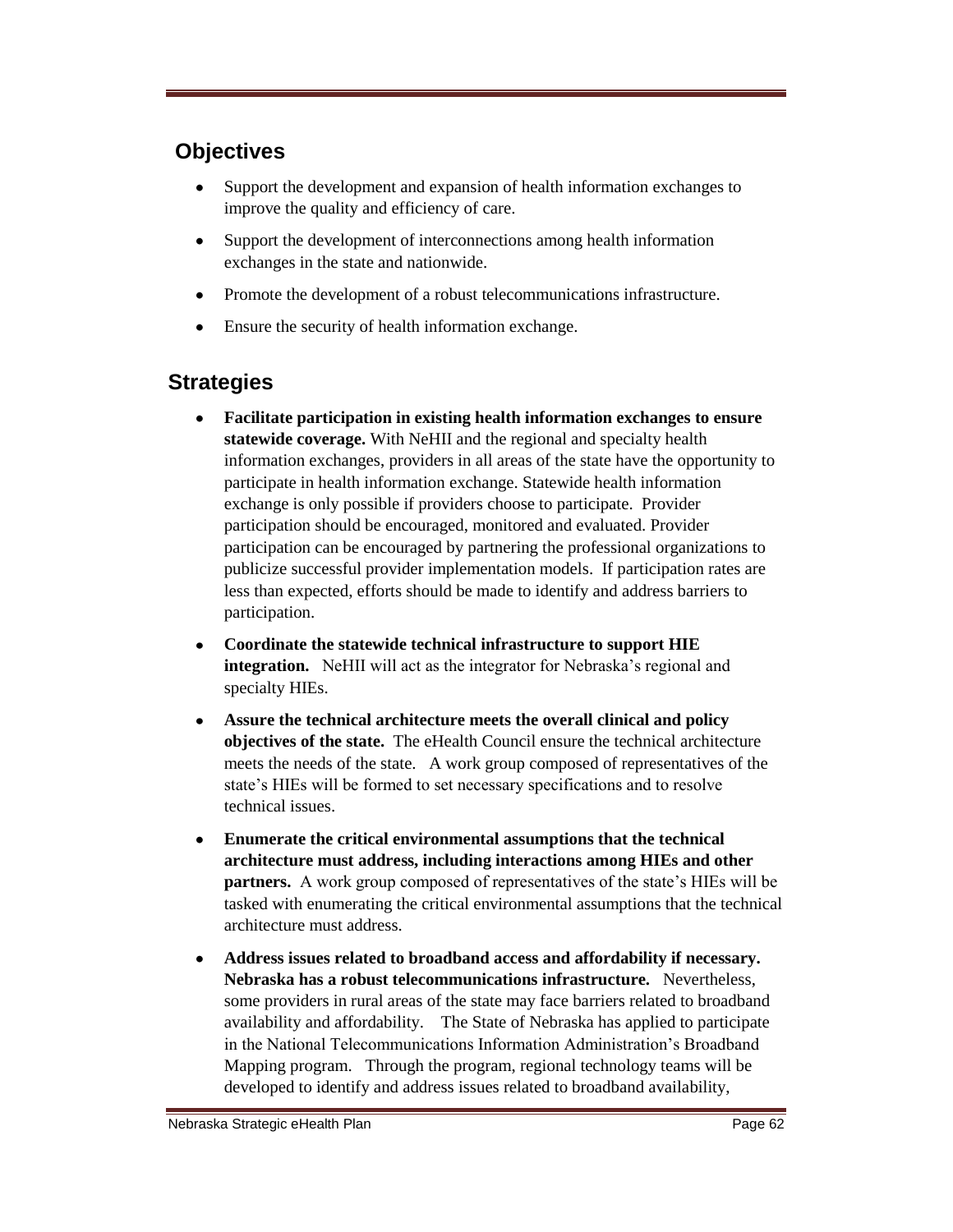### **Objectives**

- $\bullet$ Support the development and expansion of health information exchanges to improve the quality and efficiency of care.
- $\bullet$ Support the development of interconnections among health information exchanges in the state and nationwide.
- Promote the development of a robust telecommunications infrastructure.
- Ensure the security of health information exchange.

#### **Strategies**

- $\bullet$ **Facilitate participation in existing health information exchanges to ensure statewide coverage.** With NeHII and the regional and specialty health information exchanges, providers in all areas of the state have the opportunity to participate in health information exchange. Statewide health information exchange is only possible if providers choose to participate. Provider participation should be encouraged, monitored and evaluated. Provider participation can be encouraged by partnering the professional organizations to publicize successful provider implementation models. If participation rates are less than expected, efforts should be made to identify and address barriers to participation.
- $\bullet$ **Coordinate the statewide technical infrastructure to support HIE integration.** NeHII will act as the integrator for Nebraska's regional and specialty HIEs.
- **Assure the technical architecture meets the overall clinical and policy**   $\bullet$ **objectives of the state.** The eHealth Council ensure the technical architecture meets the needs of the state. A work group composed of representatives of the state's HIEs will be formed to set necessary specifications and to resolve technical issues.
- **Enumerate the critical environmental assumptions that the technical**   $\bullet$ **architecture must address, including interactions among HIEs and other partners.** A work group composed of representatives of the state's HIEs will be tasked with enumerating the critical environmental assumptions that the technical architecture must address.
- **Address issues related to broadband access and affordability if necessary.**   $\bullet$ **Nebraska has a robust telecommunications infrastructure.** Nevertheless, some providers in rural areas of the state may face barriers related to broadband availability and affordability. The State of Nebraska has applied to participate in the National Telecommunications Information Administration's Broadband Mapping program. Through the program, regional technology teams will be developed to identify and address issues related to broadband availability,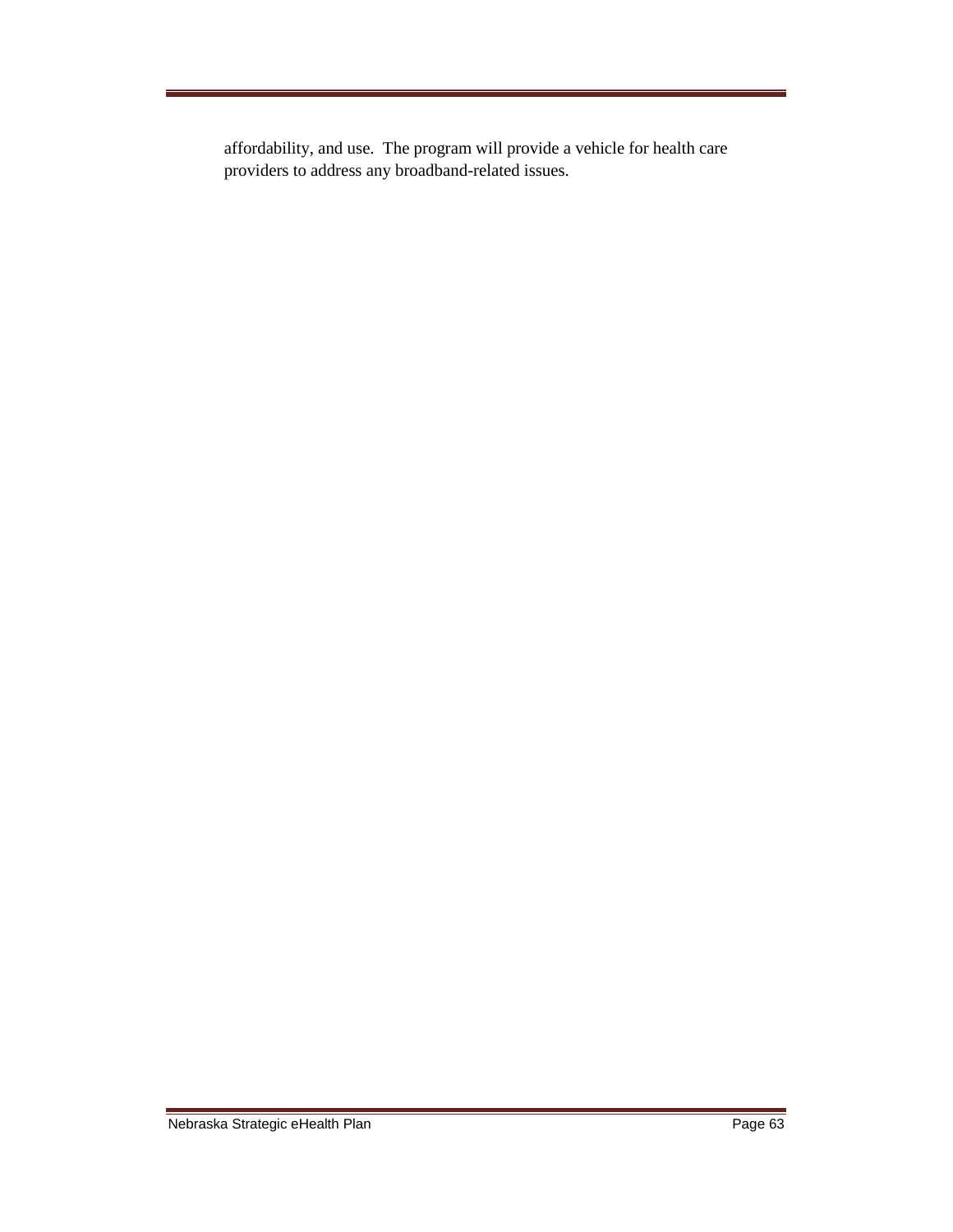affordability, and use. The program will provide a vehicle for health care providers to address any broadband-related issues.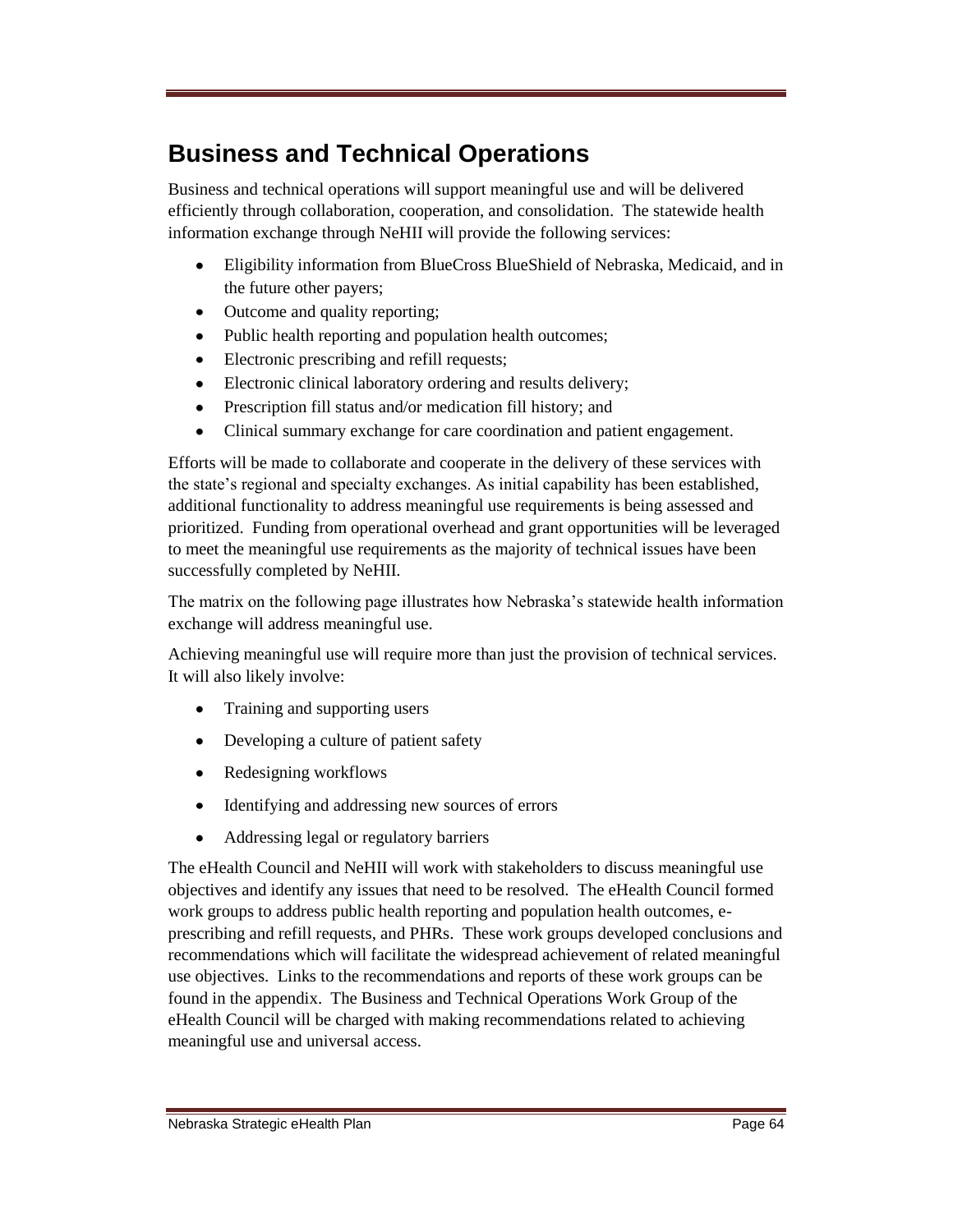# **Business and Technical Operations**

Business and technical operations will support meaningful use and will be delivered efficiently through collaboration, cooperation, and consolidation. The statewide health information exchange through NeHII will provide the following services:

- Eligibility information from BlueCross BlueShield of Nebraska, Medicaid, and in  $\bullet$ the future other payers;
- Outcome and quality reporting;  $\bullet$
- Public health reporting and population health outcomes;
- $\bullet$ Electronic prescribing and refill requests;
- $\bullet$ Electronic clinical laboratory ordering and results delivery;
- Prescription fill status and/or medication fill history; and  $\bullet$
- Clinical summary exchange for care coordination and patient engagement.  $\bullet$

Efforts will be made to collaborate and cooperate in the delivery of these services with the state's regional and specialty exchanges. As initial capability has been established, additional functionality to address meaningful use requirements is being assessed and prioritized. Funding from operational overhead and grant opportunities will be leveraged to meet the meaningful use requirements as the majority of technical issues have been successfully completed by NeHII.

The matrix on the following page illustrates how Nebraska's statewide health information exchange will address meaningful use.

Achieving meaningful use will require more than just the provision of technical services. It will also likely involve:

- Training and supporting users
- Developing a culture of patient safety
- Redesigning workflows
- $\bullet$ Identifying and addressing new sources of errors
- $\bullet$ Addressing legal or regulatory barriers

The eHealth Council and NeHII will work with stakeholders to discuss meaningful use objectives and identify any issues that need to be resolved. The eHealth Council formed work groups to address public health reporting and population health outcomes, eprescribing and refill requests, and PHRs. These work groups developed conclusions and recommendations which will facilitate the widespread achievement of related meaningful use objectives. Links to the recommendations and reports of these work groups can be found in the appendix. The Business and Technical Operations Work Group of the eHealth Council will be charged with making recommendations related to achieving meaningful use and universal access.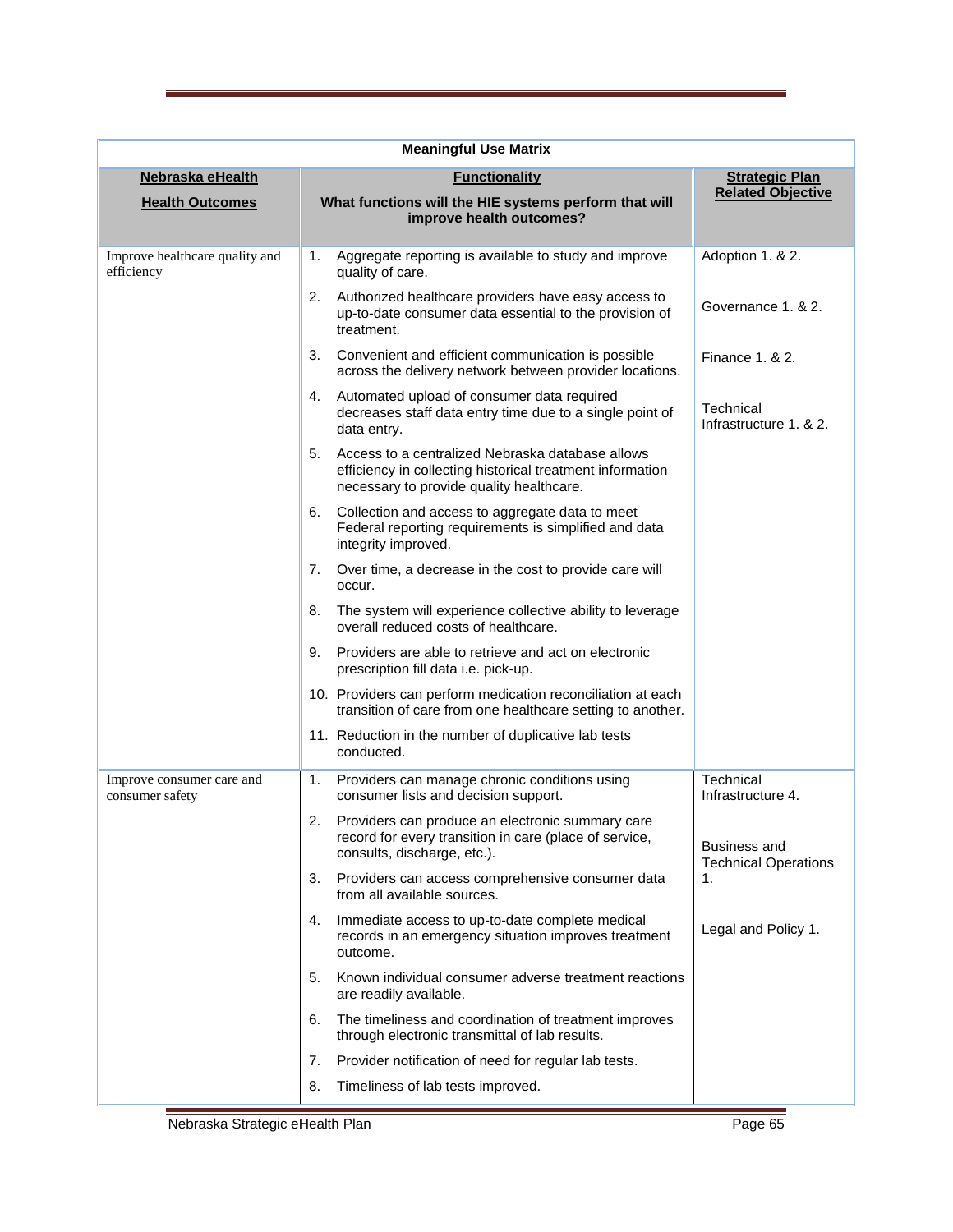| <b>Meaningful Use Matrix</b>                 |                                                                                                                                                                 |                                                    |  |
|----------------------------------------------|-----------------------------------------------------------------------------------------------------------------------------------------------------------------|----------------------------------------------------|--|
| Nebraska eHealth                             | <b>Functionality</b>                                                                                                                                            | <b>Strategic Plan</b>                              |  |
| <b>Health Outcomes</b>                       | What functions will the HIE systems perform that will<br>improve health outcomes?                                                                               | <b>Related Objective</b>                           |  |
| Improve healthcare quality and<br>efficiency | Aggregate reporting is available to study and improve<br>1.<br>quality of care.                                                                                 | Adoption 1. & 2.                                   |  |
|                                              | Authorized healthcare providers have easy access to<br>2.<br>up-to-date consumer data essential to the provision of<br>treatment.                               | Governance 1. & 2.                                 |  |
|                                              | 3.<br>Convenient and efficient communication is possible<br>across the delivery network between provider locations.                                             | Finance 1, & 2.                                    |  |
|                                              | Automated upload of consumer data required<br>4.<br>decreases staff data entry time due to a single point of<br>data entry.                                     | Technical<br>Infrastructure 1, & 2.                |  |
|                                              | Access to a centralized Nebraska database allows<br>5.<br>efficiency in collecting historical treatment information<br>necessary to provide quality healthcare. |                                                    |  |
|                                              | Collection and access to aggregate data to meet<br>6.<br>Federal reporting requirements is simplified and data<br>integrity improved.                           |                                                    |  |
|                                              | Over time, a decrease in the cost to provide care will<br>7.<br>occur.                                                                                          |                                                    |  |
|                                              | The system will experience collective ability to leverage<br>8.<br>overall reduced costs of healthcare.                                                         |                                                    |  |
|                                              | Providers are able to retrieve and act on electronic<br>9.<br>prescription fill data i.e. pick-up.                                                              |                                                    |  |
|                                              | 10. Providers can perform medication reconciliation at each<br>transition of care from one healthcare setting to another.                                       |                                                    |  |
|                                              | 11. Reduction in the number of duplicative lab tests<br>conducted.                                                                                              |                                                    |  |
| Improve consumer care and<br>consumer safety | Providers can manage chronic conditions using<br>1.<br>consumer lists and decision support.                                                                     | Technical<br>Infrastructure 4.                     |  |
|                                              | 2.<br>Providers can produce an electronic summary care<br>record for every transition in care (place of service,<br>consults, discharge, etc.).                 | <b>Business and</b><br><b>Technical Operations</b> |  |
|                                              | Providers can access comprehensive consumer data<br>3.<br>from all available sources.                                                                           | 1.                                                 |  |
|                                              | Immediate access to up-to-date complete medical<br>4.<br>records in an emergency situation improves treatment<br>outcome.                                       | Legal and Policy 1.                                |  |
|                                              | Known individual consumer adverse treatment reactions<br>5.<br>are readily available.                                                                           |                                                    |  |
|                                              | The timeliness and coordination of treatment improves<br>6.<br>through electronic transmittal of lab results.                                                   |                                                    |  |
|                                              | 7.<br>Provider notification of need for regular lab tests.                                                                                                      |                                                    |  |
|                                              | Timeliness of lab tests improved.<br>8.                                                                                                                         |                                                    |  |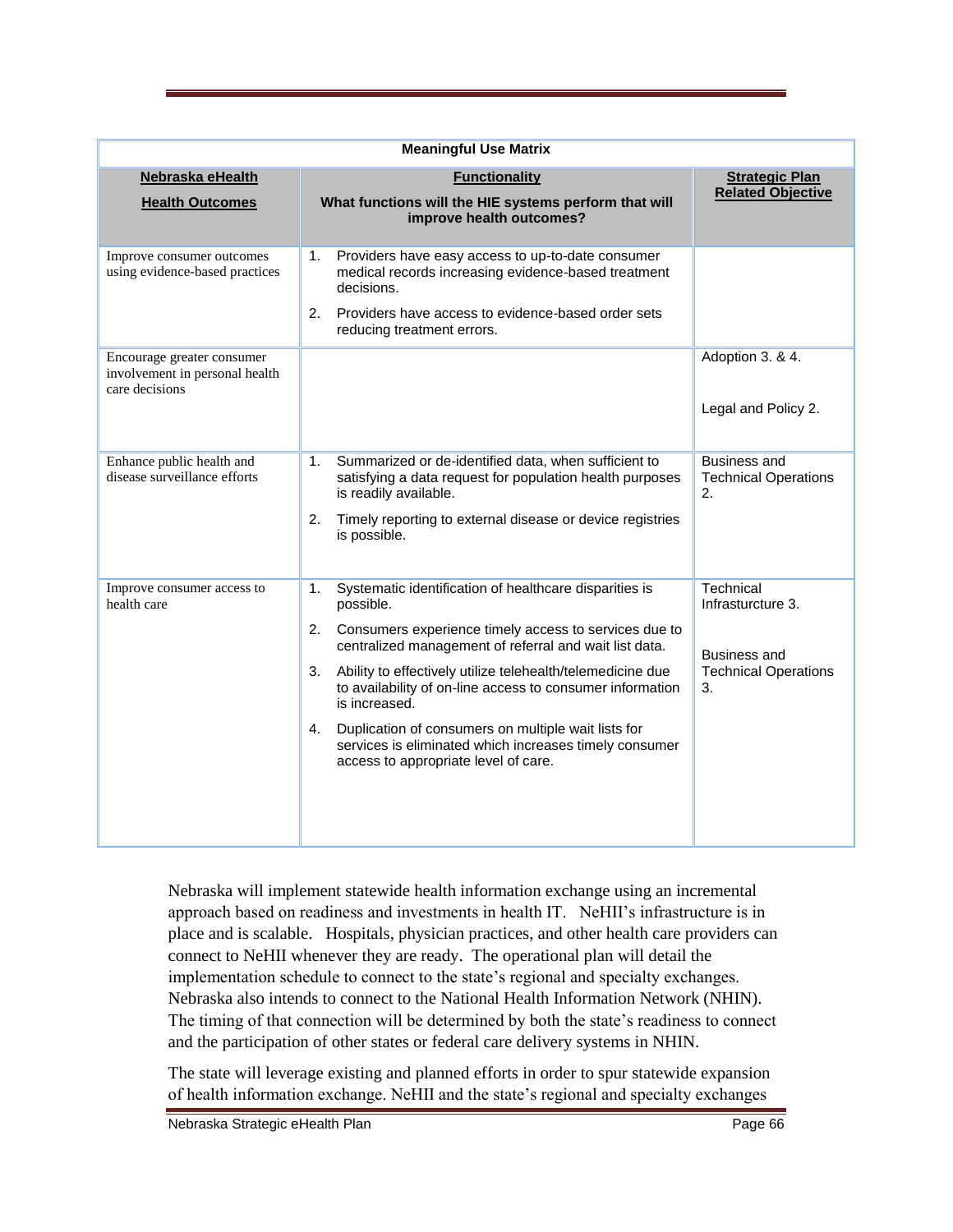| <b>Meaningful Use Matrix</b>                                                   |                                                                                                                                                                                                                                                                                                                                                                                                                                                                                                                     |                                                                                            |  |
|--------------------------------------------------------------------------------|---------------------------------------------------------------------------------------------------------------------------------------------------------------------------------------------------------------------------------------------------------------------------------------------------------------------------------------------------------------------------------------------------------------------------------------------------------------------------------------------------------------------|--------------------------------------------------------------------------------------------|--|
| Nebraska eHealth<br><b>Health Outcomes</b>                                     | <b>Functionality</b><br>What functions will the HIE systems perform that will<br>improve health outcomes?                                                                                                                                                                                                                                                                                                                                                                                                           | <b>Strategic Plan</b><br><b>Related Objective</b>                                          |  |
| Improve consumer outcomes<br>using evidence-based practices                    | Providers have easy access to up-to-date consumer<br>1.<br>medical records increasing evidence-based treatment<br>decisions.<br>2.<br>Providers have access to evidence-based order sets<br>reducing treatment errors.                                                                                                                                                                                                                                                                                              |                                                                                            |  |
| Encourage greater consumer<br>involvement in personal health<br>care decisions |                                                                                                                                                                                                                                                                                                                                                                                                                                                                                                                     | Adoption 3. & 4.<br>Legal and Policy 2.                                                    |  |
| Enhance public health and<br>disease surveillance efforts                      | Summarized or de-identified data, when sufficient to<br>1.<br>satisfying a data request for population health purposes<br>is readily available.<br>2.<br>Timely reporting to external disease or device registries<br>is possible.                                                                                                                                                                                                                                                                                  | <b>Business and</b><br><b>Technical Operations</b><br>2.                                   |  |
| Improve consumer access to<br>health care                                      | Systematic identification of healthcare disparities is<br>1.<br>possible.<br>2.<br>Consumers experience timely access to services due to<br>centralized management of referral and wait list data.<br>3.<br>Ability to effectively utilize telehealth/telemedicine due<br>to availability of on-line access to consumer information<br>is increased.<br>Duplication of consumers on multiple wait lists for<br>4.<br>services is eliminated which increases timely consumer<br>access to appropriate level of care. | Technical<br>Infrasturcture 3.<br><b>Business and</b><br><b>Technical Operations</b><br>3. |  |

Nebraska will implement statewide health information exchange using an incremental approach based on readiness and investments in health IT. NeHII's infrastructure is in place and is scalable. Hospitals, physician practices, and other health care providers can connect to NeHII whenever they are ready. The operational plan will detail the implementation schedule to connect to the state's regional and specialty exchanges. Nebraska also intends to connect to the National Health Information Network (NHIN). The timing of that connection will be determined by both the state's readiness to connect and the participation of other states or federal care delivery systems in NHIN.

The state will leverage existing and planned efforts in order to spur statewide expansion of health information exchange. NeHII and the state's regional and specialty exchanges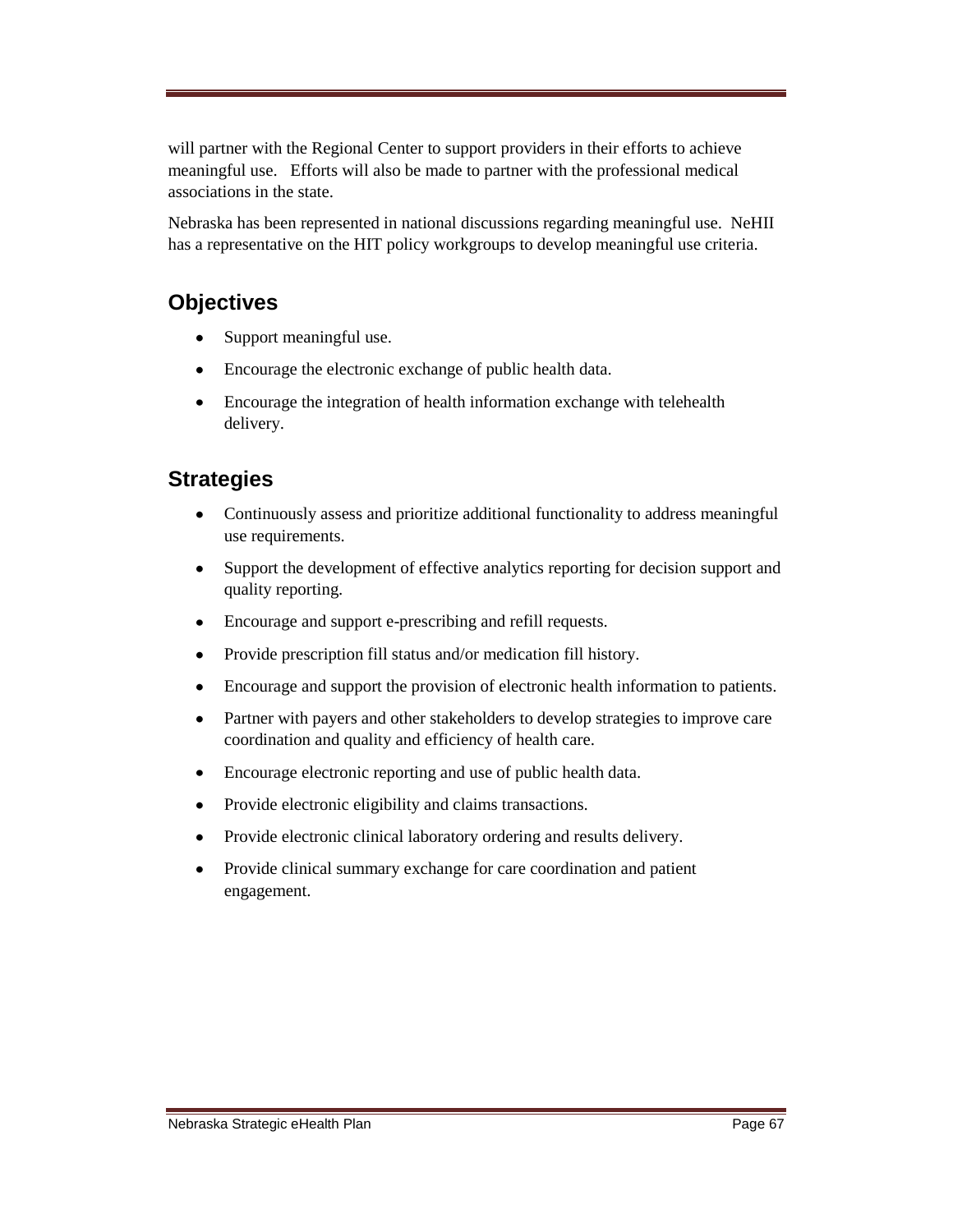will partner with the Regional Center to support providers in their efforts to achieve meaningful use. Efforts will also be made to partner with the professional medical associations in the state.

Nebraska has been represented in national discussions regarding meaningful use. NeHII has a representative on the HIT policy workgroups to develop meaningful use criteria.

### **Objectives**

- Support meaningful use.  $\bullet$
- Encourage the electronic exchange of public health data.
- $\bullet$ Encourage the integration of health information exchange with telehealth delivery.

### **Strategies**

- $\bullet$ Continuously assess and prioritize additional functionality to address meaningful use requirements.
- $\bullet$ Support the development of effective analytics reporting for decision support and quality reporting.
- $\bullet$ Encourage and support e-prescribing and refill requests.
- Provide prescription fill status and/or medication fill history.  $\bullet$
- $\bullet$ Encourage and support the provision of electronic health information to patients.
- Partner with payers and other stakeholders to develop strategies to improve care  $\bullet$ coordination and quality and efficiency of health care.
- Encourage electronic reporting and use of public health data.  $\bullet$
- Provide electronic eligibility and claims transactions.  $\bullet$
- Provide electronic clinical laboratory ordering and results delivery.
- $\bullet$ Provide clinical summary exchange for care coordination and patient engagement.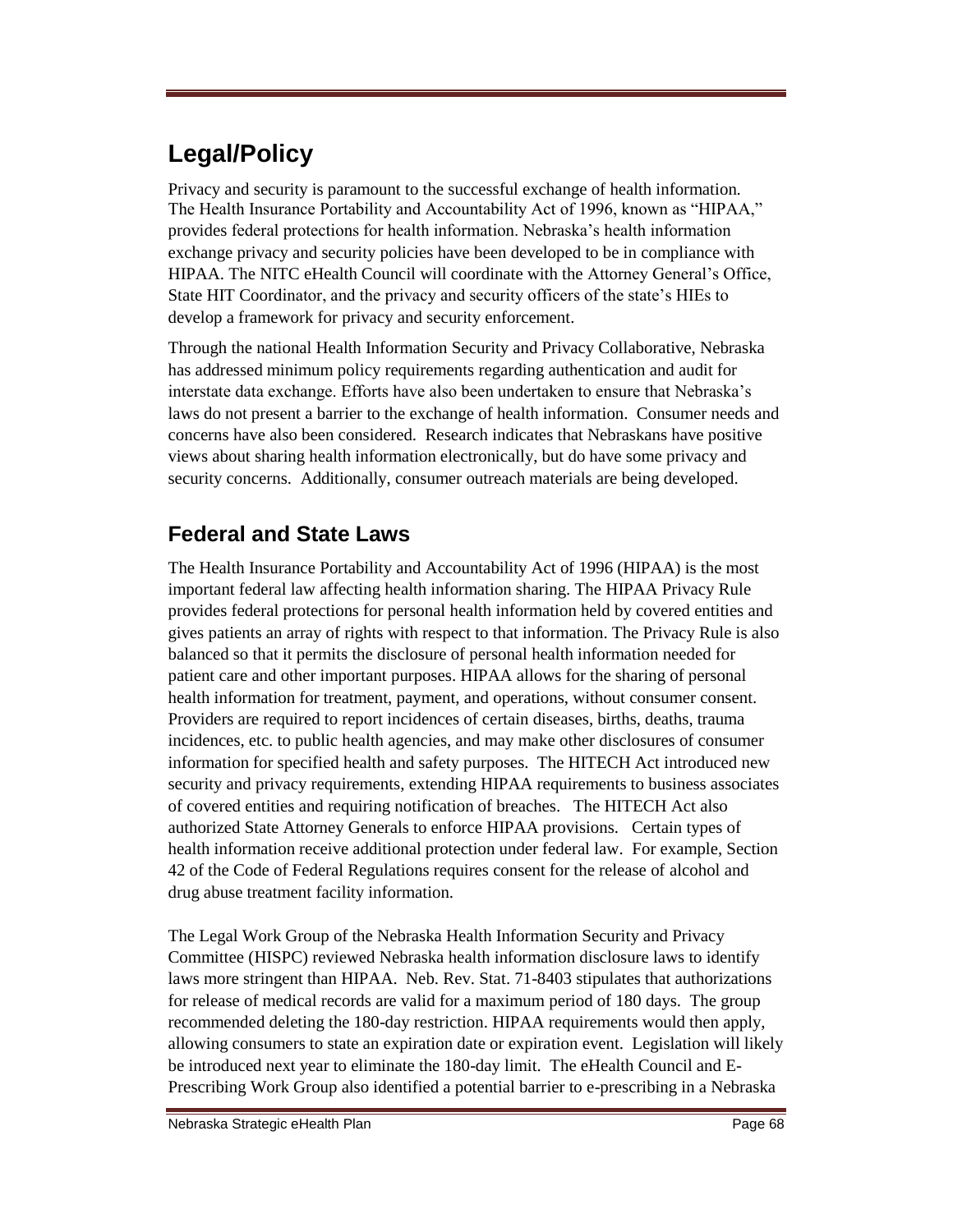# **Legal/Policy**

Privacy and security is paramount to the successful exchange of health information. The Health Insurance Portability and Accountability Act of 1996, known as "HIPAA," provides federal protections for health information. Nebraska's health information exchange privacy and security policies have been developed to be in compliance with HIPAA. The NITC eHealth Council will coordinate with the Attorney General's Office, State HIT Coordinator, and the privacy and security officers of the state's HIEs to develop a framework for privacy and security enforcement.

Through the national Health Information Security and Privacy Collaborative, Nebraska has addressed minimum policy requirements regarding authentication and audit for interstate data exchange. Efforts have also been undertaken to ensure that Nebraska's laws do not present a barrier to the exchange of health information. Consumer needs and concerns have also been considered. Research indicates that Nebraskans have positive views about sharing health information electronically, but do have some privacy and security concerns. Additionally, consumer outreach materials are being developed.

## **Federal and State Laws**

The Health Insurance Portability and Accountability Act of 1996 (HIPAA) is the most important federal law affecting health information sharing. The HIPAA Privacy Rule provides federal protections for personal health information held by covered entities and gives patients an array of rights with respect to that information. The Privacy Rule is also balanced so that it permits the disclosure of personal health information needed for patient care and other important purposes. HIPAA allows for the sharing of personal health information for treatment, payment, and operations, without consumer consent. Providers are required to report incidences of certain diseases, births, deaths, trauma incidences, etc. to public health agencies, and may make other disclosures of consumer information for specified health and safety purposes. The HITECH Act introduced new security and privacy requirements, extending HIPAA requirements to business associates of covered entities and requiring notification of breaches. The HITECH Act also authorized State Attorney Generals to enforce HIPAA provisions. Certain types of health information receive additional protection under federal law. For example, Section 42 of the Code of Federal Regulations requires consent for the release of alcohol and drug abuse treatment facility information.

The Legal Work Group of the Nebraska Health Information Security and Privacy Committee (HISPC) reviewed Nebraska health information disclosure laws to identify laws more stringent than HIPAA. Neb. Rev. Stat. 71-8403 stipulates that authorizations for release of medical records are valid for a maximum period of 180 days. The group recommended deleting the 180-day restriction. HIPAA requirements would then apply, allowing consumers to state an expiration date or expiration event. Legislation will likely be introduced next year to eliminate the 180-day limit. The eHealth Council and E-Prescribing Work Group also identified a potential barrier to e-prescribing in a Nebraska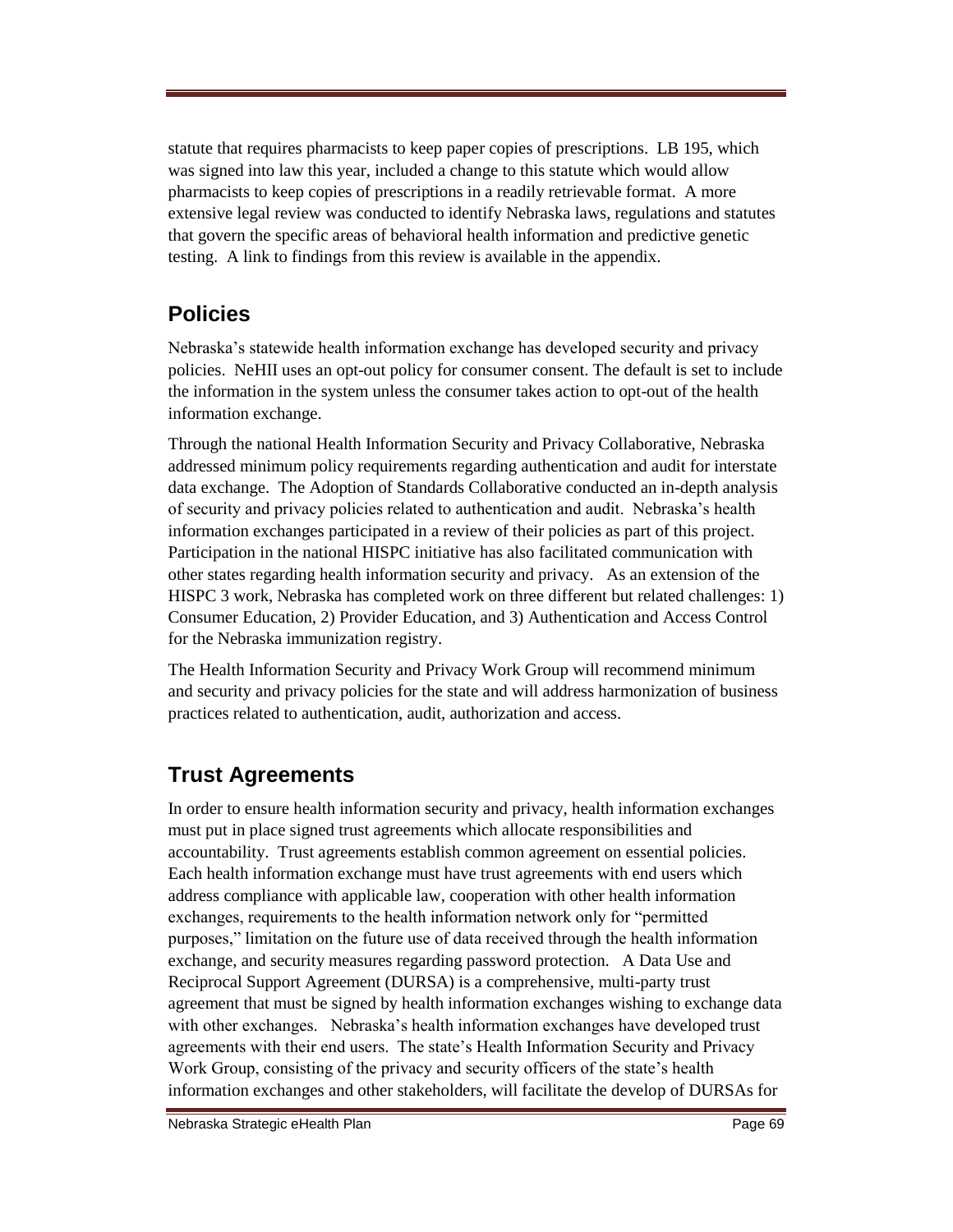statute that requires pharmacists to keep paper copies of prescriptions. LB 195, which was signed into law this year, included a change to this statute which would allow pharmacists to keep copies of prescriptions in a readily retrievable format. A more extensive legal review was conducted to identify Nebraska laws, regulations and statutes that govern the specific areas of behavioral health information and predictive genetic testing. A link to findings from this review is available in the appendix.

## **Policies**

Nebraska's statewide health information exchange has developed security and privacy policies. NeHII uses an opt-out policy for consumer consent. The default is set to include the information in the system unless the consumer takes action to opt-out of the health information exchange.

Through the national Health Information Security and Privacy Collaborative, Nebraska addressed minimum policy requirements regarding authentication and audit for interstate data exchange. The Adoption of Standards Collaborative conducted an in-depth analysis of security and privacy policies related to authentication and audit. Nebraska's health information exchanges participated in a review of their policies as part of this project. Participation in the national HISPC initiative has also facilitated communication with other states regarding health information security and privacy. As an extension of the HISPC 3 work, Nebraska has completed work on three different but related challenges: 1) Consumer Education, 2) Provider Education, and 3) Authentication and Access Control for the Nebraska immunization registry.

The Health Information Security and Privacy Work Group will recommend minimum and security and privacy policies for the state and will address harmonization of business practices related to authentication, audit, authorization and access.

## **Trust Agreements**

In order to ensure health information security and privacy, health information exchanges must put in place signed trust agreements which allocate responsibilities and accountability. Trust agreements establish common agreement on essential policies. Each health information exchange must have trust agreements with end users which address compliance with applicable law, cooperation with other health information exchanges, requirements to the health information network only for "permitted" purposes,‖ limitation on the future use of data received through the health information exchange, and security measures regarding password protection. A Data Use and Reciprocal Support Agreement (DURSA) is a comprehensive, multi-party trust agreement that must be signed by health information exchanges wishing to exchange data with other exchanges. Nebraska's health information exchanges have developed trust agreements with their end users. The state's Health Information Security and Privacy Work Group, consisting of the privacy and security officers of the state's health information exchanges and other stakeholders, will facilitate the develop of DURSAs for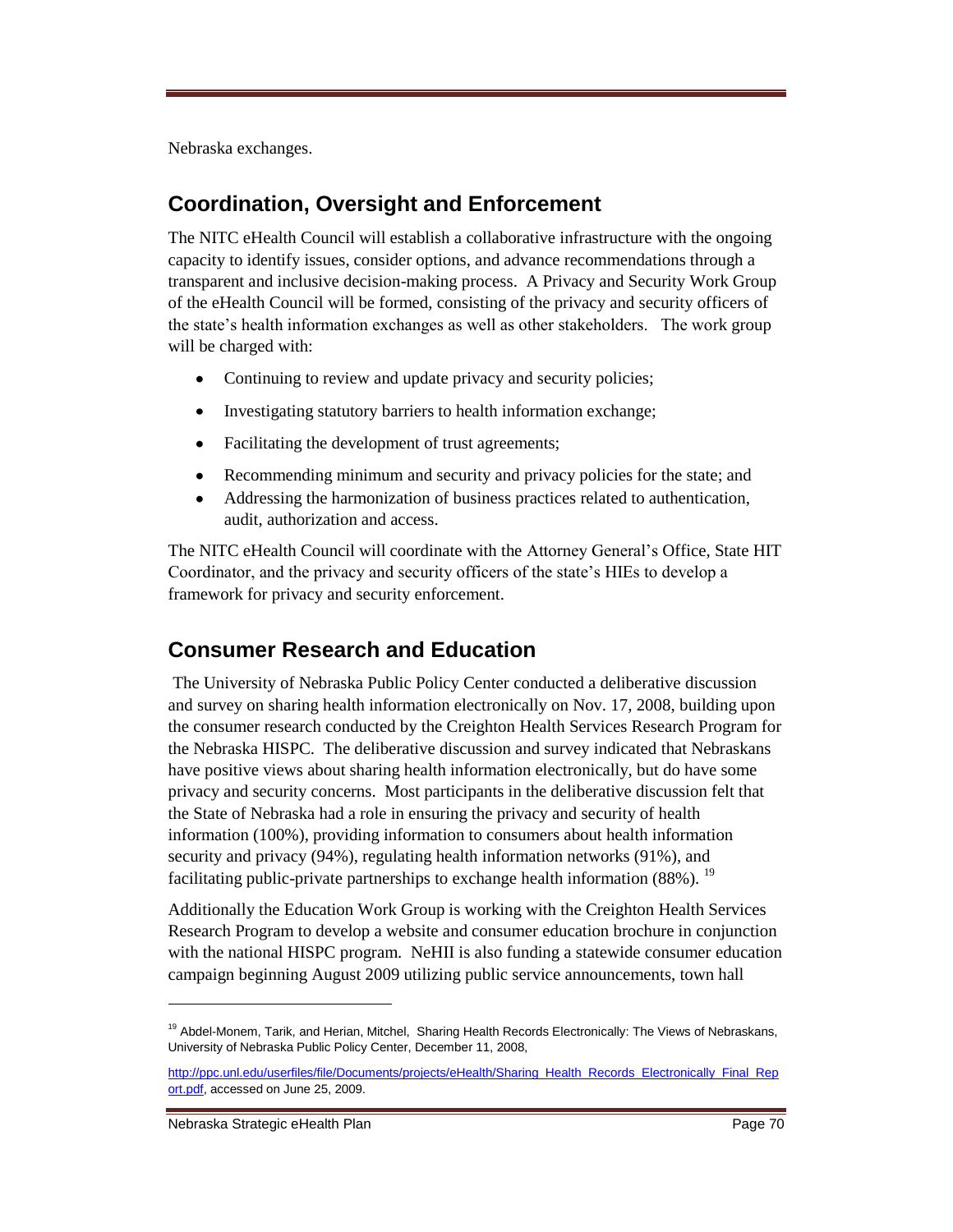Nebraska exchanges.

### **Coordination, Oversight and Enforcement**

The NITC eHealth Council will establish a collaborative infrastructure with the ongoing capacity to identify issues, consider options, and advance recommendations through a transparent and inclusive decision-making process. A Privacy and Security Work Group of the eHealth Council will be formed, consisting of the privacy and security officers of the state's health information exchanges as well as other stakeholders. The work group will be charged with:

- Continuing to review and update privacy and security policies;
- Investigating statutory barriers to health information exchange;  $\bullet$
- $\bullet$ Facilitating the development of trust agreements;
- Recommending minimum and security and privacy policies for the state; and
- Addressing the harmonization of business practices related to authentication,  $\bullet$ audit, authorization and access.

The NITC eHealth Council will coordinate with the Attorney General's Office, State HIT Coordinator, and the privacy and security officers of the state's HIEs to develop a framework for privacy and security enforcement.

## **Consumer Research and Education**

The University of Nebraska Public Policy Center conducted a deliberative discussion and survey on sharing health information electronically on Nov. 17, 2008, building upon the consumer research conducted by the Creighton Health Services Research Program for the Nebraska HISPC. The deliberative discussion and survey indicated that Nebraskans have positive views about sharing health information electronically, but do have some privacy and security concerns. Most participants in the deliberative discussion felt that the State of Nebraska had a role in ensuring the privacy and security of health information (100%), providing information to consumers about health information security and privacy (94%), regulating health information networks (91%), and facilitating public-private partnerships to exchange health information  $(88\%)$ . <sup>19</sup>

Additionally the Education Work Group is working with the Creighton Health Services Research Program to develop a website and consumer education brochure in conjunction with the national HISPC program. NeHII is also funding a statewide consumer education campaign beginning August 2009 utilizing public service announcements, town hall

 $\overline{a}$ 

<sup>&</sup>lt;sup>19</sup> Abdel-Monem, Tarik, and Herian, Mitchel, Sharing Health Records Electronically: The Views of Nebraskans, University of Nebraska Public Policy Center, December 11, 2008,

[http://ppc.unl.edu/userfiles/file/Documents/projects/eHealth/Sharing\\_Health\\_Records\\_Electronically\\_Final\\_Rep](http://ppc.unl.edu/userfiles/file/Documents/projects/eHealth/Sharing_Health_Records_Electronically_Final_Report.pdf) [ort.pdf,](http://ppc.unl.edu/userfiles/file/Documents/projects/eHealth/Sharing_Health_Records_Electronically_Final_Report.pdf) accessed on June 25, 2009.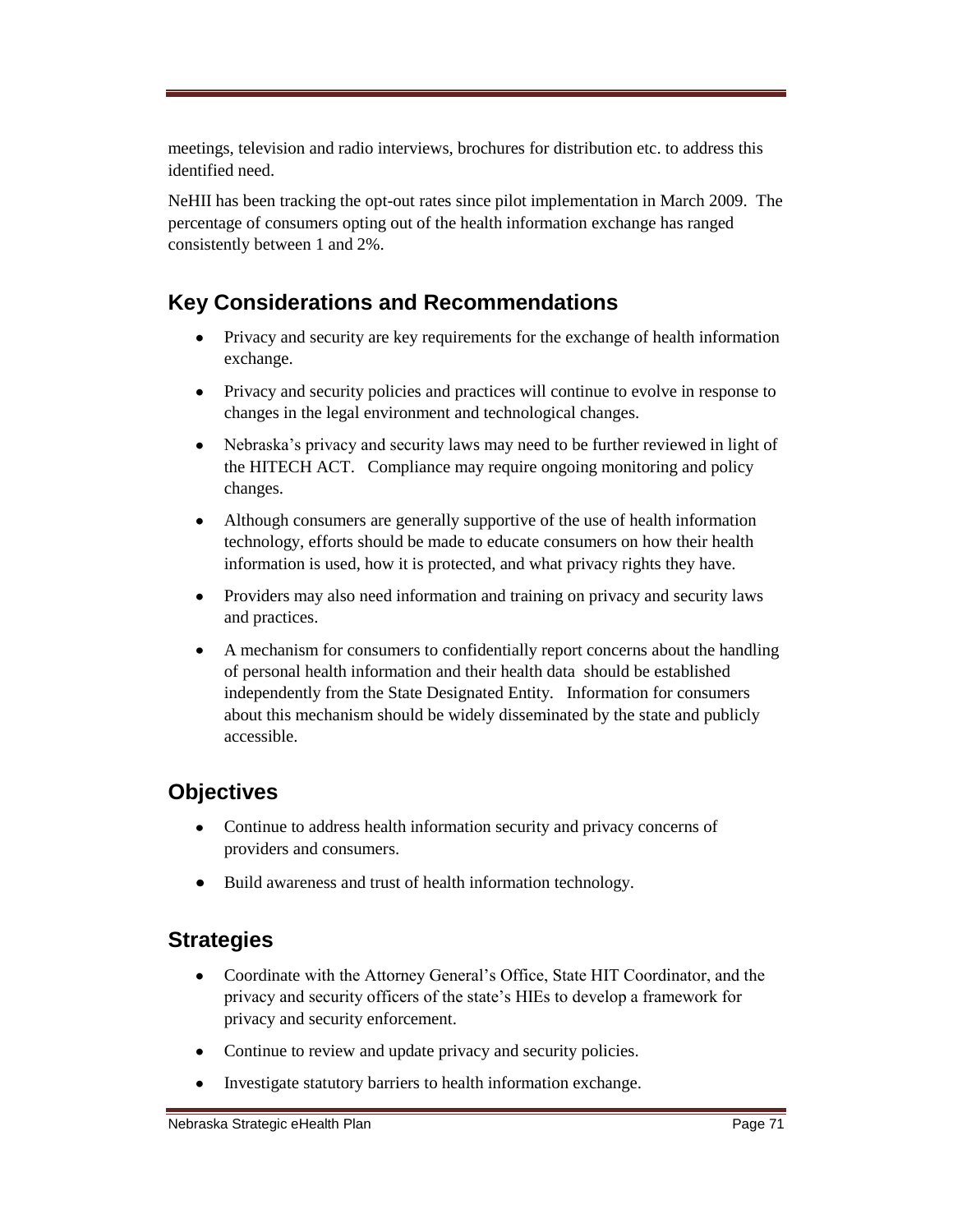meetings, television and radio interviews, brochures for distribution etc. to address this identified need.

NeHII has been tracking the opt-out rates since pilot implementation in March 2009. The percentage of consumers opting out of the health information exchange has ranged consistently between 1 and 2%.

### **Key Considerations and Recommendations**

- Privacy and security are key requirements for the exchange of health information  $\bullet$ exchange.
- Privacy and security policies and practices will continue to evolve in response to changes in the legal environment and technological changes.
- Nebraska's privacy and security laws may need to be further reviewed in light of  $\bullet$ the HITECH ACT. Compliance may require ongoing monitoring and policy changes.
- Although consumers are generally supportive of the use of health information  $\bullet$ technology, efforts should be made to educate consumers on how their health information is used, how it is protected, and what privacy rights they have.
- Providers may also need information and training on privacy and security laws  $\bullet$ and practices.
- A mechanism for consumers to confidentially report concerns about the handling  $\bullet$ of personal health information and their health data should be established independently from the State Designated Entity. Information for consumers about this mechanism should be widely disseminated by the state and publicly accessible.

### **Objectives**

- Continue to address health information security and privacy concerns of  $\bullet$ providers and consumers.
- Build awareness and trust of health information technology.  $\bullet$

#### **Strategies**

- $\bullet$ Coordinate with the Attorney General's Office, State HIT Coordinator, and the privacy and security officers of the state's HIEs to develop a framework for privacy and security enforcement.
- Continue to review and update privacy and security policies.
- Investigate statutory barriers to health information exchange.  $\bullet$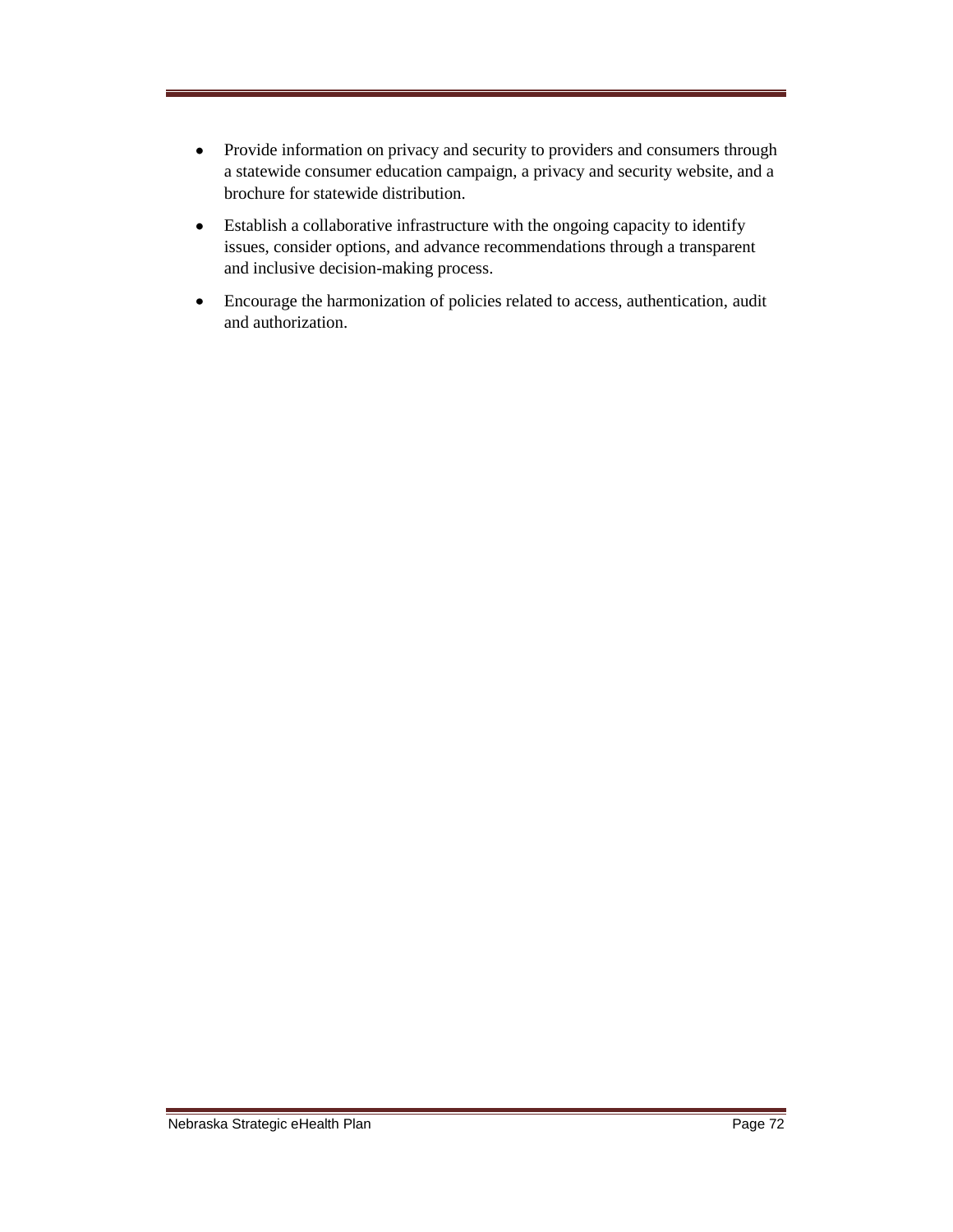- Provide information on privacy and security to providers and consumers through  $\bullet$ a statewide consumer education campaign, a privacy and security website, and a brochure for statewide distribution.
- Establish a collaborative infrastructure with the ongoing capacity to identify  $\bullet$ issues, consider options, and advance recommendations through a transparent and inclusive decision-making process.
- Encourage the harmonization of policies related to access, authentication, audit  $\bullet$ and authorization.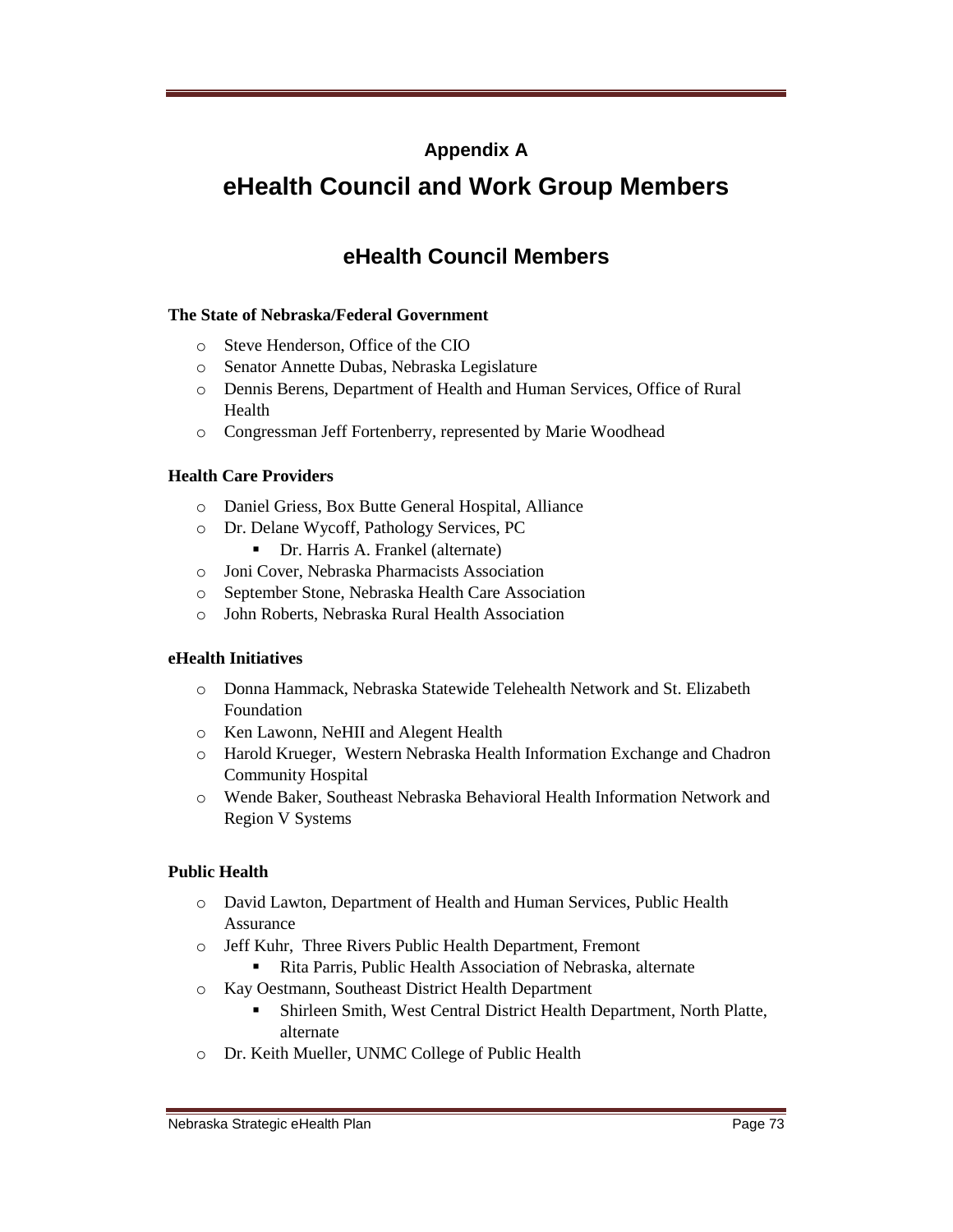### **Appendix A**

# **eHealth Council and Work Group Members**

# **eHealth Council Members**

### **The State of Nebraska/Federal Government**

- o Steve Henderson, Office of the CIO
- o Senator Annette Dubas, Nebraska Legislature
- o Dennis Berens, Department of Health and Human Services, Office of Rural Health
- o Congressman Jeff Fortenberry, represented by Marie Woodhead

### **Health Care Providers**

- o Daniel Griess, Box Butte General Hospital, Alliance
- o Dr. Delane Wycoff, Pathology Services, PC
	- Dr. Harris A. Frankel (alternate)
- o Joni Cover, Nebraska Pharmacists Association
- o September Stone, Nebraska Health Care Association
- o John Roberts, Nebraska Rural Health Association

### **eHealth Initiatives**

- o Donna Hammack, Nebraska Statewide Telehealth Network and St. Elizabeth Foundation
- o Ken Lawonn, NeHII and Alegent Health
- o Harold Krueger, Western Nebraska Health Information Exchange and Chadron Community Hospital
- o Wende Baker, Southeast Nebraska Behavioral Health Information Network and Region V Systems

### **Public Health**

- o David Lawton, Department of Health and Human Services, Public Health Assurance
- o Jeff Kuhr, Three Rivers Public Health Department, Fremont
	- Rita Parris, Public Health Association of Nebraska, alternate
- o Kay Oestmann, Southeast District Health Department
	- Shirleen Smith, West Central District Health Department, North Platte, alternate
- o Dr. Keith Mueller, UNMC College of Public Health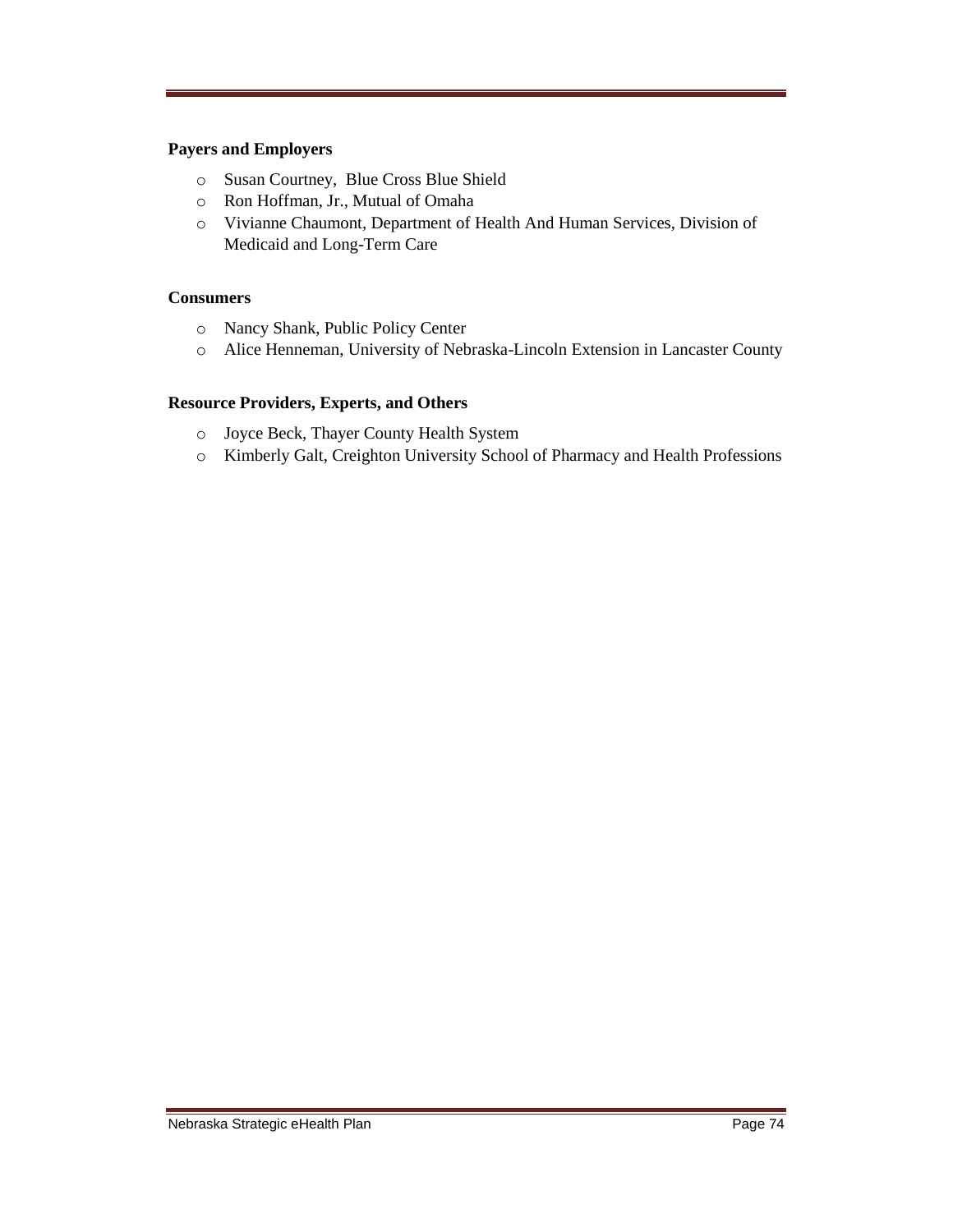### **Payers and Employers**

- o Susan Courtney, Blue Cross Blue Shield
- o Ron Hoffman, Jr., Mutual of Omaha
- o Vivianne Chaumont, Department of Health And Human Services, Division of Medicaid and Long-Term Care

### **Consumers**

- o Nancy Shank, Public Policy Center
- o Alice Henneman, University of Nebraska-Lincoln Extension in Lancaster County

### **Resource Providers, Experts, and Others**

- o Joyce Beck, Thayer County Health System
- o Kimberly Galt, Creighton University School of Pharmacy and Health Professions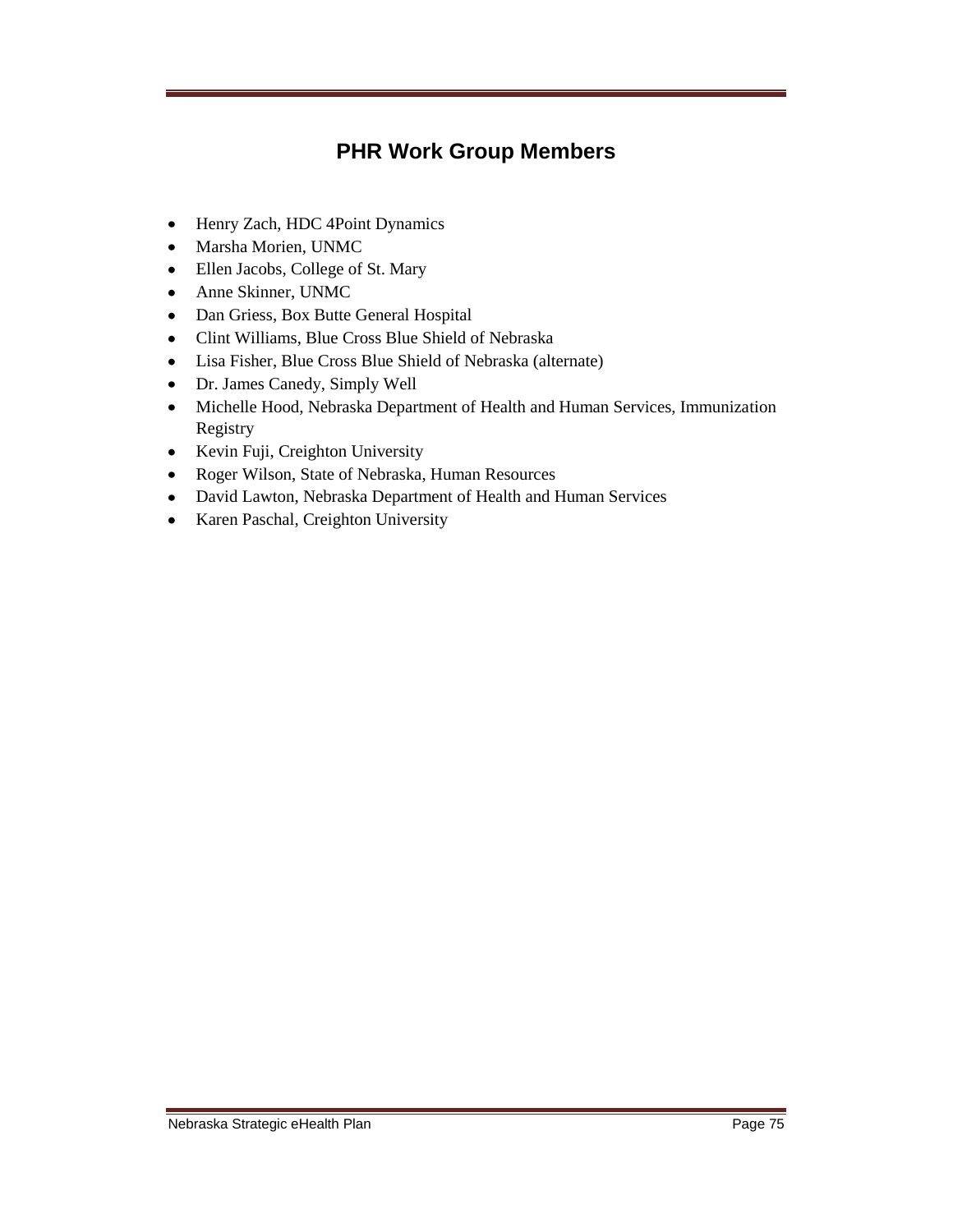# **PHR Work Group Members**

- Henry Zach, HDC 4Point Dynamics
- Marsha Morien, UNMC
- Ellen Jacobs, College of St. Mary
- Anne Skinner, UNMC
- Dan Griess, Box Butte General Hospital
- Clint Williams, Blue Cross Blue Shield of Nebraska
- Lisa Fisher, Blue Cross Blue Shield of Nebraska (alternate)
- Dr. James Canedy, Simply Well
- Michelle Hood, Nebraska Department of Health and Human Services, Immunization Registry
- Kevin Fuji, Creighton University
- Roger Wilson, State of Nebraska, Human Resources
- David Lawton, Nebraska Department of Health and Human Services
- Karen Paschal, Creighton University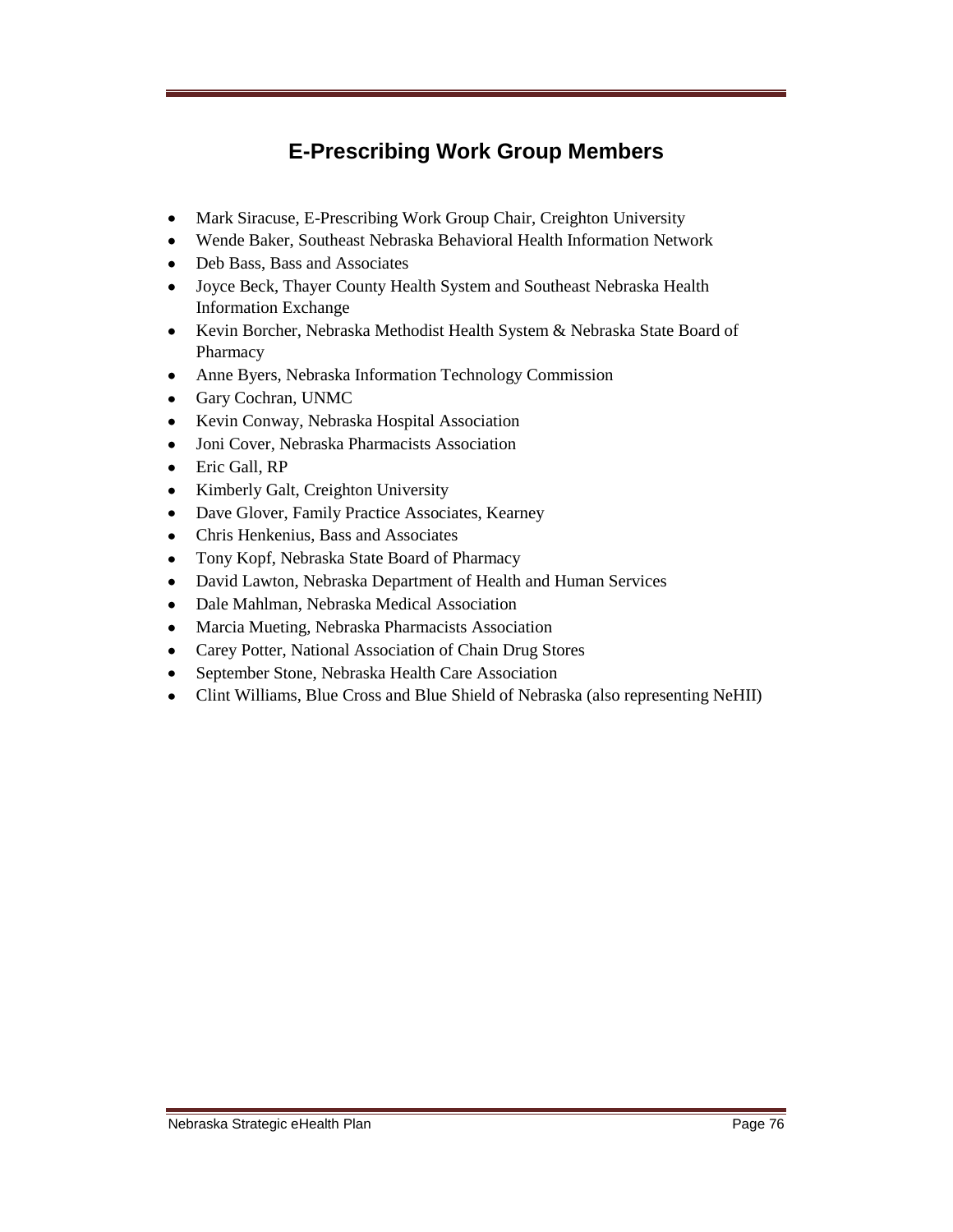# **E-Prescribing Work Group Members**

- Mark Siracuse, E-Prescribing Work Group Chair, Creighton University
- Wende Baker, Southeast Nebraska Behavioral Health Information Network
- Deb Bass, Bass and Associates
- Joyce Beck, Thayer County Health System and Southeast Nebraska Health Information Exchange
- Kevin Borcher, Nebraska Methodist Health System & Nebraska State Board of Pharmacy
- Anne Byers, Nebraska Information Technology Commission  $\bullet$
- Gary Cochran, UNMC
- Kevin Conway, Nebraska Hospital Association
- Joni Cover, Nebraska Pharmacists Association
- Eric Gall, RP
- Kimberly Galt, Creighton University  $\bullet$
- Dave Glover, Family Practice Associates, Kearney  $\bullet$
- Chris Henkenius, Bass and Associates
- Tony Kopf, Nebraska State Board of Pharmacy
- David Lawton, Nebraska Department of Health and Human Services
- Dale Mahlman, Nebraska Medical Association
- Marcia Mueting, Nebraska Pharmacists Association
- Carey Potter, National Association of Chain Drug Stores
- September Stone, Nebraska Health Care Association
- Clint Williams, Blue Cross and Blue Shield of Nebraska (also representing NeHII)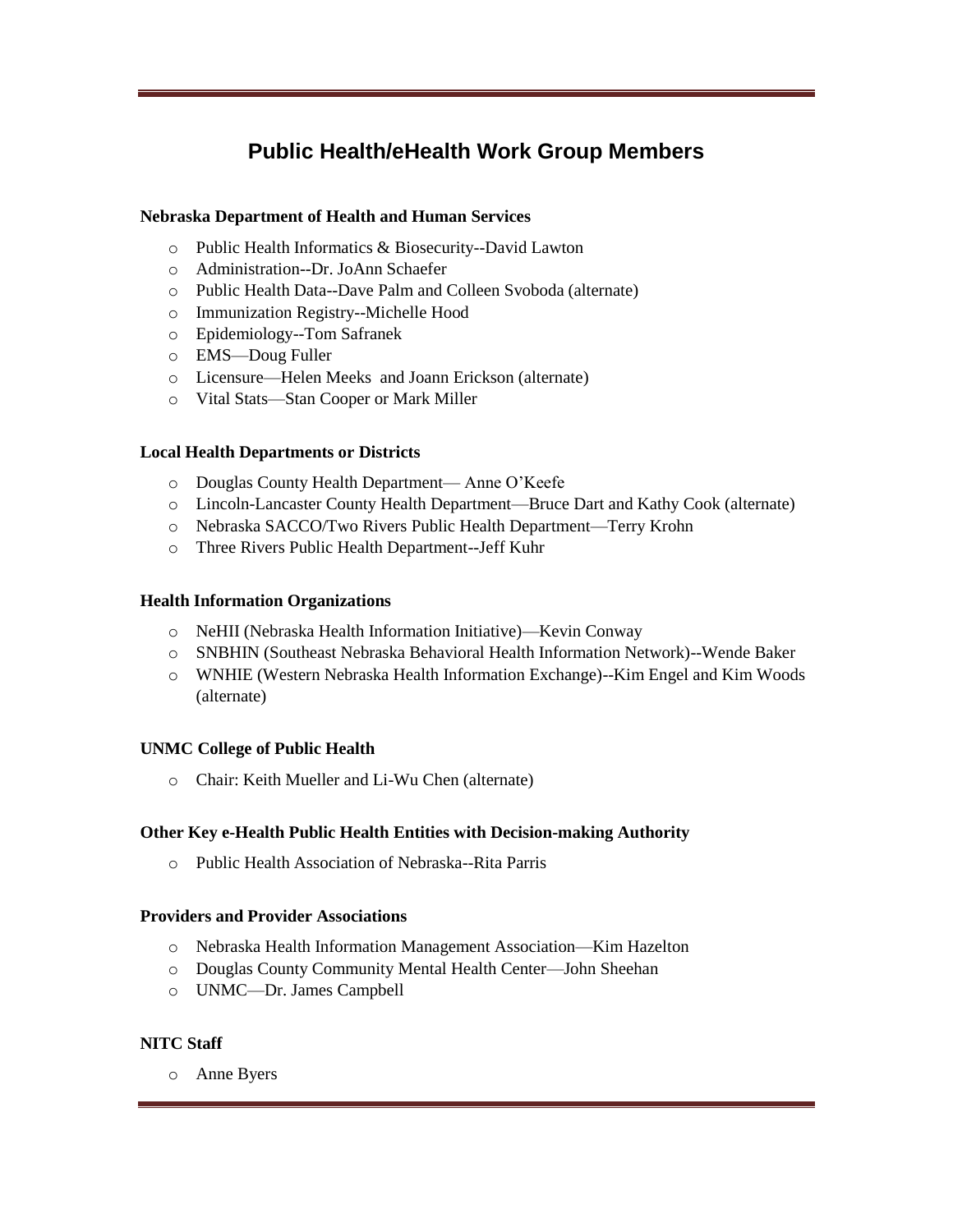## **Public Health/eHealth Work Group Members**

### **Nebraska Department of Health and Human Services**

- o Public Health Informatics & Biosecurity--David Lawton
- o Administration--Dr. JoAnn Schaefer
- o Public Health Data--Dave Palm and Colleen Svoboda (alternate)
- o Immunization Registry--Michelle Hood
- o Epidemiology--Tom Safranek
- o EMS—Doug Fuller
- o Licensure—Helen Meeks and Joann Erickson (alternate)
- o Vital Stats—Stan Cooper or Mark Miller

### **Local Health Departments or Districts**

- o Douglas County Health Department— Anne O'Keefe
- o Lincoln-Lancaster County Health Department—Bruce Dart and Kathy Cook (alternate)
- o Nebraska SACCO/Two Rivers Public Health Department—Terry Krohn
- o Three Rivers Public Health Department--Jeff Kuhr

### **Health Information Organizations**

- o NeHII (Nebraska Health Information Initiative)—Kevin Conway
- o SNBHIN (Southeast Nebraska Behavioral Health Information Network)--Wende Baker
- o WNHIE (Western Nebraska Health Information Exchange)--Kim Engel and Kim Woods (alternate)

### **UNMC College of Public Health**

o Chair: Keith Mueller and Li-Wu Chen (alternate)

### **Other Key e-Health Public Health Entities with Decision-making Authority**

o Public Health Association of Nebraska--Rita Parris

### **Providers and Provider Associations**

- o Nebraska Health Information Management Association—Kim Hazelton
- o Douglas County Community Mental Health Center—John Sheehan
- o UNMC—Dr. James Campbell

### **NITC Staff**

o Anne Byers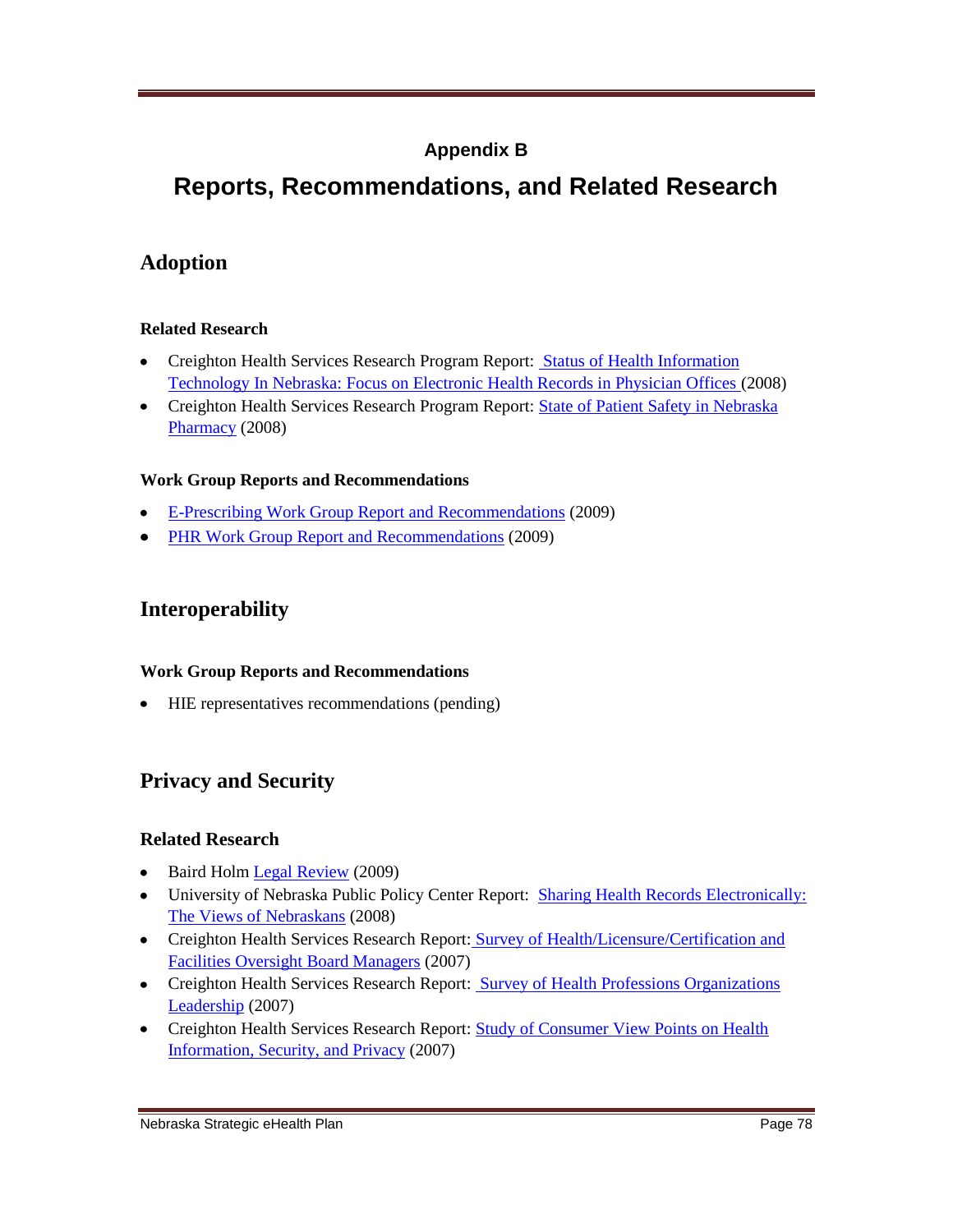## **Appendix B**

# **Reports, Recommendations, and Related Research**

## **Adoption**

### **Related Research**

- Creighton Health Services Research Program Report: Status of Health Information [Technology In Nebraska: Focus on Electronic Health Records in Physician Offices \(](http://chrp.creighton.edu/Documents/EHR_Report/Status_of_Health_Information_Technology_in_Nebraska_March_2008.pdf)2008)
- Creighton Health Services Research Program Report: State of Patient Safety in Nebraska [Pharmacy](http://chrp.creighton.edu/Documents/Dyke_Anderson_Report/State_of_Patient_Safety_in_Nebraska_Pharmacy_December_2008.pdf) (2008)

### **Work Group Reports and Recommendations**

- E-Prescribing Work Group [Report and Recommendations](http://www.nitc.nebraska.gov/eHc/plan/reports/EPrescribingRecommendations.pdf) (2009)
- [PHR Work Group Report and Recommendations](http://www.nitc.nebraska.gov/eHc/plan/reports/PHRrecommendations.pdf) (2009)

### **Interoperability**

### **Work Group Reports and Recommendations**

HIE representatives recommendations (pending)

## **Privacy and Security**

### **Related Research**

- Baird Holm [Legal Review](http://www.nitc.nebraska.gov/ehc/plan/reports/Bairdholm%20review%20032009.pdf) (2009)  $\bullet$
- University of Nebraska Public Policy Center Report: Sharing Health Records Electronically: [The Views of Nebraskans](http://ppc.unl.edu/userfiles/file/Documents/projects/eHealth/Sharing_Health_Records_Electronically_Final_Report.pdf) (2008)
- Creighton Health Services Research Report: [Survey of Health/Licensure/Certification and](http://chrp.creighton.edu/Documents/HISPC_Report_1.pdf)  [Facilities Oversight Board Managers](http://chrp.creighton.edu/Documents/HISPC_Report_1.pdf) (2007)
- Creighton Health Services Research Report: Survey of Health Professions Organizations [Leadership](http://chrp.creighton.edu/Documents/HISPC_Report_2.pdf) (2007)
- Creighton Health Services Research Report: Study of Consumer View Points on Health [Information, Security, and Privacy](http://chrp.creighton.edu/Documents/HISPC_Report_3.pdf) (2007)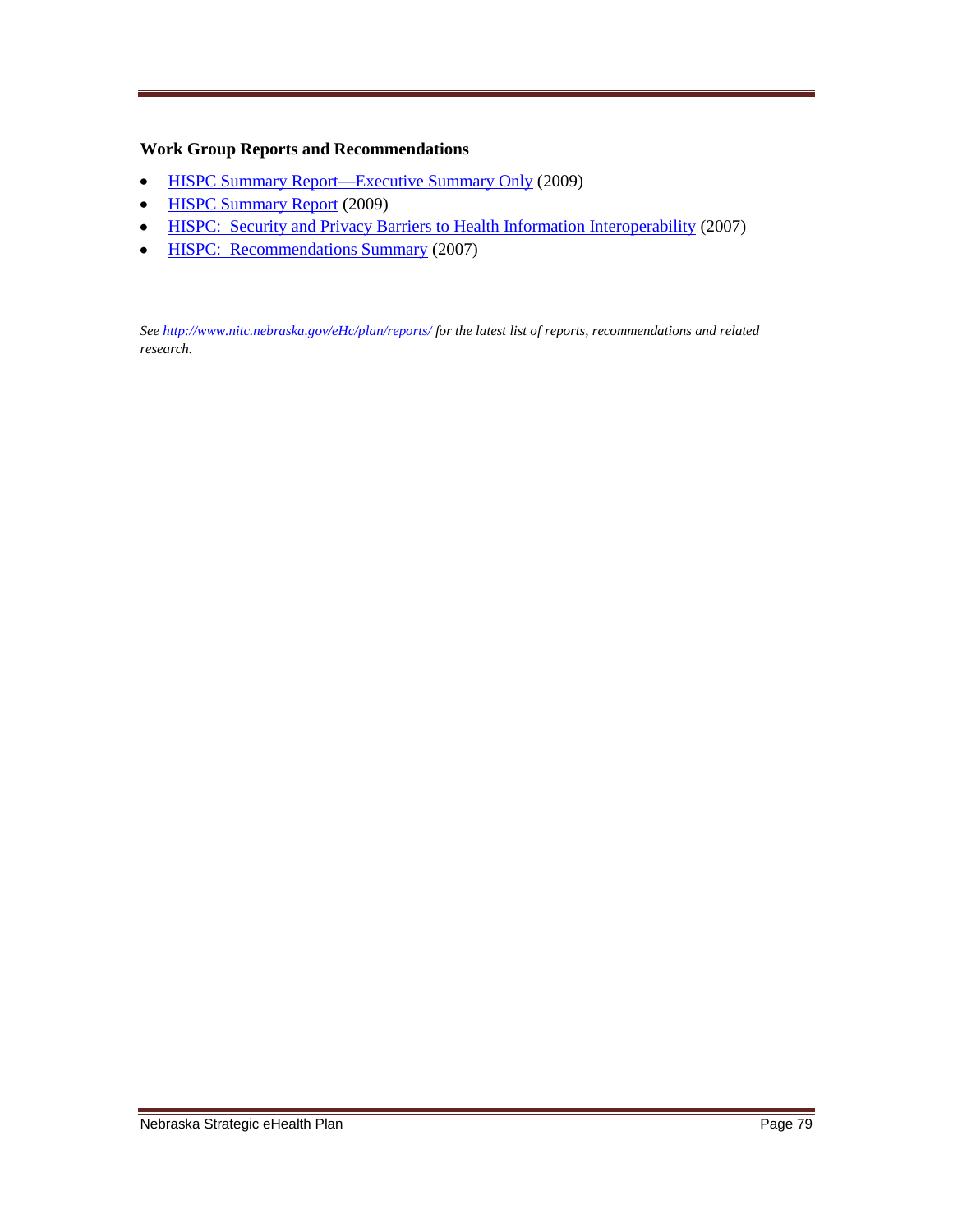### **Work Group Reports and Recommendations**

- [HISPC Summary Report—Executive Summary Only](http://www.nitc.nebraska.gov/eHc/plan/reports/HISPCIIExecSummary.pdf) (2009)  $\bullet$
- [HISPC Summary Report](http://www.nitc.nebraska.gov/eHc/plan/reports/HISPCIIReport.pdf) (2009)  $\bullet$
- HISPC: [Security and Privacy Barriers to Health Information Interoperability](http://chrp.creighton.edu/Documents/Final_HISPC_Report.pdf) (2007)  $\bullet$
- **HISPC: [Recommendations Summary](http://chrp.creighton.edu/Documents/Final_HISPC_Report_Recommendations_Summary.pdf) (2007)**  $\bullet$

*Se[e http://www.nitc.nebraska.gov/eHc/plan/reports/](http://www.nitc.nebraska.gov/eHc/plan/reports/) for the latest list of reports, recommendations and related research.*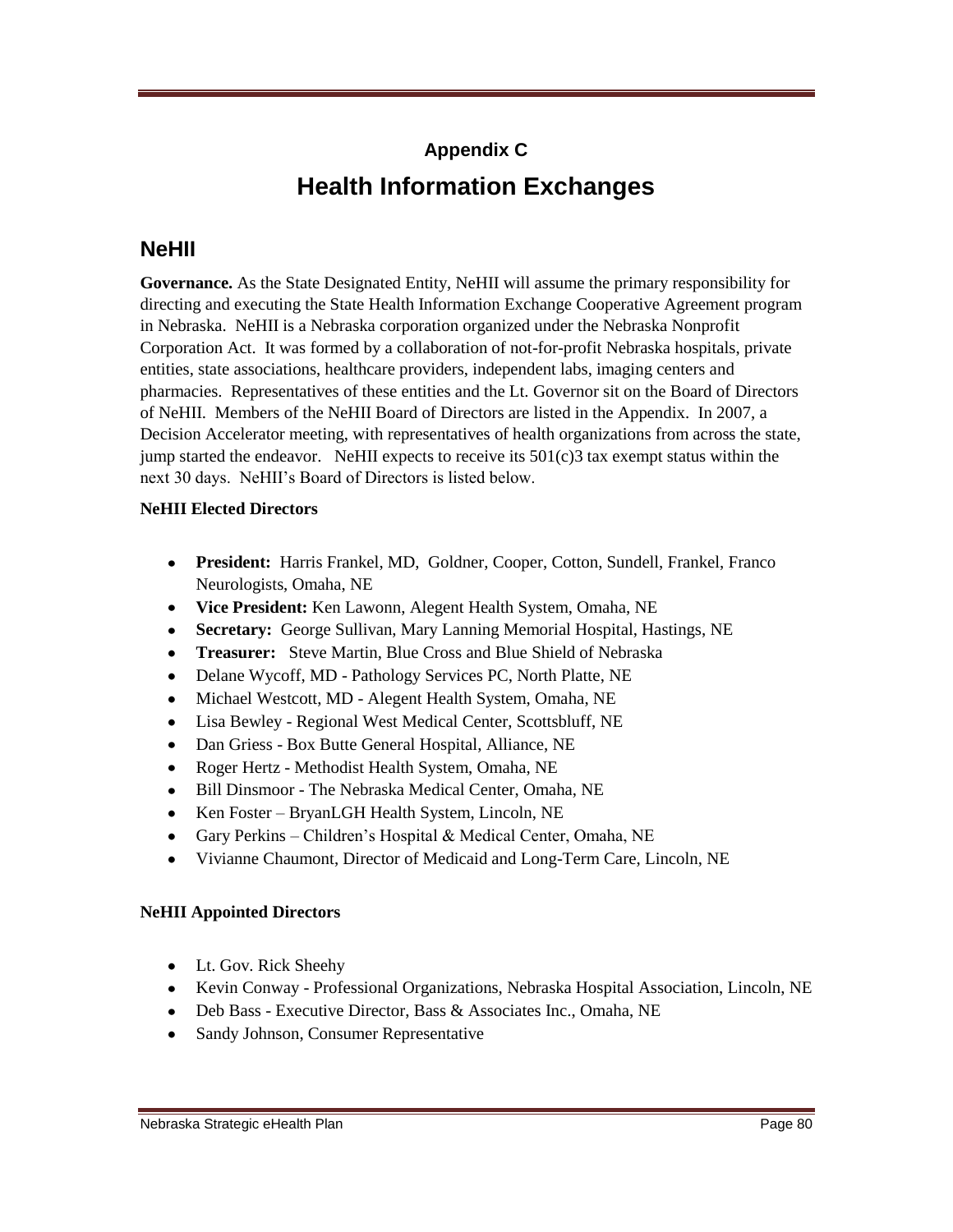# **Appendix C Health Information Exchanges**

## **NeHII**

**Governance.** As the State Designated Entity, NeHII will assume the primary responsibility for directing and executing the State Health Information Exchange Cooperative Agreement program in Nebraska. NeHII is a Nebraska corporation organized under the Nebraska Nonprofit Corporation Act. It was formed by a collaboration of not-for-profit Nebraska hospitals, private entities, state associations, healthcare providers, independent labs, imaging centers and pharmacies. Representatives of these entities and the Lt. Governor sit on the Board of Directors of NeHII. Members of the NeHII Board of Directors are listed in the Appendix. In 2007, a Decision Accelerator meeting, with representatives of health organizations from across the state, jump started the endeavor. NeHII expects to receive its  $501(c)$ 3 tax exempt status within the next 30 days. NeHII's Board of Directors is listed below.

### **NeHII Elected Directors**

- **President:** Harris Frankel, MD, Goldner, Cooper, Cotton, Sundell, Frankel, Franco Neurologists, Omaha, NE
- **Vice President:** Ken Lawonn, Alegent Health System, Omaha, NE
- **Secretary:** George Sullivan, Mary Lanning Memorial Hospital, Hastings, NE
- **Treasurer:** Steve Martin, Blue Cross and Blue Shield of Nebraska
- Delane Wycoff, MD Pathology Services PC, North Platte, NE
- Michael Westcott, MD Alegent Health System, Omaha, NE
- Lisa Bewley Regional West Medical Center, Scottsbluff, NE
- Dan Griess Box Butte General Hospital, Alliance, NE
- Roger Hertz Methodist Health System, Omaha, NE
- Bill Dinsmoor The Nebraska Medical Center, Omaha, NE
- Ken Foster BryanLGH Health System, Lincoln, NE
- Gary Perkins Children's Hospital & Medical Center, Omaha, NE
- Vivianne Chaumont, Director of Medicaid and Long-Term Care, Lincoln, NE  $\bullet$

### **NeHII Appointed Directors**

- Lt. Gov. Rick Sheehy
- Kevin Conway Professional Organizations, Nebraska Hospital Association, Lincoln, NE
- Deb Bass Executive Director, Bass & Associates Inc., Omaha, NE
- Sandy Johnson, Consumer Representative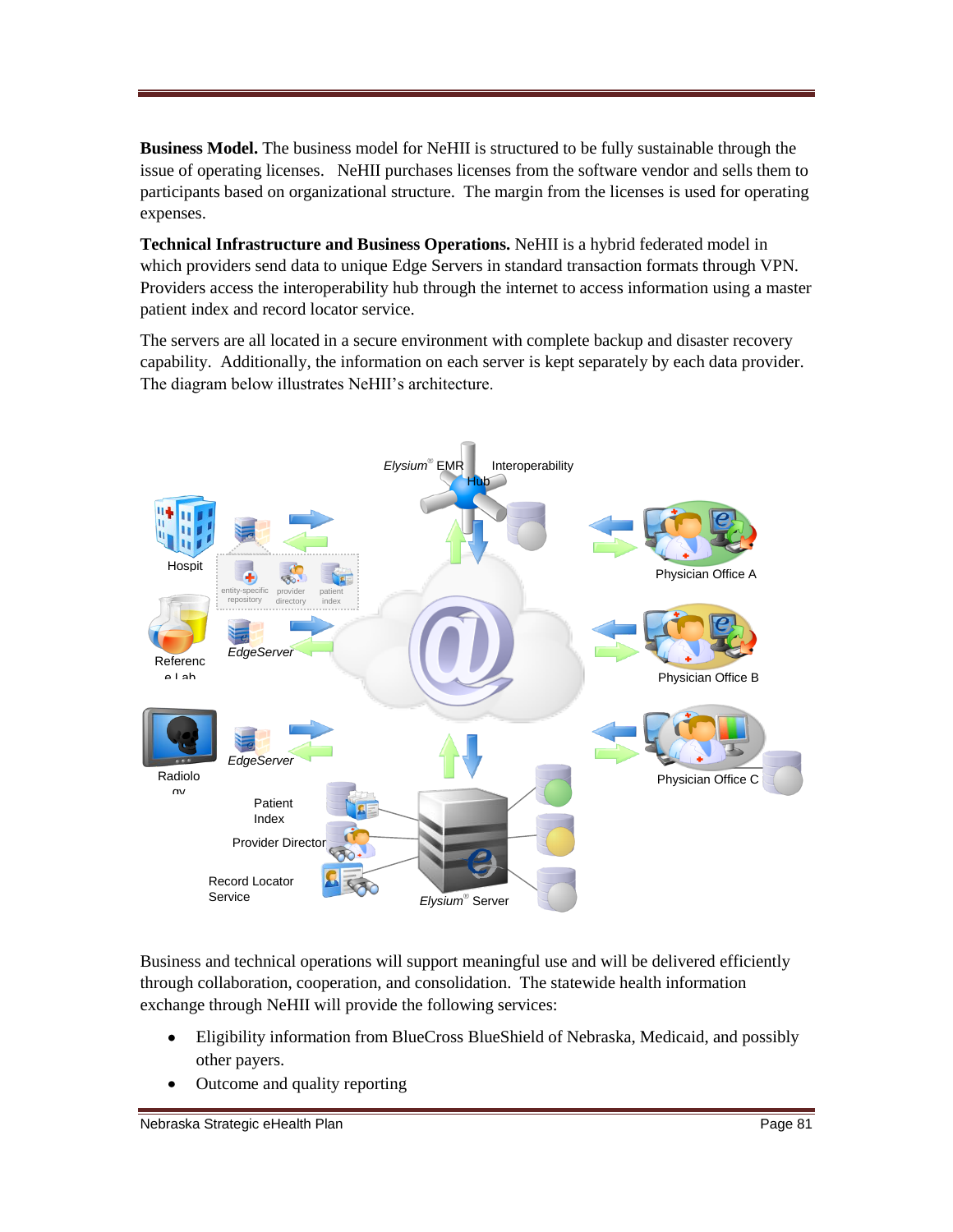**Business Model.** The business model for NeHII is structured to be fully sustainable through the issue of operating licenses. NeHII purchases licenses from the software vendor and sells them to participants based on organizational structure. The margin from the licenses is used for operating expenses.

**Technical Infrastructure and Business Operations.** NeHII is a hybrid federated model in which providers send data to unique Edge Servers in standard transaction formats through VPN. Providers access the interoperability hub through the internet to access information using a master patient index and record locator service.

The servers are all located in a secure environment with complete backup and disaster recovery capability. Additionally, the information on each server is kept separately by each data provider. The diagram below illustrates NeHII's architecture.



Business and technical operations will support meaningful use and will be delivered efficiently through collaboration, cooperation, and consolidation. The statewide health information exchange through NeHII will provide the following services:

- Eligibility information from BlueCross BlueShield of Nebraska, Medicaid, and possibly other payers.
- Outcome and quality reporting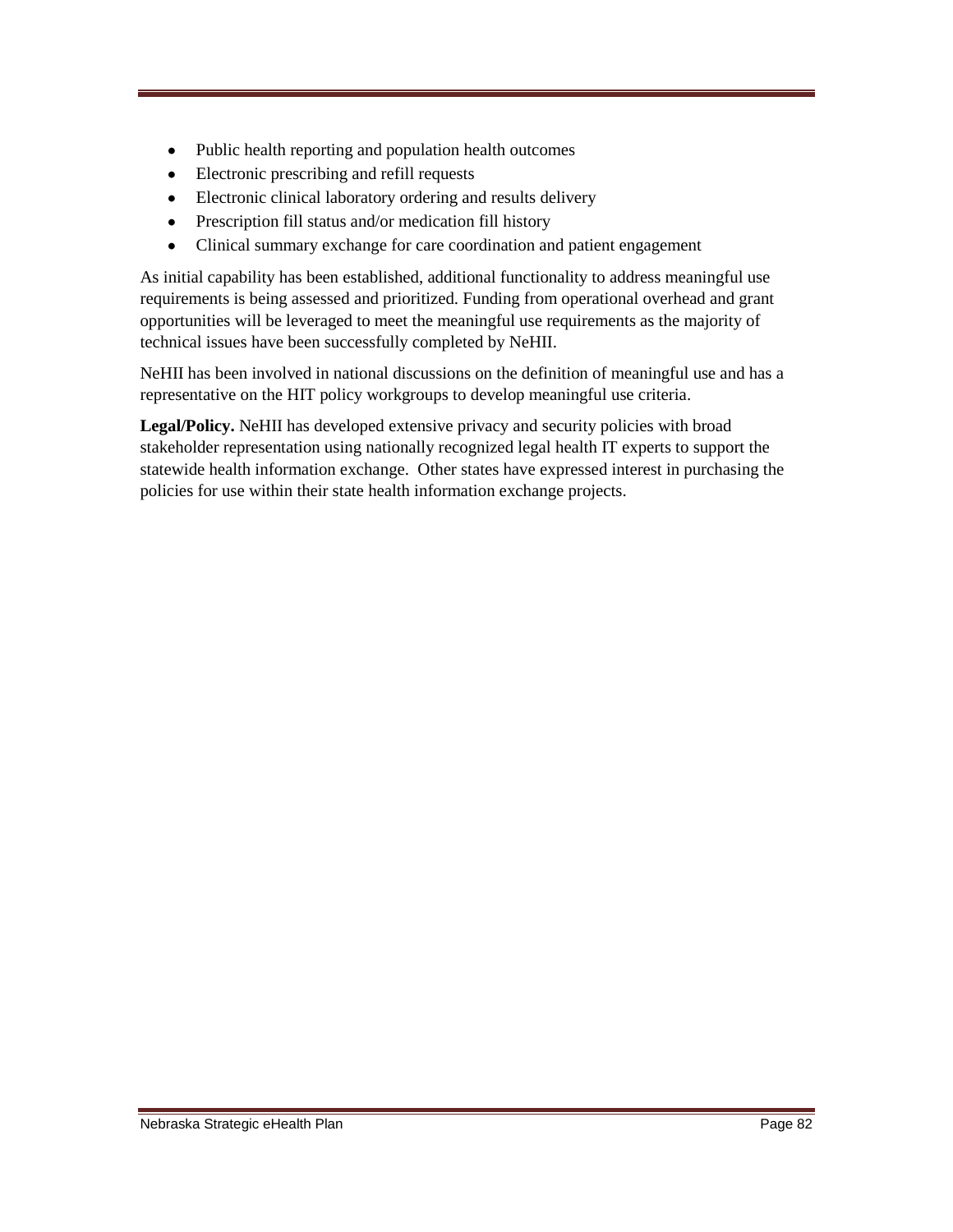- Public health reporting and population health outcomes
- Electronic prescribing and refill requests
- Electronic clinical laboratory ordering and results delivery
- Prescription fill status and/or medication fill history
- Clinical summary exchange for care coordination and patient engagement  $\bullet$

As initial capability has been established, additional functionality to address meaningful use requirements is being assessed and prioritized. Funding from operational overhead and grant opportunities will be leveraged to meet the meaningful use requirements as the majority of technical issues have been successfully completed by NeHII.

NeHII has been involved in national discussions on the definition of meaningful use and has a representative on the HIT policy workgroups to develop meaningful use criteria.

**Legal/Policy.** NeHII has developed extensive privacy and security policies with broad stakeholder representation using nationally recognized legal health IT experts to support the statewide health information exchange. Other states have expressed interest in purchasing the policies for use within their state health information exchange projects.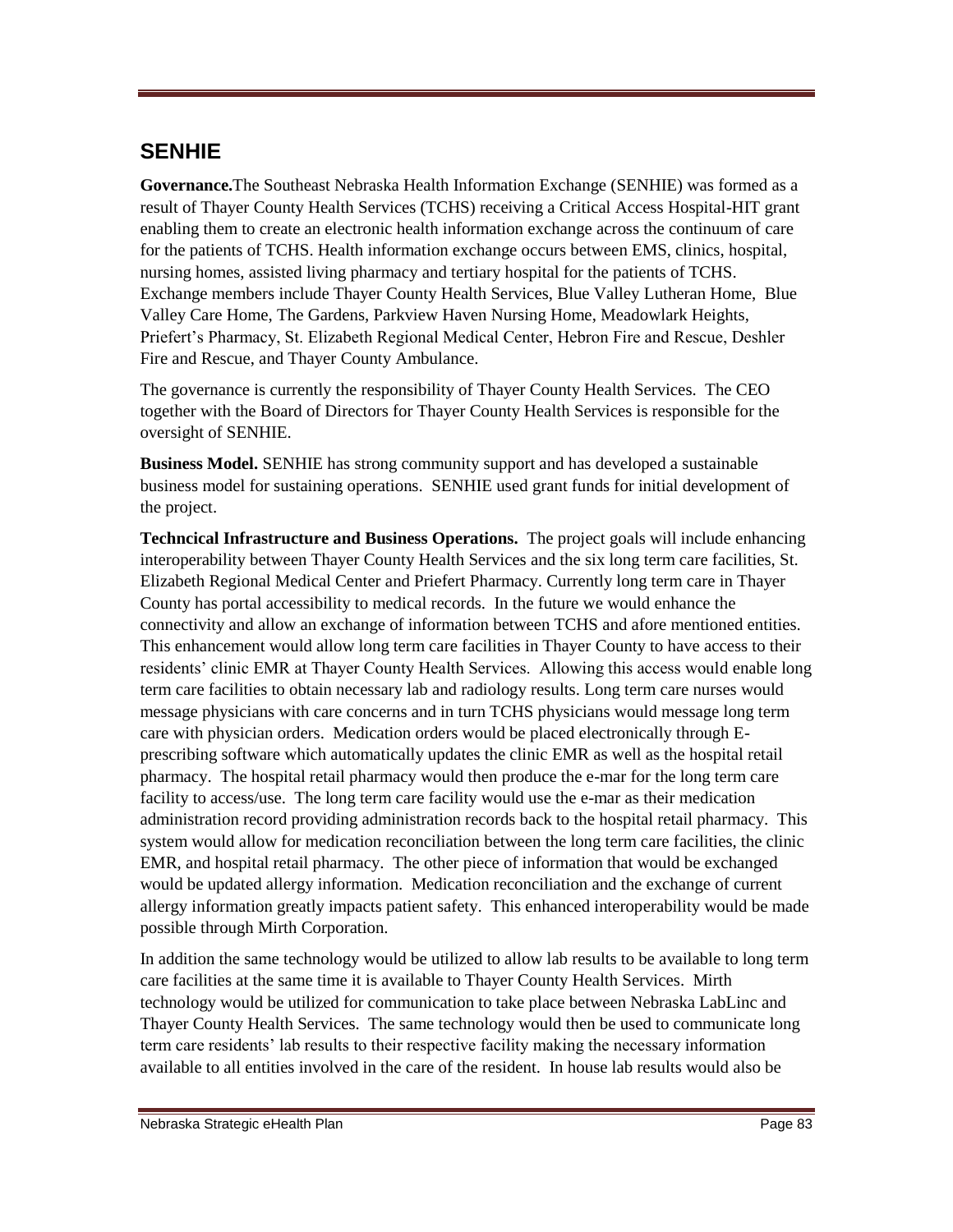## **SENHIE**

**Governance.**The Southeast Nebraska Health Information Exchange (SENHIE) was formed as a result of Thayer County Health Services (TCHS) receiving a Critical Access Hospital-HIT grant enabling them to create an electronic health information exchange across the continuum of care for the patients of TCHS. Health information exchange occurs between EMS, clinics, hospital, nursing homes, assisted living pharmacy and tertiary hospital for the patients of TCHS. Exchange members include Thayer County Health Services, Blue Valley Lutheran Home, Blue Valley Care Home, The Gardens, Parkview Haven Nursing Home, Meadowlark Heights, Priefert's Pharmacy, St. Elizabeth Regional Medical Center, Hebron Fire and Rescue, Deshler Fire and Rescue, and Thayer County Ambulance.

The governance is currently the responsibility of Thayer County Health Services. The CEO together with the Board of Directors for Thayer County Health Services is responsible for the oversight of SENHIE.

**Business Model.** SENHIE has strong community support and has developed a sustainable business model for sustaining operations. SENHIE used grant funds for initial development of the project.

**Techncical Infrastructure and Business Operations.** The project goals will include enhancing interoperability between Thayer County Health Services and the six long term care facilities, St. Elizabeth Regional Medical Center and Priefert Pharmacy. Currently long term care in Thayer County has portal accessibility to medical records. In the future we would enhance the connectivity and allow an exchange of information between TCHS and afore mentioned entities. This enhancement would allow long term care facilities in Thayer County to have access to their residents' clinic EMR at Thayer County Health Services. Allowing this access would enable long term care facilities to obtain necessary lab and radiology results. Long term care nurses would message physicians with care concerns and in turn TCHS physicians would message long term care with physician orders. Medication orders would be placed electronically through Eprescribing software which automatically updates the clinic EMR as well as the hospital retail pharmacy. The hospital retail pharmacy would then produce the e-mar for the long term care facility to access/use. The long term care facility would use the e-mar as their medication administration record providing administration records back to the hospital retail pharmacy. This system would allow for medication reconciliation between the long term care facilities, the clinic EMR, and hospital retail pharmacy. The other piece of information that would be exchanged would be updated allergy information. Medication reconciliation and the exchange of current allergy information greatly impacts patient safety. This enhanced interoperability would be made possible through Mirth Corporation.

In addition the same technology would be utilized to allow lab results to be available to long term care facilities at the same time it is available to Thayer County Health Services. Mirth technology would be utilized for communication to take place between Nebraska LabLinc and Thayer County Health Services. The same technology would then be used to communicate long term care residents' lab results to their respective facility making the necessary information available to all entities involved in the care of the resident. In house lab results would also be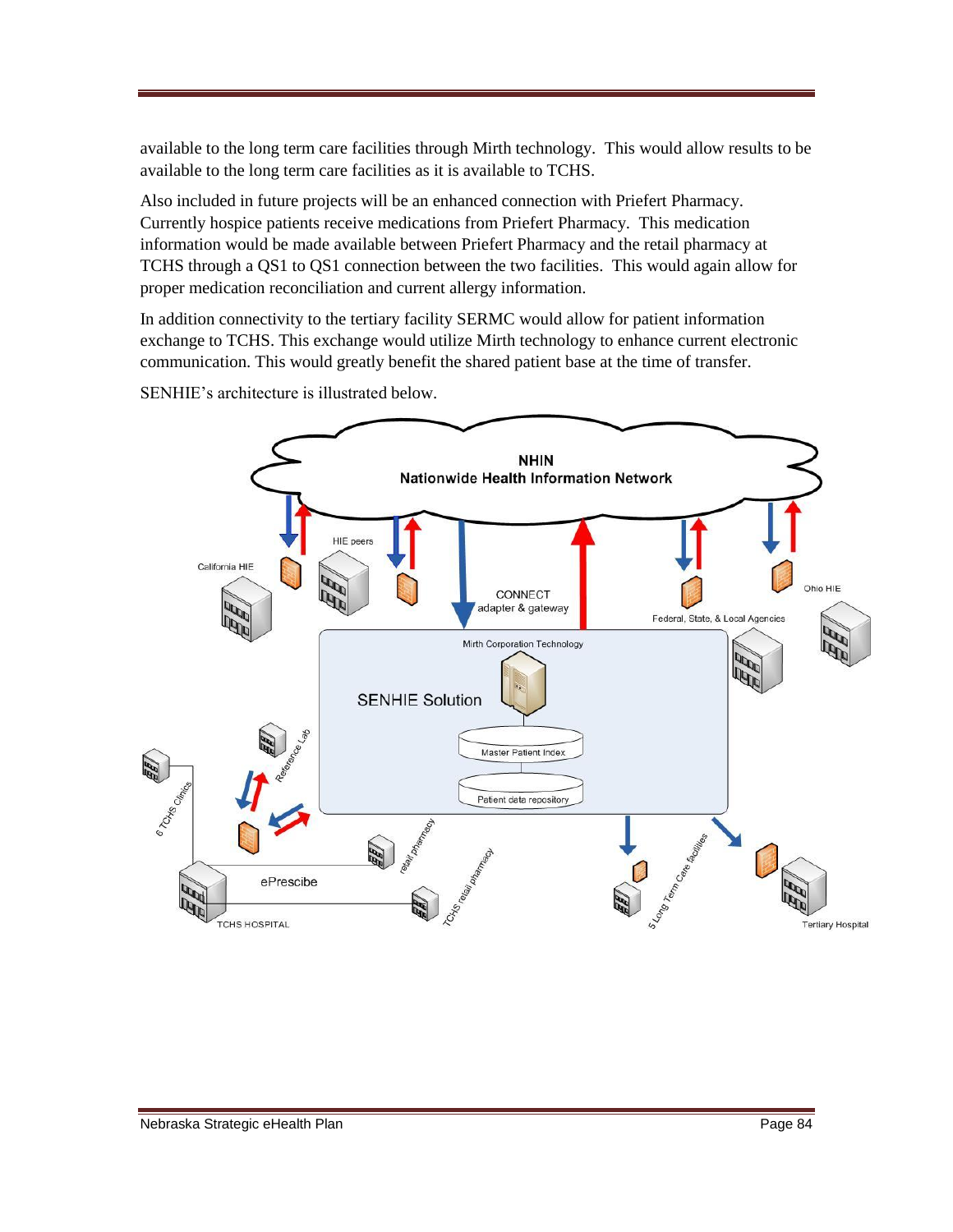available to the long term care facilities through Mirth technology. This would allow results to be available to the long term care facilities as it is available to TCHS.

Also included in future projects will be an enhanced connection with Priefert Pharmacy. Currently hospice patients receive medications from Priefert Pharmacy. This medication information would be made available between Priefert Pharmacy and the retail pharmacy at TCHS through a QS1 to QS1 connection between the two facilities. This would again allow for proper medication reconciliation and current allergy information.

In addition connectivity to the tertiary facility SERMC would allow for patient information exchange to TCHS. This exchange would utilize Mirth technology to enhance current electronic communication. This would greatly benefit the shared patient base at the time of transfer.



SENHIE's architecture is illustrated below.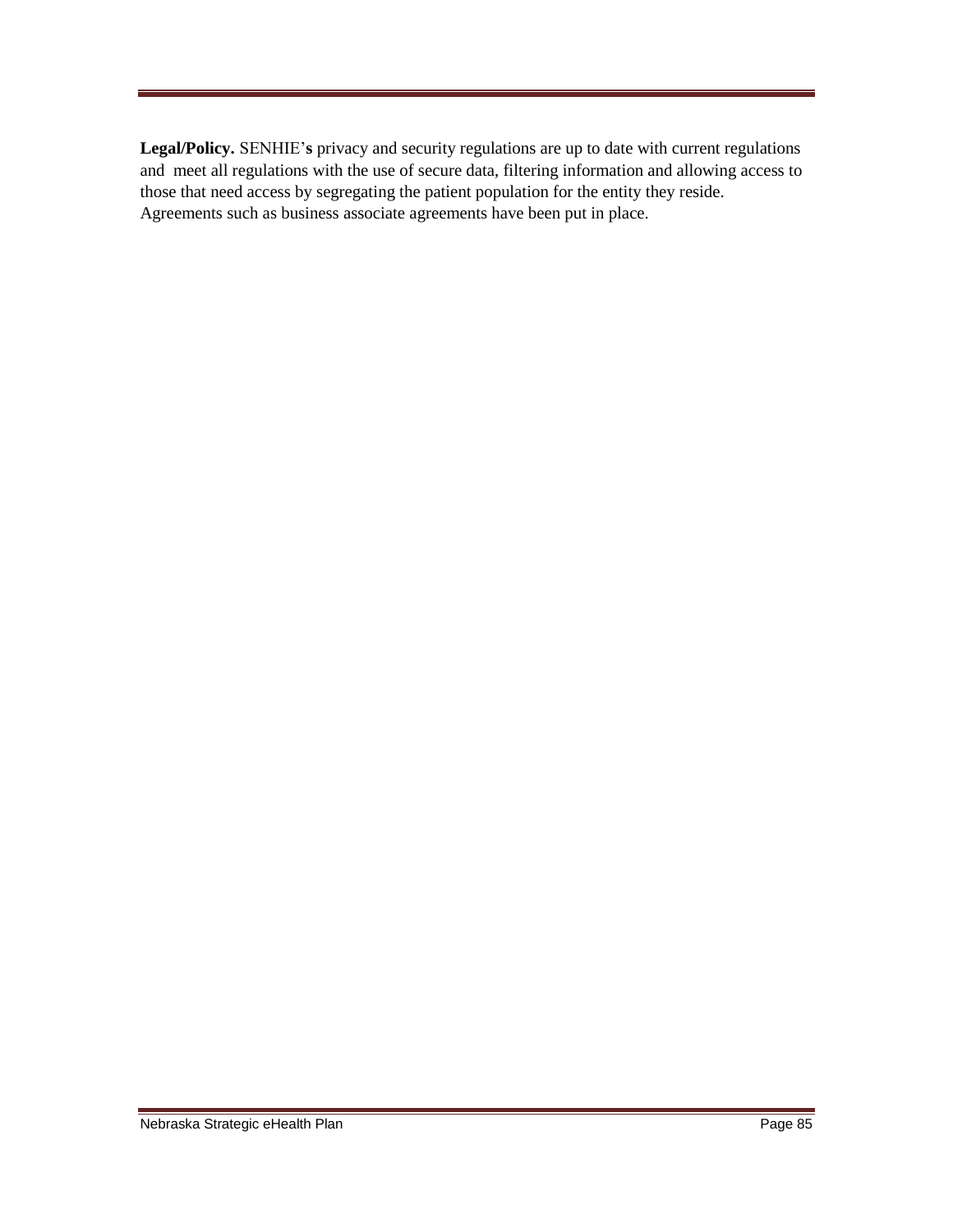**Legal/Policy.** SENHIE'**s** privacy and security regulations are up to date with current regulations and meet all regulations with the use of secure data, filtering information and allowing access to those that need access by segregating the patient population for the entity they reside. Agreements such as business associate agreements have been put in place.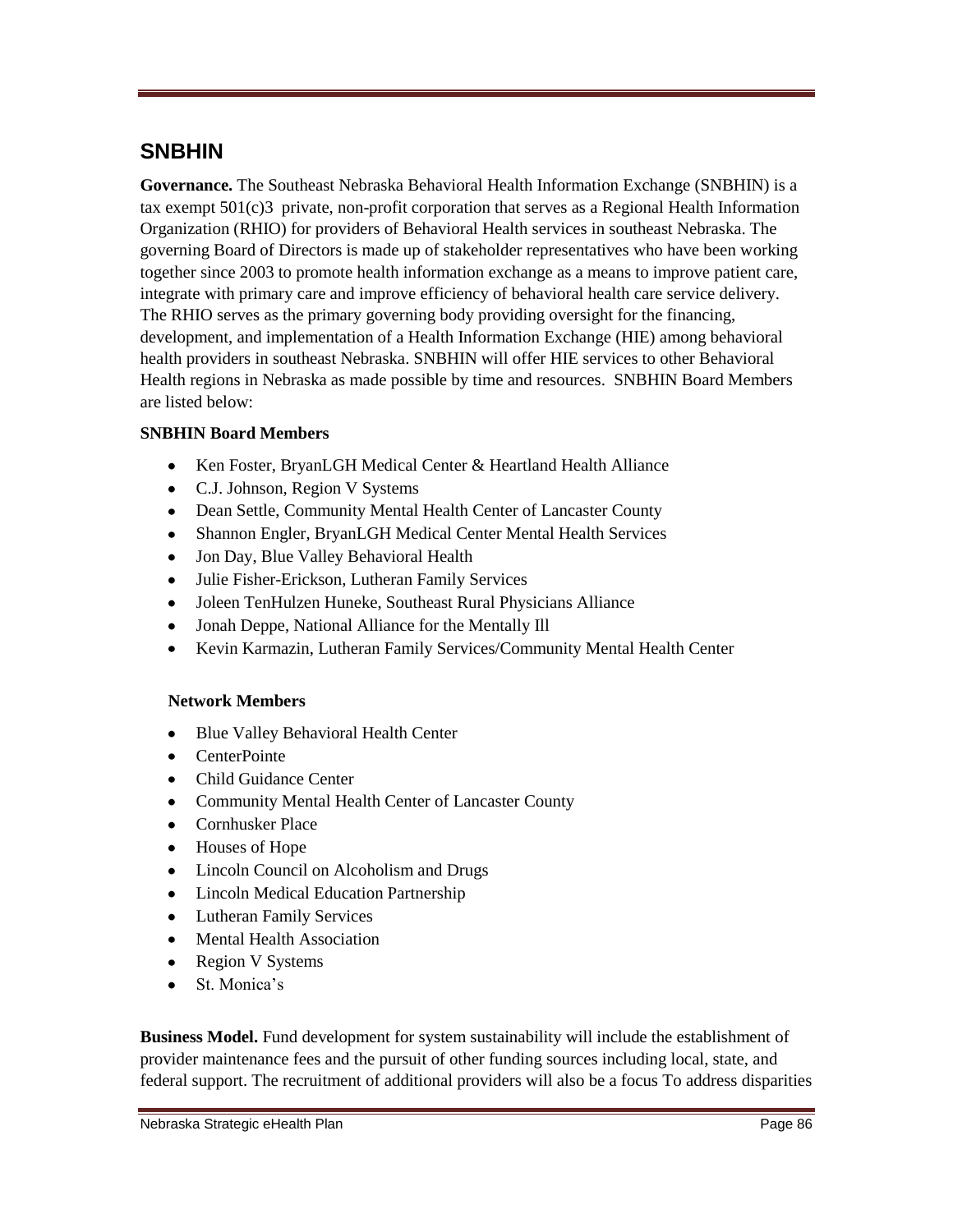## **SNBHIN**

**Governance.** The Southeast Nebraska Behavioral Health Information Exchange (SNBHIN) is a tax exempt 501(c)3 private, non-profit corporation that serves as a Regional Health Information Organization (RHIO) for providers of Behavioral Health services in southeast Nebraska. The governing Board of Directors is made up of stakeholder representatives who have been working together since 2003 to promote health information exchange as a means to improve patient care, integrate with primary care and improve efficiency of behavioral health care service delivery. The RHIO serves as the primary governing body providing oversight for the financing, development, and implementation of a Health Information Exchange (HIE) among behavioral health providers in southeast Nebraska. SNBHIN will offer HIE services to other Behavioral Health regions in Nebraska as made possible by time and resources. SNBHIN Board Members are listed below:

### **SNBHIN Board Members**

- Ken Foster, BryanLGH Medical Center & Heartland Health Alliance  $\bullet$
- C.J. Johnson, Region V Systems
- Dean Settle, Community Mental Health Center of Lancaster County
- Shannon Engler, BryanLGH Medical Center Mental Health Services
- Jon Day, Blue Valley Behavioral Health
- Julie Fisher-Erickson, Lutheran Family Services
- Joleen TenHulzen Huneke, Southeast Rural Physicians Alliance
- Jonah Deppe, National Alliance for the Mentally Ill
- $\bullet$ Kevin Karmazin, Lutheran Family Services/Community Mental Health Center

### **Network Members**

- $\bullet$ Blue Valley Behavioral Health Center
- **CenterPointe**
- Child Guidance Center
- Community Mental Health Center of Lancaster County
- Cornhusker Place
- Houses of Hope
- Lincoln Council on Alcoholism and Drugs
- Lincoln Medical Education Partnership
- Lutheran Family Services
- Mental Health Association
- Region V Systems
- St. Monica's

**Business Model.** Fund development for system sustainability will include the establishment of provider maintenance fees and the pursuit of other funding sources including local, state, and federal support. The recruitment of additional providers will also be a focus To address disparities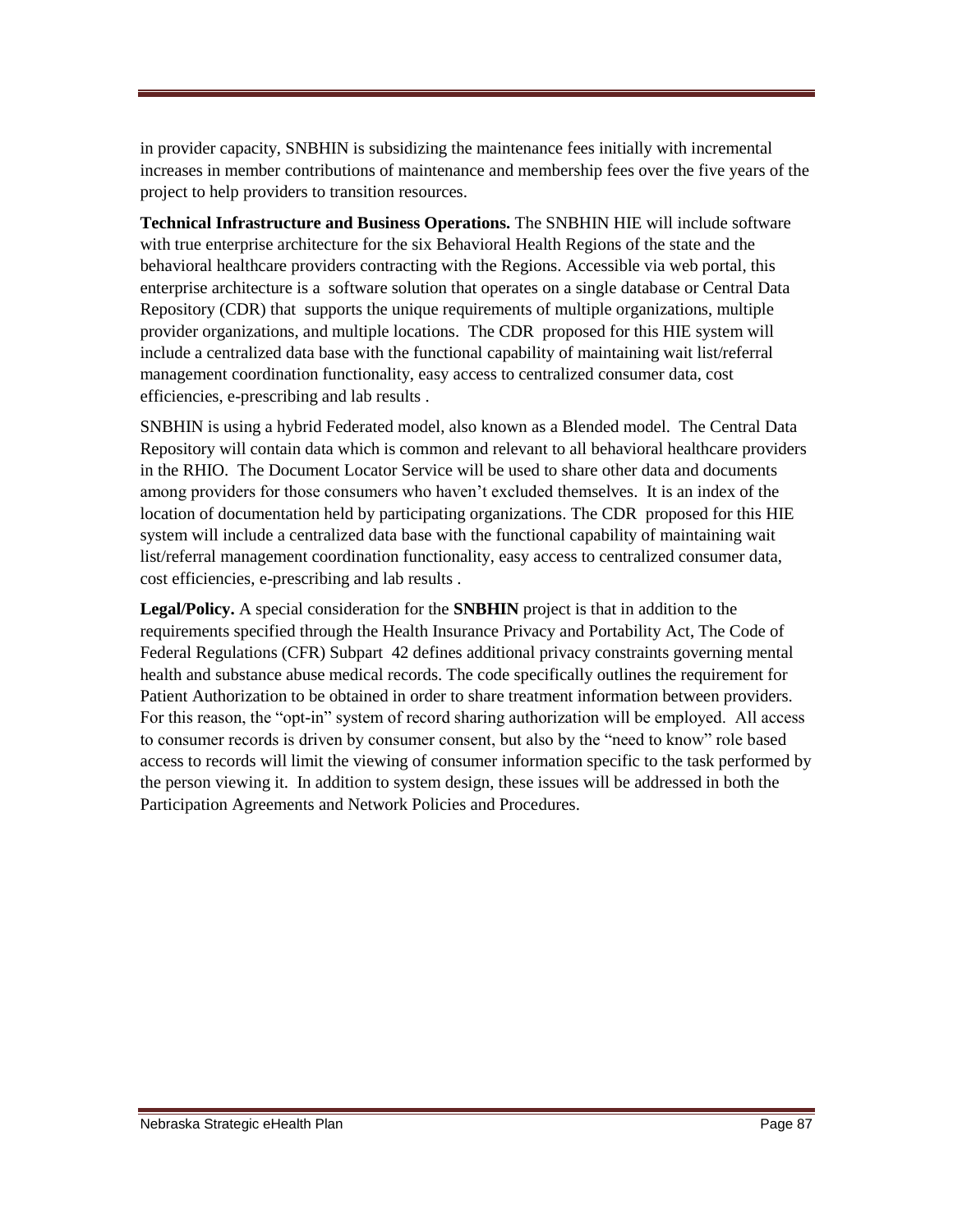in provider capacity, SNBHIN is subsidizing the maintenance fees initially with incremental increases in member contributions of maintenance and membership fees over the five years of the project to help providers to transition resources.

**Technical Infrastructure and Business Operations.** The SNBHIN HIE will include software with true enterprise architecture for the six Behavioral Health Regions of the state and the behavioral healthcare providers contracting with the Regions. Accessible via web portal, this enterprise architecture is a software solution that operates on a single database or Central Data Repository (CDR) that supports the unique requirements of multiple organizations, multiple provider organizations, and multiple locations. The CDR proposed for this HIE system will include a centralized data base with the functional capability of maintaining wait list/referral management coordination functionality, easy access to centralized consumer data, cost efficiencies, e-prescribing and lab results .

SNBHIN is using a hybrid Federated model, also known as a Blended model. The Central Data Repository will contain data which is common and relevant to all behavioral healthcare providers in the RHIO. The Document Locator Service will be used to share other data and documents among providers for those consumers who haven't excluded themselves. It is an index of the location of documentation held by participating organizations. The CDR proposed for this HIE system will include a centralized data base with the functional capability of maintaining wait list/referral management coordination functionality, easy access to centralized consumer data, cost efficiencies, e-prescribing and lab results .

**Legal/Policy.** A special consideration for the **SNBHIN** project is that in addition to the requirements specified through the Health Insurance Privacy and Portability Act, The Code of Federal Regulations (CFR) Subpart 42 defines additional privacy constraints governing mental health and substance abuse medical records. The code specifically outlines the requirement for Patient Authorization to be obtained in order to share treatment information between providers. For this reason, the "opt-in" system of record sharing authorization will be employed. All access to consumer records is driven by consumer consent, but also by the "need to know" role based access to records will limit the viewing of consumer information specific to the task performed by the person viewing it. In addition to system design, these issues will be addressed in both the Participation Agreements and Network Policies and Procedures.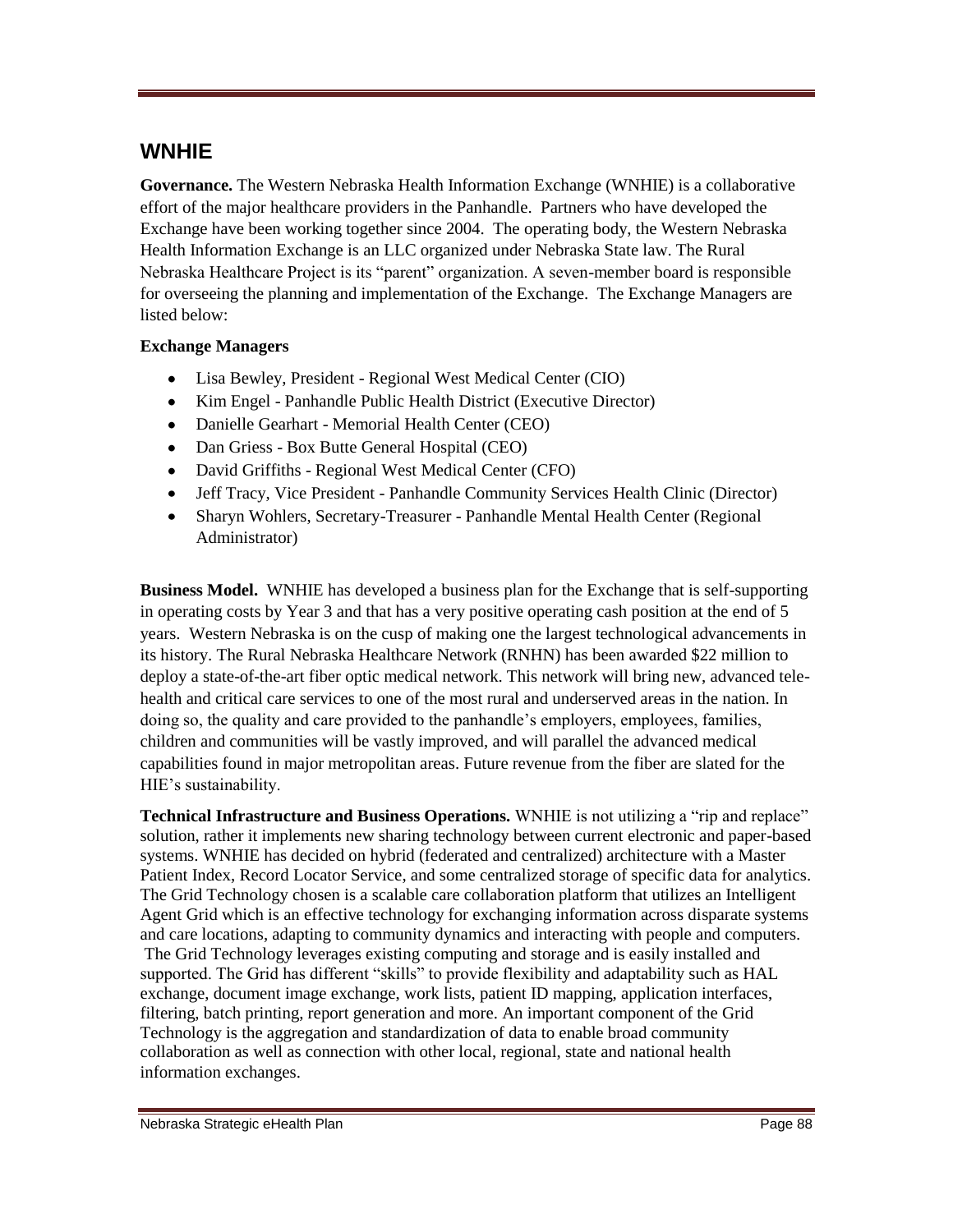## **WNHIE**

**Governance.** The Western Nebraska Health Information Exchange (WNHIE) is a collaborative effort of the major healthcare providers in the Panhandle. Partners who have developed the Exchange have been working together since 2004. The operating body, the Western Nebraska Health Information Exchange is an LLC organized under Nebraska State law. The Rural Nebraska Healthcare Project is its "parent" organization. A seven-member board is responsible for overseeing the planning and implementation of the Exchange. The Exchange Managers are listed below:

### **Exchange Managers**

- Lisa Bewley, President Regional West Medical Center (CIO)
- Kim Engel Panhandle Public Health District (Executive Director)
- Danielle Gearhart Memorial Health Center (CEO)
- Dan Griess Box Butte General Hospital (CEO)
- David Griffiths Regional West Medical Center (CFO)
- Jeff Tracy, Vice President Panhandle Community Services Health Clinic (Director)
- Sharyn Wohlers, Secretary-Treasurer Panhandle Mental Health Center (Regional Administrator)

**Business Model.** WNHIE has developed a business plan for the Exchange that is self-supporting in operating costs by Year 3 and that has a very positive operating cash position at the end of 5 years. Western Nebraska is on the cusp of making one the largest technological advancements in its history. The Rural Nebraska Healthcare Network (RNHN) has been awarded \$22 million to deploy a state-of-the-art fiber optic medical network. This network will bring new, advanced telehealth and critical care services to one of the most rural and underserved areas in the nation. In doing so, the quality and care provided to the panhandle's employers, employees, families, children and communities will be vastly improved, and will parallel the advanced medical capabilities found in major metropolitan areas. Future revenue from the fiber are slated for the HIE's sustainability.

**Technical Infrastructure and Business Operations.** WNHIE is not utilizing a "rip and replace" solution, rather it implements new sharing technology between current electronic and paper-based systems. WNHIE has decided on hybrid (federated and centralized) architecture with a Master Patient Index, Record Locator Service, and some centralized storage of specific data for analytics. The Grid Technology chosen is a scalable care collaboration platform that utilizes an Intelligent Agent Grid which is an effective technology for exchanging information across disparate systems and care locations, adapting to community dynamics and interacting with people and computers. The Grid Technology leverages existing computing and storage and is easily installed and supported. The Grid has different "skills" to provide flexibility and adaptability such as HAL exchange, document image exchange, work lists, patient ID mapping, application interfaces, filtering, batch printing, report generation and more. An important component of the Grid Technology is the aggregation and standardization of data to enable broad community collaboration as well as connection with other local, regional, state and national health information exchanges.